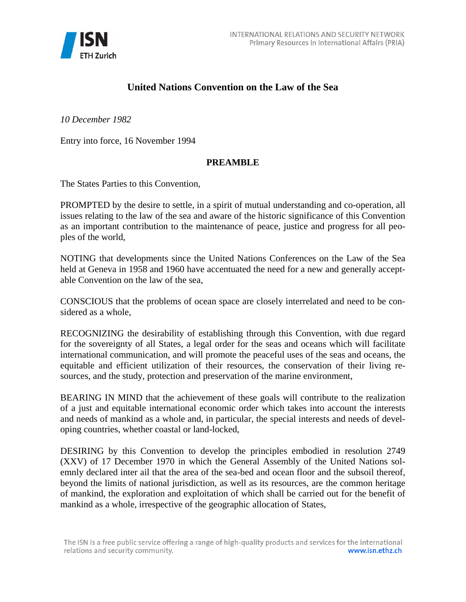

# **United Nations Convention on the Law of the Sea**

*10 December 1982* 

Entry into force, 16 November 1994

#### **PREAMBLE**

The States Parties to this Convention,

PROMPTED by the desire to settle, in a spirit of mutual understanding and co-operation, all issues relating to the law of the sea and aware of the historic significance of this Convention as an important contribution to the maintenance of peace, justice and progress for all peoples of the world,

NOTING that developments since the United Nations Conferences on the Law of the Sea held at Geneva in 1958 and 1960 have accentuated the need for a new and generally acceptable Convention on the law of the sea,

CONSCIOUS that the problems of ocean space are closely interrelated and need to be considered as a whole,

RECOGNIZING the desirability of establishing through this Convention, with due regard for the sovereignty of all States, a legal order for the seas and oceans which will facilitate international communication, and will promote the peaceful uses of the seas and oceans, the equitable and efficient utilization of their resources, the conservation of their living resources, and the study, protection and preservation of the marine environment,

BEARING IN MIND that the achievement of these goals will contribute to the realization of a just and equitable international economic order which takes into account the interests and needs of mankind as a whole and, in particular, the special interests and needs of developing countries, whether coastal or land-locked,

DESIRING by this Convention to develop the principles embodied in resolution 2749 (XXV) of 17 December 1970 in which the General Assembly of the United Nations solemnly declared inter ail that the area of the sea-bed and ocean floor and the subsoil thereof, beyond the limits of national jurisdiction, as well as its resources, are the common heritage of mankind, the exploration and exploitation of which shall be carried out for the benefit of mankind as a whole, irrespective of the geographic allocation of States,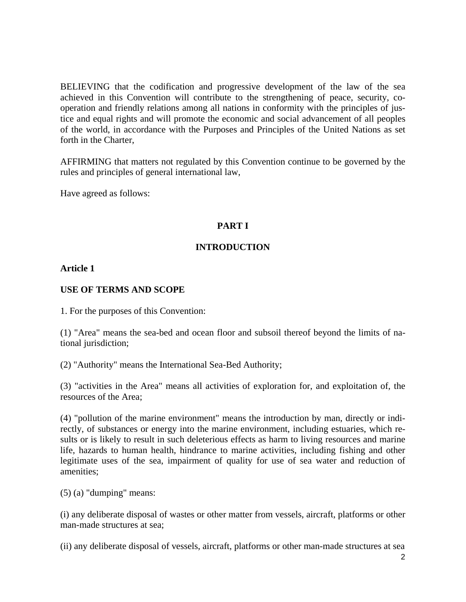BELIEVING that the codification and progressive development of the law of the sea achieved in this Convention will contribute to the strengthening of peace, security, cooperation and friendly relations among all nations in conformity with the principles of justice and equal rights and will promote the economic and social advancement of all peoples of the world, in accordance with the Purposes and Principles of the United Nations as set forth in the Charter,

AFFIRMING that matters not regulated by this Convention continue to be governed by the rules and principles of general international law,

Have agreed as follows:

# **PART I**

## **INTRODUCTION**

### **Article 1**

### **USE OF TERMS AND SCOPE**

1. For the purposes of this Convention:

(1) "Area" means the sea-bed and ocean floor and subsoil thereof beyond the limits of national jurisdiction;

(2) "Authority" means the International Sea-Bed Authority;

(3) "activities in the Area" means all activities of exploration for, and exploitation of, the resources of the Area;

(4) "pollution of the marine environment" means the introduction by man, directly or indirectly, of substances or energy into the marine environment, including estuaries, which results or is likely to result in such deleterious effects as harm to living resources and marine life, hazards to human health, hindrance to marine activities, including fishing and other legitimate uses of the sea, impairment of quality for use of sea water and reduction of amenities;

(5) (a) "dumping" means:

(i) any deliberate disposal of wastes or other matter from vessels, aircraft, platforms or other man-made structures at sea;

(ii) any deliberate disposal of vessels, aircraft, platforms or other man-made structures at sea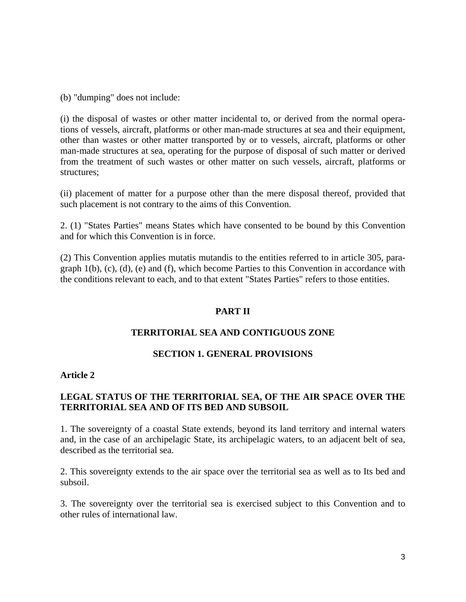(b) "dumping" does not include:

(i) the disposal of wastes or other matter incidental to, or derived from the normal operations of vessels, aircraft, platforms or other man-made structures at sea and their equipment, other than wastes or other matter transported by or to vessels, aircraft, platforms or other man-made structures at sea, operating for the purpose of disposal of such matter or derived from the treatment of such wastes or other matter on such vessels, aircraft, platforms or structures;

(ii) placement of matter for a purpose other than the mere disposal thereof, provided that such placement is not contrary to the aims of this Convention.

2. (1) "States Parties" means States which have consented to be bound by this Convention and for which this Convention is in force.

(2) This Convention applies mutatis mutandis to the entities referred to in article 305, paragraph 1(b), (c), (d), (e) and (f), which become Parties to this Convention in accordance with the conditions relevant to each, and to that extent "States Parties" refers to those entities.

#### **PART II**

#### **TERRITORIAL SEA AND CONTIGUOUS ZONE**

#### **SECTION 1. GENERAL PROVISIONS**

#### **Article 2**

### **LEGAL STATUS OF THE TERRITORIAL SEA, OF THE AIR SPACE OVER THE TERRITORIAL SEA AND OF ITS BED AND SUBSOIL**

1. The sovereignty of a coastal State extends, beyond its land territory and internal waters and, in the case of an archipelagic State, its archipelagic waters, to an adjacent belt of sea, described as the territorial sea.

2. This sovereignty extends to the air space over the territorial sea as well as to Its bed and subsoil.

3. The sovereignty over the territorial sea is exercised subject to this Convention and to other rules of international law.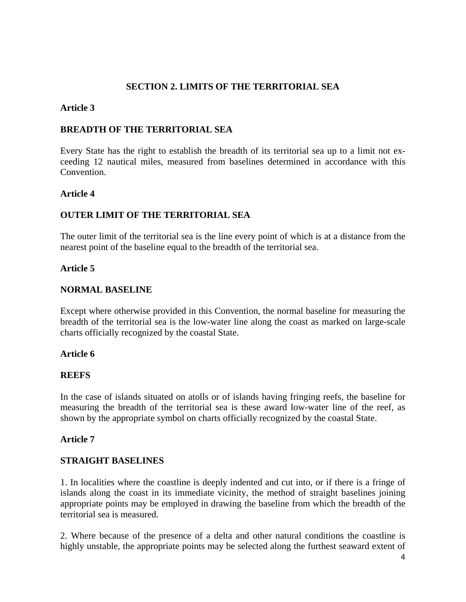## **SECTION 2. LIMITS OF THE TERRITORIAL SEA**

#### **Article 3**

## **BREADTH OF THE TERRITORIAL SEA**

Every State has the right to establish the breadth of its territorial sea up to a limit not exceeding 12 nautical miles, measured from baselines determined in accordance with this Convention.

#### **Article 4**

## **OUTER LIMIT OF THE TERRITORIAL SEA**

The outer limit of the territorial sea is the line every point of which is at a distance from the nearest point of the baseline equal to the breadth of the territorial sea.

### **Article 5**

### **NORMAL BASELINE**

Except where otherwise provided in this Convention, the normal baseline for measuring the breadth of the territorial sea is the low-water line along the coast as marked on large-scale charts officially recognized by the coastal State.

#### **Article 6**

#### **REEFS**

In the case of islands situated on atolls or of islands having fringing reefs, the baseline for measuring the breadth of the territorial sea is these award low-water line of the reef, as shown by the appropriate symbol on charts officially recognized by the coastal State.

## **Article 7**

## **STRAIGHT BASELINES**

1. In localities where the coastline is deeply indented and cut into, or if there is a fringe of islands along the coast in its immediate vicinity, the method of straight baselines joining appropriate points may be employed in drawing the baseline from which the breadth of the territorial sea is measured.

2. Where because of the presence of a delta and other natural conditions the coastline is highly unstable, the appropriate points may be selected along the furthest seaward extent of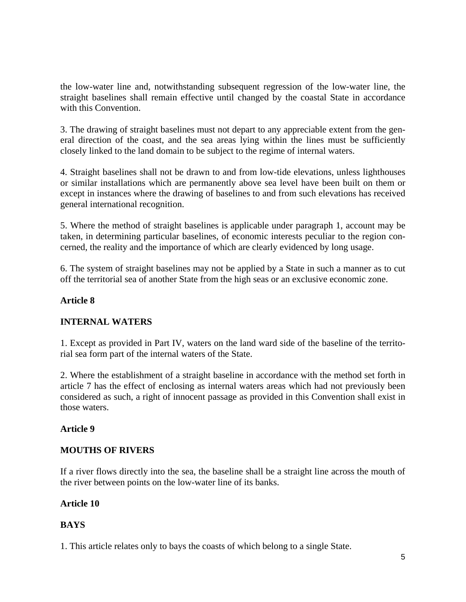the low-water line and, notwithstanding subsequent regression of the low-water line, the straight baselines shall remain effective until changed by the coastal State in accordance with this Convention.

3. The drawing of straight baselines must not depart to any appreciable extent from the general direction of the coast, and the sea areas lying within the lines must be sufficiently closely linked to the land domain to be subject to the regime of internal waters.

4. Straight baselines shall not be drawn to and from low-tide elevations, unless lighthouses or similar installations which are permanently above sea level have been built on them or except in instances where the drawing of baselines to and from such elevations has received general international recognition.

5. Where the method of straight baselines is applicable under paragraph 1, account may be taken, in determining particular baselines, of economic interests peculiar to the region concerned, the reality and the importance of which are clearly evidenced by long usage.

6. The system of straight baselines may not be applied by a State in such a manner as to cut off the territorial sea of another State from the high seas or an exclusive economic zone.

## **Article 8**

## **INTERNAL WATERS**

1. Except as provided in Part IV, waters on the land ward side of the baseline of the territorial sea form part of the internal waters of the State.

2. Where the establishment of a straight baseline in accordance with the method set forth in article 7 has the effect of enclosing as internal waters areas which had not previously been considered as such, a right of innocent passage as provided in this Convention shall exist in those waters.

## **Article 9**

## **MOUTHS OF RIVERS**

If a river flows directly into the sea, the baseline shall be a straight line across the mouth of the river between points on the low-water line of its banks.

## **Article 10**

## **BAYS**

1. This article relates only to bays the coasts of which belong to a single State.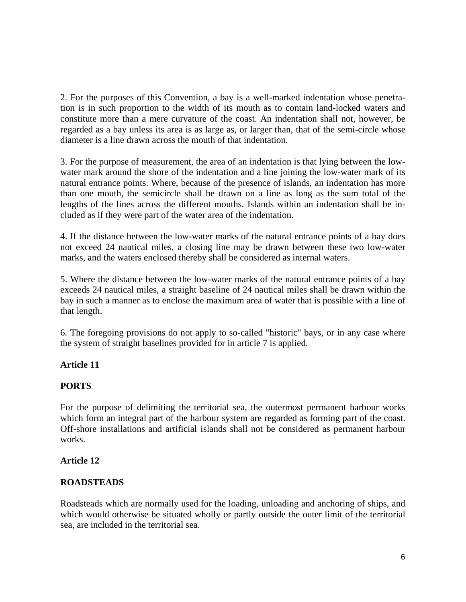2. For the purposes of this Convention, a bay is a well-marked indentation whose penetration is in such proportion to the width of its mouth as to contain land-locked waters and constitute more than a mere curvature of the coast. An indentation shall not, however, be regarded as a bay unless its area is as large as, or larger than, that of the semi-circle whose diameter is a line drawn across the mouth of that indentation.

3. For the purpose of measurement, the area of an indentation is that lying between the lowwater mark around the shore of the indentation and a line joining the low-water mark of its natural entrance points. Where, because of the presence of islands, an indentation has more than one mouth, the semicircle shall be drawn on a line as long as the sum total of the lengths of the lines across the different mouths. Islands within an indentation shall be included as if they were part of the water area of the indentation.

4. If the distance between the low-water marks of the natural entrance points of a bay does not exceed 24 nautical miles, a closing line may be drawn between these two low-water marks, and the waters enclosed thereby shall be considered as internal waters.

5. Where the distance between the low-water marks of the natural entrance points of a bay exceeds 24 nautical miles, a straight baseline of 24 nautical miles shall be drawn within the bay in such a manner as to enclose the maximum area of water that is possible with a line of that length.

6. The foregoing provisions do not apply to so-called "historic" bays, or in any case where the system of straight baselines provided for in article 7 is applied.

## **Article 11**

## **PORTS**

For the purpose of delimiting the territorial sea, the outermost permanent harbour works which form an integral part of the harbour system are regarded as forming part of the coast. Off-shore installations and artificial islands shall not be considered as permanent harbour works.

#### **Article 12**

## **ROADSTEADS**

Roadsteads which are normally used for the loading, unloading and anchoring of ships, and which would otherwise be situated wholly or partly outside the outer limit of the territorial sea, are included in the territorial sea.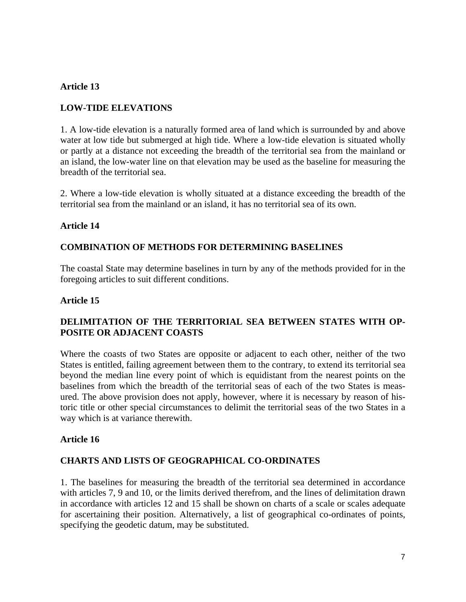## **LOW-TIDE ELEVATIONS**

1. A low-tide elevation is a naturally formed area of land which is surrounded by and above water at low tide but submerged at high tide. Where a low-tide elevation is situated wholly or partly at a distance not exceeding the breadth of the territorial sea from the mainland or an island, the low-water line on that elevation may be used as the baseline for measuring the breadth of the territorial sea.

2. Where a low-tide elevation is wholly situated at a distance exceeding the breadth of the territorial sea from the mainland or an island, it has no territorial sea of its own.

### **Article 14**

## **COMBINATION OF METHODS FOR DETERMINING BASELINES**

The coastal State may determine baselines in turn by any of the methods provided for in the foregoing articles to suit different conditions.

### **Article 15**

## **DELIMITATION OF THE TERRITORIAL SEA BETWEEN STATES WITH OP-POSITE OR ADJACENT COASTS**

Where the coasts of two States are opposite or adjacent to each other, neither of the two States is entitled, failing agreement between them to the contrary, to extend its territorial sea beyond the median line every point of which is equidistant from the nearest points on the baselines from which the breadth of the territorial seas of each of the two States is measured. The above provision does not apply, however, where it is necessary by reason of historic title or other special circumstances to delimit the territorial seas of the two States in a way which is at variance therewith.

#### **Article 16**

## **CHARTS AND LISTS OF GEOGRAPHICAL CO-ORDINATES**

1. The baselines for measuring the breadth of the territorial sea determined in accordance with articles 7, 9 and 10, or the limits derived therefrom, and the lines of delimitation drawn in accordance with articles 12 and 15 shall be shown on charts of a scale or scales adequate for ascertaining their position. Alternatively, a list of geographical co-ordinates of points, specifying the geodetic datum, may be substituted.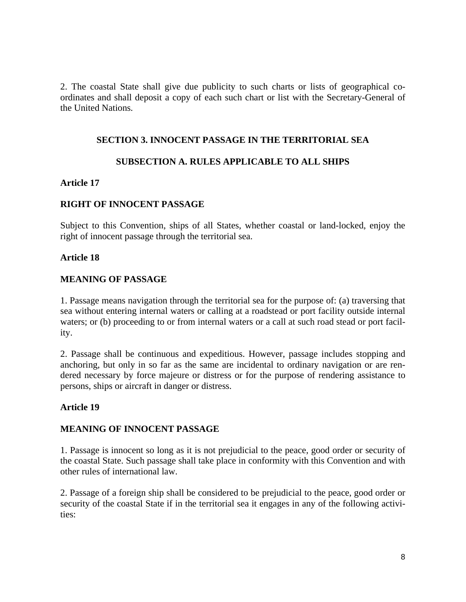2. The coastal State shall give due publicity to such charts or lists of geographical coordinates and shall deposit a copy of each such chart or list with the Secretary-General of the United Nations.

## **SECTION 3. INNOCENT PASSAGE IN THE TERRITORIAL SEA**

## **SUBSECTION A. RULES APPLICABLE TO ALL SHIPS**

### **Article 17**

### **RIGHT OF INNOCENT PASSAGE**

Subject to this Convention, ships of all States, whether coastal or land-locked, enjoy the right of innocent passage through the territorial sea.

### **Article 18**

### **MEANING OF PASSAGE**

1. Passage means navigation through the territorial sea for the purpose of: (a) traversing that sea without entering internal waters or calling at a roadstead or port facility outside internal waters; or (b) proceeding to or from internal waters or a call at such road stead or port facility.

2. Passage shall be continuous and expeditious. However, passage includes stopping and anchoring, but only in so far as the same are incidental to ordinary navigation or are rendered necessary by force majeure or distress or for the purpose of rendering assistance to persons, ships or aircraft in danger or distress.

#### **Article 19**

#### **MEANING OF INNOCENT PASSAGE**

1. Passage is innocent so long as it is not prejudicial to the peace, good order or security of the coastal State. Such passage shall take place in conformity with this Convention and with other rules of international law.

2. Passage of a foreign ship shall be considered to be prejudicial to the peace, good order or security of the coastal State if in the territorial sea it engages in any of the following activities: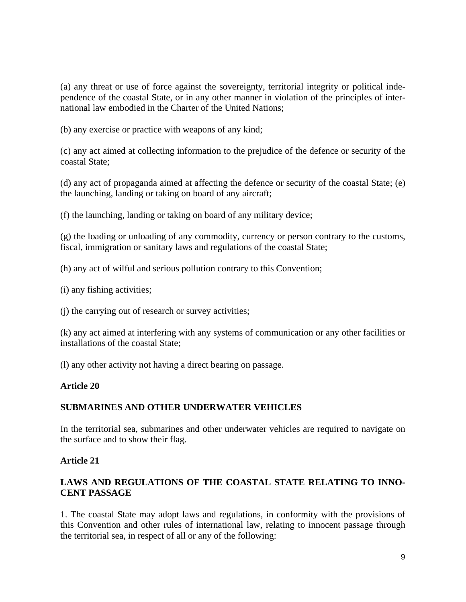(a) any threat or use of force against the sovereignty, territorial integrity or political independence of the coastal State, or in any other manner in violation of the principles of international law embodied in the Charter of the United Nations;

(b) any exercise or practice with weapons of any kind;

(c) any act aimed at collecting information to the prejudice of the defence or security of the coastal State;

(d) any act of propaganda aimed at affecting the defence or security of the coastal State; (e) the launching, landing or taking on board of any aircraft;

(f) the launching, landing or taking on board of any military device;

(g) the loading or unloading of any commodity, currency or person contrary to the customs, fiscal, immigration or sanitary laws and regulations of the coastal State;

(h) any act of wilful and serious pollution contrary to this Convention;

(i) any fishing activities;

(j) the carrying out of research or survey activities;

(k) any act aimed at interfering with any systems of communication or any other facilities or installations of the coastal State;

(l) any other activity not having a direct bearing on passage.

## **Article 20**

## **SUBMARINES AND OTHER UNDERWATER VEHICLES**

In the territorial sea, submarines and other underwater vehicles are required to navigate on the surface and to show their flag.

#### **Article 21**

## **LAWS AND REGULATIONS OF THE COASTAL STATE RELATING TO INNO-CENT PASSAGE**

1. The coastal State may adopt laws and regulations, in conformity with the provisions of this Convention and other rules of international law, relating to innocent passage through the territorial sea, in respect of all or any of the following: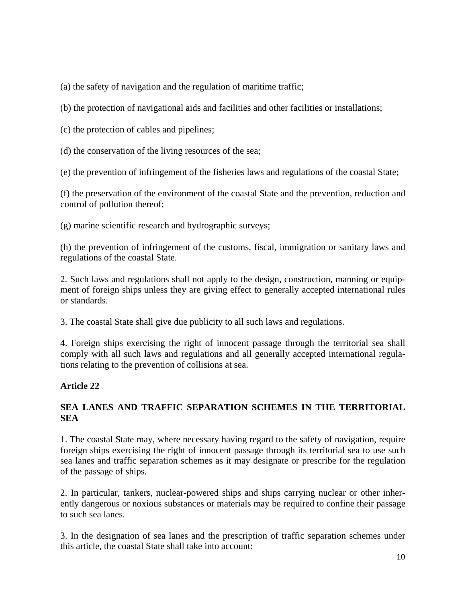(a) the safety of navigation and the regulation of maritime traffic;

(b) the protection of navigational aids and facilities and other facilities or installations;

(c) the protection of cables and pipelines;

(d) the conservation of the living resources of the sea;

(e) the prevention of infringement of the fisheries laws and regulations of the coastal State;

(f) the preservation of the environment of the coastal State and the prevention, reduction and control of pollution thereof;

(g) marine scientific research and hydrographic surveys;

(h) the prevention of infringement of the customs, fiscal, immigration or sanitary laws and regulations of the coastal State.

2. Such laws and regulations shall not apply to the design, construction, manning or equipment of foreign ships unless they are giving effect to generally accepted international rules or standards.

3. The coastal State shall give due publicity to all such laws and regulations.

4. Foreign ships exercising the right of innocent passage through the territorial sea shall comply with all such laws and regulations and all generally accepted international regulations relating to the prevention of collisions at sea.

# **Article 22**

# **SEA LANES AND TRAFFIC SEPARATION SCHEMES IN THE TERRITORIAL SEA**

1. The coastal State may, where necessary having regard to the safety of navigation, require foreign ships exercising the right of innocent passage through its territorial sea to use such sea lanes and traffic separation schemes as it may designate or prescribe for the regulation of the passage of ships.

2. In particular, tankers, nuclear-powered ships and ships carrying nuclear or other inherently dangerous or noxious substances or materials may be required to confine their passage to such sea lanes.

3. In the designation of sea lanes and the prescription of traffic separation schemes under this article, the coastal State shall take into account: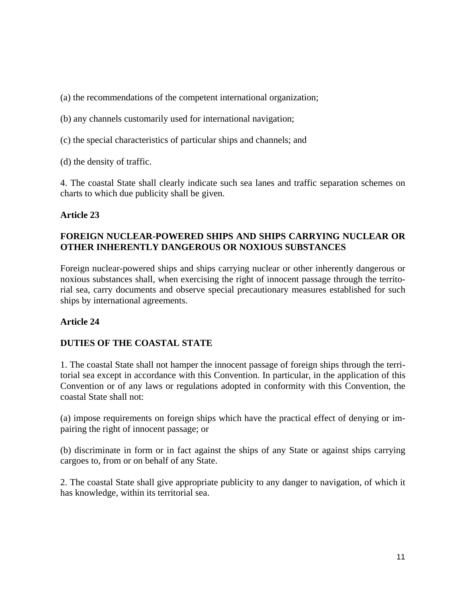(a) the recommendations of the competent international organization;

- (b) any channels customarily used for international navigation;
- (c) the special characteristics of particular ships and channels; and

(d) the density of traffic.

4. The coastal State shall clearly indicate such sea lanes and traffic separation schemes on charts to which due publicity shall be given.

### **Article 23**

## **FOREIGN NUCLEAR-POWERED SHIPS AND SHIPS CARRYING NUCLEAR OR OTHER INHERENTLY DANGEROUS OR NOXIOUS SUBSTANCES**

Foreign nuclear-powered ships and ships carrying nuclear or other inherently dangerous or noxious substances shall, when exercising the right of innocent passage through the territorial sea, carry documents and observe special precautionary measures established for such ships by international agreements.

## **Article 24**

## **DUTIES OF THE COASTAL STATE**

1. The coastal State shall not hamper the innocent passage of foreign ships through the territorial sea except in accordance with this Convention. In particular, in the application of this Convention or of any laws or regulations adopted in conformity with this Convention, the coastal State shall not:

(a) impose requirements on foreign ships which have the practical effect of denying or impairing the right of innocent passage; or

(b) discriminate in form or in fact against the ships of any State or against ships carrying cargoes to, from or on behalf of any State.

2. The coastal State shall give appropriate publicity to any danger to navigation, of which it has knowledge, within its territorial sea.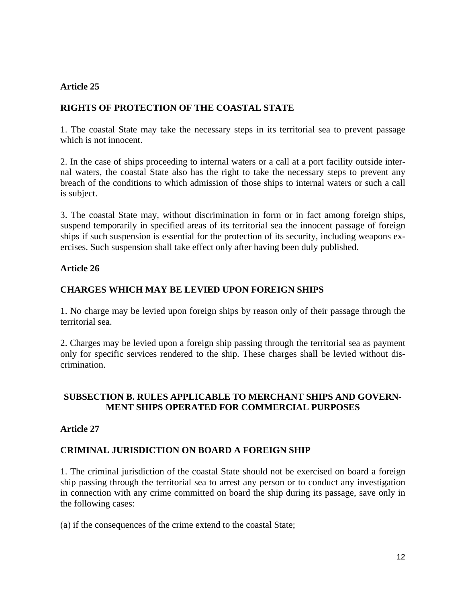## **RIGHTS OF PROTECTION OF THE COASTAL STATE**

1. The coastal State may take the necessary steps in its territorial sea to prevent passage which is not innocent.

2. In the case of ships proceeding to internal waters or a call at a port facility outside internal waters, the coastal State also has the right to take the necessary steps to prevent any breach of the conditions to which admission of those ships to internal waters or such a call is subject.

3. The coastal State may, without discrimination in form or in fact among foreign ships, suspend temporarily in specified areas of its territorial sea the innocent passage of foreign ships if such suspension is essential for the protection of its security, including weapons exercises. Such suspension shall take effect only after having been duly published.

### **Article 26**

## **CHARGES WHICH MAY BE LEVIED UPON FOREIGN SHIPS**

1. No charge may be levied upon foreign ships by reason only of their passage through the territorial sea.

2. Charges may be levied upon a foreign ship passing through the territorial sea as payment only for specific services rendered to the ship. These charges shall be levied without discrimination.

## **SUBSECTION B. RULES APPLICABLE TO MERCHANT SHIPS AND GOVERN-MENT SHIPS OPERATED FOR COMMERCIAL PURPOSES**

#### **Article 27**

## **CRIMINAL JURISDICTION ON BOARD A FOREIGN SHIP**

1. The criminal jurisdiction of the coastal State should not be exercised on board a foreign ship passing through the territorial sea to arrest any person or to conduct any investigation in connection with any crime committed on board the ship during its passage, save only in the following cases:

(a) if the consequences of the crime extend to the coastal State;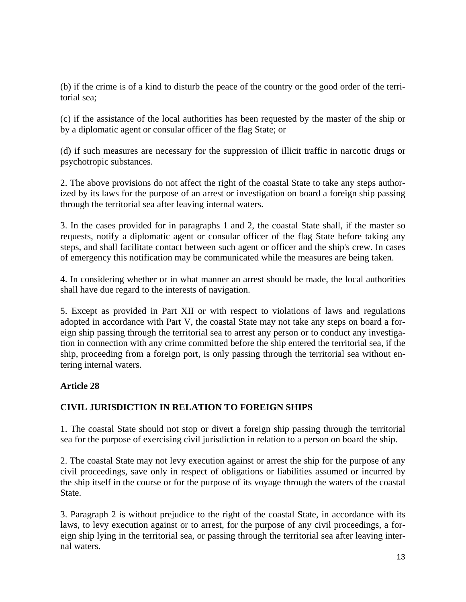(b) if the crime is of a kind to disturb the peace of the country or the good order of the territorial sea;

(c) if the assistance of the local authorities has been requested by the master of the ship or by a diplomatic agent or consular officer of the flag State; or

(d) if such measures are necessary for the suppression of illicit traffic in narcotic drugs or psychotropic substances.

2. The above provisions do not affect the right of the coastal State to take any steps authorized by its laws for the purpose of an arrest or investigation on board a foreign ship passing through the territorial sea after leaving internal waters.

3. In the cases provided for in paragraphs 1 and 2, the coastal State shall, if the master so requests, notify a diplomatic agent or consular officer of the flag State before taking any steps, and shall facilitate contact between such agent or officer and the ship's crew. In cases of emergency this notification may be communicated while the measures are being taken.

4. In considering whether or in what manner an arrest should be made, the local authorities shall have due regard to the interests of navigation.

5. Except as provided in Part XII or with respect to violations of laws and regulations adopted in accordance with Part V, the coastal State may not take any steps on board a foreign ship passing through the territorial sea to arrest any person or to conduct any investigation in connection with any crime committed before the ship entered the territorial sea, if the ship, proceeding from a foreign port, is only passing through the territorial sea without entering internal waters.

# **Article 28**

# **CIVIL JURISDICTION IN RELATION TO FOREIGN SHIPS**

1. The coastal State should not stop or divert a foreign ship passing through the territorial sea for the purpose of exercising civil jurisdiction in relation to a person on board the ship.

2. The coastal State may not levy execution against or arrest the ship for the purpose of any civil proceedings, save only in respect of obligations or liabilities assumed or incurred by the ship itself in the course or for the purpose of its voyage through the waters of the coastal State.

3. Paragraph 2 is without prejudice to the right of the coastal State, in accordance with its laws, to levy execution against or to arrest, for the purpose of any civil proceedings, a foreign ship lying in the territorial sea, or passing through the territorial sea after leaving internal waters.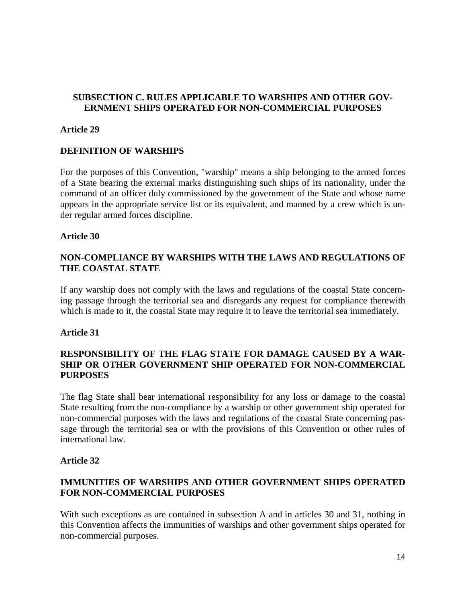## **SUBSECTION C. RULES APPLICABLE TO WARSHIPS AND OTHER GOV-ERNMENT SHIPS OPERATED FOR NON-COMMERCIAL PURPOSES**

## **Article 29**

## **DEFINITION OF WARSHIPS**

For the purposes of this Convention, "warship" means a ship belonging to the armed forces of a State bearing the external marks distinguishing such ships of its nationality, under the command of an officer duly commissioned by the government of the State and whose name appears in the appropriate service list or its equivalent, and manned by a crew which is under regular armed forces discipline.

## **Article 30**

# **NON-COMPLIANCE BY WARSHIPS WITH THE LAWS AND REGULATIONS OF THE COASTAL STATE**

If any warship does not comply with the laws and regulations of the coastal State concerning passage through the territorial sea and disregards any request for compliance therewith which is made to it, the coastal State may require it to leave the territorial sea immediately.

## **Article 31**

## **RESPONSIBILITY OF THE FLAG STATE FOR DAMAGE CAUSED BY A WAR-SHIP OR OTHER GOVERNMENT SHIP OPERATED FOR NON-COMMERCIAL PURPOSES**

The flag State shall bear international responsibility for any loss or damage to the coastal State resulting from the non-compliance by a warship or other government ship operated for non-commercial purposes with the laws and regulations of the coastal State concerning passage through the territorial sea or with the provisions of this Convention or other rules of international law.

## **Article 32**

# **IMMUNITIES OF WARSHIPS AND OTHER GOVERNMENT SHIPS OPERATED FOR NON-COMMERCIAL PURPOSES**

With such exceptions as are contained in subsection A and in articles 30 and 31, nothing in this Convention affects the immunities of warships and other government ships operated for non-commercial purposes.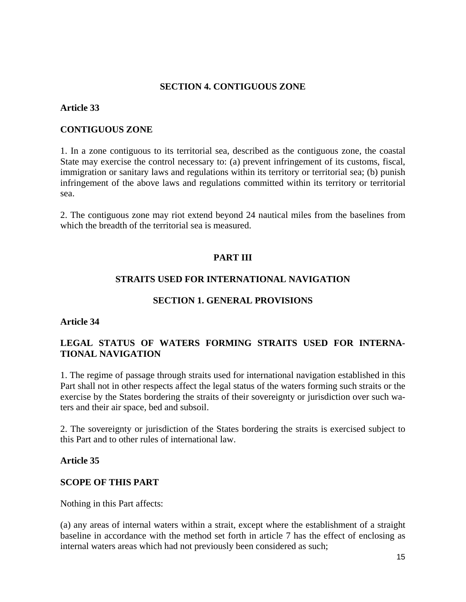## **SECTION 4. CONTIGUOUS ZONE**

### **Article 33**

### **CONTIGUOUS ZONE**

1. In a zone contiguous to its territorial sea, described as the contiguous zone, the coastal State may exercise the control necessary to: (a) prevent infringement of its customs, fiscal, immigration or sanitary laws and regulations within its territory or territorial sea; (b) punish infringement of the above laws and regulations committed within its territory or territorial sea.

2. The contiguous zone may riot extend beyond 24 nautical miles from the baselines from which the breadth of the territorial sea is measured.

## **PART III**

## **STRAITS USED FOR INTERNATIONAL NAVIGATION**

## **SECTION 1. GENERAL PROVISIONS**

#### **Article 34**

## **LEGAL STATUS OF WATERS FORMING STRAITS USED FOR INTERNA-TIONAL NAVIGATION**

1. The regime of passage through straits used for international navigation established in this Part shall not in other respects affect the legal status of the waters forming such straits or the exercise by the States bordering the straits of their sovereignty or jurisdiction over such waters and their air space, bed and subsoil.

2. The sovereignty or jurisdiction of the States bordering the straits is exercised subject to this Part and to other rules of international law.

#### **Article 35**

#### **SCOPE OF THIS PART**

Nothing in this Part affects:

(a) any areas of internal waters within a strait, except where the establishment of a straight baseline in accordance with the method set forth in article 7 has the effect of enclosing as internal waters areas which had not previously been considered as such;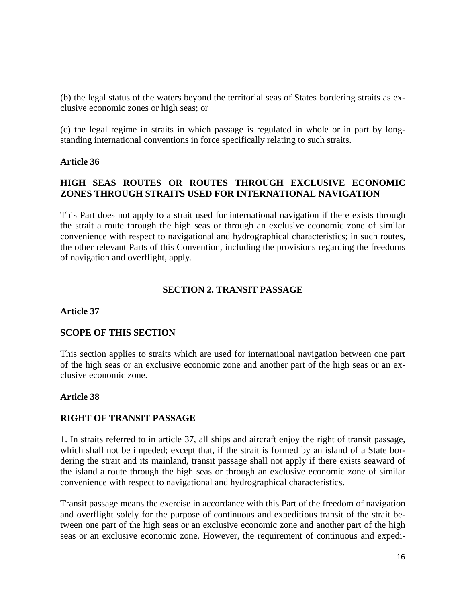(b) the legal status of the waters beyond the territorial seas of States bordering straits as exclusive economic zones or high seas; or

(c) the legal regime in straits in which passage is regulated in whole or in part by longstanding international conventions in force specifically relating to such straits.

### **Article 36**

# **HIGH SEAS ROUTES OR ROUTES THROUGH EXCLUSIVE ECONOMIC ZONES THROUGH STRAITS USED FOR INTERNATIONAL NAVIGATION**

This Part does not apply to a strait used for international navigation if there exists through the strait a route through the high seas or through an exclusive economic zone of similar convenience with respect to navigational and hydrographical characteristics; in such routes, the other relevant Parts of this Convention, including the provisions regarding the freedoms of navigation and overflight, apply.

### **SECTION 2. TRANSIT PASSAGE**

#### **Article 37**

## **SCOPE OF THIS SECTION**

This section applies to straits which are used for international navigation between one part of the high seas or an exclusive economic zone and another part of the high seas or an exclusive economic zone.

#### **Article 38**

#### **RIGHT OF TRANSIT PASSAGE**

1. In straits referred to in article 37, all ships and aircraft enjoy the right of transit passage, which shall not be impeded; except that, if the strait is formed by an island of a State bordering the strait and its mainland, transit passage shall not apply if there exists seaward of the island a route through the high seas or through an exclusive economic zone of similar convenience with respect to navigational and hydrographical characteristics.

Transit passage means the exercise in accordance with this Part of the freedom of navigation and overflight solely for the purpose of continuous and expeditious transit of the strait between one part of the high seas or an exclusive economic zone and another part of the high seas or an exclusive economic zone. However, the requirement of continuous and expedi-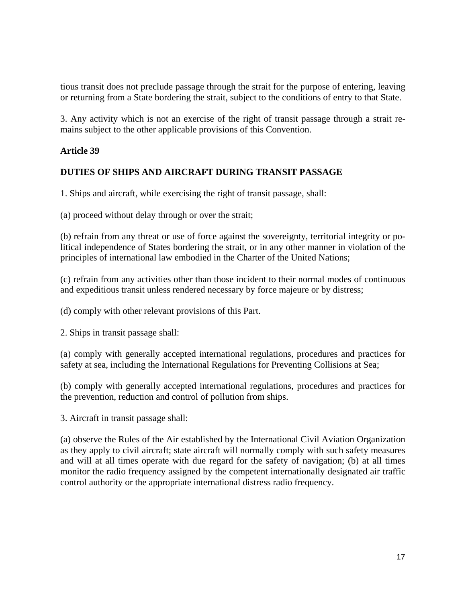tious transit does not preclude passage through the strait for the purpose of entering, leaving or returning from a State bordering the strait, subject to the conditions of entry to that State.

3. Any activity which is not an exercise of the right of transit passage through a strait remains subject to the other applicable provisions of this Convention.

## **Article 39**

# **DUTIES OF SHIPS AND AIRCRAFT DURING TRANSIT PASSAGE**

1. Ships and aircraft, while exercising the right of transit passage, shall:

(a) proceed without delay through or over the strait;

(b) refrain from any threat or use of force against the sovereignty, territorial integrity or political independence of States bordering the strait, or in any other manner in violation of the principles of international law embodied in the Charter of the United Nations;

(c) refrain from any activities other than those incident to their normal modes of continuous and expeditious transit unless rendered necessary by force majeure or by distress;

(d) comply with other relevant provisions of this Part.

2. Ships in transit passage shall:

(a) comply with generally accepted international regulations, procedures and practices for safety at sea, including the International Regulations for Preventing Collisions at Sea;

(b) comply with generally accepted international regulations, procedures and practices for the prevention, reduction and control of pollution from ships.

3. Aircraft in transit passage shall:

(a) observe the Rules of the Air established by the International Civil Aviation Organization as they apply to civil aircraft; state aircraft will normally comply with such safety measures and will at all times operate with due regard for the safety of navigation; (b) at all times monitor the radio frequency assigned by the competent internationally designated air traffic control authority or the appropriate international distress radio frequency.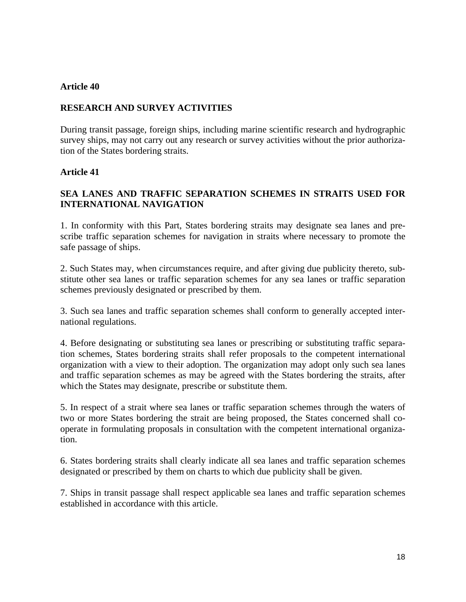## **RESEARCH AND SURVEY ACTIVITIES**

During transit passage, foreign ships, including marine scientific research and hydrographic survey ships, may not carry out any research or survey activities without the prior authorization of the States bordering straits.

### **Article 41**

## **SEA LANES AND TRAFFIC SEPARATION SCHEMES IN STRAITS USED FOR INTERNATIONAL NAVIGATION**

1. In conformity with this Part, States bordering straits may designate sea lanes and prescribe traffic separation schemes for navigation in straits where necessary to promote the safe passage of ships.

2. Such States may, when circumstances require, and after giving due publicity thereto, substitute other sea lanes or traffic separation schemes for any sea lanes or traffic separation schemes previously designated or prescribed by them.

3. Such sea lanes and traffic separation schemes shall conform to generally accepted international regulations.

4. Before designating or substituting sea lanes or prescribing or substituting traffic separation schemes, States bordering straits shall refer proposals to the competent international organization with a view to their adoption. The organization may adopt only such sea lanes and traffic separation schemes as may be agreed with the States bordering the straits, after which the States may designate, prescribe or substitute them.

5. In respect of a strait where sea lanes or traffic separation schemes through the waters of two or more States bordering the strait are being proposed, the States concerned shall cooperate in formulating proposals in consultation with the competent international organization.

6. States bordering straits shall clearly indicate all sea lanes and traffic separation schemes designated or prescribed by them on charts to which due publicity shall be given.

7. Ships in transit passage shall respect applicable sea lanes and traffic separation schemes established in accordance with this article.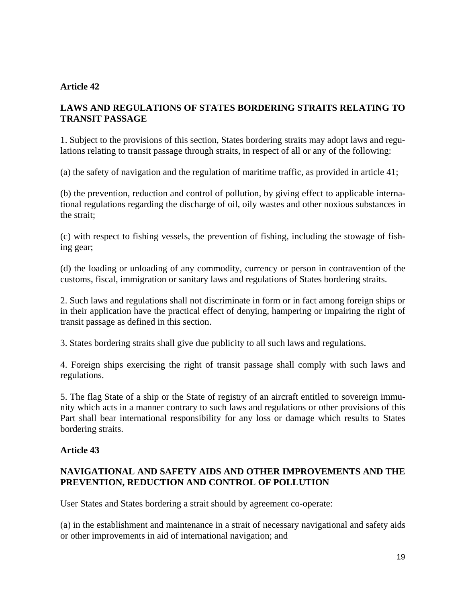# **LAWS AND REGULATIONS OF STATES BORDERING STRAITS RELATING TO TRANSIT PASSAGE**

1. Subject to the provisions of this section, States bordering straits may adopt laws and regulations relating to transit passage through straits, in respect of all or any of the following:

(a) the safety of navigation and the regulation of maritime traffic, as provided in article 41;

(b) the prevention, reduction and control of pollution, by giving effect to applicable international regulations regarding the discharge of oil, oily wastes and other noxious substances in the strait;

(c) with respect to fishing vessels, the prevention of fishing, including the stowage of fishing gear;

(d) the loading or unloading of any commodity, currency or person in contravention of the customs, fiscal, immigration or sanitary laws and regulations of States bordering straits.

2. Such laws and regulations shall not discriminate in form or in fact among foreign ships or in their application have the practical effect of denying, hampering or impairing the right of transit passage as defined in this section.

3. States bordering straits shall give due publicity to all such laws and regulations.

4. Foreign ships exercising the right of transit passage shall comply with such laws and regulations.

5. The flag State of a ship or the State of registry of an aircraft entitled to sovereign immunity which acts in a manner contrary to such laws and regulations or other provisions of this Part shall bear international responsibility for any loss or damage which results to States bordering straits.

#### **Article 43**

## **NAVIGATIONAL AND SAFETY AIDS AND OTHER IMPROVEMENTS AND THE PREVENTION, REDUCTION AND CONTROL OF POLLUTION**

User States and States bordering a strait should by agreement co-operate:

(a) in the establishment and maintenance in a strait of necessary navigational and safety aids or other improvements in aid of international navigation; and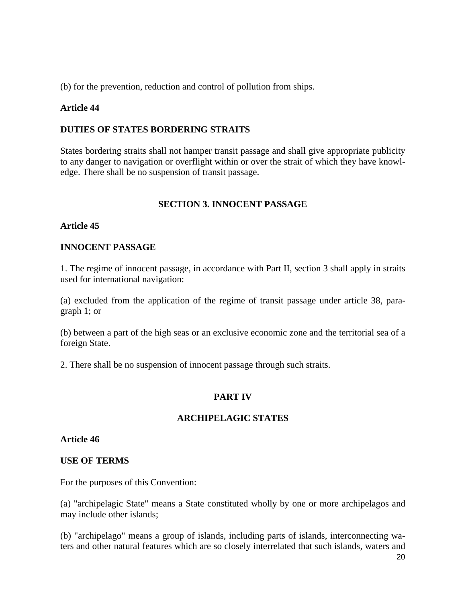(b) for the prevention, reduction and control of pollution from ships.

## **Article 44**

## **DUTIES OF STATES BORDERING STRAITS**

States bordering straits shall not hamper transit passage and shall give appropriate publicity to any danger to navigation or overflight within or over the strait of which they have knowledge. There shall be no suspension of transit passage.

## **SECTION 3. INNOCENT PASSAGE**

### **Article 45**

### **INNOCENT PASSAGE**

1. The regime of innocent passage, in accordance with Part II, section 3 shall apply in straits used for international navigation:

(a) excluded from the application of the regime of transit passage under article 38, paragraph 1; or

(b) between a part of the high seas or an exclusive economic zone and the territorial sea of a foreign State.

2. There shall be no suspension of innocent passage through such straits.

## **PART IV**

## **ARCHIPELAGIC STATES**

**Article 46** 

#### **USE OF TERMS**

For the purposes of this Convention:

(a) "archipelagic State" means a State constituted wholly by one or more archipelagos and may include other islands;

(b) "archipelago" means a group of islands, including parts of islands, interconnecting waters and other natural features which are so closely interrelated that such islands, waters and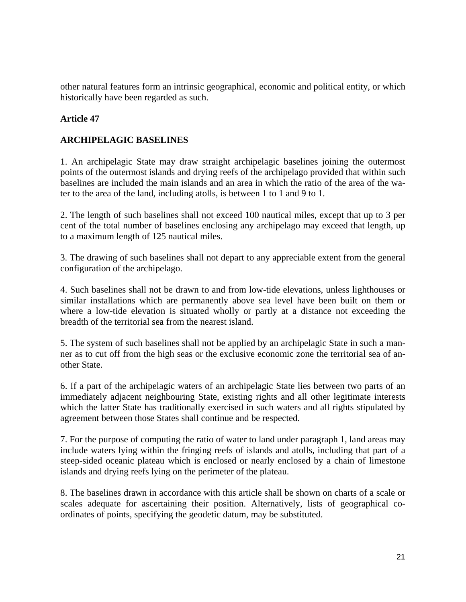other natural features form an intrinsic geographical, economic and political entity, or which historically have been regarded as such.

## **Article 47**

## **ARCHIPELAGIC BASELINES**

1. An archipelagic State may draw straight archipelagic baselines joining the outermost points of the outermost islands and drying reefs of the archipelago provided that within such baselines are included the main islands and an area in which the ratio of the area of the water to the area of the land, including atolls, is between 1 to 1 and 9 to 1.

2. The length of such baselines shall not exceed 100 nautical miles, except that up to 3 per cent of the total number of baselines enclosing any archipelago may exceed that length, up to a maximum length of 125 nautical miles.

3. The drawing of such baselines shall not depart to any appreciable extent from the general configuration of the archipelago.

4. Such baselines shall not be drawn to and from low-tide elevations, unless lighthouses or similar installations which are permanently above sea level have been built on them or where a low-tide elevation is situated wholly or partly at a distance not exceeding the breadth of the territorial sea from the nearest island.

5. The system of such baselines shall not be applied by an archipelagic State in such a manner as to cut off from the high seas or the exclusive economic zone the territorial sea of another State.

6. If a part of the archipelagic waters of an archipelagic State lies between two parts of an immediately adjacent neighbouring State, existing rights and all other legitimate interests which the latter State has traditionally exercised in such waters and all rights stipulated by agreement between those States shall continue and be respected.

7. For the purpose of computing the ratio of water to land under paragraph 1, land areas may include waters lying within the fringing reefs of islands and atolls, including that part of a steep-sided oceanic plateau which is enclosed or nearly enclosed by a chain of limestone islands and drying reefs lying on the perimeter of the plateau.

8. The baselines drawn in accordance with this article shall be shown on charts of a scale or scales adequate for ascertaining their position. Alternatively, lists of geographical coordinates of points, specifying the geodetic datum, may be substituted.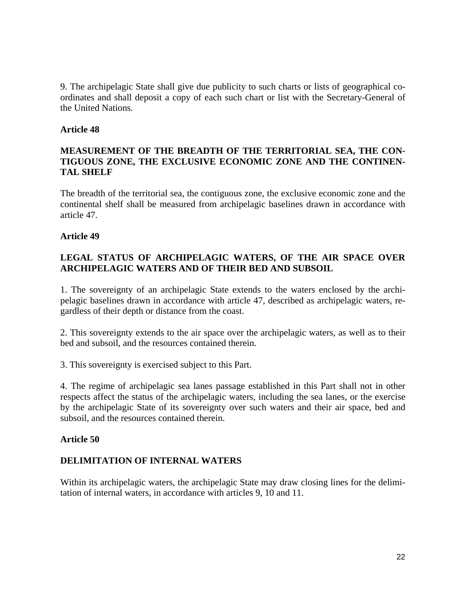9. The archipelagic State shall give due publicity to such charts or lists of geographical coordinates and shall deposit a copy of each such chart or list with the Secretary-General of the United Nations.

## **Article 48**

## **MEASUREMENT OF THE BREADTH OF THE TERRITORIAL SEA, THE CON-TIGUOUS ZONE, THE EXCLUSIVE ECONOMIC ZONE AND THE CONTINEN-TAL SHELF**

The breadth of the territorial sea, the contiguous zone, the exclusive economic zone and the continental shelf shall be measured from archipelagic baselines drawn in accordance with article 47.

### **Article 49**

# **LEGAL STATUS OF ARCHIPELAGIC WATERS, OF THE AIR SPACE OVER ARCHIPELAGIC WATERS AND OF THEIR BED AND SUBSOIL**

1. The sovereignty of an archipelagic State extends to the waters enclosed by the archipelagic baselines drawn in accordance with article 47, described as archipelagic waters, regardless of their depth or distance from the coast.

2. This sovereignty extends to the air space over the archipelagic waters, as well as to their bed and subsoil, and the resources contained therein.

3. This sovereignty is exercised subject to this Part.

4. The regime of archipelagic sea lanes passage established in this Part shall not in other respects affect the status of the archipelagic waters, including the sea lanes, or the exercise by the archipelagic State of its sovereignty over such waters and their air space, bed and subsoil, and the resources contained therein.

## **Article 50**

## **DELIMITATION OF INTERNAL WATERS**

Within its archipelagic waters, the archipelagic State may draw closing lines for the delimitation of internal waters, in accordance with articles 9, 10 and 11.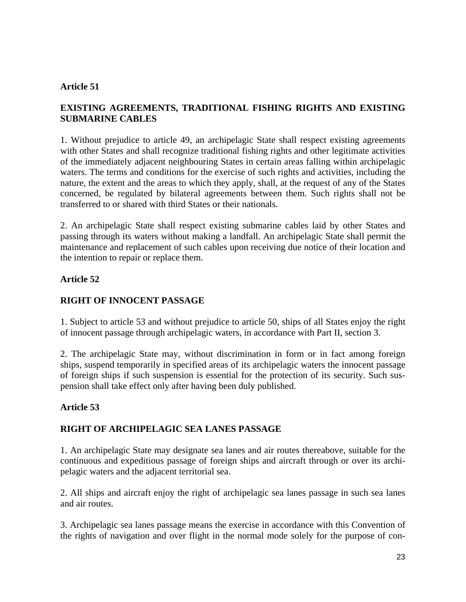# **EXISTING AGREEMENTS, TRADITIONAL FISHING RIGHTS AND EXISTING SUBMARINE CABLES**

1. Without prejudice to article 49, an archipelagic State shall respect existing agreements with other States and shall recognize traditional fishing rights and other legitimate activities of the immediately adjacent neighbouring States in certain areas falling within archipelagic waters. The terms and conditions for the exercise of such rights and activities, including the nature, the extent and the areas to which they apply, shall, at the request of any of the States concerned, be regulated by bilateral agreements between them. Such rights shall not be transferred to or shared with third States or their nationals.

2. An archipelagic State shall respect existing submarine cables laid by other States and passing through its waters without making a landfall. An archipelagic State shall permit the maintenance and replacement of such cables upon receiving due notice of their location and the intention to repair or replace them.

### **Article 52**

## **RIGHT OF INNOCENT PASSAGE**

1. Subject to article 53 and without prejudice to article 50, ships of all States enjoy the right of innocent passage through archipelagic waters, in accordance with Part II, section 3.

2. The archipelagic State may, without discrimination in form or in fact among foreign ships, suspend temporarily in specified areas of its archipelagic waters the innocent passage of foreign ships if such suspension is essential for the protection of its security. Such suspension shall take effect only after having been duly published.

## **Article 53**

## **RIGHT OF ARCHIPELAGIC SEA LANES PASSAGE**

1. An archipelagic State may designate sea lanes and air routes thereabove, suitable for the continuous and expeditious passage of foreign ships and aircraft through or over its archipelagic waters and the adjacent territorial sea.

2. All ships and aircraft enjoy the right of archipelagic sea lanes passage in such sea lanes and air routes.

3. Archipelagic sea lanes passage means the exercise in accordance with this Convention of the rights of navigation and over flight in the normal mode solely for the purpose of con-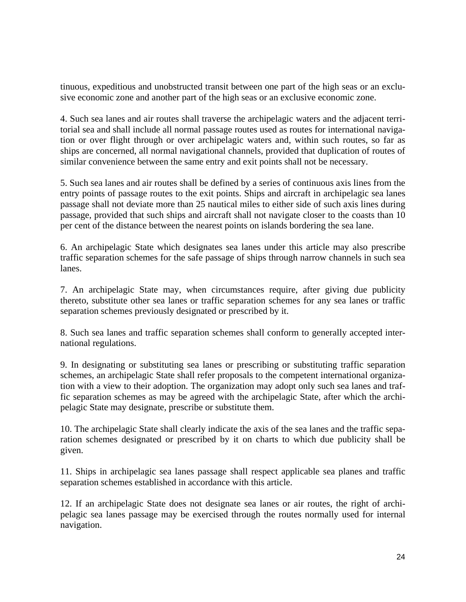tinuous, expeditious and unobstructed transit between one part of the high seas or an exclusive economic zone and another part of the high seas or an exclusive economic zone.

4. Such sea lanes and air routes shall traverse the archipelagic waters and the adjacent territorial sea and shall include all normal passage routes used as routes for international navigation or over flight through or over archipelagic waters and, within such routes, so far as ships are concerned, all normal navigational channels, provided that duplication of routes of similar convenience between the same entry and exit points shall not be necessary.

5. Such sea lanes and air routes shall be defined by a series of continuous axis lines from the entry points of passage routes to the exit points. Ships and aircraft in archipelagic sea lanes passage shall not deviate more than 25 nautical miles to either side of such axis lines during passage, provided that such ships and aircraft shall not navigate closer to the coasts than 10 per cent of the distance between the nearest points on islands bordering the sea lane.

6. An archipelagic State which designates sea lanes under this article may also prescribe traffic separation schemes for the safe passage of ships through narrow channels in such sea lanes.

7. An archipelagic State may, when circumstances require, after giving due publicity thereto, substitute other sea lanes or traffic separation schemes for any sea lanes or traffic separation schemes previously designated or prescribed by it.

8. Such sea lanes and traffic separation schemes shall conform to generally accepted international regulations.

9. In designating or substituting sea lanes or prescribing or substituting traffic separation schemes, an archipelagic State shall refer proposals to the competent international organization with a view to their adoption. The organization may adopt only such sea lanes and traffic separation schemes as may be agreed with the archipelagic State, after which the archipelagic State may designate, prescribe or substitute them.

10. The archipelagic State shall clearly indicate the axis of the sea lanes and the traffic separation schemes designated or prescribed by it on charts to which due publicity shall be given.

11. Ships in archipelagic sea lanes passage shall respect applicable sea planes and traffic separation schemes established in accordance with this article.

12. If an archipelagic State does not designate sea lanes or air routes, the right of archipelagic sea lanes passage may be exercised through the routes normally used for internal navigation.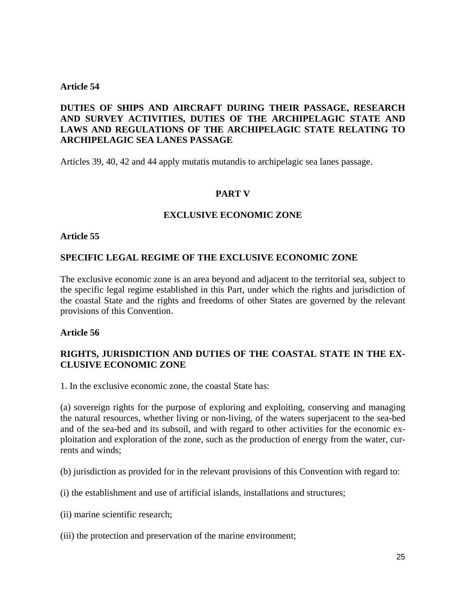## **DUTIES OF SHIPS AND AIRCRAFT DURING THEIR PASSAGE, RESEARCH AND SURVEY ACTIVITIES, DUTIES OF THE ARCHIPELAGIC STATE AND LAWS AND REGULATIONS OF THE ARCHIPELAGIC STATE RELATING TO ARCHIPELAGIC SEA LANES PASSAGE**

Articles 39, 40, 42 and 44 apply mutatis mutandis to archipelagic sea lanes passage.

#### **PART V**

#### **EXCLUSIVE ECONOMIC ZONE**

#### **Article 55**

### **SPECIFIC LEGAL REGIME OF THE EXCLUSIVE ECONOMIC ZONE**

The exclusive economic zone is an area beyond and adjacent to the territorial sea, subject to the specific legal regime established in this Part, under which the rights and jurisdiction of the coastal State and the rights and freedoms of other States are governed by the relevant provisions of this Convention.

#### **Article 56**

## **RIGHTS, JURISDICTION AND DUTIES OF THE COASTAL STATE IN THE EX-CLUSIVE ECONOMIC ZONE**

1. In the exclusive economic zone, the coastal State has:

(a) sovereign rights for the purpose of exploring and exploiting, conserving and managing the natural resources, whether living or non-living, of the waters superjacent to the sea-bed and of the sea-bed and its subsoil, and with regard to other activities for the economic exploitation and exploration of the zone, such as the production of energy from the water, currents and winds;

(b) jurisdiction as provided for in the relevant provisions of this Convention with regard to:

(i) the establishment and use of artificial islands, installations and structures;

(ii) marine scientific research;

(iii) the protection and preservation of the marine environment;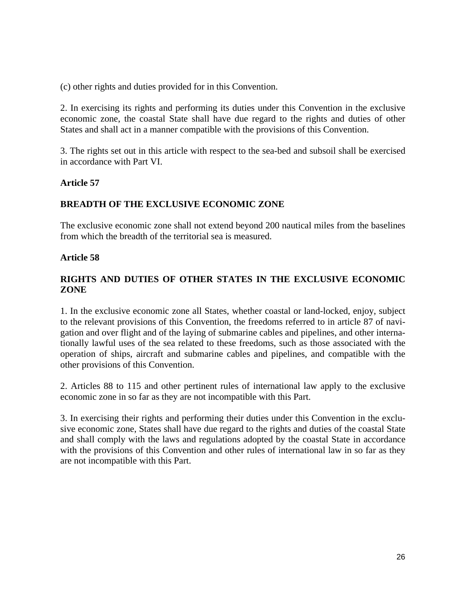(c) other rights and duties provided for in this Convention.

2. In exercising its rights and performing its duties under this Convention in the exclusive economic zone, the coastal State shall have due regard to the rights and duties of other States and shall act in a manner compatible with the provisions of this Convention.

3. The rights set out in this article with respect to the sea-bed and subsoil shall be exercised in accordance with Part VI.

## **Article 57**

## **BREADTH OF THE EXCLUSIVE ECONOMIC ZONE**

The exclusive economic zone shall not extend beyond 200 nautical miles from the baselines from which the breadth of the territorial sea is measured.

## **Article 58**

## **RIGHTS AND DUTIES OF OTHER STATES IN THE EXCLUSIVE ECONOMIC ZONE**

1. In the exclusive economic zone all States, whether coastal or land-locked, enjoy, subject to the relevant provisions of this Convention, the freedoms referred to in article 87 of navigation and over flight and of the laying of submarine cables and pipelines, and other internationally lawful uses of the sea related to these freedoms, such as those associated with the operation of ships, aircraft and submarine cables and pipelines, and compatible with the other provisions of this Convention.

2. Articles 88 to 115 and other pertinent rules of international law apply to the exclusive economic zone in so far as they are not incompatible with this Part.

3. In exercising their rights and performing their duties under this Convention in the exclusive economic zone, States shall have due regard to the rights and duties of the coastal State and shall comply with the laws and regulations adopted by the coastal State in accordance with the provisions of this Convention and other rules of international law in so far as they are not incompatible with this Part.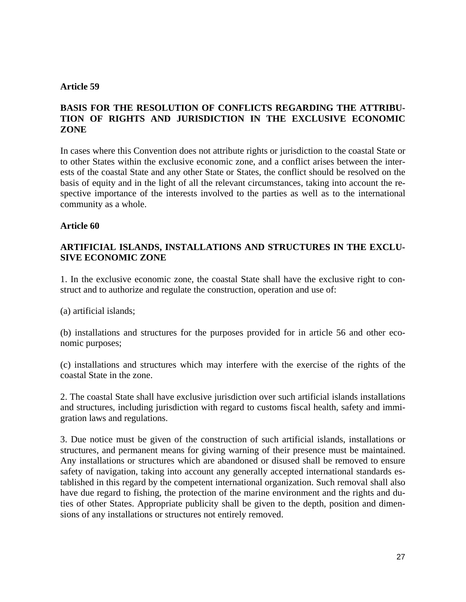## **BASIS FOR THE RESOLUTION OF CONFLICTS REGARDING THE ATTRIBU-TION OF RIGHTS AND JURISDICTION IN THE EXCLUSIVE ECONOMIC ZONE**

In cases where this Convention does not attribute rights or jurisdiction to the coastal State or to other States within the exclusive economic zone, and a conflict arises between the interests of the coastal State and any other State or States, the conflict should be resolved on the basis of equity and in the light of all the relevant circumstances, taking into account the respective importance of the interests involved to the parties as well as to the international community as a whole.

#### **Article 60**

## **ARTIFICIAL ISLANDS, INSTALLATIONS AND STRUCTURES IN THE EXCLU-SIVE ECONOMIC ZONE**

1. In the exclusive economic zone, the coastal State shall have the exclusive right to construct and to authorize and regulate the construction, operation and use of:

(a) artificial islands;

(b) installations and structures for the purposes provided for in article 56 and other economic purposes;

(c) installations and structures which may interfere with the exercise of the rights of the coastal State in the zone.

2. The coastal State shall have exclusive jurisdiction over such artificial islands installations and structures, including jurisdiction with regard to customs fiscal health, safety and immigration laws and regulations.

3. Due notice must be given of the construction of such artificial islands, installations or structures, and permanent means for giving warning of their presence must be maintained. Any installations or structures which are abandoned or disused shall be removed to ensure safety of navigation, taking into account any generally accepted international standards established in this regard by the competent international organization. Such removal shall also have due regard to fishing, the protection of the marine environment and the rights and duties of other States. Appropriate publicity shall be given to the depth, position and dimensions of any installations or structures not entirely removed.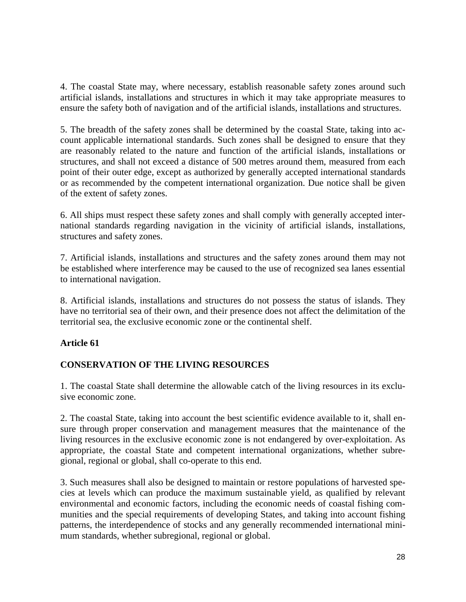4. The coastal State may, where necessary, establish reasonable safety zones around such artificial islands, installations and structures in which it may take appropriate measures to ensure the safety both of navigation and of the artificial islands, installations and structures.

5. The breadth of the safety zones shall be determined by the coastal State, taking into account applicable international standards. Such zones shall be designed to ensure that they are reasonably related to the nature and function of the artificial islands, installations or structures, and shall not exceed a distance of 500 metres around them, measured from each point of their outer edge, except as authorized by generally accepted international standards or as recommended by the competent international organization. Due notice shall be given of the extent of safety zones.

6. All ships must respect these safety zones and shall comply with generally accepted international standards regarding navigation in the vicinity of artificial islands, installations, structures and safety zones.

7. Artificial islands, installations and structures and the safety zones around them may not be established where interference may be caused to the use of recognized sea lanes essential to international navigation.

8. Artificial islands, installations and structures do not possess the status of islands. They have no territorial sea of their own, and their presence does not affect the delimitation of the territorial sea, the exclusive economic zone or the continental shelf.

# **Article 61**

# **CONSERVATION OF THE LIVING RESOURCES**

1. The coastal State shall determine the allowable catch of the living resources in its exclusive economic zone.

2. The coastal State, taking into account the best scientific evidence available to it, shall ensure through proper conservation and management measures that the maintenance of the living resources in the exclusive economic zone is not endangered by over-exploitation. As appropriate, the coastal State and competent international organizations, whether subregional, regional or global, shall co-operate to this end.

3. Such measures shall also be designed to maintain or restore populations of harvested species at levels which can produce the maximum sustainable yield, as qualified by relevant environmental and economic factors, including the economic needs of coastal fishing communities and the special requirements of developing States, and taking into account fishing patterns, the interdependence of stocks and any generally recommended international minimum standards, whether subregional, regional or global.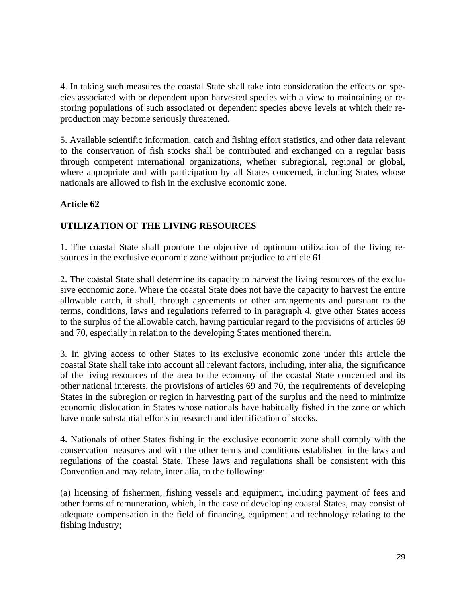4. In taking such measures the coastal State shall take into consideration the effects on species associated with or dependent upon harvested species with a view to maintaining or restoring populations of such associated or dependent species above levels at which their reproduction may become seriously threatened.

5. Available scientific information, catch and fishing effort statistics, and other data relevant to the conservation of fish stocks shall be contributed and exchanged on a regular basis through competent international organizations, whether subregional, regional or global, where appropriate and with participation by all States concerned, including States whose nationals are allowed to fish in the exclusive economic zone.

## **Article 62**

# **UTILIZATION OF THE LIVING RESOURCES**

1. The coastal State shall promote the objective of optimum utilization of the living resources in the exclusive economic zone without prejudice to article 61.

2. The coastal State shall determine its capacity to harvest the living resources of the exclusive economic zone. Where the coastal State does not have the capacity to harvest the entire allowable catch, it shall, through agreements or other arrangements and pursuant to the terms, conditions, laws and regulations referred to in paragraph 4, give other States access to the surplus of the allowable catch, having particular regard to the provisions of articles 69 and 70, especially in relation to the developing States mentioned therein.

3. In giving access to other States to its exclusive economic zone under this article the coastal State shall take into account all relevant factors, including, inter alia, the significance of the living resources of the area to the economy of the coastal State concerned and its other national interests, the provisions of articles 69 and 70, the requirements of developing States in the subregion or region in harvesting part of the surplus and the need to minimize economic dislocation in States whose nationals have habitually fished in the zone or which have made substantial efforts in research and identification of stocks.

4. Nationals of other States fishing in the exclusive economic zone shall comply with the conservation measures and with the other terms and conditions established in the laws and regulations of the coastal State. These laws and regulations shall be consistent with this Convention and may relate, inter alia, to the following:

(a) licensing of fishermen, fishing vessels and equipment, including payment of fees and other forms of remuneration, which, in the case of developing coastal States, may consist of adequate compensation in the field of financing, equipment and technology relating to the fishing industry;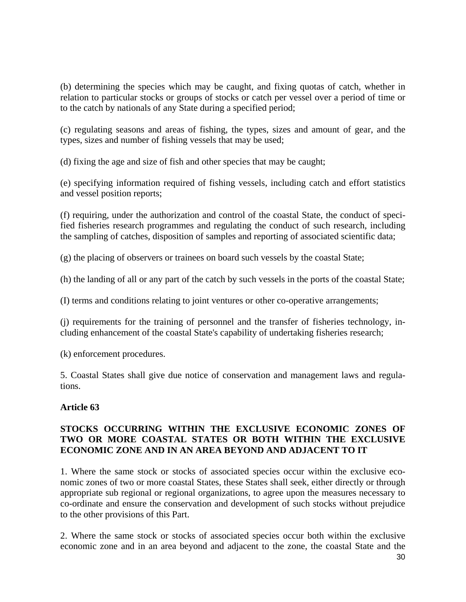(b) determining the species which may be caught, and fixing quotas of catch, whether in relation to particular stocks or groups of stocks or catch per vessel over a period of time or to the catch by nationals of any State during a specified period;

(c) regulating seasons and areas of fishing, the types, sizes and amount of gear, and the types, sizes and number of fishing vessels that may be used;

(d) fixing the age and size of fish and other species that may be caught;

(e) specifying information required of fishing vessels, including catch and effort statistics and vessel position reports;

(f) requiring, under the authorization and control of the coastal State, the conduct of specified fisheries research programmes and regulating the conduct of such research, including the sampling of catches, disposition of samples and reporting of associated scientific data;

(g) the placing of observers or trainees on board such vessels by the coastal State;

(h) the landing of all or any part of the catch by such vessels in the ports of the coastal State;

(I) terms and conditions relating to joint ventures or other co-operative arrangements;

(j) requirements for the training of personnel and the transfer of fisheries technology, including enhancement of the coastal State's capability of undertaking fisheries research;

(k) enforcement procedures.

5. Coastal States shall give due notice of conservation and management laws and regulations.

## **Article 63**

## **STOCKS OCCURRING WITHIN THE EXCLUSIVE ECONOMIC ZONES OF TWO OR MORE COASTAL STATES OR BOTH WITHIN THE EXCLUSIVE ECONOMIC ZONE AND IN AN AREA BEYOND AND ADJACENT TO IT**

1. Where the same stock or stocks of associated species occur within the exclusive economic zones of two or more coastal States, these States shall seek, either directly or through appropriate sub regional or regional organizations, to agree upon the measures necessary to co-ordinate and ensure the conservation and development of such stocks without prejudice to the other provisions of this Part.

2. Where the same stock or stocks of associated species occur both within the exclusive economic zone and in an area beyond and adjacent to the zone, the coastal State and the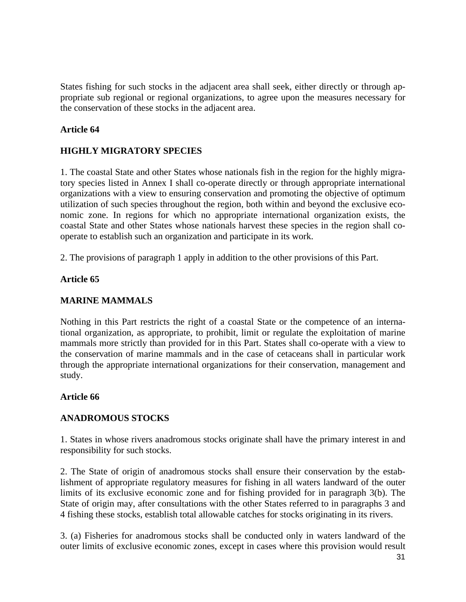States fishing for such stocks in the adjacent area shall seek, either directly or through appropriate sub regional or regional organizations, to agree upon the measures necessary for the conservation of these stocks in the adjacent area.

## **Article 64**

# **HIGHLY MIGRATORY SPECIES**

1. The coastal State and other States whose nationals fish in the region for the highly migratory species listed in Annex I shall co-operate directly or through appropriate international organizations with a view to ensuring conservation and promoting the objective of optimum utilization of such species throughout the region, both within and beyond the exclusive economic zone. In regions for which no appropriate international organization exists, the coastal State and other States whose nationals harvest these species in the region shall cooperate to establish such an organization and participate in its work.

2. The provisions of paragraph 1 apply in addition to the other provisions of this Part.

### **Article 65**

## **MARINE MAMMALS**

Nothing in this Part restricts the right of a coastal State or the competence of an international organization, as appropriate, to prohibit, limit or regulate the exploitation of marine mammals more strictly than provided for in this Part. States shall co-operate with a view to the conservation of marine mammals and in the case of cetaceans shall in particular work through the appropriate international organizations for their conservation, management and study.

## **Article 66**

# **ANADROMOUS STOCKS**

1. States in whose rivers anadromous stocks originate shall have the primary interest in and responsibility for such stocks.

2. The State of origin of anadromous stocks shall ensure their conservation by the establishment of appropriate regulatory measures for fishing in all waters landward of the outer limits of its exclusive economic zone and for fishing provided for in paragraph 3(b). The State of origin may, after consultations with the other States referred to in paragraphs 3 and 4 fishing these stocks, establish total allowable catches for stocks originating in its rivers.

3. (a) Fisheries for anadromous stocks shall be conducted only in waters landward of the outer limits of exclusive economic zones, except in cases where this provision would result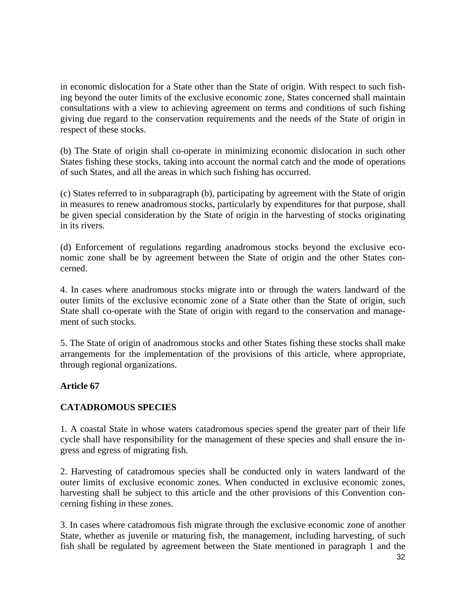in economic dislocation for a State other than the State of origin. With respect to such fishing beyond the outer limits of the exclusive economic zone, States concerned shall maintain consultations with a view to achieving agreement on terms and conditions of such fishing giving due regard to the conservation requirements and the needs of the State of origin in respect of these stocks.

(b) The State of origin shall co-operate in minimizing economic dislocation in such other States fishing these stocks, taking into account the normal catch and the mode of operations of such States, and all the areas in which such fishing has occurred.

(c) States referred to in subparagraph (b), participating by agreement with the State of origin in measures to renew anadromous stocks, particularly by expenditures for that purpose, shall be given special consideration by the State of origin in the harvesting of stocks originating in its rivers.

(d) Enforcement of regulations regarding anadromous stocks beyond the exclusive economic zone shall be by agreement between the State of origin and the other States concerned.

4. In cases where anadromous stocks migrate into or through the waters landward of the outer limits of the exclusive economic zone of a State other than the State of origin, such State shall co-operate with the State of origin with regard to the conservation and management of such stocks.

5. The State of origin of anadromous stocks and other States fishing these stocks shall make arrangements for the implementation of the provisions of this article, where appropriate, through regional organizations.

## **Article 67**

# **CATADROMOUS SPECIES**

1. A coastal State in whose waters catadromous species spend the greater part of their life cycle shall have responsibility for the management of these species and shall ensure the ingress and egress of migrating fish.

2. Harvesting of catadromous species shall be conducted only in waters landward of the outer limits of exclusive economic zones. When conducted in exclusive economic zones, harvesting shall be subject to this article and the other provisions of this Convention concerning fishing in these zones.

3. In cases where catadromous fish migrate through the exclusive economic zone of another State, whether as juvenile or maturing fish, the management, including harvesting, of such fish shall be regulated by agreement between the State mentioned in paragraph 1 and the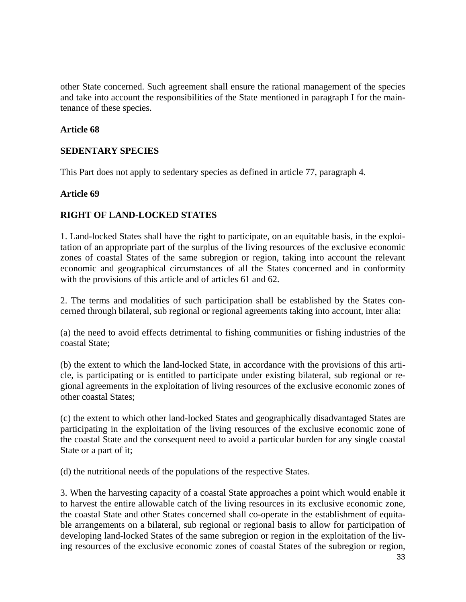other State concerned. Such agreement shall ensure the rational management of the species and take into account the responsibilities of the State mentioned in paragraph I for the maintenance of these species.

## **Article 68**

## **SEDENTARY SPECIES**

This Part does not apply to sedentary species as defined in article 77, paragraph 4.

## **Article 69**

# **RIGHT OF LAND-LOCKED STATES**

1. Land-locked States shall have the right to participate, on an equitable basis, in the exploitation of an appropriate part of the surplus of the living resources of the exclusive economic zones of coastal States of the same subregion or region, taking into account the relevant economic and geographical circumstances of all the States concerned and in conformity with the provisions of this article and of articles 61 and 62.

2. The terms and modalities of such participation shall be established by the States concerned through bilateral, sub regional or regional agreements taking into account, inter alia:

(a) the need to avoid effects detrimental to fishing communities or fishing industries of the coastal State;

(b) the extent to which the land-locked State, in accordance with the provisions of this article, is participating or is entitled to participate under existing bilateral, sub regional or regional agreements in the exploitation of living resources of the exclusive economic zones of other coastal States;

(c) the extent to which other land-locked States and geographically disadvantaged States are participating in the exploitation of the living resources of the exclusive economic zone of the coastal State and the consequent need to avoid a particular burden for any single coastal State or a part of it;

(d) the nutritional needs of the populations of the respective States.

3. When the harvesting capacity of a coastal State approaches a point which would enable it to harvest the entire allowable catch of the living resources in its exclusive economic zone, the coastal State and other States concerned shall co-operate in the establishment of equitable arrangements on a bilateral, sub regional or regional basis to allow for participation of developing land-locked States of the same subregion or region in the exploitation of the living resources of the exclusive economic zones of coastal States of the subregion or region,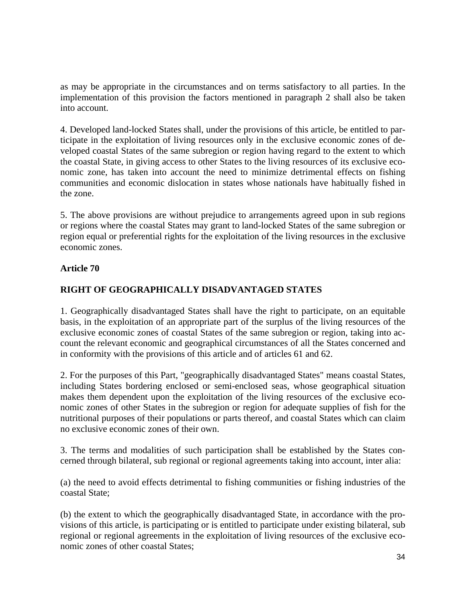as may be appropriate in the circumstances and on terms satisfactory to all parties. In the implementation of this provision the factors mentioned in paragraph 2 shall also be taken into account.

4. Developed land-locked States shall, under the provisions of this article, be entitled to participate in the exploitation of living resources only in the exclusive economic zones of developed coastal States of the same subregion or region having regard to the extent to which the coastal State, in giving access to other States to the living resources of its exclusive economic zone, has taken into account the need to minimize detrimental effects on fishing communities and economic dislocation in states whose nationals have habitually fished in the zone.

5. The above provisions are without prejudice to arrangements agreed upon in sub regions or regions where the coastal States may grant to land-locked States of the same subregion or region equal or preferential rights for the exploitation of the living resources in the exclusive economic zones.

# **Article 70**

# **RIGHT OF GEOGRAPHICALLY DISADVANTAGED STATES**

1. Geographically disadvantaged States shall have the right to participate, on an equitable basis, in the exploitation of an appropriate part of the surplus of the living resources of the exclusive economic zones of coastal States of the same subregion or region, taking into account the relevant economic and geographical circumstances of all the States concerned and in conformity with the provisions of this article and of articles 61 and 62.

2. For the purposes of this Part, "geographically disadvantaged States" means coastal States, including States bordering enclosed or semi-enclosed seas, whose geographical situation makes them dependent upon the exploitation of the living resources of the exclusive economic zones of other States in the subregion or region for adequate supplies of fish for the nutritional purposes of their populations or parts thereof, and coastal States which can claim no exclusive economic zones of their own.

3. The terms and modalities of such participation shall be established by the States concerned through bilateral, sub regional or regional agreements taking into account, inter alia:

(a) the need to avoid effects detrimental to fishing communities or fishing industries of the coastal State;

(b) the extent to which the geographically disadvantaged State, in accordance with the provisions of this article, is participating or is entitled to participate under existing bilateral, sub regional or regional agreements in the exploitation of living resources of the exclusive economic zones of other coastal States;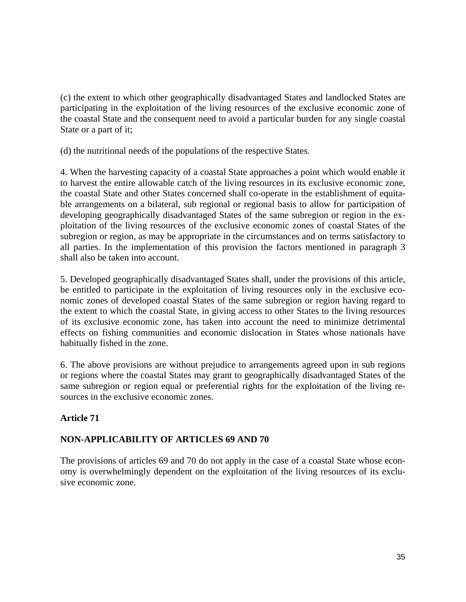(c) the extent to which other geographically disadvantaged States and landlocked States are participating in the exploitation of the living resources of the exclusive economic zone of the coastal State and the consequent need to avoid a particular burden for any single coastal State or a part of it;

(d) the nutritional needs of the populations of the respective States.

4. When the harvesting capacity of a coastal State approaches a point which would enable it to harvest the entire allowable catch of the living resources in its exclusive economic zone, the coastal State and other States concerned shall co-operate in the establishment of equitable arrangements on a bilateral, sub regional or regional basis to allow for participation of developing geographically disadvantaged States of the same subregion or region in the exploitation of the living resources of the exclusive economic zones of coastal States of the subregion or region, as may be appropriate in the circumstances and on terms satisfactory to all parties. In the implementation of this provision the factors mentioned in paragraph 3 shall also be taken into account.

5. Developed geographically disadvantaged States shall, under the provisions of this article, be entitled to participate in the exploitation of living resources only in the exclusive economic zones of developed coastal States of the same subregion or region having regard to the extent to which the coastal State, in giving access to other States to the living resources of its exclusive economic zone, has taken into account the need to minimize detrimental effects on fishing communities and economic dislocation in States whose nationals have habitually fished in the zone.

6. The above provisions are without prejudice to arrangements agreed upon in sub regions or regions where the coastal States may grant to geographically disadvantaged States of the same subregion or region equal or preferential rights for the exploitation of the living resources in the exclusive economic zones.

# **Article 71**

# **NON-APPLICABILITY OF ARTICLES 69 AND 70**

The provisions of articles 69 and 70 do not apply in the case of a coastal State whose economy is overwhelmingly dependent on the exploitation of the living resources of its exclusive economic zone.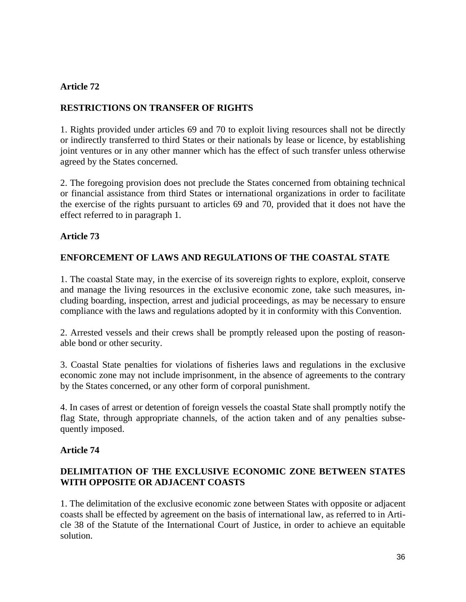# **RESTRICTIONS ON TRANSFER OF RIGHTS**

1. Rights provided under articles 69 and 70 to exploit living resources shall not be directly or indirectly transferred to third States or their nationals by lease or licence, by establishing joint ventures or in any other manner which has the effect of such transfer unless otherwise agreed by the States concerned.

2. The foregoing provision does not preclude the States concerned from obtaining technical or financial assistance from third States or international organizations in order to facilitate the exercise of the rights pursuant to articles 69 and 70, provided that it does not have the effect referred to in paragraph 1.

## **Article 73**

## **ENFORCEMENT OF LAWS AND REGULATIONS OF THE COASTAL STATE**

1. The coastal State may, in the exercise of its sovereign rights to explore, exploit, conserve and manage the living resources in the exclusive economic zone, take such measures, including boarding, inspection, arrest and judicial proceedings, as may be necessary to ensure compliance with the laws and regulations adopted by it in conformity with this Convention.

2. Arrested vessels and their crews shall be promptly released upon the posting of reasonable bond or other security.

3. Coastal State penalties for violations of fisheries laws and regulations in the exclusive economic zone may not include imprisonment, in the absence of agreements to the contrary by the States concerned, or any other form of corporal punishment.

4. In cases of arrest or detention of foreign vessels the coastal State shall promptly notify the flag State, through appropriate channels, of the action taken and of any penalties subsequently imposed.

#### **Article 74**

## **DELIMITATION OF THE EXCLUSIVE ECONOMIC ZONE BETWEEN STATES WITH OPPOSITE OR ADJACENT COASTS**

1. The delimitation of the exclusive economic zone between States with opposite or adjacent coasts shall be effected by agreement on the basis of international law, as referred to in Article 38 of the Statute of the International Court of Justice, in order to achieve an equitable solution.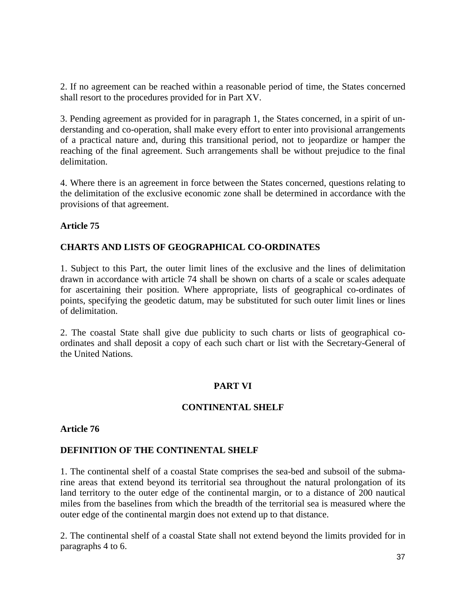2. If no agreement can be reached within a reasonable period of time, the States concerned shall resort to the procedures provided for in Part XV.

3. Pending agreement as provided for in paragraph 1, the States concerned, in a spirit of understanding and co-operation, shall make every effort to enter into provisional arrangements of a practical nature and, during this transitional period, not to jeopardize or hamper the reaching of the final agreement. Such arrangements shall be without prejudice to the final delimitation.

4. Where there is an agreement in force between the States concerned, questions relating to the delimitation of the exclusive economic zone shall be determined in accordance with the provisions of that agreement.

# **Article 75**

# **CHARTS AND LISTS OF GEOGRAPHICAL CO-ORDINATES**

1. Subject to this Part, the outer limit lines of the exclusive and the lines of delimitation drawn in accordance with article 74 shall be shown on charts of a scale or scales adequate for ascertaining their position. Where appropriate, lists of geographical co-ordinates of points, specifying the geodetic datum, may be substituted for such outer limit lines or lines of delimitation.

2. The coastal State shall give due publicity to such charts or lists of geographical coordinates and shall deposit a copy of each such chart or list with the Secretary-General of the United Nations.

# **PART VI**

# **CONTINENTAL SHELF**

### **Article 76**

### **DEFINITION OF THE CONTINENTAL SHELF**

1. The continental shelf of a coastal State comprises the sea-bed and subsoil of the submarine areas that extend beyond its territorial sea throughout the natural prolongation of its land territory to the outer edge of the continental margin, or to a distance of 200 nautical miles from the baselines from which the breadth of the territorial sea is measured where the outer edge of the continental margin does not extend up to that distance.

2. The continental shelf of a coastal State shall not extend beyond the limits provided for in paragraphs 4 to 6.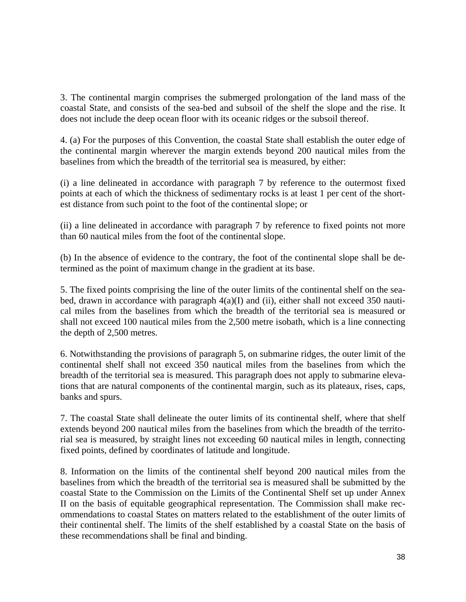3. The continental margin comprises the submerged prolongation of the land mass of the coastal State, and consists of the sea-bed and subsoil of the shelf the slope and the rise. It does not include the deep ocean floor with its oceanic ridges or the subsoil thereof.

4. (a) For the purposes of this Convention, the coastal State shall establish the outer edge of the continental margin wherever the margin extends beyond 200 nautical miles from the baselines from which the breadth of the territorial sea is measured, by either:

(i) a line delineated in accordance with paragraph 7 by reference to the outermost fixed points at each of which the thickness of sedimentary rocks is at least 1 per cent of the shortest distance from such point to the foot of the continental slope; or

(ii) a line delineated in accordance with paragraph 7 by reference to fixed points not more than 60 nautical miles from the foot of the continental slope.

(b) In the absence of evidence to the contrary, the foot of the continental slope shall be determined as the point of maximum change in the gradient at its base.

5. The fixed points comprising the line of the outer limits of the continental shelf on the seabed, drawn in accordance with paragraph 4(a)(I) and (ii), either shall not exceed 350 nautical miles from the baselines from which the breadth of the territorial sea is measured or shall not exceed 100 nautical miles from the 2,500 metre isobath, which is a line connecting the depth of 2,500 metres.

6. Notwithstanding the provisions of paragraph 5, on submarine ridges, the outer limit of the continental shelf shall not exceed 350 nautical miles from the baselines from which the breadth of the territorial sea is measured. This paragraph does not apply to submarine elevations that are natural components of the continental margin, such as its plateaux, rises, caps, banks and spurs.

7. The coastal State shall delineate the outer limits of its continental shelf, where that shelf extends beyond 200 nautical miles from the baselines from which the breadth of the territorial sea is measured, by straight lines not exceeding 60 nautical miles in length, connecting fixed points, defined by coordinates of latitude and longitude.

8. Information on the limits of the continental shelf beyond 200 nautical miles from the baselines from which the breadth of the territorial sea is measured shall be submitted by the coastal State to the Commission on the Limits of the Continental Shelf set up under Annex II on the basis of equitable geographical representation. The Commission shall make recommendations to coastal States on matters related to the establishment of the outer limits of their continental shelf. The limits of the shelf established by a coastal State on the basis of these recommendations shall be final and binding.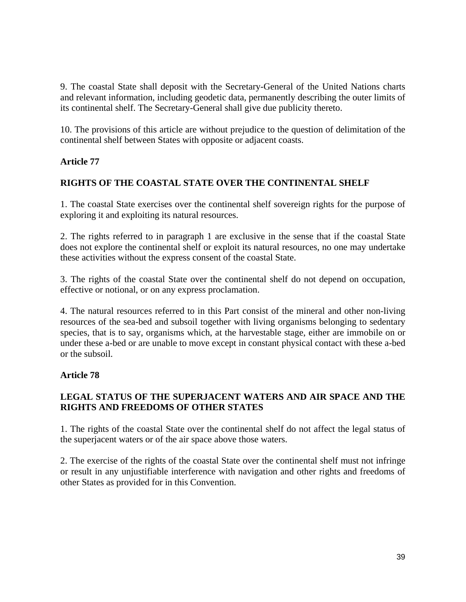9. The coastal State shall deposit with the Secretary-General of the United Nations charts and relevant information, including geodetic data, permanently describing the outer limits of its continental shelf. The Secretary-General shall give due publicity thereto.

10. The provisions of this article are without prejudice to the question of delimitation of the continental shelf between States with opposite or adjacent coasts.

# **Article 77**

# **RIGHTS OF THE COASTAL STATE OVER THE CONTINENTAL SHELF**

1. The coastal State exercises over the continental shelf sovereign rights for the purpose of exploring it and exploiting its natural resources.

2. The rights referred to in paragraph 1 are exclusive in the sense that if the coastal State does not explore the continental shelf or exploit its natural resources, no one may undertake these activities without the express consent of the coastal State.

3. The rights of the coastal State over the continental shelf do not depend on occupation, effective or notional, or on any express proclamation.

4. The natural resources referred to in this Part consist of the mineral and other non-living resources of the sea-bed and subsoil together with living organisms belonging to sedentary species, that is to say, organisms which, at the harvestable stage, either are immobile on or under these a-bed or are unable to move except in constant physical contact with these a-bed or the subsoil.

# **Article 78**

# **LEGAL STATUS OF THE SUPERJACENT WATERS AND AIR SPACE AND THE RIGHTS AND FREEDOMS OF OTHER STATES**

1. The rights of the coastal State over the continental shelf do not affect the legal status of the superjacent waters or of the air space above those waters.

2. The exercise of the rights of the coastal State over the continental shelf must not infringe or result in any unjustifiable interference with navigation and other rights and freedoms of other States as provided for in this Convention.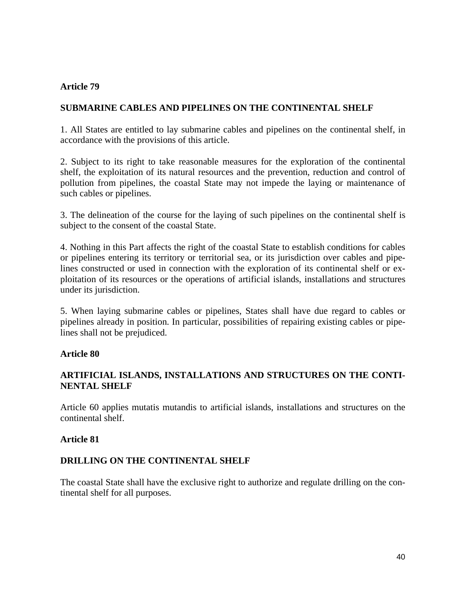## **SUBMARINE CABLES AND PIPELINES ON THE CONTINENTAL SHELF**

1. All States are entitled to lay submarine cables and pipelines on the continental shelf, in accordance with the provisions of this article.

2. Subject to its right to take reasonable measures for the exploration of the continental shelf, the exploitation of its natural resources and the prevention, reduction and control of pollution from pipelines, the coastal State may not impede the laying or maintenance of such cables or pipelines.

3. The delineation of the course for the laying of such pipelines on the continental shelf is subject to the consent of the coastal State.

4. Nothing in this Part affects the right of the coastal State to establish conditions for cables or pipelines entering its territory or territorial sea, or its jurisdiction over cables and pipelines constructed or used in connection with the exploration of its continental shelf or exploitation of its resources or the operations of artificial islands, installations and structures under its jurisdiction.

5. When laying submarine cables or pipelines, States shall have due regard to cables or pipelines already in position. In particular, possibilities of repairing existing cables or pipelines shall not be prejudiced.

### **Article 80**

# **ARTIFICIAL ISLANDS, INSTALLATIONS AND STRUCTURES ON THE CONTI-NENTAL SHELF**

Article 60 applies mutatis mutandis to artificial islands, installations and structures on the continental shelf.

### **Article 81**

### **DRILLING ON THE CONTINENTAL SHELF**

The coastal State shall have the exclusive right to authorize and regulate drilling on the continental shelf for all purposes.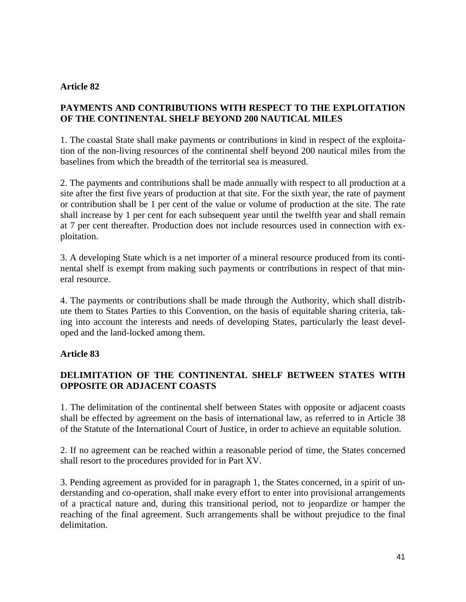# **PAYMENTS AND CONTRIBUTIONS WITH RESPECT TO THE EXPLOITATION OF THE CONTINENTAL SHELF BEYOND 200 NAUTICAL MILES**

1. The coastal State shall make payments or contributions in kind in respect of the exploitation of the non-living resources of the continental shelf beyond 200 nautical miles from the baselines from which the breadth of the territorial sea is measured.

2. The payments and contributions shall be made annually with respect to all production at a site after the first five years of production at that site. For the sixth year, the rate of payment or contribution shall be 1 per cent of the value or volume of production at the site. The rate shall increase by 1 per cent for each subsequent year until the twelfth year and shall remain at 7 per cent thereafter. Production does not include resources used in connection with exploitation.

3. A developing State which is a net importer of a mineral resource produced from its continental shelf is exempt from making such payments or contributions in respect of that mineral resource.

4. The payments or contributions shall be made through the Authority, which shall distribute them to States Parties to this Convention, on the basis of equitable sharing criteria, taking into account the interests and needs of developing States, particularly the least developed and the land-locked among them.

# **Article 83**

# **DELIMITATION OF THE CONTINENTAL SHELF BETWEEN STATES WITH OPPOSITE OR ADJACENT COASTS**

1. The delimitation of the continental shelf between States with opposite or adjacent coasts shall be effected by agreement on the basis of international law, as referred to in Article 38 of the Statute of the International Court of Justice, in order to achieve an equitable solution.

2. If no agreement can be reached within a reasonable period of time, the States concerned shall resort to the procedures provided for in Part XV.

3. Pending agreement as provided for in paragraph 1, the States concerned, in a spirit of understanding and co-operation, shall make every effort to enter into provisional arrangements of a practical nature and, during this transitional period, not to jeopardize or hamper the reaching of the final agreement. Such arrangements shall be without prejudice to the final delimitation.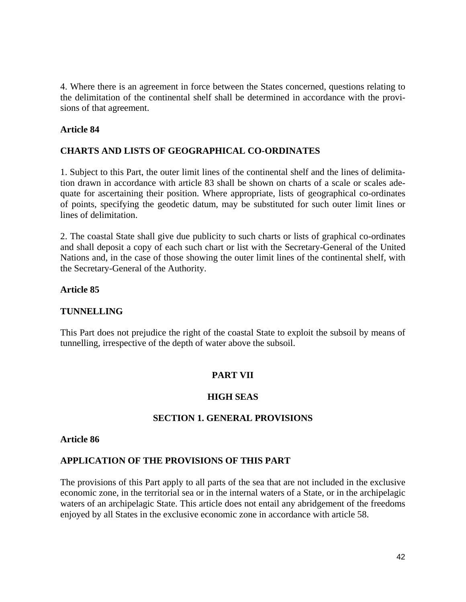4. Where there is an agreement in force between the States concerned, questions relating to the delimitation of the continental shelf shall be determined in accordance with the provisions of that agreement.

# **Article 84**

# **CHARTS AND LISTS OF GEOGRAPHICAL CO-ORDINATES**

1. Subject to this Part, the outer limit lines of the continental shelf and the lines of delimitation drawn in accordance with article 83 shall be shown on charts of a scale or scales adequate for ascertaining their position. Where appropriate, lists of geographical co-ordinates of points, specifying the geodetic datum, may be substituted for such outer limit lines or lines of delimitation.

2. The coastal State shall give due publicity to such charts or lists of graphical co-ordinates and shall deposit a copy of each such chart or list with the Secretary-General of the United Nations and, in the case of those showing the outer limit lines of the continental shelf, with the Secretary-General of the Authority.

## **Article 85**

### **TUNNELLING**

This Part does not prejudice the right of the coastal State to exploit the subsoil by means of tunnelling, irrespective of the depth of water above the subsoil.

# **PART VII**

# **HIGH SEAS**

## **SECTION 1. GENERAL PROVISIONS**

### **Article 86**

### **APPLICATION OF THE PROVISIONS OF THIS PART**

The provisions of this Part apply to all parts of the sea that are not included in the exclusive economic zone, in the territorial sea or in the internal waters of a State, or in the archipelagic waters of an archipelagic State. This article does not entail any abridgement of the freedoms enjoyed by all States in the exclusive economic zone in accordance with article 58.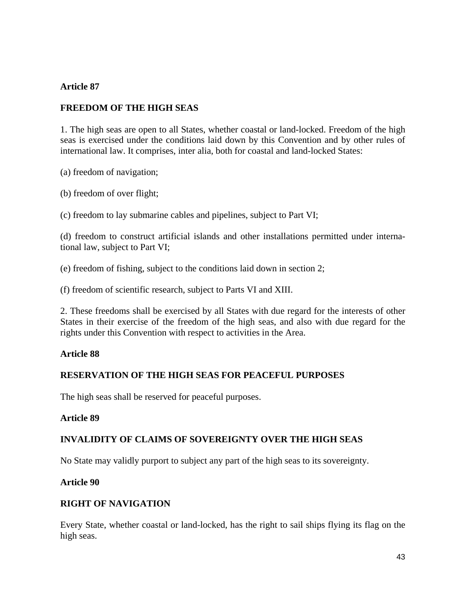# **FREEDOM OF THE HIGH SEAS**

1. The high seas are open to all States, whether coastal or land-locked. Freedom of the high seas is exercised under the conditions laid down by this Convention and by other rules of international law. It comprises, inter alia, both for coastal and land-locked States:

(a) freedom of navigation;

(b) freedom of over flight;

(c) freedom to lay submarine cables and pipelines, subject to Part VI;

(d) freedom to construct artificial islands and other installations permitted under international law, subject to Part VI;

(e) freedom of fishing, subject to the conditions laid down in section 2;

(f) freedom of scientific research, subject to Parts VI and XIII.

2. These freedoms shall be exercised by all States with due regard for the interests of other States in their exercise of the freedom of the high seas, and also with due regard for the rights under this Convention with respect to activities in the Area.

### **Article 88**

# **RESERVATION OF THE HIGH SEAS FOR PEACEFUL PURPOSES**

The high seas shall be reserved for peaceful purposes.

### **Article 89**

# **INVALIDITY OF CLAIMS OF SOVEREIGNTY OVER THE HIGH SEAS**

No State may validly purport to subject any part of the high seas to its sovereignty.

### **Article 90**

# **RIGHT OF NAVIGATION**

Every State, whether coastal or land-locked, has the right to sail ships flying its flag on the high seas.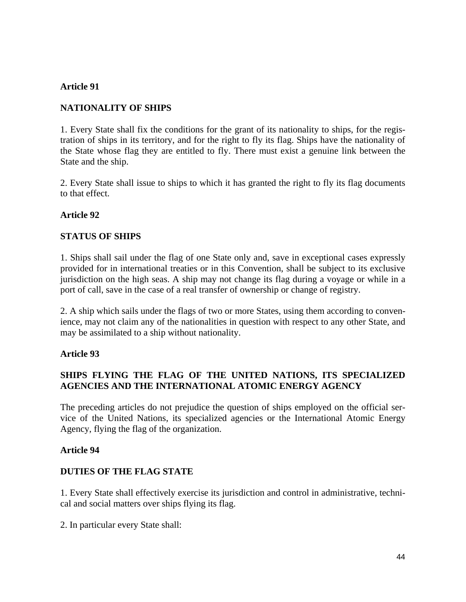# **NATIONALITY OF SHIPS**

1. Every State shall fix the conditions for the grant of its nationality to ships, for the registration of ships in its territory, and for the right to fly its flag. Ships have the nationality of the State whose flag they are entitled to fly. There must exist a genuine link between the State and the ship.

2. Every State shall issue to ships to which it has granted the right to fly its flag documents to that effect.

## **Article 92**

# **STATUS OF SHIPS**

1. Ships shall sail under the flag of one State only and, save in exceptional cases expressly provided for in international treaties or in this Convention, shall be subject to its exclusive jurisdiction on the high seas. A ship may not change its flag during a voyage or while in a port of call, save in the case of a real transfer of ownership or change of registry.

2. A ship which sails under the flags of two or more States, using them according to convenience, may not claim any of the nationalities in question with respect to any other State, and may be assimilated to a ship without nationality.

### **Article 93**

# **SHIPS FLYING THE FLAG OF THE UNITED NATIONS, ITS SPECIALIZED AGENCIES AND THE INTERNATIONAL ATOMIC ENERGY AGENCY**

The preceding articles do not prejudice the question of ships employed on the official service of the United Nations, its specialized agencies or the International Atomic Energy Agency, flying the flag of the organization.

### **Article 94**

# **DUTIES OF THE FLAG STATE**

1. Every State shall effectively exercise its jurisdiction and control in administrative, technical and social matters over ships flying its flag.

2. In particular every State shall: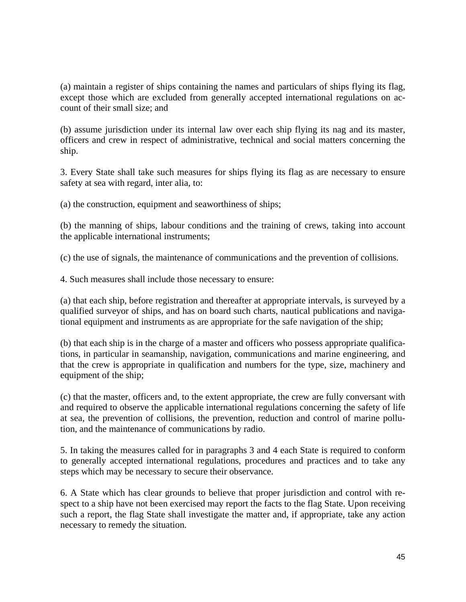(a) maintain a register of ships containing the names and particulars of ships flying its flag, except those which are excluded from generally accepted international regulations on account of their small size; and

(b) assume jurisdiction under its internal law over each ship flying its nag and its master, officers and crew in respect of administrative, technical and social matters concerning the ship.

3. Every State shall take such measures for ships flying its flag as are necessary to ensure safety at sea with regard, inter alia, to:

(a) the construction, equipment and seaworthiness of ships;

(b) the manning of ships, labour conditions and the training of crews, taking into account the applicable international instruments;

(c) the use of signals, the maintenance of communications and the prevention of collisions.

4. Such measures shall include those necessary to ensure:

(a) that each ship, before registration and thereafter at appropriate intervals, is surveyed by a qualified surveyor of ships, and has on board such charts, nautical publications and navigational equipment and instruments as are appropriate for the safe navigation of the ship;

(b) that each ship is in the charge of a master and officers who possess appropriate qualifications, in particular in seamanship, navigation, communications and marine engineering, and that the crew is appropriate in qualification and numbers for the type, size, machinery and equipment of the ship;

(c) that the master, officers and, to the extent appropriate, the crew are fully conversant with and required to observe the applicable international regulations concerning the safety of life at sea, the prevention of collisions, the prevention, reduction and control of marine pollution, and the maintenance of communications by radio.

5. In taking the measures called for in paragraphs 3 and 4 each State is required to conform to generally accepted international regulations, procedures and practices and to take any steps which may be necessary to secure their observance.

6. A State which has clear grounds to believe that proper jurisdiction and control with respect to a ship have not been exercised may report the facts to the flag State. Upon receiving such a report, the flag State shall investigate the matter and, if appropriate, take any action necessary to remedy the situation.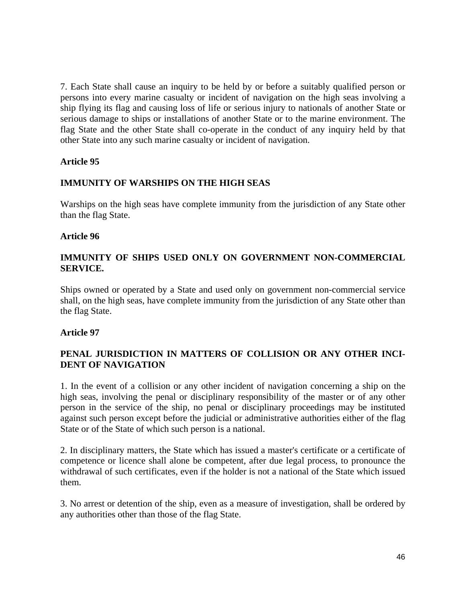7. Each State shall cause an inquiry to be held by or before a suitably qualified person or persons into every marine casualty or incident of navigation on the high seas involving a ship flying its flag and causing loss of life or serious injury to nationals of another State or serious damage to ships or installations of another State or to the marine environment. The flag State and the other State shall co-operate in the conduct of any inquiry held by that other State into any such marine casualty or incident of navigation.

## **Article 95**

# **IMMUNITY OF WARSHIPS ON THE HIGH SEAS**

Warships on the high seas have complete immunity from the jurisdiction of any State other than the flag State.

### **Article 96**

# **IMMUNITY OF SHIPS USED ONLY ON GOVERNMENT NON-COMMERCIAL SERVICE.**

Ships owned or operated by a State and used only on government non-commercial service shall, on the high seas, have complete immunity from the jurisdiction of any State other than the flag State.

### **Article 97**

# **PENAL JURISDICTION IN MATTERS OF COLLISION OR ANY OTHER INCI-DENT OF NAVIGATION**

1. In the event of a collision or any other incident of navigation concerning a ship on the high seas, involving the penal or disciplinary responsibility of the master or of any other person in the service of the ship, no penal or disciplinary proceedings may be instituted against such person except before the judicial or administrative authorities either of the flag State or of the State of which such person is a national.

2. In disciplinary matters, the State which has issued a master's certificate or a certificate of competence or licence shall alone be competent, after due legal process, to pronounce the withdrawal of such certificates, even if the holder is not a national of the State which issued them.

3. No arrest or detention of the ship, even as a measure of investigation, shall be ordered by any authorities other than those of the flag State.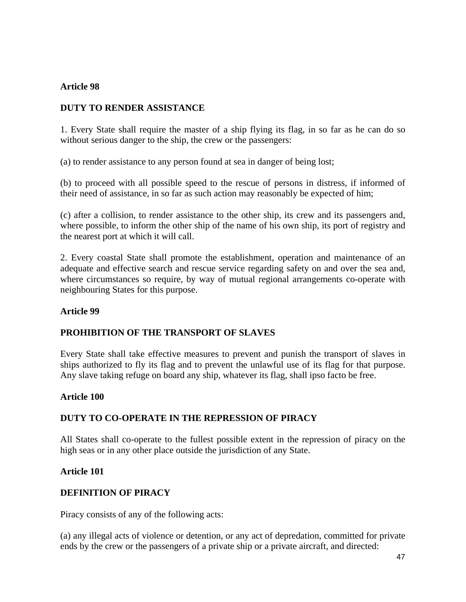# **DUTY TO RENDER ASSISTANCE**

1. Every State shall require the master of a ship flying its flag, in so far as he can do so without serious danger to the ship, the crew or the passengers:

(a) to render assistance to any person found at sea in danger of being lost;

(b) to proceed with all possible speed to the rescue of persons in distress, if informed of their need of assistance, in so far as such action may reasonably be expected of him;

(c) after a collision, to render assistance to the other ship, its crew and its passengers and, where possible, to inform the other ship of the name of his own ship, its port of registry and the nearest port at which it will call.

2. Every coastal State shall promote the establishment, operation and maintenance of an adequate and effective search and rescue service regarding safety on and over the sea and, where circumstances so require, by way of mutual regional arrangements co-operate with neighbouring States for this purpose.

# **Article 99**

# **PROHIBITION OF THE TRANSPORT OF SLAVES**

Every State shall take effective measures to prevent and punish the transport of slaves in ships authorized to fly its flag and to prevent the unlawful use of its flag for that purpose. Any slave taking refuge on board any ship, whatever its flag, shall ipso facto be free.

### **Article 100**

# **DUTY TO CO-OPERATE IN THE REPRESSION OF PIRACY**

All States shall co-operate to the fullest possible extent in the repression of piracy on the high seas or in any other place outside the jurisdiction of any State.

# **Article 101**

# **DEFINITION OF PIRACY**

Piracy consists of any of the following acts:

(a) any illegal acts of violence or detention, or any act of depredation, committed for private ends by the crew or the passengers of a private ship or a private aircraft, and directed: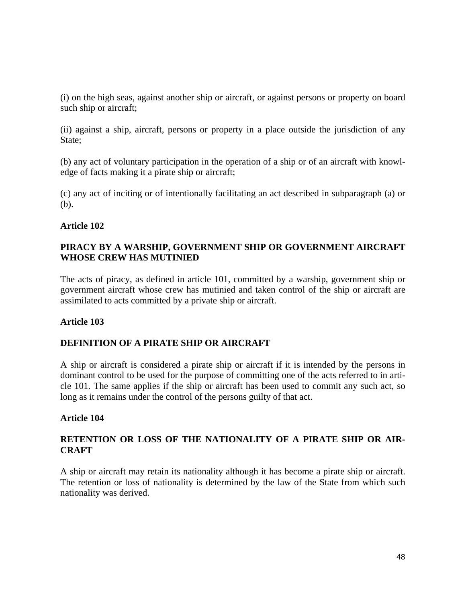(i) on the high seas, against another ship or aircraft, or against persons or property on board such ship or aircraft;

(ii) against a ship, aircraft, persons or property in a place outside the jurisdiction of any State;

(b) any act of voluntary participation in the operation of a ship or of an aircraft with knowledge of facts making it a pirate ship or aircraft;

(c) any act of inciting or of intentionally facilitating an act described in subparagraph (a) or (b).

## **Article 102**

# **PIRACY BY A WARSHIP, GOVERNMENT SHIP OR GOVERNMENT AIRCRAFT WHOSE CREW HAS MUTINIED**

The acts of piracy, as defined in article 101, committed by a warship, government ship or government aircraft whose crew has mutinied and taken control of the ship or aircraft are assimilated to acts committed by a private ship or aircraft.

### **Article 103**

# **DEFINITION OF A PIRATE SHIP OR AIRCRAFT**

A ship or aircraft is considered a pirate ship or aircraft if it is intended by the persons in dominant control to be used for the purpose of committing one of the acts referred to in article 101. The same applies if the ship or aircraft has been used to commit any such act, so long as it remains under the control of the persons guilty of that act.

### **Article 104**

# **RETENTION OR LOSS OF THE NATIONALITY OF A PIRATE SHIP OR AIR-CRAFT**

A ship or aircraft may retain its nationality although it has become a pirate ship or aircraft. The retention or loss of nationality is determined by the law of the State from which such nationality was derived.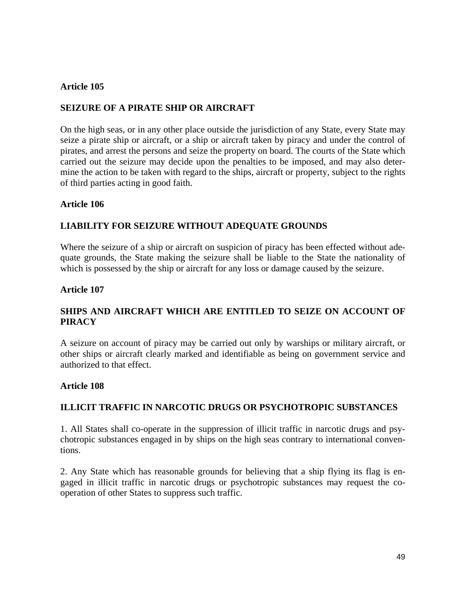# **SEIZURE OF A PIRATE SHIP OR AIRCRAFT**

On the high seas, or in any other place outside the jurisdiction of any State, every State may seize a pirate ship or aircraft, or a ship or aircraft taken by piracy and under the control of pirates, and arrest the persons and seize the property on board. The courts of the State which carried out the seizure may decide upon the penalties to be imposed, and may also determine the action to be taken with regard to the ships, aircraft or property, subject to the rights of third parties acting in good faith.

## **Article 106**

# **LIABILITY FOR SEIZURE WITHOUT ADEQUATE GROUNDS**

Where the seizure of a ship or aircraft on suspicion of piracy has been effected without adequate grounds, the State making the seizure shall be liable to the State the nationality of which is possessed by the ship or aircraft for any loss or damage caused by the seizure.

### **Article 107**

# **SHIPS AND AIRCRAFT WHICH ARE ENTITLED TO SEIZE ON ACCOUNT OF PIRACY**

A seizure on account of piracy may be carried out only by warships or military aircraft, or other ships or aircraft clearly marked and identifiable as being on government service and authorized to that effect.

### **Article 108**

# **ILLICIT TRAFFIC IN NARCOTIC DRUGS OR PSYCHOTROPIC SUBSTANCES**

1. All States shall co-operate in the suppression of illicit traffic in narcotic drugs and psychotropic substances engaged in by ships on the high seas contrary to international conventions.

2. Any State which has reasonable grounds for believing that a ship flying its flag is engaged in illicit traffic in narcotic drugs or psychotropic substances may request the cooperation of other States to suppress such traffic.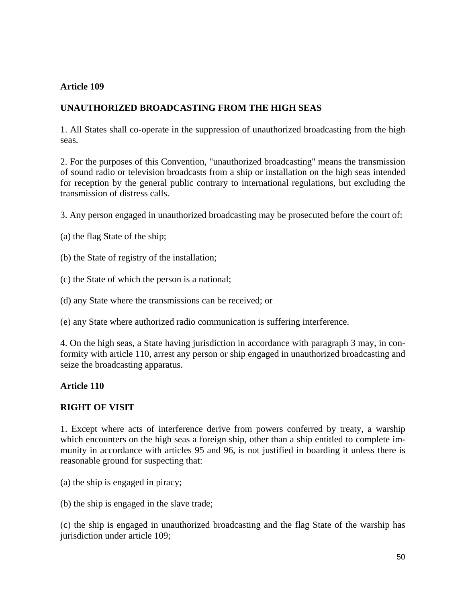# **UNAUTHORIZED BROADCASTING FROM THE HIGH SEAS**

1. All States shall co-operate in the suppression of unauthorized broadcasting from the high seas.

2. For the purposes of this Convention, "unauthorized broadcasting" means the transmission of sound radio or television broadcasts from a ship or installation on the high seas intended for reception by the general public contrary to international regulations, but excluding the transmission of distress calls.

3. Any person engaged in unauthorized broadcasting may be prosecuted before the court of:

- (a) the flag State of the ship;
- (b) the State of registry of the installation;
- (c) the State of which the person is a national;
- (d) any State where the transmissions can be received; or
- (e) any State where authorized radio communication is suffering interference.

4. On the high seas, a State having jurisdiction in accordance with paragraph 3 may, in conformity with article 110, arrest any person or ship engaged in unauthorized broadcasting and seize the broadcasting apparatus.

# **Article 110**

### **RIGHT OF VISIT**

1. Except where acts of interference derive from powers conferred by treaty, a warship which encounters on the high seas a foreign ship, other than a ship entitled to complete immunity in accordance with articles 95 and 96, is not justified in boarding it unless there is reasonable ground for suspecting that:

- (a) the ship is engaged in piracy;
- (b) the ship is engaged in the slave trade;

(c) the ship is engaged in unauthorized broadcasting and the flag State of the warship has jurisdiction under article 109;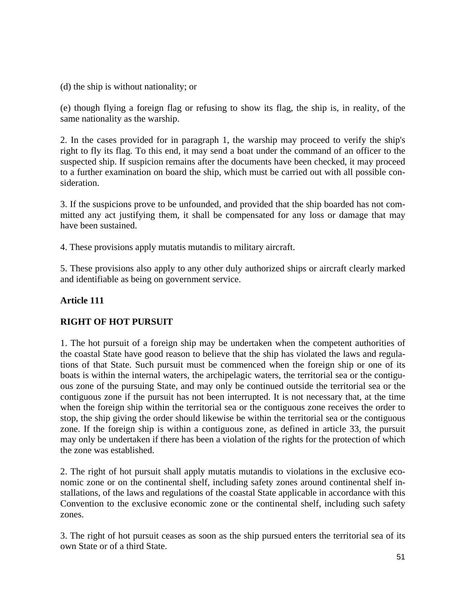(d) the ship is without nationality; or

(e) though flying a foreign flag or refusing to show its flag, the ship is, in reality, of the same nationality as the warship.

2. In the cases provided for in paragraph 1, the warship may proceed to verify the ship's right to fly its flag. To this end, it may send a boat under the command of an officer to the suspected ship. If suspicion remains after the documents have been checked, it may proceed to a further examination on board the ship, which must be carried out with all possible consideration.

3. If the suspicions prove to be unfounded, and provided that the ship boarded has not committed any act justifying them, it shall be compensated for any loss or damage that may have been sustained.

4. These provisions apply mutatis mutandis to military aircraft.

5. These provisions also apply to any other duly authorized ships or aircraft clearly marked and identifiable as being on government service.

# **Article 111**

# **RIGHT OF HOT PURSUIT**

1. The hot pursuit of a foreign ship may be undertaken when the competent authorities of the coastal State have good reason to believe that the ship has violated the laws and regulations of that State. Such pursuit must be commenced when the foreign ship or one of its boats is within the internal waters, the archipelagic waters, the territorial sea or the contiguous zone of the pursuing State, and may only be continued outside the territorial sea or the contiguous zone if the pursuit has not been interrupted. It is not necessary that, at the time when the foreign ship within the territorial sea or the contiguous zone receives the order to stop, the ship giving the order should likewise be within the territorial sea or the contiguous zone. If the foreign ship is within a contiguous zone, as defined in article 33, the pursuit may only be undertaken if there has been a violation of the rights for the protection of which the zone was established.

2. The right of hot pursuit shall apply mutatis mutandis to violations in the exclusive economic zone or on the continental shelf, including safety zones around continental shelf installations, of the laws and regulations of the coastal State applicable in accordance with this Convention to the exclusive economic zone or the continental shelf, including such safety zones.

3. The right of hot pursuit ceases as soon as the ship pursued enters the territorial sea of its own State or of a third State.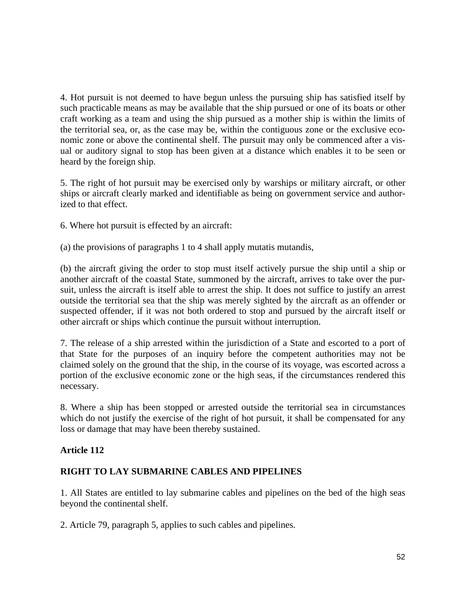4. Hot pursuit is not deemed to have begun unless the pursuing ship has satisfied itself by such practicable means as may be available that the ship pursued or one of its boats or other craft working as a team and using the ship pursued as a mother ship is within the limits of the territorial sea, or, as the case may be, within the contiguous zone or the exclusive economic zone or above the continental shelf. The pursuit may only be commenced after a visual or auditory signal to stop has been given at a distance which enables it to be seen or heard by the foreign ship.

5. The right of hot pursuit may be exercised only by warships or military aircraft, or other ships or aircraft clearly marked and identifiable as being on government service and authorized to that effect.

6. Where hot pursuit is effected by an aircraft:

(a) the provisions of paragraphs 1 to 4 shall apply mutatis mutandis,

(b) the aircraft giving the order to stop must itself actively pursue the ship until a ship or another aircraft of the coastal State, summoned by the aircraft, arrives to take over the pursuit, unless the aircraft is itself able to arrest the ship. It does not suffice to justify an arrest outside the territorial sea that the ship was merely sighted by the aircraft as an offender or suspected offender, if it was not both ordered to stop and pursued by the aircraft itself or other aircraft or ships which continue the pursuit without interruption.

7. The release of a ship arrested within the jurisdiction of a State and escorted to a port of that State for the purposes of an inquiry before the competent authorities may not be claimed solely on the ground that the ship, in the course of its voyage, was escorted across a portion of the exclusive economic zone or the high seas, if the circumstances rendered this necessary.

8. Where a ship has been stopped or arrested outside the territorial sea in circumstances which do not justify the exercise of the right of hot pursuit, it shall be compensated for any loss or damage that may have been thereby sustained.

# **Article 112**

# **RIGHT TO LAY SUBMARINE CABLES AND PIPELINES**

1. All States are entitled to lay submarine cables and pipelines on the bed of the high seas beyond the continental shelf.

2. Article 79, paragraph 5, applies to such cables and pipelines.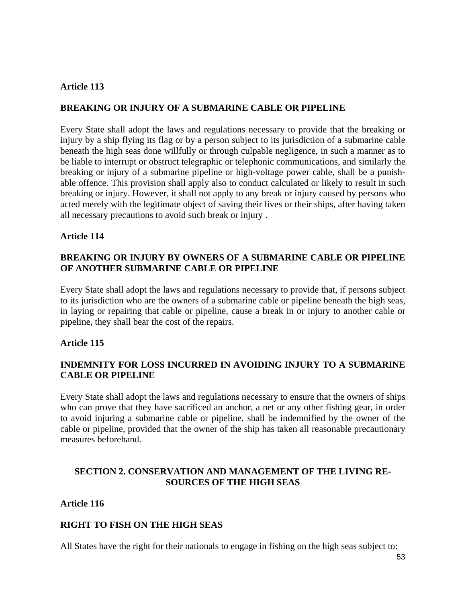## **BREAKING OR INJURY OF A SUBMARINE CABLE OR PIPELINE**

Every State shall adopt the laws and regulations necessary to provide that the breaking or injury by a ship flying its flag or by a person subject to its jurisdiction of a submarine cable beneath the high seas done willfully or through culpable negligence, in such a manner as to be liable to interrupt or obstruct telegraphic or telephonic communications, and similarly the breaking or injury of a submarine pipeline or high-voltage power cable, shall be a punishable offence. This provision shall apply also to conduct calculated or likely to result in such breaking or injury. However, it shall not apply to any break or injury caused by persons who acted merely with the legitimate object of saving their lives or their ships, after having taken all necessary precautions to avoid such break or injury .

### **Article 114**

# **BREAKING OR INJURY BY OWNERS OF A SUBMARINE CABLE OR PIPELINE OF ANOTHER SUBMARINE CABLE OR PIPELINE**

Every State shall adopt the laws and regulations necessary to provide that, if persons subject to its jurisdiction who are the owners of a submarine cable or pipeline beneath the high seas, in laying or repairing that cable or pipeline, cause a break in or injury to another cable or pipeline, they shall bear the cost of the repairs.

### **Article 115**

# **INDEMNITY FOR LOSS INCURRED IN AVOIDING INJURY TO A SUBMARINE CABLE OR PIPELINE**

Every State shall adopt the laws and regulations necessary to ensure that the owners of ships who can prove that they have sacrificed an anchor, a net or any other fishing gear, in order to avoid injuring a submarine cable or pipeline, shall be indemnified by the owner of the cable or pipeline, provided that the owner of the ship has taken all reasonable precautionary measures beforehand.

## **SECTION 2. CONSERVATION AND MANAGEMENT OF THE LIVING RE-SOURCES OF THE HIGH SEAS**

### **Article 116**

### **RIGHT TO FISH ON THE HIGH SEAS**

All States have the right for their nationals to engage in fishing on the high seas subject to: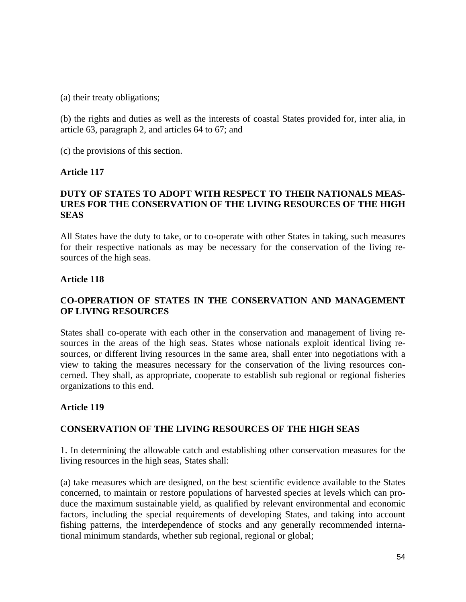(a) their treaty obligations;

(b) the rights and duties as well as the interests of coastal States provided for, inter alia, in article 63, paragraph 2, and articles 64 to 67; and

(c) the provisions of this section.

### **Article 117**

## **DUTY OF STATES TO ADOPT WITH RESPECT TO THEIR NATIONALS MEAS-URES FOR THE CONSERVATION OF THE LIVING RESOURCES OF THE HIGH SEAS**

All States have the duty to take, or to co-operate with other States in taking, such measures for their respective nationals as may be necessary for the conservation of the living resources of the high seas.

#### **Article 118**

# **CO-OPERATION OF STATES IN THE CONSERVATION AND MANAGEMENT OF LIVING RESOURCES**

States shall co-operate with each other in the conservation and management of living resources in the areas of the high seas. States whose nationals exploit identical living resources, or different living resources in the same area, shall enter into negotiations with a view to taking the measures necessary for the conservation of the living resources concerned. They shall, as appropriate, cooperate to establish sub regional or regional fisheries organizations to this end.

### **Article 119**

### **CONSERVATION OF THE LIVING RESOURCES OF THE HIGH SEAS**

1. In determining the allowable catch and establishing other conservation measures for the living resources in the high seas, States shall:

(a) take measures which are designed, on the best scientific evidence available to the States concerned, to maintain or restore populations of harvested species at levels which can produce the maximum sustainable yield, as qualified by relevant environmental and economic factors, including the special requirements of developing States, and taking into account fishing patterns, the interdependence of stocks and any generally recommended international minimum standards, whether sub regional, regional or global;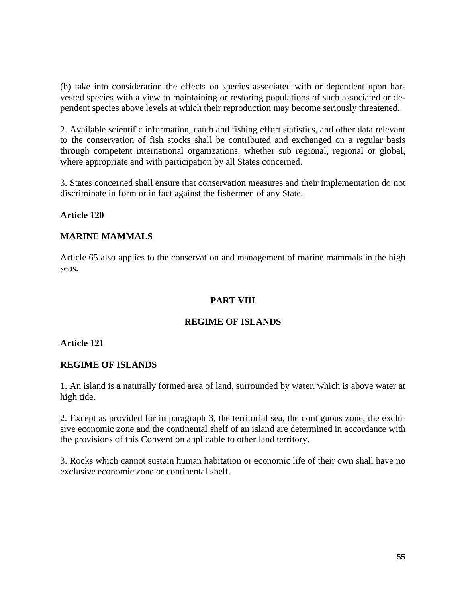(b) take into consideration the effects on species associated with or dependent upon harvested species with a view to maintaining or restoring populations of such associated or dependent species above levels at which their reproduction may become seriously threatened.

2. Available scientific information, catch and fishing effort statistics, and other data relevant to the conservation of fish stocks shall be contributed and exchanged on a regular basis through competent international organizations, whether sub regional, regional or global, where appropriate and with participation by all States concerned.

3. States concerned shall ensure that conservation measures and their implementation do not discriminate in form or in fact against the fishermen of any State.

# **Article 120**

## **MARINE MAMMALS**

Article 65 also applies to the conservation and management of marine mammals in the high seas.

## **PART VIII**

### **REGIME OF ISLANDS**

### **Article 121**

### **REGIME OF ISLANDS**

1. An island is a naturally formed area of land, surrounded by water, which is above water at high tide.

2. Except as provided for in paragraph 3, the territorial sea, the contiguous zone, the exclusive economic zone and the continental shelf of an island are determined in accordance with the provisions of this Convention applicable to other land territory.

3. Rocks which cannot sustain human habitation or economic life of their own shall have no exclusive economic zone or continental shelf.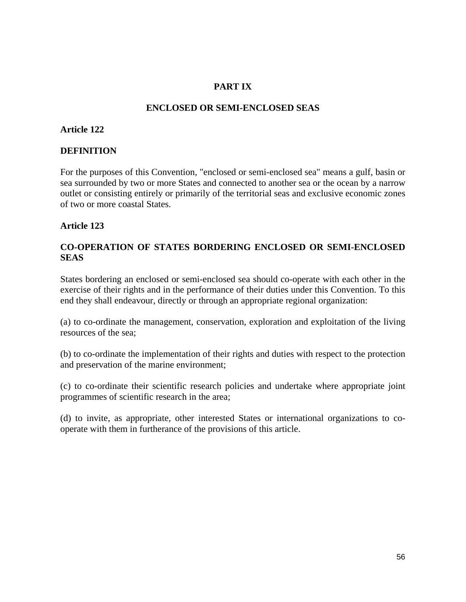# **PART IX**

# **ENCLOSED OR SEMI-ENCLOSED SEAS**

# **Article 122**

# **DEFINITION**

For the purposes of this Convention, "enclosed or semi-enclosed sea" means a gulf, basin or sea surrounded by two or more States and connected to another sea or the ocean by a narrow outlet or consisting entirely or primarily of the territorial seas and exclusive economic zones of two or more coastal States.

# **Article 123**

# **CO-OPERATION OF STATES BORDERING ENCLOSED OR SEMI-ENCLOSED SEAS**

States bordering an enclosed or semi-enclosed sea should co-operate with each other in the exercise of their rights and in the performance of their duties under this Convention. To this end they shall endeavour, directly or through an appropriate regional organization:

(a) to co-ordinate the management, conservation, exploration and exploitation of the living resources of the sea;

(b) to co-ordinate the implementation of their rights and duties with respect to the protection and preservation of the marine environment;

(c) to co-ordinate their scientific research policies and undertake where appropriate joint programmes of scientific research in the area;

(d) to invite, as appropriate, other interested States or international organizations to cooperate with them in furtherance of the provisions of this article.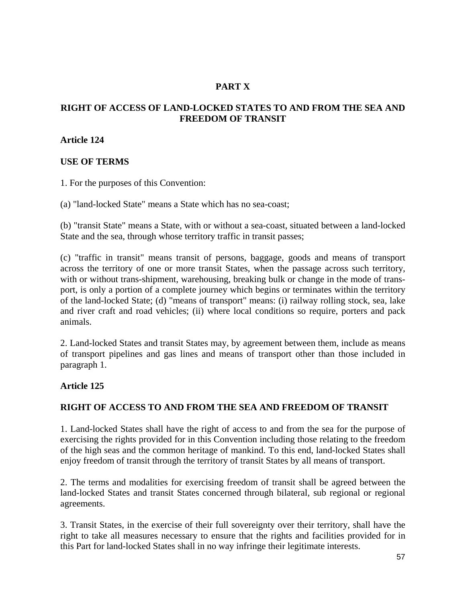# **PART X**

# **RIGHT OF ACCESS OF LAND-LOCKED STATES TO AND FROM THE SEA AND FREEDOM OF TRANSIT**

## **Article 124**

## **USE OF TERMS**

1. For the purposes of this Convention:

(a) "land-locked State" means a State which has no sea-coast;

(b) "transit State" means a State, with or without a sea-coast, situated between a land-locked State and the sea, through whose territory traffic in transit passes;

(c) "traffic in transit" means transit of persons, baggage, goods and means of transport across the territory of one or more transit States, when the passage across such territory, with or without trans-shipment, warehousing, breaking bulk or change in the mode of transport, is only a portion of a complete journey which begins or terminates within the territory of the land-locked State; (d) "means of transport" means: (i) railway rolling stock, sea, lake and river craft and road vehicles; (ii) where local conditions so require, porters and pack animals.

2. Land-locked States and transit States may, by agreement between them, include as means of transport pipelines and gas lines and means of transport other than those included in paragraph 1.

# **Article 125**

# **RIGHT OF ACCESS TO AND FROM THE SEA AND FREEDOM OF TRANSIT**

1. Land-locked States shall have the right of access to and from the sea for the purpose of exercising the rights provided for in this Convention including those relating to the freedom of the high seas and the common heritage of mankind. To this end, land-locked States shall enjoy freedom of transit through the territory of transit States by all means of transport.

2. The terms and modalities for exercising freedom of transit shall be agreed between the land-locked States and transit States concerned through bilateral, sub regional or regional agreements.

3. Transit States, in the exercise of their full sovereignty over their territory, shall have the right to take all measures necessary to ensure that the rights and facilities provided for in this Part for land-locked States shall in no way infringe their legitimate interests.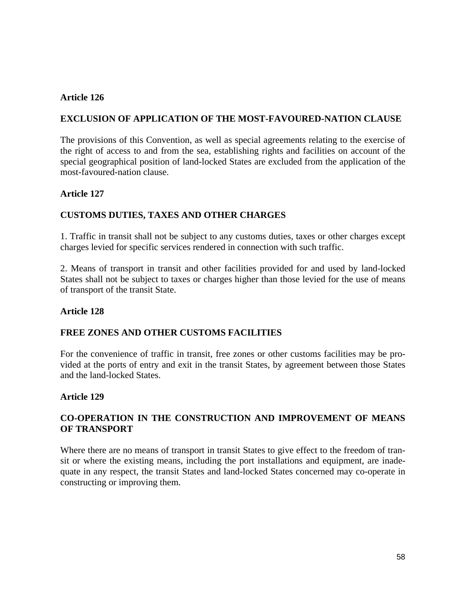# **EXCLUSION OF APPLICATION OF THE MOST-FAVOURED-NATION CLAUSE**

The provisions of this Convention, as well as special agreements relating to the exercise of the right of access to and from the sea, establishing rights and facilities on account of the special geographical position of land-locked States are excluded from the application of the most-favoured-nation clause.

## **Article 127**

# **CUSTOMS DUTIES, TAXES AND OTHER CHARGES**

1. Traffic in transit shall not be subject to any customs duties, taxes or other charges except charges levied for specific services rendered in connection with such traffic.

2. Means of transport in transit and other facilities provided for and used by land-locked States shall not be subject to taxes or charges higher than those levied for the use of means of transport of the transit State.

# **Article 128**

# **FREE ZONES AND OTHER CUSTOMS FACILITIES**

For the convenience of traffic in transit, free zones or other customs facilities may be provided at the ports of entry and exit in the transit States, by agreement between those States and the land-locked States.

### **Article 129**

# **CO-OPERATION IN THE CONSTRUCTION AND IMPROVEMENT OF MEANS OF TRANSPORT**

Where there are no means of transport in transit States to give effect to the freedom of transit or where the existing means, including the port installations and equipment, are inadequate in any respect, the transit States and land-locked States concerned may co-operate in constructing or improving them.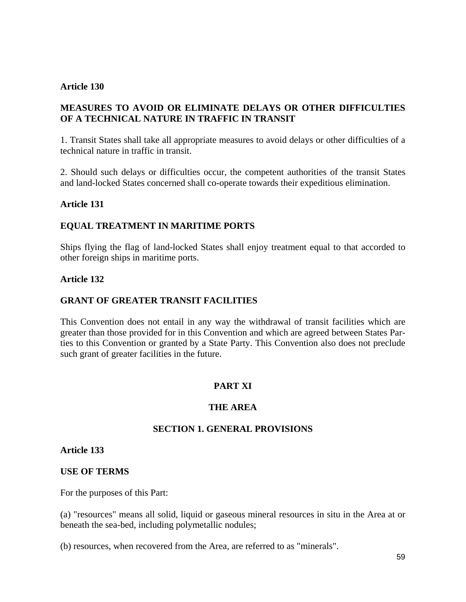# **MEASURES TO AVOID OR ELIMINATE DELAYS OR OTHER DIFFICULTIES OF A TECHNICAL NATURE IN TRAFFIC IN TRANSIT**

1. Transit States shall take all appropriate measures to avoid delays or other difficulties of a technical nature in traffic in transit.

2. Should such delays or difficulties occur, the competent authorities of the transit States and land-locked States concerned shall co-operate towards their expeditious elimination.

### **Article 131**

## **EQUAL TREATMENT IN MARITIME PORTS**

Ships flying the flag of land-locked States shall enjoy treatment equal to that accorded to other foreign ships in maritime ports.

#### **Article 132**

#### **GRANT OF GREATER TRANSIT FACILITIES**

This Convention does not entail in any way the withdrawal of transit facilities which are greater than those provided for in this Convention and which are agreed between States Parties to this Convention or granted by a State Party. This Convention also does not preclude such grant of greater facilities in the future.

### **PART XI**

### **THE AREA**

#### **SECTION 1. GENERAL PROVISIONS**

#### **Article 133**

#### **USE OF TERMS**

For the purposes of this Part:

(a) "resources" means all solid, liquid or gaseous mineral resources in situ in the Area at or beneath the sea-bed, including polymetallic nodules;

(b) resources, when recovered from the Area, are referred to as "minerals".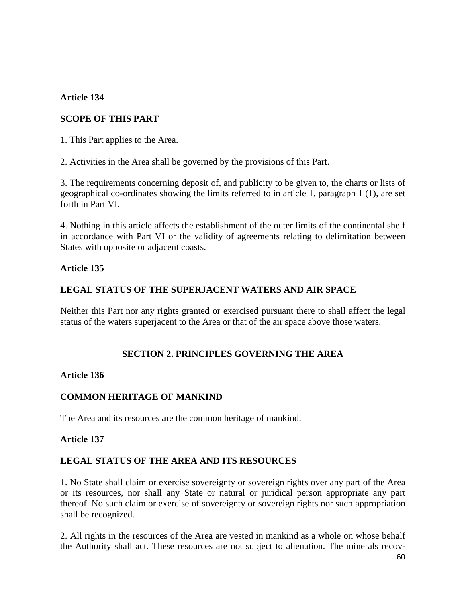# **SCOPE OF THIS PART**

1. This Part applies to the Area.

2. Activities in the Area shall be governed by the provisions of this Part.

3. The requirements concerning deposit of, and publicity to be given to, the charts or lists of geographical co-ordinates showing the limits referred to in article 1, paragraph 1 (1), are set forth in Part VI.

4. Nothing in this article affects the establishment of the outer limits of the continental shelf in accordance with Part VI or the validity of agreements relating to delimitation between States with opposite or adjacent coasts.

# **Article 135**

# **LEGAL STATUS OF THE SUPERJACENT WATERS AND AIR SPACE**

Neither this Part nor any rights granted or exercised pursuant there to shall affect the legal status of the waters superjacent to the Area or that of the air space above those waters.

# **SECTION 2. PRINCIPLES GOVERNING THE AREA**

### **Article 136**

# **COMMON HERITAGE OF MANKIND**

The Area and its resources are the common heritage of mankind.

### **Article 137**

# **LEGAL STATUS OF THE AREA AND ITS RESOURCES**

1. No State shall claim or exercise sovereignty or sovereign rights over any part of the Area or its resources, nor shall any State or natural or juridical person appropriate any part thereof. No such claim or exercise of sovereignty or sovereign rights nor such appropriation shall be recognized.

2. All rights in the resources of the Area are vested in mankind as a whole on whose behalf the Authority shall act. These resources are not subject to alienation. The minerals recov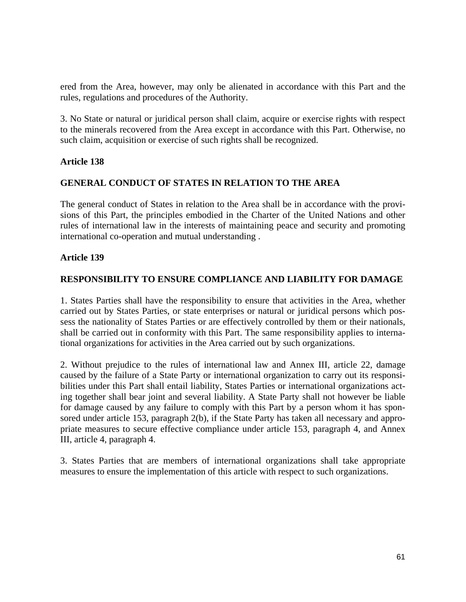ered from the Area, however, may only be alienated in accordance with this Part and the rules, regulations and procedures of the Authority.

3. No State or natural or juridical person shall claim, acquire or exercise rights with respect to the minerals recovered from the Area except in accordance with this Part. Otherwise, no such claim, acquisition or exercise of such rights shall be recognized.

## **Article 138**

## **GENERAL CONDUCT OF STATES IN RELATION TO THE AREA**

The general conduct of States in relation to the Area shall be in accordance with the provisions of this Part, the principles embodied in the Charter of the United Nations and other rules of international law in the interests of maintaining peace and security and promoting international co-operation and mutual understanding .

### **Article 139**

## **RESPONSIBILITY TO ENSURE COMPLIANCE AND LIABILITY FOR DAMAGE**

1. States Parties shall have the responsibility to ensure that activities in the Area, whether carried out by States Parties, or state enterprises or natural or juridical persons which possess the nationality of States Parties or are effectively controlled by them or their nationals, shall be carried out in conformity with this Part. The same responsibility applies to international organizations for activities in the Area carried out by such organizations.

2. Without prejudice to the rules of international law and Annex III, article 22, damage caused by the failure of a State Party or international organization to carry out its responsibilities under this Part shall entail liability, States Parties or international organizations acting together shall bear joint and several liability. A State Party shall not however be liable for damage caused by any failure to comply with this Part by a person whom it has sponsored under article 153, paragraph 2(b), if the State Party has taken all necessary and appropriate measures to secure effective compliance under article 153, paragraph 4, and Annex III, article 4, paragraph 4.

3. States Parties that are members of international organizations shall take appropriate measures to ensure the implementation of this article with respect to such organizations.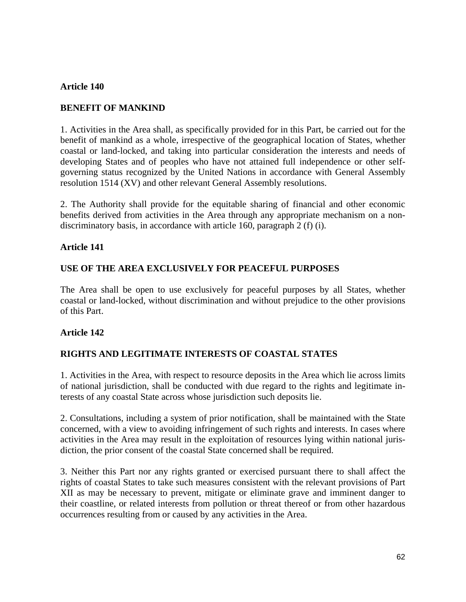## **BENEFIT OF MANKIND**

1. Activities in the Area shall, as specifically provided for in this Part, be carried out for the benefit of mankind as a whole, irrespective of the geographical location of States, whether coastal or land-locked, and taking into particular consideration the interests and needs of developing States and of peoples who have not attained full independence or other selfgoverning status recognized by the United Nations in accordance with General Assembly resolution 1514 (XV) and other relevant General Assembly resolutions.

2. The Authority shall provide for the equitable sharing of financial and other economic benefits derived from activities in the Area through any appropriate mechanism on a nondiscriminatory basis, in accordance with article 160, paragraph 2 (f) (i).

### **Article 141**

## **USE OF THE AREA EXCLUSIVELY FOR PEACEFUL PURPOSES**

The Area shall be open to use exclusively for peaceful purposes by all States, whether coastal or land-locked, without discrimination and without prejudice to the other provisions of this Part.

### **Article 142**

# **RIGHTS AND LEGITIMATE INTERESTS OF COASTAL STATES**

1. Activities in the Area, with respect to resource deposits in the Area which lie across limits of national jurisdiction, shall be conducted with due regard to the rights and legitimate interests of any coastal State across whose jurisdiction such deposits lie.

2. Consultations, including a system of prior notification, shall be maintained with the State concerned, with a view to avoiding infringement of such rights and interests. In cases where activities in the Area may result in the exploitation of resources lying within national jurisdiction, the prior consent of the coastal State concerned shall be required.

3. Neither this Part nor any rights granted or exercised pursuant there to shall affect the rights of coastal States to take such measures consistent with the relevant provisions of Part XII as may be necessary to prevent, mitigate or eliminate grave and imminent danger to their coastline, or related interests from pollution or threat thereof or from other hazardous occurrences resulting from or caused by any activities in the Area.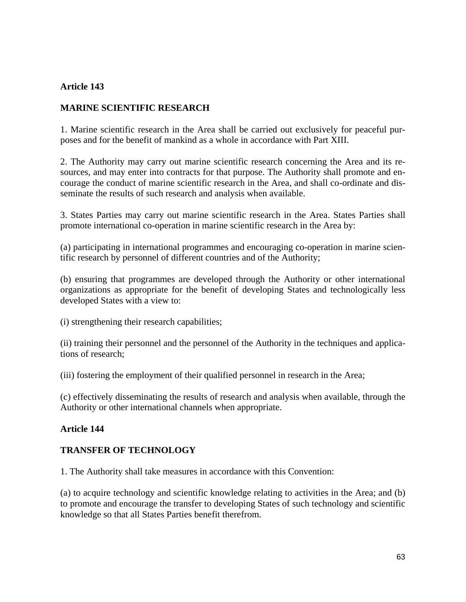## **MARINE SCIENTIFIC RESEARCH**

1. Marine scientific research in the Area shall be carried out exclusively for peaceful purposes and for the benefit of mankind as a whole in accordance with Part XIII.

2. The Authority may carry out marine scientific research concerning the Area and its resources, and may enter into contracts for that purpose. The Authority shall promote and encourage the conduct of marine scientific research in the Area, and shall co-ordinate and disseminate the results of such research and analysis when available.

3. States Parties may carry out marine scientific research in the Area. States Parties shall promote international co-operation in marine scientific research in the Area by:

(a) participating in international programmes and encouraging co-operation in marine scientific research by personnel of different countries and of the Authority;

(b) ensuring that programmes are developed through the Authority or other international organizations as appropriate for the benefit of developing States and technologically less developed States with a view to:

(i) strengthening their research capabilities;

(ii) training their personnel and the personnel of the Authority in the techniques and applications of research;

(iii) fostering the employment of their qualified personnel in research in the Area;

(c) effectively disseminating the results of research and analysis when available, through the Authority or other international channels when appropriate.

### **Article 144**

### **TRANSFER OF TECHNOLOGY**

1. The Authority shall take measures in accordance with this Convention:

(a) to acquire technology and scientific knowledge relating to activities in the Area; and (b) to promote and encourage the transfer to developing States of such technology and scientific knowledge so that all States Parties benefit therefrom.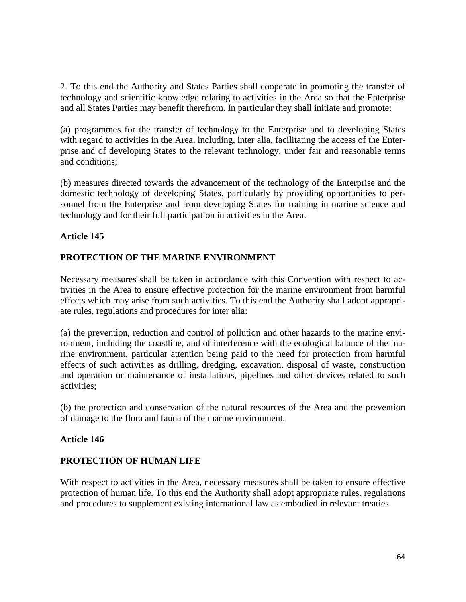2. To this end the Authority and States Parties shall cooperate in promoting the transfer of technology and scientific knowledge relating to activities in the Area so that the Enterprise and all States Parties may benefit therefrom. In particular they shall initiate and promote:

(a) programmes for the transfer of technology to the Enterprise and to developing States with regard to activities in the Area, including, inter alia, facilitating the access of the Enterprise and of developing States to the relevant technology, under fair and reasonable terms and conditions;

(b) measures directed towards the advancement of the technology of the Enterprise and the domestic technology of developing States, particularly by providing opportunities to personnel from the Enterprise and from developing States for training in marine science and technology and for their full participation in activities in the Area.

# **Article 145**

# **PROTECTION OF THE MARINE ENVIRONMENT**

Necessary measures shall be taken in accordance with this Convention with respect to activities in the Area to ensure effective protection for the marine environment from harmful effects which may arise from such activities. To this end the Authority shall adopt appropriate rules, regulations and procedures for inter alia:

(a) the prevention, reduction and control of pollution and other hazards to the marine environment, including the coastline, and of interference with the ecological balance of the marine environment, particular attention being paid to the need for protection from harmful effects of such activities as drilling, dredging, excavation, disposal of waste, construction and operation or maintenance of installations, pipelines and other devices related to such activities;

(b) the protection and conservation of the natural resources of the Area and the prevention of damage to the flora and fauna of the marine environment.

# **Article 146**

# **PROTECTION OF HUMAN LIFE**

With respect to activities in the Area, necessary measures shall be taken to ensure effective protection of human life. To this end the Authority shall adopt appropriate rules, regulations and procedures to supplement existing international law as embodied in relevant treaties.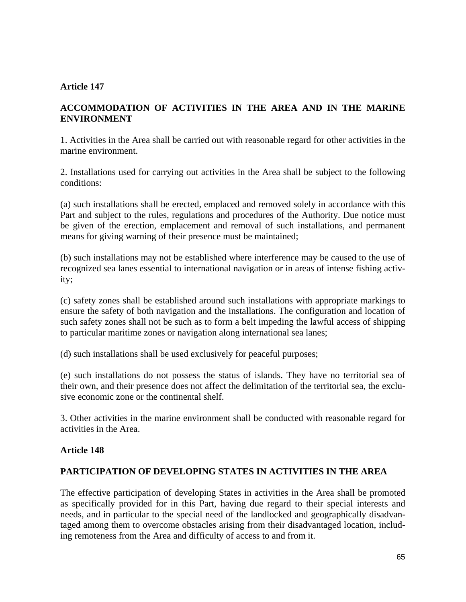# **ACCOMMODATION OF ACTIVITIES IN THE AREA AND IN THE MARINE ENVIRONMENT**

1. Activities in the Area shall be carried out with reasonable regard for other activities in the marine environment.

2. Installations used for carrying out activities in the Area shall be subject to the following conditions:

(a) such installations shall be erected, emplaced and removed solely in accordance with this Part and subject to the rules, regulations and procedures of the Authority. Due notice must be given of the erection, emplacement and removal of such installations, and permanent means for giving warning of their presence must be maintained;

(b) such installations may not be established where interference may be caused to the use of recognized sea lanes essential to international navigation or in areas of intense fishing activity;

(c) safety zones shall be established around such installations with appropriate markings to ensure the safety of both navigation and the installations. The configuration and location of such safety zones shall not be such as to form a belt impeding the lawful access of shipping to particular maritime zones or navigation along international sea lanes;

(d) such installations shall be used exclusively for peaceful purposes;

(e) such installations do not possess the status of islands. They have no territorial sea of their own, and their presence does not affect the delimitation of the territorial sea, the exclusive economic zone or the continental shelf.

3. Other activities in the marine environment shall be conducted with reasonable regard for activities in the Area.

# **Article 148**

# **PARTICIPATION OF DEVELOPING STATES IN ACTIVITIES IN THE AREA**

The effective participation of developing States in activities in the Area shall be promoted as specifically provided for in this Part, having due regard to their special interests and needs, and in particular to the special need of the landlocked and geographically disadvantaged among them to overcome obstacles arising from their disadvantaged location, including remoteness from the Area and difficulty of access to and from it.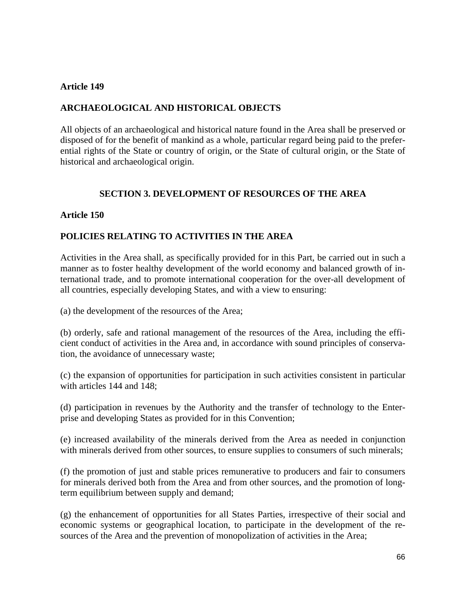# **ARCHAEOLOGICAL AND HISTORICAL OBJECTS**

All objects of an archaeological and historical nature found in the Area shall be preserved or disposed of for the benefit of mankind as a whole, particular regard being paid to the preferential rights of the State or country of origin, or the State of cultural origin, or the State of historical and archaeological origin.

## **SECTION 3. DEVELOPMENT OF RESOURCES OF THE AREA**

### **Article 150**

# **POLICIES RELATING TO ACTIVITIES IN THE AREA**

Activities in the Area shall, as specifically provided for in this Part, be carried out in such a manner as to foster healthy development of the world economy and balanced growth of international trade, and to promote international cooperation for the over-all development of all countries, especially developing States, and with a view to ensuring:

(a) the development of the resources of the Area;

(b) orderly, safe and rational management of the resources of the Area, including the efficient conduct of activities in the Area and, in accordance with sound principles of conservation, the avoidance of unnecessary waste;

(c) the expansion of opportunities for participation in such activities consistent in particular with articles 144 and 148;

(d) participation in revenues by the Authority and the transfer of technology to the Enterprise and developing States as provided for in this Convention;

(e) increased availability of the minerals derived from the Area as needed in conjunction with minerals derived from other sources, to ensure supplies to consumers of such minerals;

(f) the promotion of just and stable prices remunerative to producers and fair to consumers for minerals derived both from the Area and from other sources, and the promotion of longterm equilibrium between supply and demand;

(g) the enhancement of opportunities for all States Parties, irrespective of their social and economic systems or geographical location, to participate in the development of the resources of the Area and the prevention of monopolization of activities in the Area;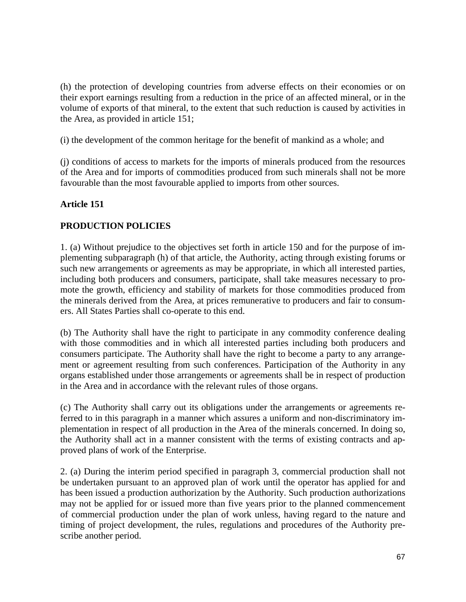(h) the protection of developing countries from adverse effects on their economies or on their export earnings resulting from a reduction in the price of an affected mineral, or in the volume of exports of that mineral, to the extent that such reduction is caused by activities in the Area, as provided in article 151;

(i) the development of the common heritage for the benefit of mankind as a whole; and

(j) conditions of access to markets for the imports of minerals produced from the resources of the Area and for imports of commodities produced from such minerals shall not be more favourable than the most favourable applied to imports from other sources.

# **Article 151**

# **PRODUCTION POLICIES**

1. (a) Without prejudice to the objectives set forth in article 150 and for the purpose of implementing subparagraph (h) of that article, the Authority, acting through existing forums or such new arrangements or agreements as may be appropriate, in which all interested parties, including both producers and consumers, participate, shall take measures necessary to promote the growth, efficiency and stability of markets for those commodities produced from the minerals derived from the Area, at prices remunerative to producers and fair to consumers. All States Parties shall co-operate to this end.

(b) The Authority shall have the right to participate in any commodity conference dealing with those commodities and in which all interested parties including both producers and consumers participate. The Authority shall have the right to become a party to any arrangement or agreement resulting from such conferences. Participation of the Authority in any organs established under those arrangements or agreements shall be in respect of production in the Area and in accordance with the relevant rules of those organs.

(c) The Authority shall carry out its obligations under the arrangements or agreements referred to in this paragraph in a manner which assures a uniform and non-discriminatory implementation in respect of all production in the Area of the minerals concerned. In doing so, the Authority shall act in a manner consistent with the terms of existing contracts and approved plans of work of the Enterprise.

2. (a) During the interim period specified in paragraph 3, commercial production shall not be undertaken pursuant to an approved plan of work until the operator has applied for and has been issued a production authorization by the Authority. Such production authorizations may not be applied for or issued more than five years prior to the planned commencement of commercial production under the plan of work unless, having regard to the nature and timing of project development, the rules, regulations and procedures of the Authority prescribe another period.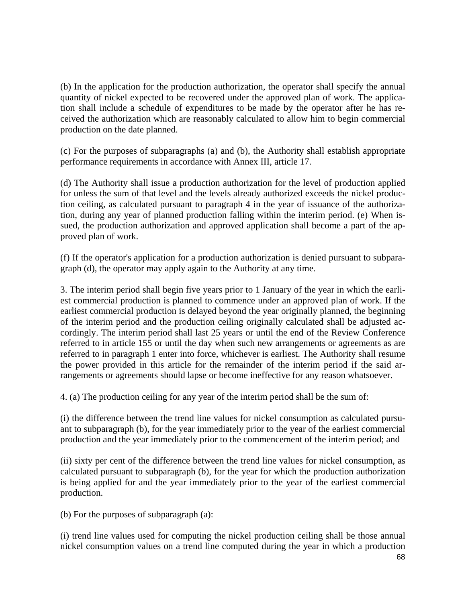(b) In the application for the production authorization, the operator shall specify the annual quantity of nickel expected to be recovered under the approved plan of work. The application shall include a schedule of expenditures to be made by the operator after he has received the authorization which are reasonably calculated to allow him to begin commercial production on the date planned.

(c) For the purposes of subparagraphs (a) and (b), the Authority shall establish appropriate performance requirements in accordance with Annex III, article 17.

(d) The Authority shall issue a production authorization for the level of production applied for unless the sum of that level and the levels already authorized exceeds the nickel production ceiling, as calculated pursuant to paragraph 4 in the year of issuance of the authorization, during any year of planned production falling within the interim period. (e) When issued, the production authorization and approved application shall become a part of the approved plan of work.

(f) If the operator's application for a production authorization is denied pursuant to subparagraph (d), the operator may apply again to the Authority at any time.

3. The interim period shall begin five years prior to 1 January of the year in which the earliest commercial production is planned to commence under an approved plan of work. If the earliest commercial production is delayed beyond the year originally planned, the beginning of the interim period and the production ceiling originally calculated shall be adjusted accordingly. The interim period shall last 25 years or until the end of the Review Conference referred to in article 155 or until the day when such new arrangements or agreements as are referred to in paragraph 1 enter into force, whichever is earliest. The Authority shall resume the power provided in this article for the remainder of the interim period if the said arrangements or agreements should lapse or become ineffective for any reason whatsoever.

4. (a) The production ceiling for any year of the interim period shall be the sum of:

(i) the difference between the trend line values for nickel consumption as calculated pursuant to subparagraph (b), for the year immediately prior to the year of the earliest commercial production and the year immediately prior to the commencement of the interim period; and

(ii) sixty per cent of the difference between the trend line values for nickel consumption, as calculated pursuant to subparagraph (b), for the year for which the production authorization is being applied for and the year immediately prior to the year of the earliest commercial production.

(b) For the purposes of subparagraph (a):

(i) trend line values used for computing the nickel production ceiling shall be those annual nickel consumption values on a trend line computed during the year in which a production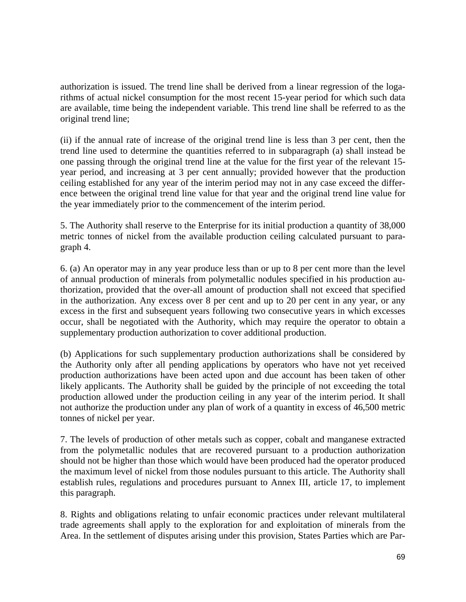authorization is issued. The trend line shall be derived from a linear regression of the logarithms of actual nickel consumption for the most recent 15-year period for which such data are available, time being the independent variable. This trend line shall be referred to as the original trend line;

(ii) if the annual rate of increase of the original trend line is less than 3 per cent, then the trend line used to determine the quantities referred to in subparagraph (a) shall instead be one passing through the original trend line at the value for the first year of the relevant 15 year period, and increasing at 3 per cent annually; provided however that the production ceiling established for any year of the interim period may not in any case exceed the difference between the original trend line value for that year and the original trend line value for the year immediately prior to the commencement of the interim period.

5. The Authority shall reserve to the Enterprise for its initial production a quantity of 38,000 metric tonnes of nickel from the available production ceiling calculated pursuant to paragraph 4.

6. (a) An operator may in any year produce less than or up to 8 per cent more than the level of annual production of minerals from polymetallic nodules specified in his production authorization, provided that the over-all amount of production shall not exceed that specified in the authorization. Any excess over 8 per cent and up to 20 per cent in any year, or any excess in the first and subsequent years following two consecutive years in which excesses occur, shall be negotiated with the Authority, which may require the operator to obtain a supplementary production authorization to cover additional production.

(b) Applications for such supplementary production authorizations shall be considered by the Authority only after all pending applications by operators who have not yet received production authorizations have been acted upon and due account has been taken of other likely applicants. The Authority shall be guided by the principle of not exceeding the total production allowed under the production ceiling in any year of the interim period. It shall not authorize the production under any plan of work of a quantity in excess of 46,500 metric tonnes of nickel per year.

7. The levels of production of other metals such as copper, cobalt and manganese extracted from the polymetallic nodules that are recovered pursuant to a production authorization should not be higher than those which would have been produced had the operator produced the maximum level of nickel from those nodules pursuant to this article. The Authority shall establish rules, regulations and procedures pursuant to Annex III, article 17, to implement this paragraph.

8. Rights and obligations relating to unfair economic practices under relevant multilateral trade agreements shall apply to the exploration for and exploitation of minerals from the Area. In the settlement of disputes arising under this provision, States Parties which are Par-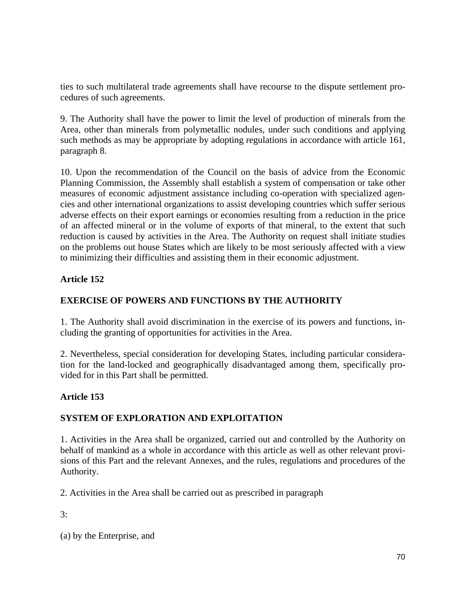ties to such multilateral trade agreements shall have recourse to the dispute settlement procedures of such agreements.

9. The Authority shall have the power to limit the level of production of minerals from the Area, other than minerals from polymetallic nodules, under such conditions and applying such methods as may be appropriate by adopting regulations in accordance with article 161, paragraph 8.

10. Upon the recommendation of the Council on the basis of advice from the Economic Planning Commission, the Assembly shall establish a system of compensation or take other measures of economic adjustment assistance including co-operation with specialized agencies and other international organizations to assist developing countries which suffer serious adverse effects on their export earnings or economies resulting from a reduction in the price of an affected mineral or in the volume of exports of that mineral, to the extent that such reduction is caused by activities in the Area. The Authority on request shall initiate studies on the problems out house States which are likely to be most seriously affected with a view to minimizing their difficulties and assisting them in their economic adjustment.

# **Article 152**

# **EXERCISE OF POWERS AND FUNCTIONS BY THE AUTHORITY**

1. The Authority shall avoid discrimination in the exercise of its powers and functions, including the granting of opportunities for activities in the Area.

2. Nevertheless, special consideration for developing States, including particular consideration for the land-locked and geographically disadvantaged among them, specifically provided for in this Part shall be permitted.

# **Article 153**

# **SYSTEM OF EXPLORATION AND EXPLOITATION**

1. Activities in the Area shall be organized, carried out and controlled by the Authority on behalf of mankind as a whole in accordance with this article as well as other relevant provisions of this Part and the relevant Annexes, and the rules, regulations and procedures of the Authority.

2. Activities in the Area shall be carried out as prescribed in paragraph

3:

(a) by the Enterprise, and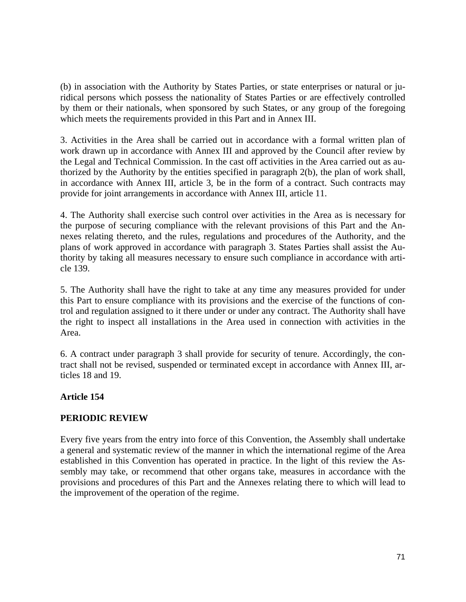(b) in association with the Authority by States Parties, or state enterprises or natural or juridical persons which possess the nationality of States Parties or are effectively controlled by them or their nationals, when sponsored by such States, or any group of the foregoing which meets the requirements provided in this Part and in Annex III.

3. Activities in the Area shall be carried out in accordance with a formal written plan of work drawn up in accordance with Annex III and approved by the Council after review by the Legal and Technical Commission. In the cast off activities in the Area carried out as authorized by the Authority by the entities specified in paragraph 2(b), the plan of work shall, in accordance with Annex III, article 3, be in the form of a contract. Such contracts may provide for joint arrangements in accordance with Annex III, article 11.

4. The Authority shall exercise such control over activities in the Area as is necessary for the purpose of securing compliance with the relevant provisions of this Part and the Annexes relating thereto, and the rules, regulations and procedures of the Authority, and the plans of work approved in accordance with paragraph 3. States Parties shall assist the Authority by taking all measures necessary to ensure such compliance in accordance with article 139.

5. The Authority shall have the right to take at any time any measures provided for under this Part to ensure compliance with its provisions and the exercise of the functions of control and regulation assigned to it there under or under any contract. The Authority shall have the right to inspect all installations in the Area used in connection with activities in the Area.

6. A contract under paragraph 3 shall provide for security of tenure. Accordingly, the contract shall not be revised, suspended or terminated except in accordance with Annex III, articles 18 and 19.

# **Article 154**

# **PERIODIC REVIEW**

Every five years from the entry into force of this Convention, the Assembly shall undertake a general and systematic review of the manner in which the international regime of the Area established in this Convention has operated in practice. In the light of this review the Assembly may take, or recommend that other organs take, measures in accordance with the provisions and procedures of this Part and the Annexes relating there to which will lead to the improvement of the operation of the regime.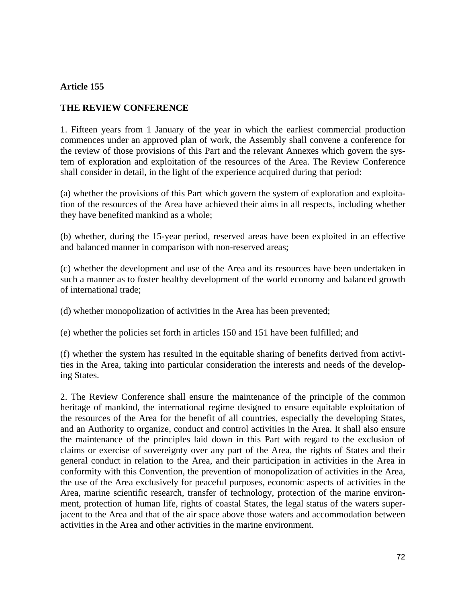## **THE REVIEW CONFERENCE**

1. Fifteen years from 1 January of the year in which the earliest commercial production commences under an approved plan of work, the Assembly shall convene a conference for the review of those provisions of this Part and the relevant Annexes which govern the system of exploration and exploitation of the resources of the Area. The Review Conference shall consider in detail, in the light of the experience acquired during that period:

(a) whether the provisions of this Part which govern the system of exploration and exploitation of the resources of the Area have achieved their aims in all respects, including whether they have benefited mankind as a whole;

(b) whether, during the 15-year period, reserved areas have been exploited in an effective and balanced manner in comparison with non-reserved areas;

(c) whether the development and use of the Area and its resources have been undertaken in such a manner as to foster healthy development of the world economy and balanced growth of international trade;

(d) whether monopolization of activities in the Area has been prevented;

(e) whether the policies set forth in articles 150 and 151 have been fulfilled; and

(f) whether the system has resulted in the equitable sharing of benefits derived from activities in the Area, taking into particular consideration the interests and needs of the developing States.

2. The Review Conference shall ensure the maintenance of the principle of the common heritage of mankind, the international regime designed to ensure equitable exploitation of the resources of the Area for the benefit of all countries, especially the developing States, and an Authority to organize, conduct and control activities in the Area. It shall also ensure the maintenance of the principles laid down in this Part with regard to the exclusion of claims or exercise of sovereignty over any part of the Area, the rights of States and their general conduct in relation to the Area, and their participation in activities in the Area in conformity with this Convention, the prevention of monopolization of activities in the Area, the use of the Area exclusively for peaceful purposes, economic aspects of activities in the Area, marine scientific research, transfer of technology, protection of the marine environment, protection of human life, rights of coastal States, the legal status of the waters superjacent to the Area and that of the air space above those waters and accommodation between activities in the Area and other activities in the marine environment.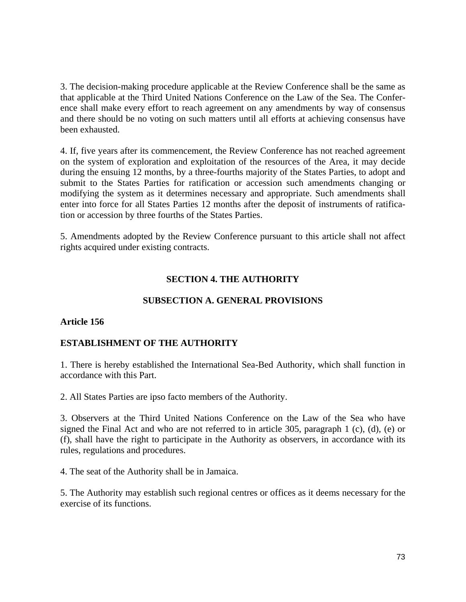3. The decision-making procedure applicable at the Review Conference shall be the same as that applicable at the Third United Nations Conference on the Law of the Sea. The Conference shall make every effort to reach agreement on any amendments by way of consensus and there should be no voting on such matters until all efforts at achieving consensus have been exhausted.

4. If, five years after its commencement, the Review Conference has not reached agreement on the system of exploration and exploitation of the resources of the Area, it may decide during the ensuing 12 months, by a three-fourths majority of the States Parties, to adopt and submit to the States Parties for ratification or accession such amendments changing or modifying the system as it determines necessary and appropriate. Such amendments shall enter into force for all States Parties 12 months after the deposit of instruments of ratification or accession by three fourths of the States Parties.

5. Amendments adopted by the Review Conference pursuant to this article shall not affect rights acquired under existing contracts.

## **SECTION 4. THE AUTHORITY**

## **SUBSECTION A. GENERAL PROVISIONS**

## **Article 156**

## **ESTABLISHMENT OF THE AUTHORITY**

1. There is hereby established the International Sea-Bed Authority, which shall function in accordance with this Part.

2. All States Parties are ipso facto members of the Authority.

3. Observers at the Third United Nations Conference on the Law of the Sea who have signed the Final Act and who are not referred to in article 305, paragraph 1 (c), (d), (e) or (f), shall have the right to participate in the Authority as observers, in accordance with its rules, regulations and procedures.

4. The seat of the Authority shall be in Jamaica.

5. The Authority may establish such regional centres or offices as it deems necessary for the exercise of its functions.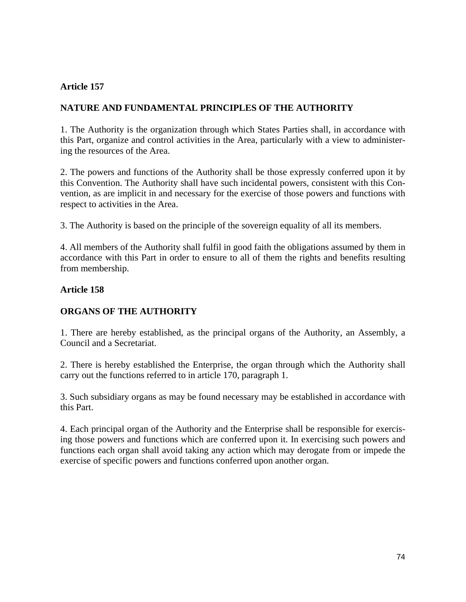## **Article 157**

## **NATURE AND FUNDAMENTAL PRINCIPLES OF THE AUTHORITY**

1. The Authority is the organization through which States Parties shall, in accordance with this Part, organize and control activities in the Area, particularly with a view to administering the resources of the Area.

2. The powers and functions of the Authority shall be those expressly conferred upon it by this Convention. The Authority shall have such incidental powers, consistent with this Convention, as are implicit in and necessary for the exercise of those powers and functions with respect to activities in the Area.

3. The Authority is based on the principle of the sovereign equality of all its members.

4. All members of the Authority shall fulfil in good faith the obligations assumed by them in accordance with this Part in order to ensure to all of them the rights and benefits resulting from membership.

### **Article 158**

## **ORGANS OF THE AUTHORITY**

1. There are hereby established, as the principal organs of the Authority, an Assembly, a Council and a Secretariat.

2. There is hereby established the Enterprise, the organ through which the Authority shall carry out the functions referred to in article 170, paragraph 1.

3. Such subsidiary organs as may be found necessary may be established in accordance with this Part.

4. Each principal organ of the Authority and the Enterprise shall be responsible for exercising those powers and functions which are conferred upon it. In exercising such powers and functions each organ shall avoid taking any action which may derogate from or impede the exercise of specific powers and functions conferred upon another organ.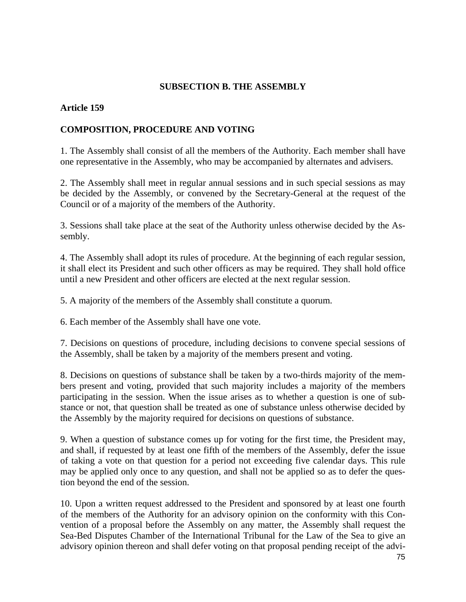## **SUBSECTION B. THE ASSEMBLY**

### **Article 159**

### **COMPOSITION, PROCEDURE AND VOTING**

1. The Assembly shall consist of all the members of the Authority. Each member shall have one representative in the Assembly, who may be accompanied by alternates and advisers.

2. The Assembly shall meet in regular annual sessions and in such special sessions as may be decided by the Assembly, or convened by the Secretary-General at the request of the Council or of a majority of the members of the Authority.

3. Sessions shall take place at the seat of the Authority unless otherwise decided by the Assembly.

4. The Assembly shall adopt its rules of procedure. At the beginning of each regular session, it shall elect its President and such other officers as may be required. They shall hold office until a new President and other officers are elected at the next regular session.

5. A majority of the members of the Assembly shall constitute a quorum.

6. Each member of the Assembly shall have one vote.

7. Decisions on questions of procedure, including decisions to convene special sessions of the Assembly, shall be taken by a majority of the members present and voting.

8. Decisions on questions of substance shall be taken by a two-thirds majority of the members present and voting, provided that such majority includes a majority of the members participating in the session. When the issue arises as to whether a question is one of substance or not, that question shall be treated as one of substance unless otherwise decided by the Assembly by the majority required for decisions on questions of substance.

9. When a question of substance comes up for voting for the first time, the President may, and shall, if requested by at least one fifth of the members of the Assembly, defer the issue of taking a vote on that question for a period not exceeding five calendar days. This rule may be applied only once to any question, and shall not be applied so as to defer the question beyond the end of the session.

10. Upon a written request addressed to the President and sponsored by at least one fourth of the members of the Authority for an advisory opinion on the conformity with this Convention of a proposal before the Assembly on any matter, the Assembly shall request the Sea-Bed Disputes Chamber of the International Tribunal for the Law of the Sea to give an advisory opinion thereon and shall defer voting on that proposal pending receipt of the advi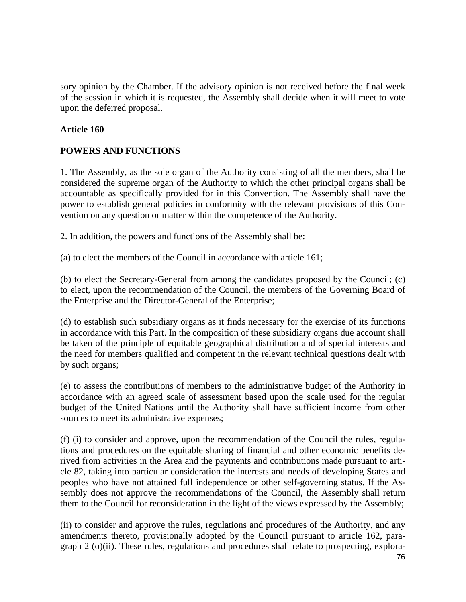sory opinion by the Chamber. If the advisory opinion is not received before the final week of the session in which it is requested, the Assembly shall decide when it will meet to vote upon the deferred proposal.

# **Article 160**

## **POWERS AND FUNCTIONS**

1. The Assembly, as the sole organ of the Authority consisting of all the members, shall be considered the supreme organ of the Authority to which the other principal organs shall be accountable as specifically provided for in this Convention. The Assembly shall have the power to establish general policies in conformity with the relevant provisions of this Convention on any question or matter within the competence of the Authority.

2. In addition, the powers and functions of the Assembly shall be:

(a) to elect the members of the Council in accordance with article 161;

(b) to elect the Secretary-General from among the candidates proposed by the Council; (c) to elect, upon the recommendation of the Council, the members of the Governing Board of the Enterprise and the Director-General of the Enterprise;

(d) to establish such subsidiary organs as it finds necessary for the exercise of its functions in accordance with this Part. In the composition of these subsidiary organs due account shall be taken of the principle of equitable geographical distribution and of special interests and the need for members qualified and competent in the relevant technical questions dealt with by such organs;

(e) to assess the contributions of members to the administrative budget of the Authority in accordance with an agreed scale of assessment based upon the scale used for the regular budget of the United Nations until the Authority shall have sufficient income from other sources to meet its administrative expenses;

(f) (i) to consider and approve, upon the recommendation of the Council the rules, regulations and procedures on the equitable sharing of financial and other economic benefits derived from activities in the Area and the payments and contributions made pursuant to article 82, taking into particular consideration the interests and needs of developing States and peoples who have not attained full independence or other self-governing status. If the Assembly does not approve the recommendations of the Council, the Assembly shall return them to the Council for reconsideration in the light of the views expressed by the Assembly;

(ii) to consider and approve the rules, regulations and procedures of the Authority, and any amendments thereto, provisionally adopted by the Council pursuant to article 162, paragraph 2 (o)(ii). These rules, regulations and procedures shall relate to prospecting, explora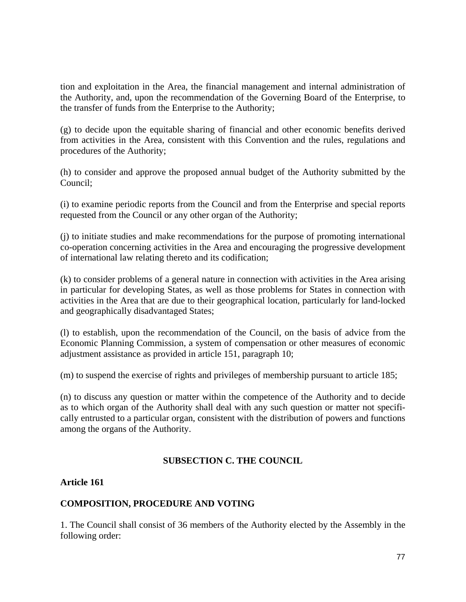tion and exploitation in the Area, the financial management and internal administration of the Authority, and, upon the recommendation of the Governing Board of the Enterprise, to the transfer of funds from the Enterprise to the Authority;

(g) to decide upon the equitable sharing of financial and other economic benefits derived from activities in the Area, consistent with this Convention and the rules, regulations and procedures of the Authority;

(h) to consider and approve the proposed annual budget of the Authority submitted by the Council;

(i) to examine periodic reports from the Council and from the Enterprise and special reports requested from the Council or any other organ of the Authority;

(j) to initiate studies and make recommendations for the purpose of promoting international co-operation concerning activities in the Area and encouraging the progressive development of international law relating thereto and its codification;

(k) to consider problems of a general nature in connection with activities in the Area arising in particular for developing States, as well as those problems for States in connection with activities in the Area that are due to their geographical location, particularly for land-locked and geographically disadvantaged States;

(l) to establish, upon the recommendation of the Council, on the basis of advice from the Economic Planning Commission, a system of compensation or other measures of economic adjustment assistance as provided in article 151, paragraph 10;

(m) to suspend the exercise of rights and privileges of membership pursuant to article 185;

(n) to discuss any question or matter within the competence of the Authority and to decide as to which organ of the Authority shall deal with any such question or matter not specifically entrusted to a particular organ, consistent with the distribution of powers and functions among the organs of the Authority.

## **SUBSECTION C. THE COUNCIL**

## **Article 161**

## **COMPOSITION, PROCEDURE AND VOTING**

1. The Council shall consist of 36 members of the Authority elected by the Assembly in the following order: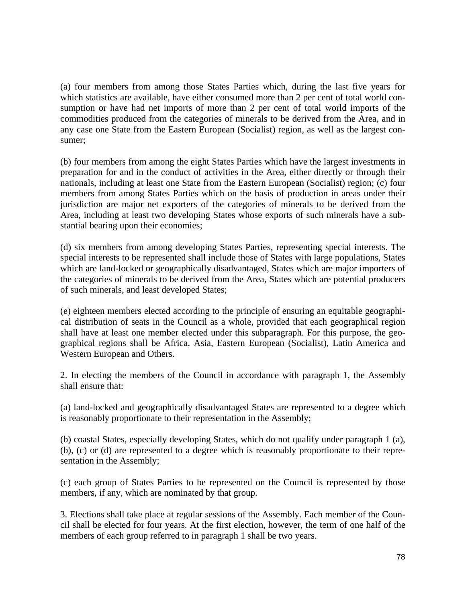(a) four members from among those States Parties which, during the last five years for which statistics are available, have either consumed more than 2 per cent of total world consumption or have had net imports of more than 2 per cent of total world imports of the commodities produced from the categories of minerals to be derived from the Area, and in any case one State from the Eastern European (Socialist) region, as well as the largest consumer;

(b) four members from among the eight States Parties which have the largest investments in preparation for and in the conduct of activities in the Area, either directly or through their nationals, including at least one State from the Eastern European (Socialist) region; (c) four members from among States Parties which on the basis of production in areas under their jurisdiction are major net exporters of the categories of minerals to be derived from the Area, including at least two developing States whose exports of such minerals have a substantial bearing upon their economies;

(d) six members from among developing States Parties, representing special interests. The special interests to be represented shall include those of States with large populations, States which are land-locked or geographically disadvantaged, States which are major importers of the categories of minerals to be derived from the Area, States which are potential producers of such minerals, and least developed States;

(e) eighteen members elected according to the principle of ensuring an equitable geographical distribution of seats in the Council as a whole, provided that each geographical region shall have at least one member elected under this subparagraph. For this purpose, the geographical regions shall be Africa, Asia, Eastern European (Socialist), Latin America and Western European and Others.

2. In electing the members of the Council in accordance with paragraph 1, the Assembly shall ensure that:

(a) land-locked and geographically disadvantaged States are represented to a degree which is reasonably proportionate to their representation in the Assembly;

(b) coastal States, especially developing States, which do not qualify under paragraph 1 (a), (b), (c) or (d) are represented to a degree which is reasonably proportionate to their representation in the Assembly;

(c) each group of States Parties to be represented on the Council is represented by those members, if any, which are nominated by that group.

3. Elections shall take place at regular sessions of the Assembly. Each member of the Council shall be elected for four years. At the first election, however, the term of one half of the members of each group referred to in paragraph 1 shall be two years.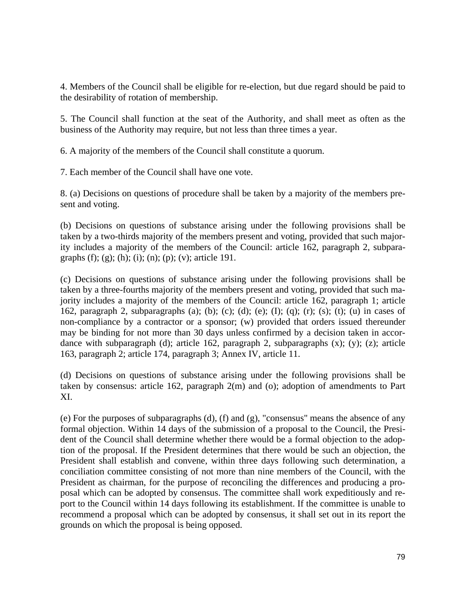4. Members of the Council shall be eligible for re-election, but due regard should be paid to the desirability of rotation of membership.

5. The Council shall function at the seat of the Authority, and shall meet as often as the business of the Authority may require, but not less than three times a year.

6. A majority of the members of the Council shall constitute a quorum.

7. Each member of the Council shall have one vote.

8. (a) Decisions on questions of procedure shall be taken by a majority of the members present and voting.

(b) Decisions on questions of substance arising under the following provisions shall be taken by a two-thirds majority of the members present and voting, provided that such majority includes a majority of the members of the Council: article 162, paragraph 2, subparagraphs (f); (g); (h); (i); (n); (p); (v); article 191.

(c) Decisions on questions of substance arising under the following provisions shall be taken by a three-fourths majority of the members present and voting, provided that such majority includes a majority of the members of the Council: article 162, paragraph 1; article 162, paragraph 2, subparagraphs (a); (b); (c); (d); (e); (I); (q); (r); (s); (t); (u) in cases of non-compliance by a contractor or a sponsor; (w) provided that orders issued thereunder may be binding for not more than 30 days unless confirmed by a decision taken in accordance with subparagraph (d); article 162, paragraph 2, subparagraphs  $(x)$ ;  $(y)$ ;  $(z)$ ; article 163, paragraph 2; article 174, paragraph 3; Annex IV, article 11.

(d) Decisions on questions of substance arising under the following provisions shall be taken by consensus: article 162, paragraph 2(m) and (o); adoption of amendments to Part XI.

(e) For the purposes of subparagraphs (d), (f) and (g), "consensus" means the absence of any formal objection. Within 14 days of the submission of a proposal to the Council, the President of the Council shall determine whether there would be a formal objection to the adoption of the proposal. If the President determines that there would be such an objection, the President shall establish and convene, within three days following such determination, a conciliation committee consisting of not more than nine members of the Council, with the President as chairman, for the purpose of reconciling the differences and producing a proposal which can be adopted by consensus. The committee shall work expeditiously and report to the Council within 14 days following its establishment. If the committee is unable to recommend a proposal which can be adopted by consensus, it shall set out in its report the grounds on which the proposal is being opposed.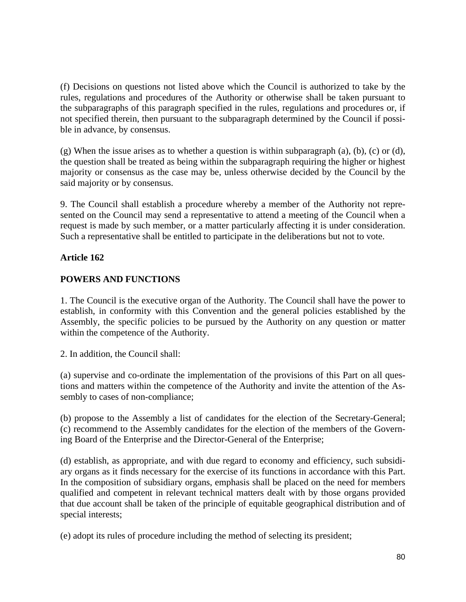(f) Decisions on questions not listed above which the Council is authorized to take by the rules, regulations and procedures of the Authority or otherwise shall be taken pursuant to the subparagraphs of this paragraph specified in the rules, regulations and procedures or, if not specified therein, then pursuant to the subparagraph determined by the Council if possible in advance, by consensus.

 $(g)$  When the issue arises as to whether a question is within subparagraph (a), (b), (c) or (d), the question shall be treated as being within the subparagraph requiring the higher or highest majority or consensus as the case may be, unless otherwise decided by the Council by the said majority or by consensus.

9. The Council shall establish a procedure whereby a member of the Authority not represented on the Council may send a representative to attend a meeting of the Council when a request is made by such member, or a matter particularly affecting it is under consideration. Such a representative shall be entitled to participate in the deliberations but not to vote.

## **Article 162**

## **POWERS AND FUNCTIONS**

1. The Council is the executive organ of the Authority. The Council shall have the power to establish, in conformity with this Convention and the general policies established by the Assembly, the specific policies to be pursued by the Authority on any question or matter within the competence of the Authority.

2. In addition, the Council shall:

(a) supervise and co-ordinate the implementation of the provisions of this Part on all questions and matters within the competence of the Authority and invite the attention of the Assembly to cases of non-compliance;

(b) propose to the Assembly a list of candidates for the election of the Secretary-General; (c) recommend to the Assembly candidates for the election of the members of the Governing Board of the Enterprise and the Director-General of the Enterprise;

(d) establish, as appropriate, and with due regard to economy and efficiency, such subsidiary organs as it finds necessary for the exercise of its functions in accordance with this Part. In the composition of subsidiary organs, emphasis shall be placed on the need for members qualified and competent in relevant technical matters dealt with by those organs provided that due account shall be taken of the principle of equitable geographical distribution and of special interests;

(e) adopt its rules of procedure including the method of selecting its president;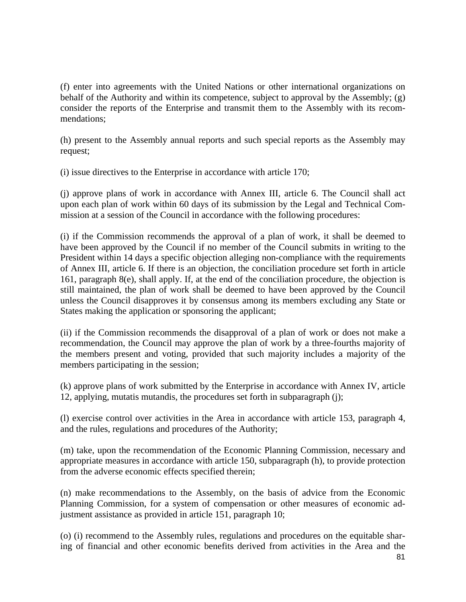(f) enter into agreements with the United Nations or other international organizations on behalf of the Authority and within its competence, subject to approval by the Assembly; (g) consider the reports of the Enterprise and transmit them to the Assembly with its recommendations;

(h) present to the Assembly annual reports and such special reports as the Assembly may request;

(i) issue directives to the Enterprise in accordance with article 170;

(j) approve plans of work in accordance with Annex III, article 6. The Council shall act upon each plan of work within 60 days of its submission by the Legal and Technical Commission at a session of the Council in accordance with the following procedures:

(i) if the Commission recommends the approval of a plan of work, it shall be deemed to have been approved by the Council if no member of the Council submits in writing to the President within 14 days a specific objection alleging non-compliance with the requirements of Annex III, article 6. If there is an objection, the conciliation procedure set forth in article 161, paragraph 8(e), shall apply. If, at the end of the conciliation procedure, the objection is still maintained, the plan of work shall be deemed to have been approved by the Council unless the Council disapproves it by consensus among its members excluding any State or States making the application or sponsoring the applicant;

(ii) if the Commission recommends the disapproval of a plan of work or does not make a recommendation, the Council may approve the plan of work by a three-fourths majority of the members present and voting, provided that such majority includes a majority of the members participating in the session;

(k) approve plans of work submitted by the Enterprise in accordance with Annex IV, article 12, applying, mutatis mutandis, the procedures set forth in subparagraph (j);

(l) exercise control over activities in the Area in accordance with article 153, paragraph 4, and the rules, regulations and procedures of the Authority;

(m) take, upon the recommendation of the Economic Planning Commission, necessary and appropriate measures in accordance with article 150, subparagraph (h), to provide protection from the adverse economic effects specified therein;

(n) make recommendations to the Assembly, on the basis of advice from the Economic Planning Commission, for a system of compensation or other measures of economic adjustment assistance as provided in article 151, paragraph 10;

(o) (i) recommend to the Assembly rules, regulations and procedures on the equitable sharing of financial and other economic benefits derived from activities in the Area and the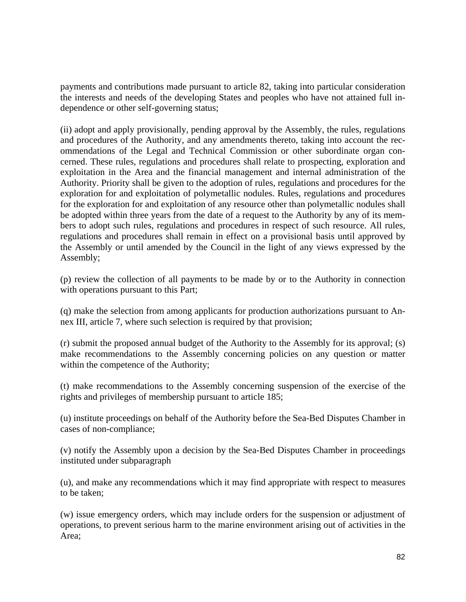payments and contributions made pursuant to article 82, taking into particular consideration the interests and needs of the developing States and peoples who have not attained full independence or other self-governing status;

(ii) adopt and apply provisionally, pending approval by the Assembly, the rules, regulations and procedures of the Authority, and any amendments thereto, taking into account the recommendations of the Legal and Technical Commission or other subordinate organ concerned. These rules, regulations and procedures shall relate to prospecting, exploration and exploitation in the Area and the financial management and internal administration of the Authority. Priority shall be given to the adoption of rules, regulations and procedures for the exploration for and exploitation of polymetallic nodules. Rules, regulations and procedures for the exploration for and exploitation of any resource other than polymetallic nodules shall be adopted within three years from the date of a request to the Authority by any of its members to adopt such rules, regulations and procedures in respect of such resource. All rules, regulations and procedures shall remain in effect on a provisional basis until approved by the Assembly or until amended by the Council in the light of any views expressed by the Assembly;

(p) review the collection of all payments to be made by or to the Authority in connection with operations pursuant to this Part;

(q) make the selection from among applicants for production authorizations pursuant to Annex III, article 7, where such selection is required by that provision;

(r) submit the proposed annual budget of the Authority to the Assembly for its approval; (s) make recommendations to the Assembly concerning policies on any question or matter within the competence of the Authority;

(t) make recommendations to the Assembly concerning suspension of the exercise of the rights and privileges of membership pursuant to article 185;

(u) institute proceedings on behalf of the Authority before the Sea-Bed Disputes Chamber in cases of non-compliance;

(v) notify the Assembly upon a decision by the Sea-Bed Disputes Chamber in proceedings instituted under subparagraph

(u), and make any recommendations which it may find appropriate with respect to measures to be taken;

(w) issue emergency orders, which may include orders for the suspension or adjustment of operations, to prevent serious harm to the marine environment arising out of activities in the Area;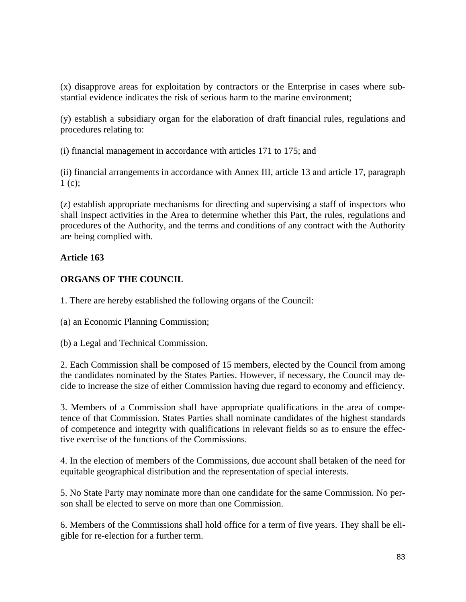(x) disapprove areas for exploitation by contractors or the Enterprise in cases where substantial evidence indicates the risk of serious harm to the marine environment;

(y) establish a subsidiary organ for the elaboration of draft financial rules, regulations and procedures relating to:

(i) financial management in accordance with articles 171 to 175; and

(ii) financial arrangements in accordance with Annex III, article 13 and article 17, paragraph  $1$  (c);

(z) establish appropriate mechanisms for directing and supervising a staff of inspectors who shall inspect activities in the Area to determine whether this Part, the rules, regulations and procedures of the Authority, and the terms and conditions of any contract with the Authority are being complied with.

## **Article 163**

## **ORGANS OF THE COUNCIL**

1. There are hereby established the following organs of the Council:

(a) an Economic Planning Commission;

(b) a Legal and Technical Commission.

2. Each Commission shall be composed of 15 members, elected by the Council from among the candidates nominated by the States Parties. However, if necessary, the Council may decide to increase the size of either Commission having due regard to economy and efficiency.

3. Members of a Commission shall have appropriate qualifications in the area of competence of that Commission. States Parties shall nominate candidates of the highest standards of competence and integrity with qualifications in relevant fields so as to ensure the effective exercise of the functions of the Commissions.

4. In the election of members of the Commissions, due account shall betaken of the need for equitable geographical distribution and the representation of special interests.

5. No State Party may nominate more than one candidate for the same Commission. No person shall be elected to serve on more than one Commission.

6. Members of the Commissions shall hold office for a term of five years. They shall be eligible for re-election for a further term.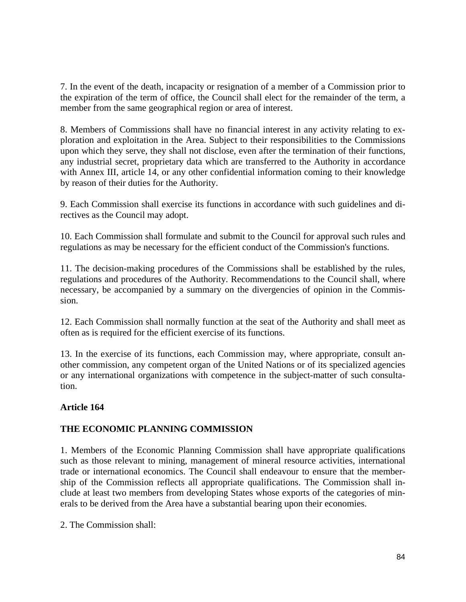7. In the event of the death, incapacity or resignation of a member of a Commission prior to the expiration of the term of office, the Council shall elect for the remainder of the term, a member from the same geographical region or area of interest.

8. Members of Commissions shall have no financial interest in any activity relating to exploration and exploitation in the Area. Subject to their responsibilities to the Commissions upon which they serve, they shall not disclose, even after the termination of their functions, any industrial secret, proprietary data which are transferred to the Authority in accordance with Annex III, article 14, or any other confidential information coming to their knowledge by reason of their duties for the Authority.

9. Each Commission shall exercise its functions in accordance with such guidelines and directives as the Council may adopt.

10. Each Commission shall formulate and submit to the Council for approval such rules and regulations as may be necessary for the efficient conduct of the Commission's functions.

11. The decision-making procedures of the Commissions shall be established by the rules, regulations and procedures of the Authority. Recommendations to the Council shall, where necessary, be accompanied by a summary on the divergencies of opinion in the Commission.

12. Each Commission shall normally function at the seat of the Authority and shall meet as often as is required for the efficient exercise of its functions.

13. In the exercise of its functions, each Commission may, where appropriate, consult another commission, any competent organ of the United Nations or of its specialized agencies or any international organizations with competence in the subject-matter of such consultation.

## **Article 164**

## **THE ECONOMIC PLANNING COMMISSION**

1. Members of the Economic Planning Commission shall have appropriate qualifications such as those relevant to mining, management of mineral resource activities, international trade or international economics. The Council shall endeavour to ensure that the membership of the Commission reflects all appropriate qualifications. The Commission shall include at least two members from developing States whose exports of the categories of minerals to be derived from the Area have a substantial bearing upon their economies.

2. The Commission shall: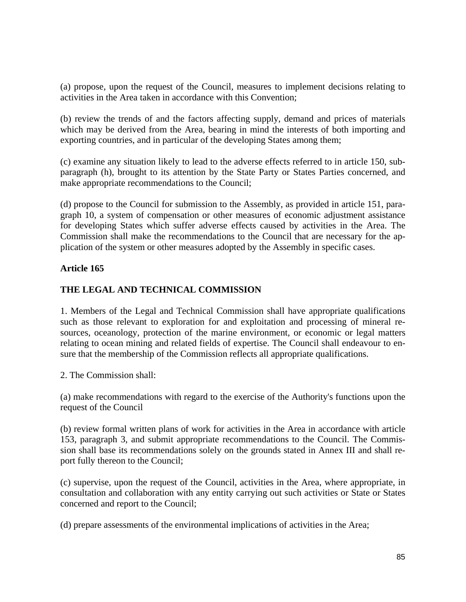(a) propose, upon the request of the Council, measures to implement decisions relating to activities in the Area taken in accordance with this Convention;

(b) review the trends of and the factors affecting supply, demand and prices of materials which may be derived from the Area, bearing in mind the interests of both importing and exporting countries, and in particular of the developing States among them;

(c) examine any situation likely to lead to the adverse effects referred to in article 150, subparagraph (h), brought to its attention by the State Party or States Parties concerned, and make appropriate recommendations to the Council;

(d) propose to the Council for submission to the Assembly, as provided in article 151, paragraph 10, a system of compensation or other measures of economic adjustment assistance for developing States which suffer adverse effects caused by activities in the Area. The Commission shall make the recommendations to the Council that are necessary for the application of the system or other measures adopted by the Assembly in specific cases.

## **Article 165**

# **THE LEGAL AND TECHNICAL COMMISSION**

1. Members of the Legal and Technical Commission shall have appropriate qualifications such as those relevant to exploration for and exploitation and processing of mineral resources, oceanology, protection of the marine environment, or economic or legal matters relating to ocean mining and related fields of expertise. The Council shall endeavour to ensure that the membership of the Commission reflects all appropriate qualifications.

2. The Commission shall:

(a) make recommendations with regard to the exercise of the Authority's functions upon the request of the Council

(b) review formal written plans of work for activities in the Area in accordance with article 153, paragraph 3, and submit appropriate recommendations to the Council. The Commission shall base its recommendations solely on the grounds stated in Annex III and shall report fully thereon to the Council;

(c) supervise, upon the request of the Council, activities in the Area, where appropriate, in consultation and collaboration with any entity carrying out such activities or State or States concerned and report to the Council;

(d) prepare assessments of the environmental implications of activities in the Area;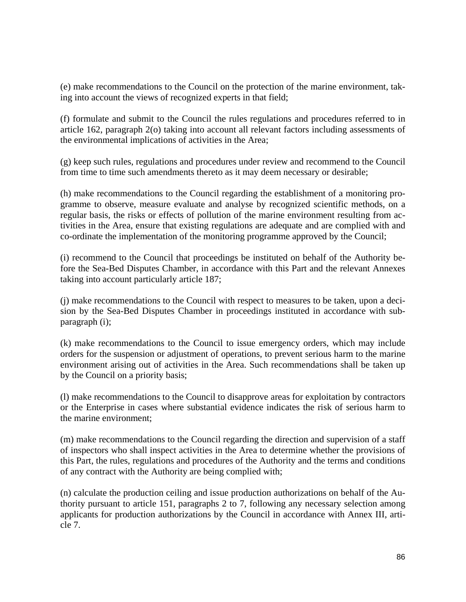(e) make recommendations to the Council on the protection of the marine environment, taking into account the views of recognized experts in that field;

(f) formulate and submit to the Council the rules regulations and procedures referred to in article 162, paragraph 2(o) taking into account all relevant factors including assessments of the environmental implications of activities in the Area;

(g) keep such rules, regulations and procedures under review and recommend to the Council from time to time such amendments thereto as it may deem necessary or desirable;

(h) make recommendations to the Council regarding the establishment of a monitoring programme to observe, measure evaluate and analyse by recognized scientific methods, on a regular basis, the risks or effects of pollution of the marine environment resulting from activities in the Area, ensure that existing regulations are adequate and are complied with and co-ordinate the implementation of the monitoring programme approved by the Council;

(i) recommend to the Council that proceedings be instituted on behalf of the Authority before the Sea-Bed Disputes Chamber, in accordance with this Part and the relevant Annexes taking into account particularly article 187;

(j) make recommendations to the Council with respect to measures to be taken, upon a decision by the Sea-Bed Disputes Chamber in proceedings instituted in accordance with subparagraph (i);

(k) make recommendations to the Council to issue emergency orders, which may include orders for the suspension or adjustment of operations, to prevent serious harm to the marine environment arising out of activities in the Area. Such recommendations shall be taken up by the Council on a priority basis;

(l) make recommendations to the Council to disapprove areas for exploitation by contractors or the Enterprise in cases where substantial evidence indicates the risk of serious harm to the marine environment;

(m) make recommendations to the Council regarding the direction and supervision of a staff of inspectors who shall inspect activities in the Area to determine whether the provisions of this Part, the rules, regulations and procedures of the Authority and the terms and conditions of any contract with the Authority are being complied with;

(n) calculate the production ceiling and issue production authorizations on behalf of the Authority pursuant to article 151, paragraphs 2 to 7, following any necessary selection among applicants for production authorizations by the Council in accordance with Annex III, article 7.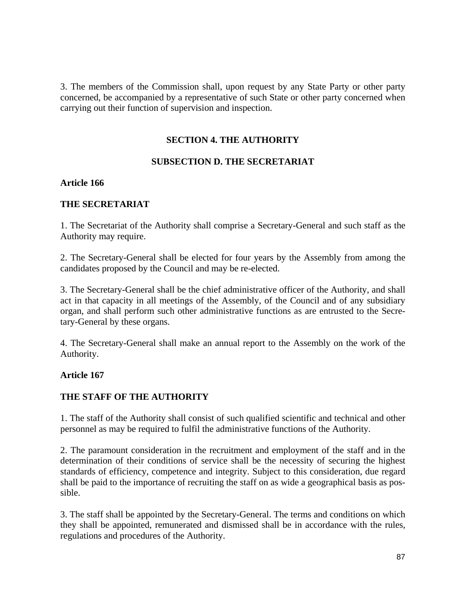3. The members of the Commission shall, upon request by any State Party or other party concerned, be accompanied by a representative of such State or other party concerned when carrying out their function of supervision and inspection.

# **SECTION 4. THE AUTHORITY**

## **SUBSECTION D. THE SECRETARIAT**

### **Article 166**

## **THE SECRETARIAT**

1. The Secretariat of the Authority shall comprise a Secretary-General and such staff as the Authority may require.

2. The Secretary-General shall be elected for four years by the Assembly from among the candidates proposed by the Council and may be re-elected.

3. The Secretary-General shall be the chief administrative officer of the Authority, and shall act in that capacity in all meetings of the Assembly, of the Council and of any subsidiary organ, and shall perform such other administrative functions as are entrusted to the Secretary-General by these organs.

4. The Secretary-General shall make an annual report to the Assembly on the work of the Authority.

## **Article 167**

## **THE STAFF OF THE AUTHORITY**

1. The staff of the Authority shall consist of such qualified scientific and technical and other personnel as may be required to fulfil the administrative functions of the Authority.

2. The paramount consideration in the recruitment and employment of the staff and in the determination of their conditions of service shall be the necessity of securing the highest standards of efficiency, competence and integrity. Subject to this consideration, due regard shall be paid to the importance of recruiting the staff on as wide a geographical basis as possible.

3. The staff shall be appointed by the Secretary-General. The terms and conditions on which they shall be appointed, remunerated and dismissed shall be in accordance with the rules, regulations and procedures of the Authority.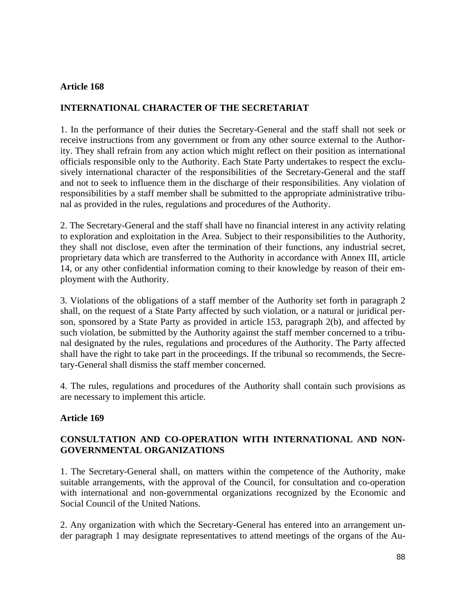### **Article 168**

## **INTERNATIONAL CHARACTER OF THE SECRETARIAT**

1. In the performance of their duties the Secretary-General and the staff shall not seek or receive instructions from any government or from any other source external to the Authority. They shall refrain from any action which might reflect on their position as international officials responsible only to the Authority. Each State Party undertakes to respect the exclusively international character of the responsibilities of the Secretary-General and the staff and not to seek to influence them in the discharge of their responsibilities. Any violation of responsibilities by a staff member shall be submitted to the appropriate administrative tribunal as provided in the rules, regulations and procedures of the Authority.

2. The Secretary-General and the staff shall have no financial interest in any activity relating to exploration and exploitation in the Area. Subject to their responsibilities to the Authority, they shall not disclose, even after the termination of their functions, any industrial secret, proprietary data which are transferred to the Authority in accordance with Annex III, article 14, or any other confidential information coming to their knowledge by reason of their employment with the Authority.

3. Violations of the obligations of a staff member of the Authority set forth in paragraph 2 shall, on the request of a State Party affected by such violation, or a natural or juridical person, sponsored by a State Party as provided in article 153, paragraph 2(b), and affected by such violation, be submitted by the Authority against the staff member concerned to a tribunal designated by the rules, regulations and procedures of the Authority. The Party affected shall have the right to take part in the proceedings. If the tribunal so recommends, the Secretary-General shall dismiss the staff member concerned.

4. The rules, regulations and procedures of the Authority shall contain such provisions as are necessary to implement this article.

## **Article 169**

## **CONSULTATION AND CO-OPERATION WITH INTERNATIONAL AND NON-GOVERNMENTAL ORGANIZATIONS**

1. The Secretary-General shall, on matters within the competence of the Authority, make suitable arrangements, with the approval of the Council, for consultation and co-operation with international and non-governmental organizations recognized by the Economic and Social Council of the United Nations.

2. Any organization with which the Secretary-General has entered into an arrangement under paragraph 1 may designate representatives to attend meetings of the organs of the Au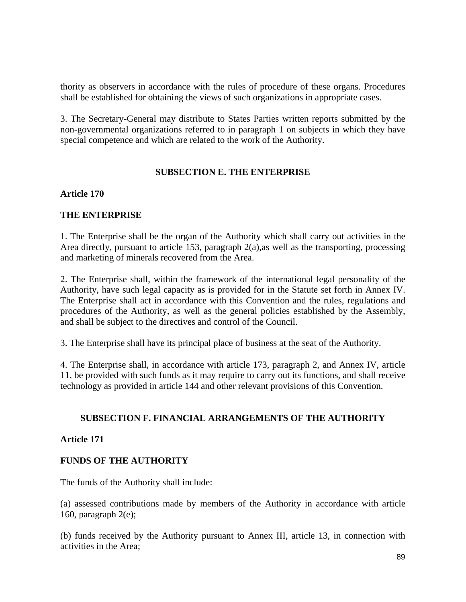thority as observers in accordance with the rules of procedure of these organs. Procedures shall be established for obtaining the views of such organizations in appropriate cases.

3. The Secretary-General may distribute to States Parties written reports submitted by the non-governmental organizations referred to in paragraph 1 on subjects in which they have special competence and which are related to the work of the Authority.

## **SUBSECTION E. THE ENTERPRISE**

### **Article 170**

### **THE ENTERPRISE**

1. The Enterprise shall be the organ of the Authority which shall carry out activities in the Area directly, pursuant to article 153, paragraph 2(a),as well as the transporting, processing and marketing of minerals recovered from the Area.

2. The Enterprise shall, within the framework of the international legal personality of the Authority, have such legal capacity as is provided for in the Statute set forth in Annex IV. The Enterprise shall act in accordance with this Convention and the rules, regulations and procedures of the Authority, as well as the general policies established by the Assembly, and shall be subject to the directives and control of the Council.

3. The Enterprise shall have its principal place of business at the seat of the Authority.

4. The Enterprise shall, in accordance with article 173, paragraph 2, and Annex IV, article 11, be provided with such funds as it may require to carry out its functions, and shall receive technology as provided in article 144 and other relevant provisions of this Convention.

## **SUBSECTION F. FINANCIAL ARRANGEMENTS OF THE AUTHORITY**

### **Article 171**

### **FUNDS OF THE AUTHORITY**

The funds of the Authority shall include:

(a) assessed contributions made by members of the Authority in accordance with article 160, paragraph 2(e);

(b) funds received by the Authority pursuant to Annex III, article 13, in connection with activities in the Area;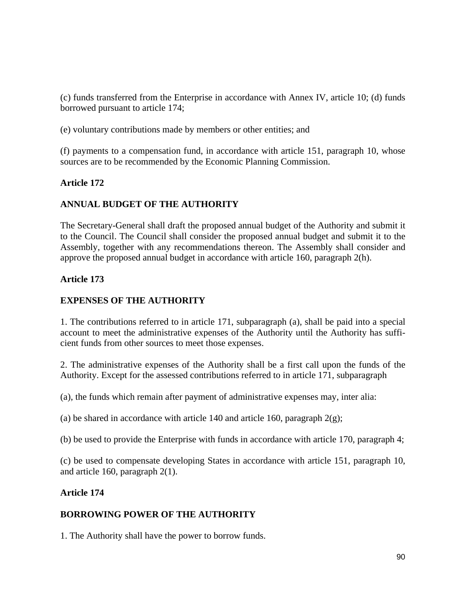(c) funds transferred from the Enterprise in accordance with Annex IV, article 10; (d) funds borrowed pursuant to article 174;

(e) voluntary contributions made by members or other entities; and

(f) payments to a compensation fund, in accordance with article 151, paragraph 10, whose sources are to be recommended by the Economic Planning Commission.

## **Article 172**

## **ANNUAL BUDGET OF THE AUTHORITY**

The Secretary-General shall draft the proposed annual budget of the Authority and submit it to the Council. The Council shall consider the proposed annual budget and submit it to the Assembly, together with any recommendations thereon. The Assembly shall consider and approve the proposed annual budget in accordance with article 160, paragraph 2(h).

## **Article 173**

## **EXPENSES OF THE AUTHORITY**

1. The contributions referred to in article 171, subparagraph (a), shall be paid into a special account to meet the administrative expenses of the Authority until the Authority has sufficient funds from other sources to meet those expenses.

2. The administrative expenses of the Authority shall be a first call upon the funds of the Authority. Except for the assessed contributions referred to in article 171, subparagraph

(a), the funds which remain after payment of administrative expenses may, inter alia:

(a) be shared in accordance with article 140 and article 160, paragraph  $2(g)$ ;

(b) be used to provide the Enterprise with funds in accordance with article 170, paragraph 4;

(c) be used to compensate developing States in accordance with article 151, paragraph 10, and article 160, paragraph 2(1).

## **Article 174**

## **BORROWING POWER OF THE AUTHORITY**

1. The Authority shall have the power to borrow funds.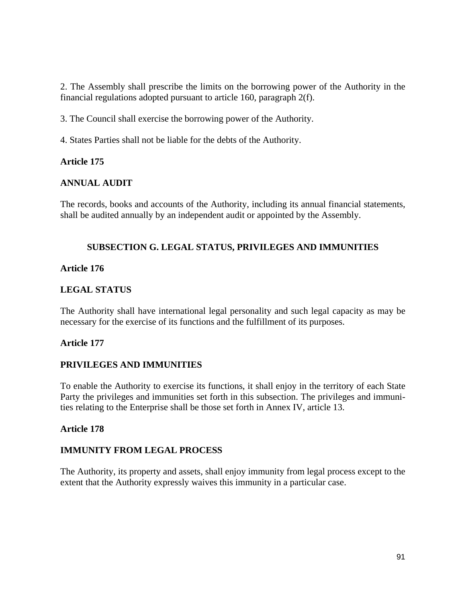2. The Assembly shall prescribe the limits on the borrowing power of the Authority in the financial regulations adopted pursuant to article 160, paragraph 2(f).

3. The Council shall exercise the borrowing power of the Authority.

4. States Parties shall not be liable for the debts of the Authority.

## **Article 175**

## **ANNUAL AUDIT**

The records, books and accounts of the Authority, including its annual financial statements, shall be audited annually by an independent audit or appointed by the Assembly.

## **SUBSECTION G. LEGAL STATUS, PRIVILEGES AND IMMUNITIES**

## **Article 176**

# **LEGAL STATUS**

The Authority shall have international legal personality and such legal capacity as may be necessary for the exercise of its functions and the fulfillment of its purposes.

## **Article 177**

## **PRIVILEGES AND IMMUNITIES**

To enable the Authority to exercise its functions, it shall enjoy in the territory of each State Party the privileges and immunities set forth in this subsection. The privileges and immunities relating to the Enterprise shall be those set forth in Annex IV, article 13.

## **Article 178**

## **IMMUNITY FROM LEGAL PROCESS**

The Authority, its property and assets, shall enjoy immunity from legal process except to the extent that the Authority expressly waives this immunity in a particular case.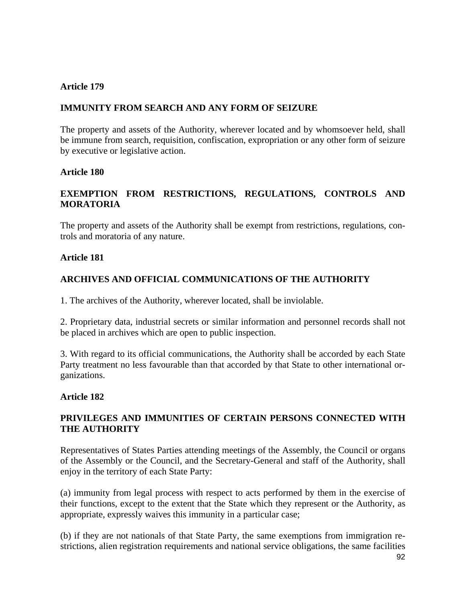### **Article 179**

### **IMMUNITY FROM SEARCH AND ANY FORM OF SEIZURE**

The property and assets of the Authority, wherever located and by whomsoever held, shall be immune from search, requisition, confiscation, expropriation or any other form of seizure by executive or legislative action.

### **Article 180**

## **EXEMPTION FROM RESTRICTIONS, REGULATIONS, CONTROLS AND MORATORIA**

The property and assets of the Authority shall be exempt from restrictions, regulations, controls and moratoria of any nature.

#### **Article 181**

### **ARCHIVES AND OFFICIAL COMMUNICATIONS OF THE AUTHORITY**

1. The archives of the Authority, wherever located, shall be inviolable.

2. Proprietary data, industrial secrets or similar information and personnel records shall not be placed in archives which are open to public inspection.

3. With regard to its official communications, the Authority shall be accorded by each State Party treatment no less favourable than that accorded by that State to other international organizations.

### **Article 182**

## **PRIVILEGES AND IMMUNITIES OF CERTAIN PERSONS CONNECTED WITH THE AUTHORITY**

Representatives of States Parties attending meetings of the Assembly, the Council or organs of the Assembly or the Council, and the Secretary-General and staff of the Authority, shall enjoy in the territory of each State Party:

(a) immunity from legal process with respect to acts performed by them in the exercise of their functions, except to the extent that the State which they represent or the Authority, as appropriate, expressly waives this immunity in a particular case;

(b) if they are not nationals of that State Party, the same exemptions from immigration restrictions, alien registration requirements and national service obligations, the same facilities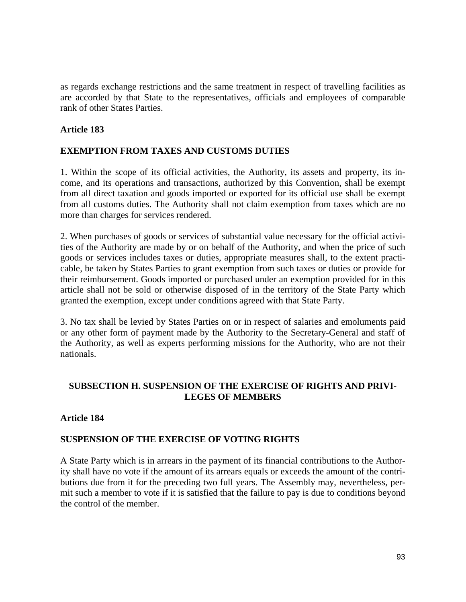as regards exchange restrictions and the same treatment in respect of travelling facilities as are accorded by that State to the representatives, officials and employees of comparable rank of other States Parties.

## **Article 183**

## **EXEMPTION FROM TAXES AND CUSTOMS DUTIES**

1. Within the scope of its official activities, the Authority, its assets and property, its income, and its operations and transactions, authorized by this Convention, shall be exempt from all direct taxation and goods imported or exported for its official use shall be exempt from all customs duties. The Authority shall not claim exemption from taxes which are no more than charges for services rendered.

2. When purchases of goods or services of substantial value necessary for the official activities of the Authority are made by or on behalf of the Authority, and when the price of such goods or services includes taxes or duties, appropriate measures shall, to the extent practicable, be taken by States Parties to grant exemption from such taxes or duties or provide for their reimbursement. Goods imported or purchased under an exemption provided for in this article shall not be sold or otherwise disposed of in the territory of the State Party which granted the exemption, except under conditions agreed with that State Party.

3. No tax shall be levied by States Parties on or in respect of salaries and emoluments paid or any other form of payment made by the Authority to the Secretary-General and staff of the Authority, as well as experts performing missions for the Authority, who are not their nationals.

## **SUBSECTION H. SUSPENSION OF THE EXERCISE OF RIGHTS AND PRIVI-LEGES OF MEMBERS**

## **Article 184**

## **SUSPENSION OF THE EXERCISE OF VOTING RIGHTS**

A State Party which is in arrears in the payment of its financial contributions to the Authority shall have no vote if the amount of its arrears equals or exceeds the amount of the contributions due from it for the preceding two full years. The Assembly may, nevertheless, permit such a member to vote if it is satisfied that the failure to pay is due to conditions beyond the control of the member.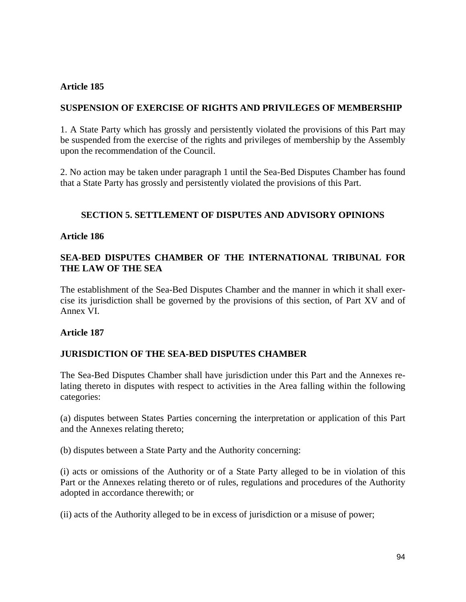## **Article 185**

### **SUSPENSION OF EXERCISE OF RIGHTS AND PRIVILEGES OF MEMBERSHIP**

1. A State Party which has grossly and persistently violated the provisions of this Part may be suspended from the exercise of the rights and privileges of membership by the Assembly upon the recommendation of the Council.

2. No action may be taken under paragraph 1 until the Sea-Bed Disputes Chamber has found that a State Party has grossly and persistently violated the provisions of this Part.

## **SECTION 5. SETTLEMENT OF DISPUTES AND ADVISORY OPINIONS**

### **Article 186**

## **SEA-BED DISPUTES CHAMBER OF THE INTERNATIONAL TRIBUNAL FOR THE LAW OF THE SEA**

The establishment of the Sea-Bed Disputes Chamber and the manner in which it shall exercise its jurisdiction shall be governed by the provisions of this section, of Part XV and of Annex VI.

### **Article 187**

## **JURISDICTION OF THE SEA-BED DISPUTES CHAMBER**

The Sea-Bed Disputes Chamber shall have jurisdiction under this Part and the Annexes relating thereto in disputes with respect to activities in the Area falling within the following categories:

(a) disputes between States Parties concerning the interpretation or application of this Part and the Annexes relating thereto;

(b) disputes between a State Party and the Authority concerning:

(i) acts or omissions of the Authority or of a State Party alleged to be in violation of this Part or the Annexes relating thereto or of rules, regulations and procedures of the Authority adopted in accordance therewith; or

(ii) acts of the Authority alleged to be in excess of jurisdiction or a misuse of power;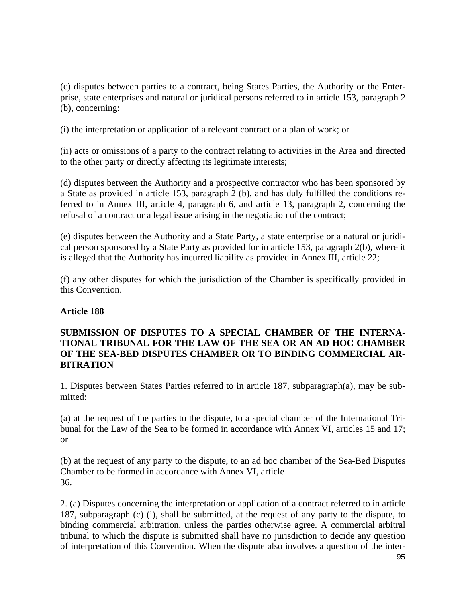(c) disputes between parties to a contract, being States Parties, the Authority or the Enterprise, state enterprises and natural or juridical persons referred to in article 153, paragraph 2 (b), concerning:

(i) the interpretation or application of a relevant contract or a plan of work; or

(ii) acts or omissions of a party to the contract relating to activities in the Area and directed to the other party or directly affecting its legitimate interests;

(d) disputes between the Authority and a prospective contractor who has been sponsored by a State as provided in article 153, paragraph 2 (b), and has duly fulfilled the conditions referred to in Annex III, article 4, paragraph 6, and article 13, paragraph 2, concerning the refusal of a contract or a legal issue arising in the negotiation of the contract;

(e) disputes between the Authority and a State Party, a state enterprise or a natural or juridical person sponsored by a State Party as provided for in article 153, paragraph 2(b), where it is alleged that the Authority has incurred liability as provided in Annex III, article 22;

(f) any other disputes for which the jurisdiction of the Chamber is specifically provided in this Convention.

## **Article 188**

## **SUBMISSION OF DISPUTES TO A SPECIAL CHAMBER OF THE INTERNA-TIONAL TRIBUNAL FOR THE LAW OF THE SEA OR AN AD HOC CHAMBER OF THE SEA-BED DISPUTES CHAMBER OR TO BINDING COMMERCIAL AR-BITRATION**

1. Disputes between States Parties referred to in article 187, subparagraph(a), may be submitted:

(a) at the request of the parties to the dispute, to a special chamber of the International Tribunal for the Law of the Sea to be formed in accordance with Annex VI, articles 15 and 17; or

(b) at the request of any party to the dispute, to an ad hoc chamber of the Sea-Bed Disputes Chamber to be formed in accordance with Annex VI, article 36.

2. (a) Disputes concerning the interpretation or application of a contract referred to in article 187, subparagraph (c) (i), shall be submitted, at the request of any party to the dispute, to binding commercial arbitration, unless the parties otherwise agree. A commercial arbitral tribunal to which the dispute is submitted shall have no jurisdiction to decide any question of interpretation of this Convention. When the dispute also involves a question of the inter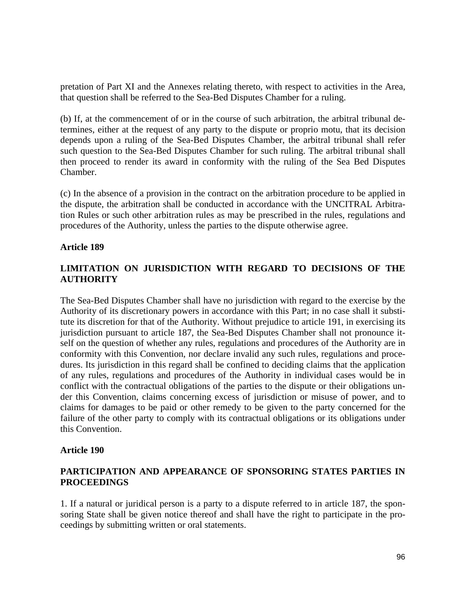pretation of Part XI and the Annexes relating thereto, with respect to activities in the Area, that question shall be referred to the Sea-Bed Disputes Chamber for a ruling.

(b) If, at the commencement of or in the course of such arbitration, the arbitral tribunal determines, either at the request of any party to the dispute or proprio motu, that its decision depends upon a ruling of the Sea-Bed Disputes Chamber, the arbitral tribunal shall refer such question to the Sea-Bed Disputes Chamber for such ruling. The arbitral tribunal shall then proceed to render its award in conformity with the ruling of the Sea Bed Disputes Chamber.

(c) In the absence of a provision in the contract on the arbitration procedure to be applied in the dispute, the arbitration shall be conducted in accordance with the UNCITRAL Arbitration Rules or such other arbitration rules as may be prescribed in the rules, regulations and procedures of the Authority, unless the parties to the dispute otherwise agree.

### **Article 189**

## **LIMITATION ON JURISDICTION WITH REGARD TO DECISIONS OF THE AUTHORITY**

The Sea-Bed Disputes Chamber shall have no jurisdiction with regard to the exercise by the Authority of its discretionary powers in accordance with this Part; in no case shall it substitute its discretion for that of the Authority. Without prejudice to article 191, in exercising its jurisdiction pursuant to article 187, the Sea-Bed Disputes Chamber shall not pronounce itself on the question of whether any rules, regulations and procedures of the Authority are in conformity with this Convention, nor declare invalid any such rules, regulations and procedures. Its jurisdiction in this regard shall be confined to deciding claims that the application of any rules, regulations and procedures of the Authority in individual cases would be in conflict with the contractual obligations of the parties to the dispute or their obligations under this Convention, claims concerning excess of jurisdiction or misuse of power, and to claims for damages to be paid or other remedy to be given to the party concerned for the failure of the other party to comply with its contractual obligations or its obligations under this Convention.

### **Article 190**

### **PARTICIPATION AND APPEARANCE OF SPONSORING STATES PARTIES IN PROCEEDINGS**

1. If a natural or juridical person is a party to a dispute referred to in article 187, the sponsoring State shall be given notice thereof and shall have the right to participate in the proceedings by submitting written or oral statements.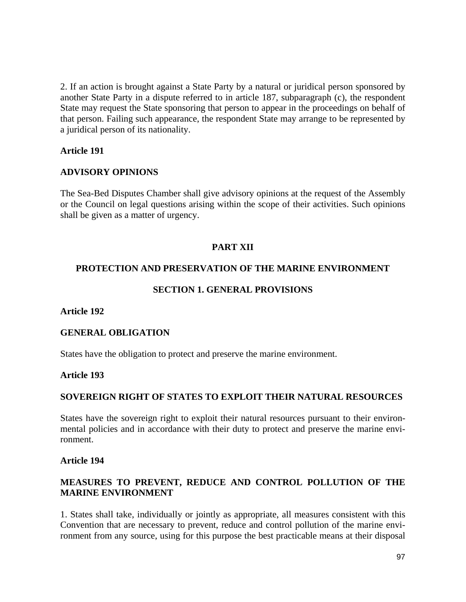2. If an action is brought against a State Party by a natural or juridical person sponsored by another State Party in a dispute referred to in article 187, subparagraph (c), the respondent State may request the State sponsoring that person to appear in the proceedings on behalf of that person. Failing such appearance, the respondent State may arrange to be represented by a juridical person of its nationality.

### **Article 191**

### **ADVISORY OPINIONS**

The Sea-Bed Disputes Chamber shall give advisory opinions at the request of the Assembly or the Council on legal questions arising within the scope of their activities. Such opinions shall be given as a matter of urgency.

## **PART XII**

## **PROTECTION AND PRESERVATION OF THE MARINE ENVIRONMENT**

### **SECTION 1. GENERAL PROVISIONS**

### **Article 192**

### **GENERAL OBLIGATION**

States have the obligation to protect and preserve the marine environment.

### **Article 193**

### **SOVEREIGN RIGHT OF STATES TO EXPLOIT THEIR NATURAL RESOURCES**

States have the sovereign right to exploit their natural resources pursuant to their environmental policies and in accordance with their duty to protect and preserve the marine environment.

### **Article 194**

## **MEASURES TO PREVENT, REDUCE AND CONTROL POLLUTION OF THE MARINE ENVIRONMENT**

1. States shall take, individually or jointly as appropriate, all measures consistent with this Convention that are necessary to prevent, reduce and control pollution of the marine environment from any source, using for this purpose the best practicable means at their disposal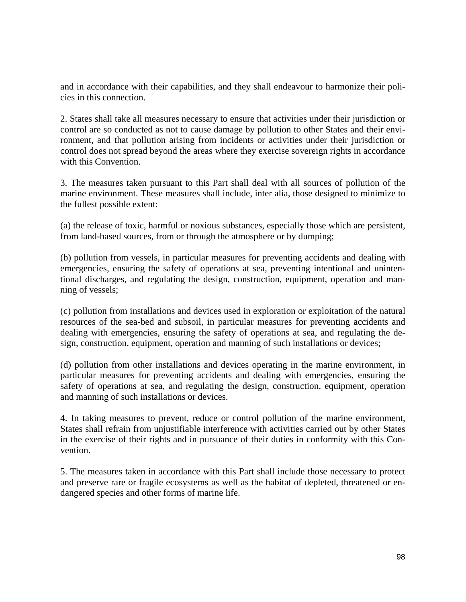and in accordance with their capabilities, and they shall endeavour to harmonize their policies in this connection.

2. States shall take all measures necessary to ensure that activities under their jurisdiction or control are so conducted as not to cause damage by pollution to other States and their environment, and that pollution arising from incidents or activities under their jurisdiction or control does not spread beyond the areas where they exercise sovereign rights in accordance with this Convention.

3. The measures taken pursuant to this Part shall deal with all sources of pollution of the marine environment. These measures shall include, inter alia, those designed to minimize to the fullest possible extent:

(a) the release of toxic, harmful or noxious substances, especially those which are persistent, from land-based sources, from or through the atmosphere or by dumping;

(b) pollution from vessels, in particular measures for preventing accidents and dealing with emergencies, ensuring the safety of operations at sea, preventing intentional and unintentional discharges, and regulating the design, construction, equipment, operation and manning of vessels;

(c) pollution from installations and devices used in exploration or exploitation of the natural resources of the sea-bed and subsoil, in particular measures for preventing accidents and dealing with emergencies, ensuring the safety of operations at sea, and regulating the design, construction, equipment, operation and manning of such installations or devices;

(d) pollution from other installations and devices operating in the marine environment, in particular measures for preventing accidents and dealing with emergencies, ensuring the safety of operations at sea, and regulating the design, construction, equipment, operation and manning of such installations or devices.

4. In taking measures to prevent, reduce or control pollution of the marine environment, States shall refrain from unjustifiable interference with activities carried out by other States in the exercise of their rights and in pursuance of their duties in conformity with this Convention.

5. The measures taken in accordance with this Part shall include those necessary to protect and preserve rare or fragile ecosystems as well as the habitat of depleted, threatened or endangered species and other forms of marine life.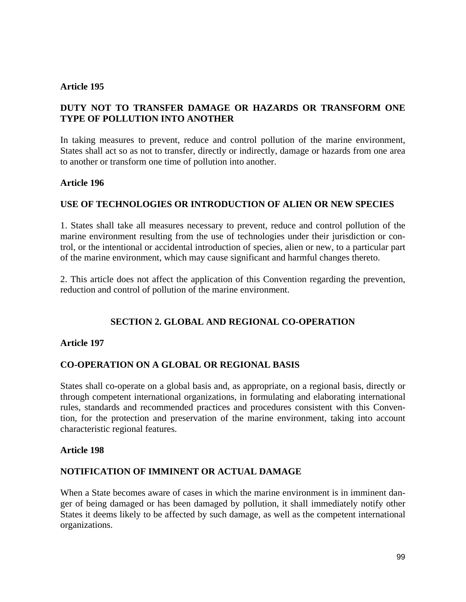#### **Article 195**

## **DUTY NOT TO TRANSFER DAMAGE OR HAZARDS OR TRANSFORM ONE TYPE OF POLLUTION INTO ANOTHER**

In taking measures to prevent, reduce and control pollution of the marine environment, States shall act so as not to transfer, directly or indirectly, damage or hazards from one area to another or transform one time of pollution into another.

#### **Article 196**

### **USE OF TECHNOLOGIES OR INTRODUCTION OF ALIEN OR NEW SPECIES**

1. States shall take all measures necessary to prevent, reduce and control pollution of the marine environment resulting from the use of technologies under their jurisdiction or control, or the intentional or accidental introduction of species, alien or new, to a particular part of the marine environment, which may cause significant and harmful changes thereto.

2. This article does not affect the application of this Convention regarding the prevention, reduction and control of pollution of the marine environment.

## **SECTION 2. GLOBAL AND REGIONAL CO-OPERATION**

#### **Article 197**

### **CO-OPERATION ON A GLOBAL OR REGIONAL BASIS**

States shall co-operate on a global basis and, as appropriate, on a regional basis, directly or through competent international organizations, in formulating and elaborating international rules, standards and recommended practices and procedures consistent with this Convention, for the protection and preservation of the marine environment, taking into account characteristic regional features.

#### **Article 198**

### **NOTIFICATION OF IMMINENT OR ACTUAL DAMAGE**

When a State becomes aware of cases in which the marine environment is in imminent danger of being damaged or has been damaged by pollution, it shall immediately notify other States it deems likely to be affected by such damage, as well as the competent international organizations.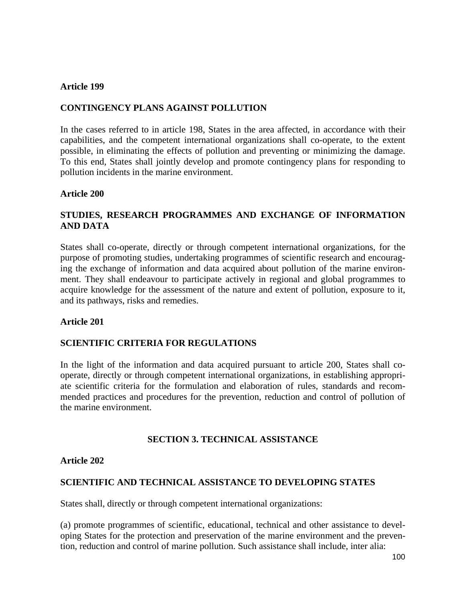### **Article 199**

### **CONTINGENCY PLANS AGAINST POLLUTION**

In the cases referred to in article 198, States in the area affected, in accordance with their capabilities, and the competent international organizations shall co-operate, to the extent possible, in eliminating the effects of pollution and preventing or minimizing the damage. To this end, States shall jointly develop and promote contingency plans for responding to pollution incidents in the marine environment.

#### **Article 200**

## **STUDIES, RESEARCH PROGRAMMES AND EXCHANGE OF INFORMATION AND DATA**

States shall co-operate, directly or through competent international organizations, for the purpose of promoting studies, undertaking programmes of scientific research and encouraging the exchange of information and data acquired about pollution of the marine environment. They shall endeavour to participate actively in regional and global programmes to acquire knowledge for the assessment of the nature and extent of pollution, exposure to it, and its pathways, risks and remedies.

### **Article 201**

### **SCIENTIFIC CRITERIA FOR REGULATIONS**

In the light of the information and data acquired pursuant to article 200, States shall cooperate, directly or through competent international organizations, in establishing appropriate scientific criteria for the formulation and elaboration of rules, standards and recommended practices and procedures for the prevention, reduction and control of pollution of the marine environment.

### **SECTION 3. TECHNICAL ASSISTANCE**

#### **Article 202**

### **SCIENTIFIC AND TECHNICAL ASSISTANCE TO DEVELOPING STATES**

States shall, directly or through competent international organizations:

(a) promote programmes of scientific, educational, technical and other assistance to developing States for the protection and preservation of the marine environment and the prevention, reduction and control of marine pollution. Such assistance shall include, inter alia: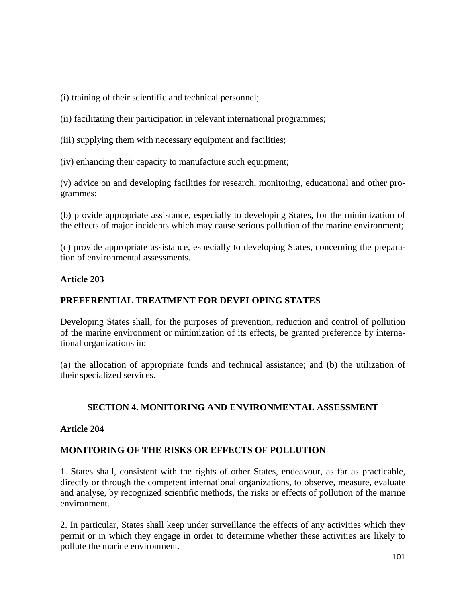(i) training of their scientific and technical personnel;

(ii) facilitating their participation in relevant international programmes;

(iii) supplying them with necessary equipment and facilities;

(iv) enhancing their capacity to manufacture such equipment;

(v) advice on and developing facilities for research, monitoring, educational and other programmes;

(b) provide appropriate assistance, especially to developing States, for the minimization of the effects of major incidents which may cause serious pollution of the marine environment;

(c) provide appropriate assistance, especially to developing States, concerning the preparation of environmental assessments.

### **Article 203**

### **PREFERENTIAL TREATMENT FOR DEVELOPING STATES**

Developing States shall, for the purposes of prevention, reduction and control of pollution of the marine environment or minimization of its effects, be granted preference by international organizations in:

(a) the allocation of appropriate funds and technical assistance; and (b) the utilization of their specialized services.

## **SECTION 4. MONITORING AND ENVIRONMENTAL ASSESSMENT**

### **Article 204**

### **MONITORING OF THE RISKS OR EFFECTS OF POLLUTION**

1. States shall, consistent with the rights of other States, endeavour, as far as practicable, directly or through the competent international organizations, to observe, measure, evaluate and analyse, by recognized scientific methods, the risks or effects of pollution of the marine environment.

2. In particular, States shall keep under surveillance the effects of any activities which they permit or in which they engage in order to determine whether these activities are likely to pollute the marine environment.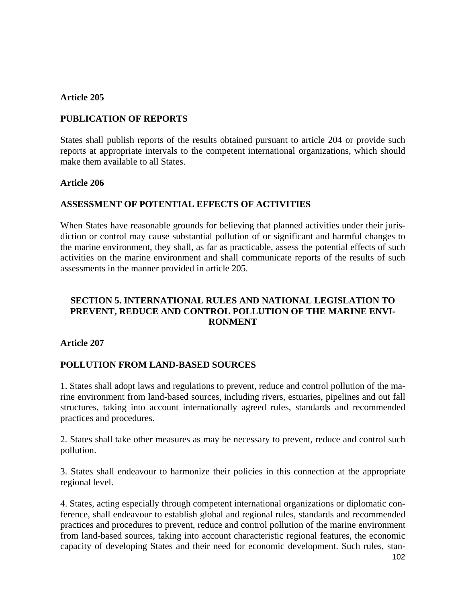### **Article 205**

## **PUBLICATION OF REPORTS**

States shall publish reports of the results obtained pursuant to article 204 or provide such reports at appropriate intervals to the competent international organizations, which should make them available to all States.

### **Article 206**

### **ASSESSMENT OF POTENTIAL EFFECTS OF ACTIVITIES**

When States have reasonable grounds for believing that planned activities under their jurisdiction or control may cause substantial pollution of or significant and harmful changes to the marine environment, they shall, as far as practicable, assess the potential effects of such activities on the marine environment and shall communicate reports of the results of such assessments in the manner provided in article 205.

## **SECTION 5. INTERNATIONAL RULES AND NATIONAL LEGISLATION TO PREVENT, REDUCE AND CONTROL POLLUTION OF THE MARINE ENVI-RONMENT**

**Article 207** 

### **POLLUTION FROM LAND-BASED SOURCES**

1. States shall adopt laws and regulations to prevent, reduce and control pollution of the marine environment from land-based sources, including rivers, estuaries, pipelines and out fall structures, taking into account internationally agreed rules, standards and recommended practices and procedures.

2. States shall take other measures as may be necessary to prevent, reduce and control such pollution.

3. States shall endeavour to harmonize their policies in this connection at the appropriate regional level.

4. States, acting especially through competent international organizations or diplomatic conference, shall endeavour to establish global and regional rules, standards and recommended practices and procedures to prevent, reduce and control pollution of the marine environment from land-based sources, taking into account characteristic regional features, the economic capacity of developing States and their need for economic development. Such rules, stan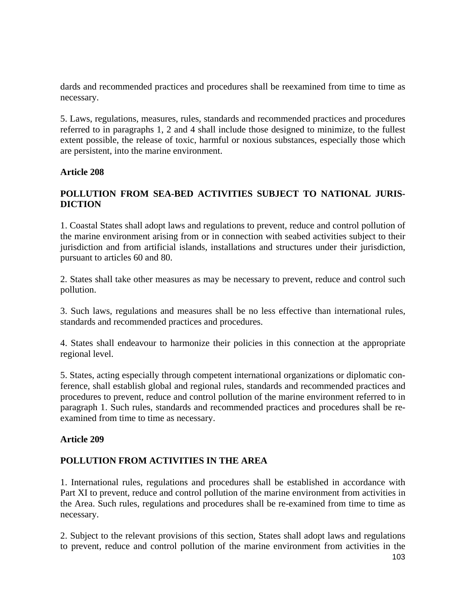dards and recommended practices and procedures shall be reexamined from time to time as necessary.

5. Laws, regulations, measures, rules, standards and recommended practices and procedures referred to in paragraphs 1, 2 and 4 shall include those designed to minimize, to the fullest extent possible, the release of toxic, harmful or noxious substances, especially those which are persistent, into the marine environment.

### **Article 208**

## **POLLUTION FROM SEA-BED ACTIVITIES SUBJECT TO NATIONAL JURIS-DICTION**

1. Coastal States shall adopt laws and regulations to prevent, reduce and control pollution of the marine environment arising from or in connection with seabed activities subject to their jurisdiction and from artificial islands, installations and structures under their jurisdiction, pursuant to articles 60 and 80.

2. States shall take other measures as may be necessary to prevent, reduce and control such pollution.

3. Such laws, regulations and measures shall be no less effective than international rules, standards and recommended practices and procedures.

4. States shall endeavour to harmonize their policies in this connection at the appropriate regional level.

5. States, acting especially through competent international organizations or diplomatic conference, shall establish global and regional rules, standards and recommended practices and procedures to prevent, reduce and control pollution of the marine environment referred to in paragraph 1. Such rules, standards and recommended practices and procedures shall be reexamined from time to time as necessary.

### **Article 209**

## **POLLUTION FROM ACTIVITIES IN THE AREA**

1. International rules, regulations and procedures shall be established in accordance with Part XI to prevent, reduce and control pollution of the marine environment from activities in the Area. Such rules, regulations and procedures shall be re-examined from time to time as necessary.

2. Subject to the relevant provisions of this section, States shall adopt laws and regulations to prevent, reduce and control pollution of the marine environment from activities in the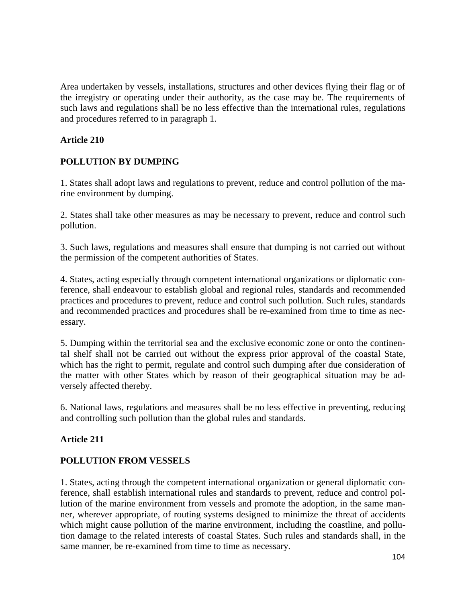Area undertaken by vessels, installations, structures and other devices flying their flag or of the irregistry or operating under their authority, as the case may be. The requirements of such laws and regulations shall be no less effective than the international rules, regulations and procedures referred to in paragraph 1.

## **Article 210**

## **POLLUTION BY DUMPING**

1. States shall adopt laws and regulations to prevent, reduce and control pollution of the marine environment by dumping.

2. States shall take other measures as may be necessary to prevent, reduce and control such pollution.

3. Such laws, regulations and measures shall ensure that dumping is not carried out without the permission of the competent authorities of States.

4. States, acting especially through competent international organizations or diplomatic conference, shall endeavour to establish global and regional rules, standards and recommended practices and procedures to prevent, reduce and control such pollution. Such rules, standards and recommended practices and procedures shall be re-examined from time to time as necessary.

5. Dumping within the territorial sea and the exclusive economic zone or onto the continental shelf shall not be carried out without the express prior approval of the coastal State, which has the right to permit, regulate and control such dumping after due consideration of the matter with other States which by reason of their geographical situation may be adversely affected thereby.

6. National laws, regulations and measures shall be no less effective in preventing, reducing and controlling such pollution than the global rules and standards.

## **Article 211**

## **POLLUTION FROM VESSELS**

1. States, acting through the competent international organization or general diplomatic conference, shall establish international rules and standards to prevent, reduce and control pollution of the marine environment from vessels and promote the adoption, in the same manner, wherever appropriate, of routing systems designed to minimize the threat of accidents which might cause pollution of the marine environment, including the coastline, and pollution damage to the related interests of coastal States. Such rules and standards shall, in the same manner, be re-examined from time to time as necessary.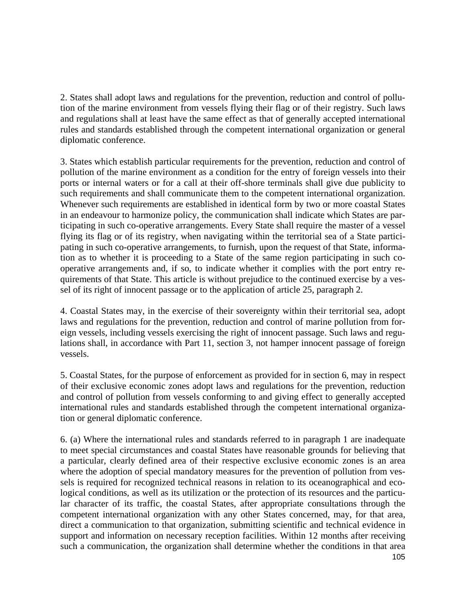2. States shall adopt laws and regulations for the prevention, reduction and control of pollution of the marine environment from vessels flying their flag or of their registry. Such laws and regulations shall at least have the same effect as that of generally accepted international rules and standards established through the competent international organization or general diplomatic conference.

3. States which establish particular requirements for the prevention, reduction and control of pollution of the marine environment as a condition for the entry of foreign vessels into their ports or internal waters or for a call at their off-shore terminals shall give due publicity to such requirements and shall communicate them to the competent international organization. Whenever such requirements are established in identical form by two or more coastal States in an endeavour to harmonize policy, the communication shall indicate which States are participating in such co-operative arrangements. Every State shall require the master of a vessel flying its flag or of its registry, when navigating within the territorial sea of a State participating in such co-operative arrangements, to furnish, upon the request of that State, information as to whether it is proceeding to a State of the same region participating in such cooperative arrangements and, if so, to indicate whether it complies with the port entry requirements of that State. This article is without prejudice to the continued exercise by a vessel of its right of innocent passage or to the application of article 25, paragraph 2.

4. Coastal States may, in the exercise of their sovereignty within their territorial sea, adopt laws and regulations for the prevention, reduction and control of marine pollution from foreign vessels, including vessels exercising the right of innocent passage. Such laws and regulations shall, in accordance with Part 11, section 3, not hamper innocent passage of foreign vessels.

5. Coastal States, for the purpose of enforcement as provided for in section 6, may in respect of their exclusive economic zones adopt laws and regulations for the prevention, reduction and control of pollution from vessels conforming to and giving effect to generally accepted international rules and standards established through the competent international organization or general diplomatic conference.

6. (a) Where the international rules and standards referred to in paragraph 1 are inadequate to meet special circumstances and coastal States have reasonable grounds for believing that a particular, clearly defined area of their respective exclusive economic zones is an area where the adoption of special mandatory measures for the prevention of pollution from vessels is required for recognized technical reasons in relation to its oceanographical and ecological conditions, as well as its utilization or the protection of its resources and the particular character of its traffic, the coastal States, after appropriate consultations through the competent international organization with any other States concerned, may, for that area, direct a communication to that organization, submitting scientific and technical evidence in support and information on necessary reception facilities. Within 12 months after receiving such a communication, the organization shall determine whether the conditions in that area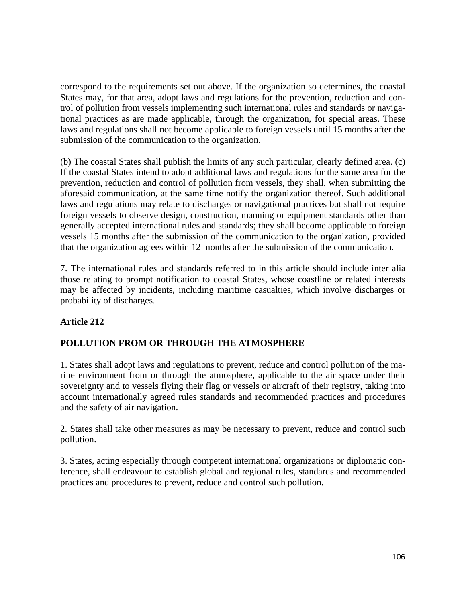correspond to the requirements set out above. If the organization so determines, the coastal States may, for that area, adopt laws and regulations for the prevention, reduction and control of pollution from vessels implementing such international rules and standards or navigational practices as are made applicable, through the organization, for special areas. These laws and regulations shall not become applicable to foreign vessels until 15 months after the submission of the communication to the organization.

(b) The coastal States shall publish the limits of any such particular, clearly defined area. (c) If the coastal States intend to adopt additional laws and regulations for the same area for the prevention, reduction and control of pollution from vessels, they shall, when submitting the aforesaid communication, at the same time notify the organization thereof. Such additional laws and regulations may relate to discharges or navigational practices but shall not require foreign vessels to observe design, construction, manning or equipment standards other than generally accepted international rules and standards; they shall become applicable to foreign vessels 15 months after the submission of the communication to the organization, provided that the organization agrees within 12 months after the submission of the communication.

7. The international rules and standards referred to in this article should include inter alia those relating to prompt notification to coastal States, whose coastline or related interests may be affected by incidents, including maritime casualties, which involve discharges or probability of discharges.

# **Article 212**

# **POLLUTION FROM OR THROUGH THE ATMOSPHERE**

1. States shall adopt laws and regulations to prevent, reduce and control pollution of the marine environment from or through the atmosphere, applicable to the air space under their sovereignty and to vessels flying their flag or vessels or aircraft of their registry, taking into account internationally agreed rules standards and recommended practices and procedures and the safety of air navigation.

2. States shall take other measures as may be necessary to prevent, reduce and control such pollution.

3. States, acting especially through competent international organizations or diplomatic conference, shall endeavour to establish global and regional rules, standards and recommended practices and procedures to prevent, reduce and control such pollution.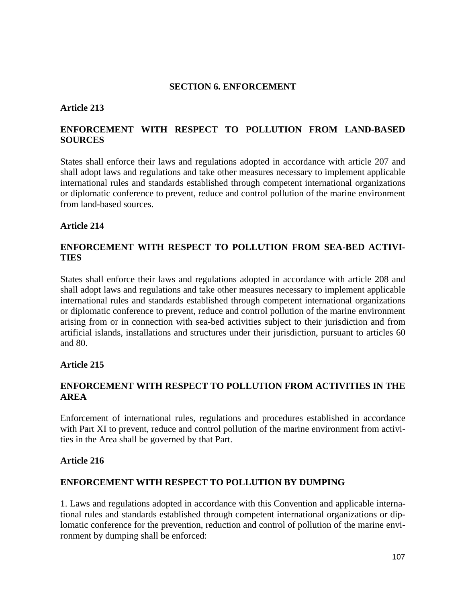### **SECTION 6. ENFORCEMENT**

### **Article 213**

## **ENFORCEMENT WITH RESPECT TO POLLUTION FROM LAND-BASED SOURCES**

States shall enforce their laws and regulations adopted in accordance with article 207 and shall adopt laws and regulations and take other measures necessary to implement applicable international rules and standards established through competent international organizations or diplomatic conference to prevent, reduce and control pollution of the marine environment from land-based sources.

### **Article 214**

## **ENFORCEMENT WITH RESPECT TO POLLUTION FROM SEA-BED ACTIVI-TIES**

States shall enforce their laws and regulations adopted in accordance with article 208 and shall adopt laws and regulations and take other measures necessary to implement applicable international rules and standards established through competent international organizations or diplomatic conference to prevent, reduce and control pollution of the marine environment arising from or in connection with sea-bed activities subject to their jurisdiction and from artificial islands, installations and structures under their jurisdiction, pursuant to articles 60 and 80.

### **Article 215**

## **ENFORCEMENT WITH RESPECT TO POLLUTION FROM ACTIVITIES IN THE AREA**

Enforcement of international rules, regulations and procedures established in accordance with Part XI to prevent, reduce and control pollution of the marine environment from activities in the Area shall be governed by that Part.

### **Article 216**

### **ENFORCEMENT WITH RESPECT TO POLLUTION BY DUMPING**

1. Laws and regulations adopted in accordance with this Convention and applicable international rules and standards established through competent international organizations or diplomatic conference for the prevention, reduction and control of pollution of the marine environment by dumping shall be enforced: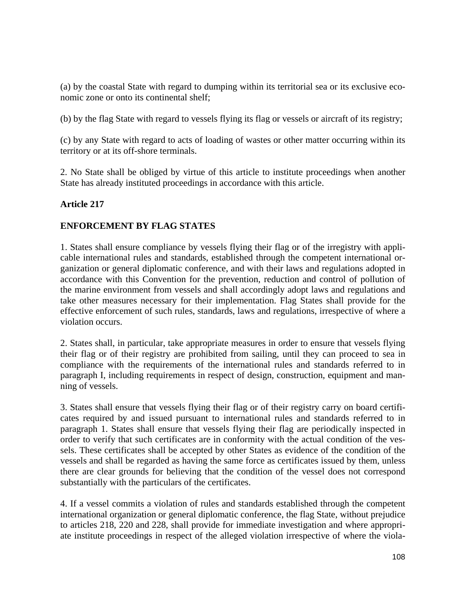(a) by the coastal State with regard to dumping within its territorial sea or its exclusive economic zone or onto its continental shelf;

(b) by the flag State with regard to vessels flying its flag or vessels or aircraft of its registry;

(c) by any State with regard to acts of loading of wastes or other matter occurring within its territory or at its off-shore terminals.

2. No State shall be obliged by virtue of this article to institute proceedings when another State has already instituted proceedings in accordance with this article.

## **Article 217**

## **ENFORCEMENT BY FLAG STATES**

1. States shall ensure compliance by vessels flying their flag or of the irregistry with applicable international rules and standards, established through the competent international organization or general diplomatic conference, and with their laws and regulations adopted in accordance with this Convention for the prevention, reduction and control of pollution of the marine environment from vessels and shall accordingly adopt laws and regulations and take other measures necessary for their implementation. Flag States shall provide for the effective enforcement of such rules, standards, laws and regulations, irrespective of where a violation occurs.

2. States shall, in particular, take appropriate measures in order to ensure that vessels flying their flag or of their registry are prohibited from sailing, until they can proceed to sea in compliance with the requirements of the international rules and standards referred to in paragraph I, including requirements in respect of design, construction, equipment and manning of vessels.

3. States shall ensure that vessels flying their flag or of their registry carry on board certificates required by and issued pursuant to international rules and standards referred to in paragraph 1. States shall ensure that vessels flying their flag are periodically inspected in order to verify that such certificates are in conformity with the actual condition of the vessels. These certificates shall be accepted by other States as evidence of the condition of the vessels and shall be regarded as having the same force as certificates issued by them, unless there are clear grounds for believing that the condition of the vessel does not correspond substantially with the particulars of the certificates.

4. If a vessel commits a violation of rules and standards established through the competent international organization or general diplomatic conference, the flag State, without prejudice to articles 218, 220 and 228, shall provide for immediate investigation and where appropriate institute proceedings in respect of the alleged violation irrespective of where the viola-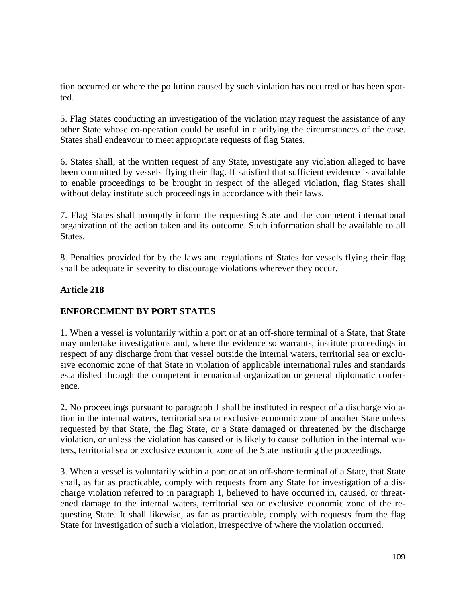tion occurred or where the pollution caused by such violation has occurred or has been spotted.

5. Flag States conducting an investigation of the violation may request the assistance of any other State whose co-operation could be useful in clarifying the circumstances of the case. States shall endeavour to meet appropriate requests of flag States.

6. States shall, at the written request of any State, investigate any violation alleged to have been committed by vessels flying their flag. If satisfied that sufficient evidence is available to enable proceedings to be brought in respect of the alleged violation, flag States shall without delay institute such proceedings in accordance with their laws.

7. Flag States shall promptly inform the requesting State and the competent international organization of the action taken and its outcome. Such information shall be available to all States.

8. Penalties provided for by the laws and regulations of States for vessels flying their flag shall be adequate in severity to discourage violations wherever they occur.

# **Article 218**

# **ENFORCEMENT BY PORT STATES**

1. When a vessel is voluntarily within a port or at an off-shore terminal of a State, that State may undertake investigations and, where the evidence so warrants, institute proceedings in respect of any discharge from that vessel outside the internal waters, territorial sea or exclusive economic zone of that State in violation of applicable international rules and standards established through the competent international organization or general diplomatic conference.

2. No proceedings pursuant to paragraph 1 shall be instituted in respect of a discharge violation in the internal waters, territorial sea or exclusive economic zone of another State unless requested by that State, the flag State, or a State damaged or threatened by the discharge violation, or unless the violation has caused or is likely to cause pollution in the internal waters, territorial sea or exclusive economic zone of the State instituting the proceedings.

3. When a vessel is voluntarily within a port or at an off-shore terminal of a State, that State shall, as far as practicable, comply with requests from any State for investigation of a discharge violation referred to in paragraph 1, believed to have occurred in, caused, or threatened damage to the internal waters, territorial sea or exclusive economic zone of the requesting State. It shall likewise, as far as practicable, comply with requests from the flag State for investigation of such a violation, irrespective of where the violation occurred.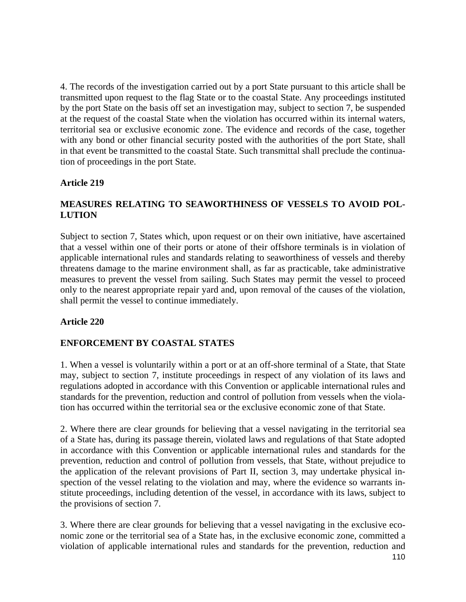4. The records of the investigation carried out by a port State pursuant to this article shall be transmitted upon request to the flag State or to the coastal State. Any proceedings instituted by the port State on the basis off set an investigation may, subject to section 7, be suspended at the request of the coastal State when the violation has occurred within its internal waters, territorial sea or exclusive economic zone. The evidence and records of the case, together with any bond or other financial security posted with the authorities of the port State, shall in that event be transmitted to the coastal State. Such transmittal shall preclude the continuation of proceedings in the port State.

# **Article 219**

# **MEASURES RELATING TO SEAWORTHINESS OF VESSELS TO AVOID POL-LUTION**

Subject to section 7, States which, upon request or on their own initiative, have ascertained that a vessel within one of their ports or atone of their offshore terminals is in violation of applicable international rules and standards relating to seaworthiness of vessels and thereby threatens damage to the marine environment shall, as far as practicable, take administrative measures to prevent the vessel from sailing. Such States may permit the vessel to proceed only to the nearest appropriate repair yard and, upon removal of the causes of the violation, shall permit the vessel to continue immediately.

## **Article 220**

# **ENFORCEMENT BY COASTAL STATES**

1. When a vessel is voluntarily within a port or at an off-shore terminal of a State, that State may, subject to section 7, institute proceedings in respect of any violation of its laws and regulations adopted in accordance with this Convention or applicable international rules and standards for the prevention, reduction and control of pollution from vessels when the violation has occurred within the territorial sea or the exclusive economic zone of that State.

2. Where there are clear grounds for believing that a vessel navigating in the territorial sea of a State has, during its passage therein, violated laws and regulations of that State adopted in accordance with this Convention or applicable international rules and standards for the prevention, reduction and control of pollution from vessels, that State, without prejudice to the application of the relevant provisions of Part II, section 3, may undertake physical inspection of the vessel relating to the violation and may, where the evidence so warrants institute proceedings, including detention of the vessel, in accordance with its laws, subject to the provisions of section 7.

3. Where there are clear grounds for believing that a vessel navigating in the exclusive economic zone or the territorial sea of a State has, in the exclusive economic zone, committed a violation of applicable international rules and standards for the prevention, reduction and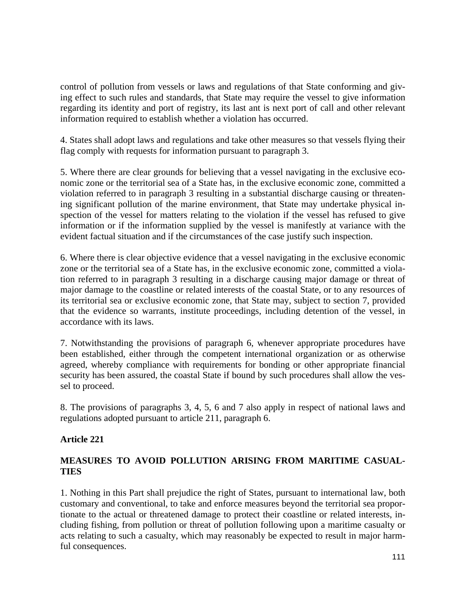control of pollution from vessels or laws and regulations of that State conforming and giving effect to such rules and standards, that State may require the vessel to give information regarding its identity and port of registry, its last ant is next port of call and other relevant information required to establish whether a violation has occurred.

4. States shall adopt laws and regulations and take other measures so that vessels flying their flag comply with requests for information pursuant to paragraph 3.

5. Where there are clear grounds for believing that a vessel navigating in the exclusive economic zone or the territorial sea of a State has, in the exclusive economic zone, committed a violation referred to in paragraph 3 resulting in a substantial discharge causing or threatening significant pollution of the marine environment, that State may undertake physical inspection of the vessel for matters relating to the violation if the vessel has refused to give information or if the information supplied by the vessel is manifestly at variance with the evident factual situation and if the circumstances of the case justify such inspection.

6. Where there is clear objective evidence that a vessel navigating in the exclusive economic zone or the territorial sea of a State has, in the exclusive economic zone, committed a violation referred to in paragraph 3 resulting in a discharge causing major damage or threat of major damage to the coastline or related interests of the coastal State, or to any resources of its territorial sea or exclusive economic zone, that State may, subject to section 7, provided that the evidence so warrants, institute proceedings, including detention of the vessel, in accordance with its laws.

7. Notwithstanding the provisions of paragraph 6, whenever appropriate procedures have been established, either through the competent international organization or as otherwise agreed, whereby compliance with requirements for bonding or other appropriate financial security has been assured, the coastal State if bound by such procedures shall allow the vessel to proceed.

8. The provisions of paragraphs 3, 4, 5, 6 and 7 also apply in respect of national laws and regulations adopted pursuant to article 211, paragraph 6.

# **Article 221**

# **MEASURES TO AVOID POLLUTION ARISING FROM MARITIME CASUAL-TIES**

1. Nothing in this Part shall prejudice the right of States, pursuant to international law, both customary and conventional, to take and enforce measures beyond the territorial sea proportionate to the actual or threatened damage to protect their coastline or related interests, including fishing, from pollution or threat of pollution following upon a maritime casualty or acts relating to such a casualty, which may reasonably be expected to result in major harmful consequences.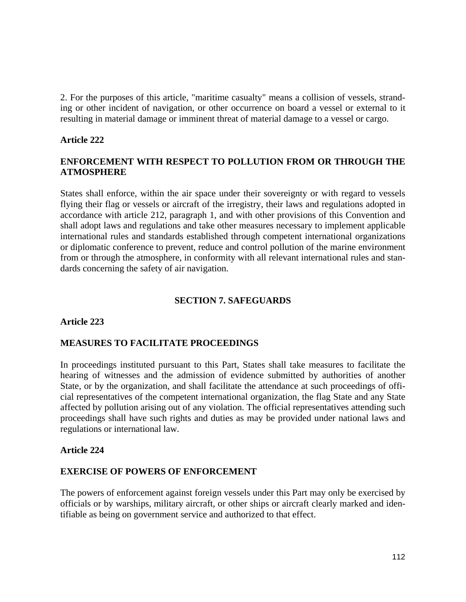2. For the purposes of this article, "maritime casualty" means a collision of vessels, stranding or other incident of navigation, or other occurrence on board a vessel or external to it resulting in material damage or imminent threat of material damage to a vessel or cargo.

## **Article 222**

# **ENFORCEMENT WITH RESPECT TO POLLUTION FROM OR THROUGH THE ATMOSPHERE**

States shall enforce, within the air space under their sovereignty or with regard to vessels flying their flag or vessels or aircraft of the irregistry, their laws and regulations adopted in accordance with article 212, paragraph 1, and with other provisions of this Convention and shall adopt laws and regulations and take other measures necessary to implement applicable international rules and standards established through competent international organizations or diplomatic conference to prevent, reduce and control pollution of the marine environment from or through the atmosphere, in conformity with all relevant international rules and standards concerning the safety of air navigation.

# **SECTION 7. SAFEGUARDS**

# **Article 223**

# **MEASURES TO FACILITATE PROCEEDINGS**

In proceedings instituted pursuant to this Part, States shall take measures to facilitate the hearing of witnesses and the admission of evidence submitted by authorities of another State, or by the organization, and shall facilitate the attendance at such proceedings of official representatives of the competent international organization, the flag State and any State affected by pollution arising out of any violation. The official representatives attending such proceedings shall have such rights and duties as may be provided under national laws and regulations or international law.

## **Article 224**

## **EXERCISE OF POWERS OF ENFORCEMENT**

The powers of enforcement against foreign vessels under this Part may only be exercised by officials or by warships, military aircraft, or other ships or aircraft clearly marked and identifiable as being on government service and authorized to that effect.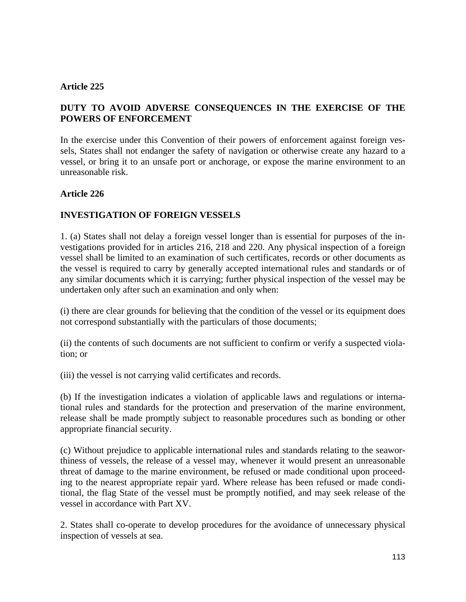# **DUTY TO AVOID ADVERSE CONSEQUENCES IN THE EXERCISE OF THE POWERS OF ENFORCEMENT**

In the exercise under this Convention of their powers of enforcement against foreign vessels, States shall not endanger the safety of navigation or otherwise create any hazard to a vessel, or bring it to an unsafe port or anchorage, or expose the marine environment to an unreasonable risk.

## **Article 226**

# **INVESTIGATION OF FOREIGN VESSELS**

1. (a) States shall not delay a foreign vessel longer than is essential for purposes of the investigations provided for in articles 216, 218 and 220. Any physical inspection of a foreign vessel shall be limited to an examination of such certificates, records or other documents as the vessel is required to carry by generally accepted international rules and standards or of any similar documents which it is carrying; further physical inspection of the vessel may be undertaken only after such an examination and only when:

(i) there are clear grounds for believing that the condition of the vessel or its equipment does not correspond substantially with the particulars of those documents;

(ii) the contents of such documents are not sufficient to confirm or verify a suspected violation; or

(iii) the vessel is not carrying valid certificates and records.

(b) If the investigation indicates a violation of applicable laws and regulations or international rules and standards for the protection and preservation of the marine environment, release shall be made promptly subject to reasonable procedures such as bonding or other appropriate financial security.

(c) Without prejudice to applicable international rules and standards relating to the seaworthiness of vessels, the release of a vessel may, whenever it would present an unreasonable threat of damage to the marine environment, be refused or made conditional upon proceeding to the nearest appropriate repair yard. Where release has been refused or made conditional, the flag State of the vessel must be promptly notified, and may seek release of the vessel in accordance with Part XV.

2. States shall co-operate to develop procedures for the avoidance of unnecessary physical inspection of vessels at sea.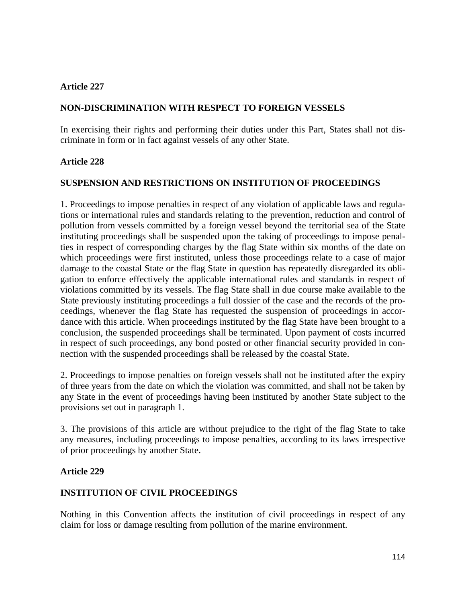## **NON-DISCRIMINATION WITH RESPECT TO FOREIGN VESSELS**

In exercising their rights and performing their duties under this Part, States shall not discriminate in form or in fact against vessels of any other State.

## **Article 228**

## **SUSPENSION AND RESTRICTIONS ON INSTITUTION OF PROCEEDINGS**

1. Proceedings to impose penalties in respect of any violation of applicable laws and regulations or international rules and standards relating to the prevention, reduction and control of pollution from vessels committed by a foreign vessel beyond the territorial sea of the State instituting proceedings shall be suspended upon the taking of proceedings to impose penalties in respect of corresponding charges by the flag State within six months of the date on which proceedings were first instituted, unless those proceedings relate to a case of major damage to the coastal State or the flag State in question has repeatedly disregarded its obligation to enforce effectively the applicable international rules and standards in respect of violations committed by its vessels. The flag State shall in due course make available to the State previously instituting proceedings a full dossier of the case and the records of the proceedings, whenever the flag State has requested the suspension of proceedings in accordance with this article. When proceedings instituted by the flag State have been brought to a conclusion, the suspended proceedings shall be terminated. Upon payment of costs incurred in respect of such proceedings, any bond posted or other financial security provided in connection with the suspended proceedings shall be released by the coastal State.

2. Proceedings to impose penalties on foreign vessels shall not be instituted after the expiry of three years from the date on which the violation was committed, and shall not be taken by any State in the event of proceedings having been instituted by another State subject to the provisions set out in paragraph 1.

3. The provisions of this article are without prejudice to the right of the flag State to take any measures, including proceedings to impose penalties, according to its laws irrespective of prior proceedings by another State.

## **Article 229**

## **INSTITUTION OF CIVIL PROCEEDINGS**

Nothing in this Convention affects the institution of civil proceedings in respect of any claim for loss or damage resulting from pollution of the marine environment.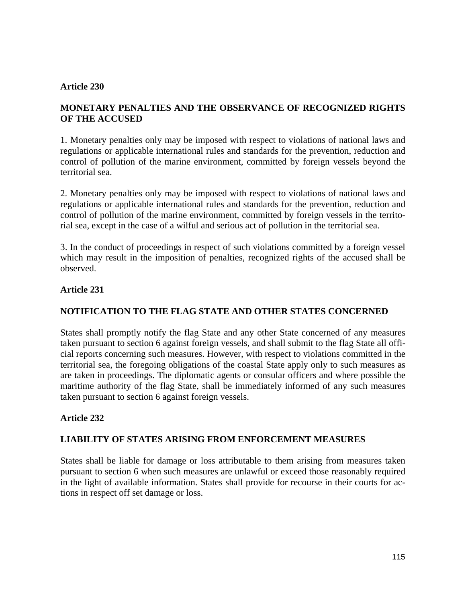# **MONETARY PENALTIES AND THE OBSERVANCE OF RECOGNIZED RIGHTS OF THE ACCUSED**

1. Monetary penalties only may be imposed with respect to violations of national laws and regulations or applicable international rules and standards for the prevention, reduction and control of pollution of the marine environment, committed by foreign vessels beyond the territorial sea.

2. Monetary penalties only may be imposed with respect to violations of national laws and regulations or applicable international rules and standards for the prevention, reduction and control of pollution of the marine environment, committed by foreign vessels in the territorial sea, except in the case of a wilful and serious act of pollution in the territorial sea.

3. In the conduct of proceedings in respect of such violations committed by a foreign vessel which may result in the imposition of penalties, recognized rights of the accused shall be observed.

## **Article 231**

# **NOTIFICATION TO THE FLAG STATE AND OTHER STATES CONCERNED**

States shall promptly notify the flag State and any other State concerned of any measures taken pursuant to section 6 against foreign vessels, and shall submit to the flag State all official reports concerning such measures. However, with respect to violations committed in the territorial sea, the foregoing obligations of the coastal State apply only to such measures as are taken in proceedings. The diplomatic agents or consular officers and where possible the maritime authority of the flag State, shall be immediately informed of any such measures taken pursuant to section 6 against foreign vessels.

# **Article 232**

# **LIABILITY OF STATES ARISING FROM ENFORCEMENT MEASURES**

States shall be liable for damage or loss attributable to them arising from measures taken pursuant to section 6 when such measures are unlawful or exceed those reasonably required in the light of available information. States shall provide for recourse in their courts for actions in respect off set damage or loss.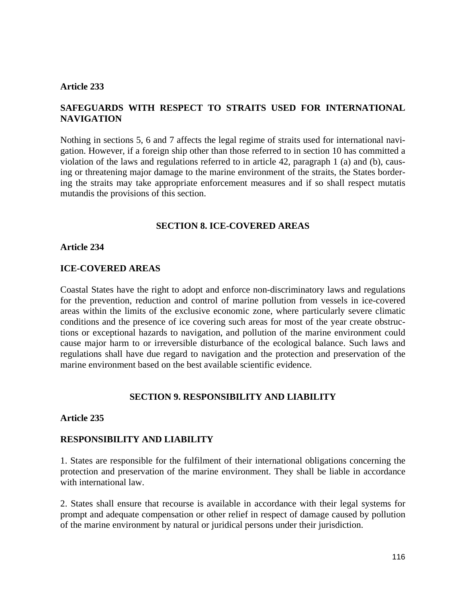## **SAFEGUARDS WITH RESPECT TO STRAITS USED FOR INTERNATIONAL NAVIGATION**

Nothing in sections 5, 6 and 7 affects the legal regime of straits used for international navigation. However, if a foreign ship other than those referred to in section 10 has committed a violation of the laws and regulations referred to in article 42, paragraph 1 (a) and (b), causing or threatening major damage to the marine environment of the straits, the States bordering the straits may take appropriate enforcement measures and if so shall respect mutatis mutandis the provisions of this section.

## **SECTION 8. ICE-COVERED AREAS**

#### **Article 234**

### **ICE-COVERED AREAS**

Coastal States have the right to adopt and enforce non-discriminatory laws and regulations for the prevention, reduction and control of marine pollution from vessels in ice-covered areas within the limits of the exclusive economic zone, where particularly severe climatic conditions and the presence of ice covering such areas for most of the year create obstructions or exceptional hazards to navigation, and pollution of the marine environment could cause major harm to or irreversible disturbance of the ecological balance. Such laws and regulations shall have due regard to navigation and the protection and preservation of the marine environment based on the best available scientific evidence.

#### **SECTION 9. RESPONSIBILITY AND LIABILITY**

#### **Article 235**

#### **RESPONSIBILITY AND LIABILITY**

1. States are responsible for the fulfilment of their international obligations concerning the protection and preservation of the marine environment. They shall be liable in accordance with international law.

2. States shall ensure that recourse is available in accordance with their legal systems for prompt and adequate compensation or other relief in respect of damage caused by pollution of the marine environment by natural or juridical persons under their jurisdiction.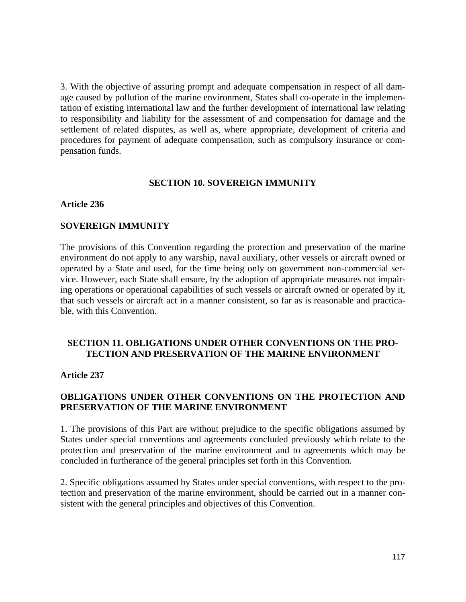3. With the objective of assuring prompt and adequate compensation in respect of all damage caused by pollution of the marine environment, States shall co-operate in the implementation of existing international law and the further development of international law relating to responsibility and liability for the assessment of and compensation for damage and the settlement of related disputes, as well as, where appropriate, development of criteria and procedures for payment of adequate compensation, such as compulsory insurance or compensation funds.

#### **SECTION 10. SOVEREIGN IMMUNITY**

#### **Article 236**

## **SOVEREIGN IMMUNITY**

The provisions of this Convention regarding the protection and preservation of the marine environment do not apply to any warship, naval auxiliary, other vessels or aircraft owned or operated by a State and used, for the time being only on government non-commercial service. However, each State shall ensure, by the adoption of appropriate measures not impairing operations or operational capabilities of such vessels or aircraft owned or operated by it, that such vessels or aircraft act in a manner consistent, so far as is reasonable and practicable, with this Convention.

## **SECTION 11. OBLIGATIONS UNDER OTHER CONVENTIONS ON THE PRO-TECTION AND PRESERVATION OF THE MARINE ENVIRONMENT**

## **Article 237**

# **OBLIGATIONS UNDER OTHER CONVENTIONS ON THE PROTECTION AND PRESERVATION OF THE MARINE ENVIRONMENT**

1. The provisions of this Part are without prejudice to the specific obligations assumed by States under special conventions and agreements concluded previously which relate to the protection and preservation of the marine environment and to agreements which may be concluded in furtherance of the general principles set forth in this Convention.

2. Specific obligations assumed by States under special conventions, with respect to the protection and preservation of the marine environment, should be carried out in a manner consistent with the general principles and objectives of this Convention.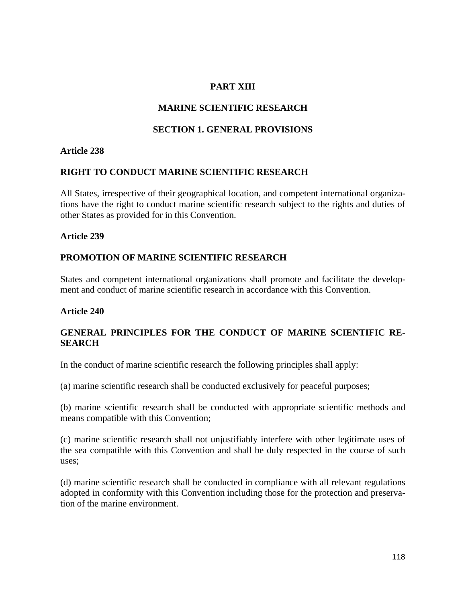## **PART XIII**

## **MARINE SCIENTIFIC RESEARCH**

## **SECTION 1. GENERAL PROVISIONS**

## **Article 238**

## **RIGHT TO CONDUCT MARINE SCIENTIFIC RESEARCH**

All States, irrespective of their geographical location, and competent international organizations have the right to conduct marine scientific research subject to the rights and duties of other States as provided for in this Convention.

## **Article 239**

# **PROMOTION OF MARINE SCIENTIFIC RESEARCH**

States and competent international organizations shall promote and facilitate the development and conduct of marine scientific research in accordance with this Convention.

## **Article 240**

# **GENERAL PRINCIPLES FOR THE CONDUCT OF MARINE SCIENTIFIC RE-SEARCH**

In the conduct of marine scientific research the following principles shall apply:

(a) marine scientific research shall be conducted exclusively for peaceful purposes;

(b) marine scientific research shall be conducted with appropriate scientific methods and means compatible with this Convention;

(c) marine scientific research shall not unjustifiably interfere with other legitimate uses of the sea compatible with this Convention and shall be duly respected in the course of such uses;

(d) marine scientific research shall be conducted in compliance with all relevant regulations adopted in conformity with this Convention including those for the protection and preservation of the marine environment.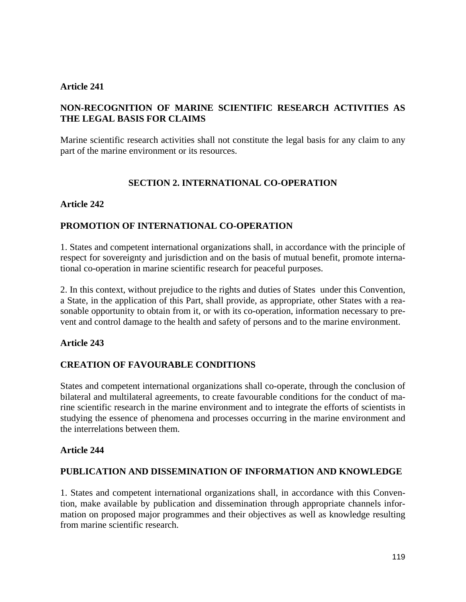# **NON-RECOGNITION OF MARINE SCIENTIFIC RESEARCH ACTIVITIES AS THE LEGAL BASIS FOR CLAIMS**

Marine scientific research activities shall not constitute the legal basis for any claim to any part of the marine environment or its resources.

## **SECTION 2. INTERNATIONAL CO-OPERATION**

## **Article 242**

# **PROMOTION OF INTERNATIONAL CO-OPERATION**

1. States and competent international organizations shall, in accordance with the principle of respect for sovereignty and jurisdiction and on the basis of mutual benefit, promote international co-operation in marine scientific research for peaceful purposes.

2. In this context, without prejudice to the rights and duties of States under this Convention, a State, in the application of this Part, shall provide, as appropriate, other States with a reasonable opportunity to obtain from it, or with its co-operation, information necessary to prevent and control damage to the health and safety of persons and to the marine environment.

# **Article 243**

# **CREATION OF FAVOURABLE CONDITIONS**

States and competent international organizations shall co-operate, through the conclusion of bilateral and multilateral agreements, to create favourable conditions for the conduct of marine scientific research in the marine environment and to integrate the efforts of scientists in studying the essence of phenomena and processes occurring in the marine environment and the interrelations between them.

## **Article 244**

## **PUBLICATION AND DISSEMINATION OF INFORMATION AND KNOWLEDGE**

1. States and competent international organizations shall, in accordance with this Convention, make available by publication and dissemination through appropriate channels information on proposed major programmes and their objectives as well as knowledge resulting from marine scientific research.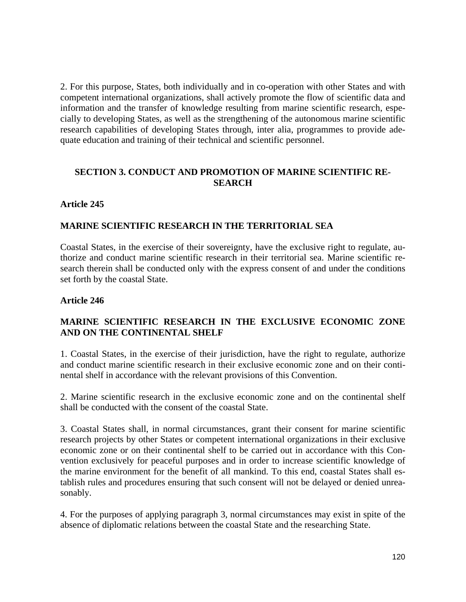2. For this purpose, States, both individually and in co-operation with other States and with competent international organizations, shall actively promote the flow of scientific data and information and the transfer of knowledge resulting from marine scientific research, especially to developing States, as well as the strengthening of the autonomous marine scientific research capabilities of developing States through, inter alia, programmes to provide adequate education and training of their technical and scientific personnel.

# **SECTION 3. CONDUCT AND PROMOTION OF MARINE SCIENTIFIC RE-SEARCH**

# **Article 245**

# **MARINE SCIENTIFIC RESEARCH IN THE TERRITORIAL SEA**

Coastal States, in the exercise of their sovereignty, have the exclusive right to regulate, authorize and conduct marine scientific research in their territorial sea. Marine scientific research therein shall be conducted only with the express consent of and under the conditions set forth by the coastal State.

## **Article 246**

# **MARINE SCIENTIFIC RESEARCH IN THE EXCLUSIVE ECONOMIC ZONE AND ON THE CONTINENTAL SHELF**

1. Coastal States, in the exercise of their jurisdiction, have the right to regulate, authorize and conduct marine scientific research in their exclusive economic zone and on their continental shelf in accordance with the relevant provisions of this Convention.

2. Marine scientific research in the exclusive economic zone and on the continental shelf shall be conducted with the consent of the coastal State.

3. Coastal States shall, in normal circumstances, grant their consent for marine scientific research projects by other States or competent international organizations in their exclusive economic zone or on their continental shelf to be carried out in accordance with this Convention exclusively for peaceful purposes and in order to increase scientific knowledge of the marine environment for the benefit of all mankind. To this end, coastal States shall establish rules and procedures ensuring that such consent will not be delayed or denied unreasonably.

4. For the purposes of applying paragraph 3, normal circumstances may exist in spite of the absence of diplomatic relations between the coastal State and the researching State.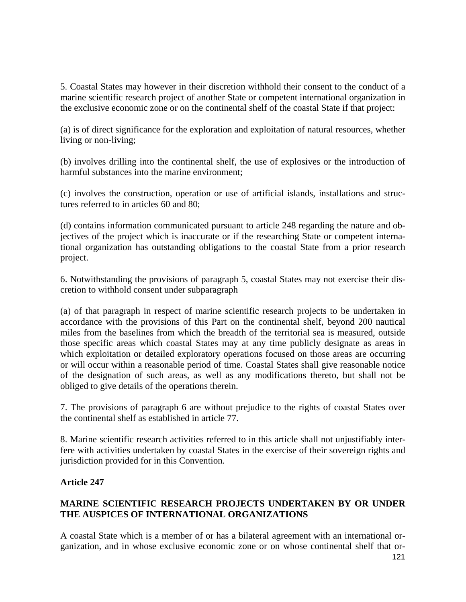5. Coastal States may however in their discretion withhold their consent to the conduct of a marine scientific research project of another State or competent international organization in the exclusive economic zone or on the continental shelf of the coastal State if that project:

(a) is of direct significance for the exploration and exploitation of natural resources, whether living or non-living;

(b) involves drilling into the continental shelf, the use of explosives or the introduction of harmful substances into the marine environment;

(c) involves the construction, operation or use of artificial islands, installations and structures referred to in articles 60 and 80;

(d) contains information communicated pursuant to article 248 regarding the nature and objectives of the project which is inaccurate or if the researching State or competent international organization has outstanding obligations to the coastal State from a prior research project.

6. Notwithstanding the provisions of paragraph 5, coastal States may not exercise their discretion to withhold consent under subparagraph

(a) of that paragraph in respect of marine scientific research projects to be undertaken in accordance with the provisions of this Part on the continental shelf, beyond 200 nautical miles from the baselines from which the breadth of the territorial sea is measured, outside those specific areas which coastal States may at any time publicly designate as areas in which exploitation or detailed exploratory operations focused on those areas are occurring or will occur within a reasonable period of time. Coastal States shall give reasonable notice of the designation of such areas, as well as any modifications thereto, but shall not be obliged to give details of the operations therein.

7. The provisions of paragraph 6 are without prejudice to the rights of coastal States over the continental shelf as established in article 77.

8. Marine scientific research activities referred to in this article shall not unjustifiably interfere with activities undertaken by coastal States in the exercise of their sovereign rights and jurisdiction provided for in this Convention.

# **Article 247**

# **MARINE SCIENTIFIC RESEARCH PROJECTS UNDERTAKEN BY OR UNDER THE AUSPICES OF INTERNATIONAL ORGANIZATIONS**

A coastal State which is a member of or has a bilateral agreement with an international organization, and in whose exclusive economic zone or on whose continental shelf that or-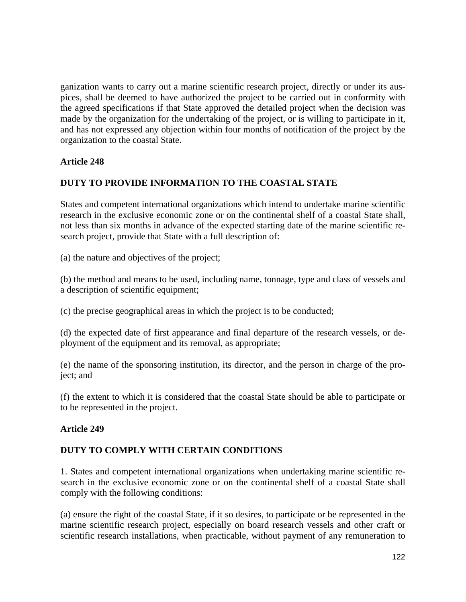ganization wants to carry out a marine scientific research project, directly or under its auspices, shall be deemed to have authorized the project to be carried out in conformity with the agreed specifications if that State approved the detailed project when the decision was made by the organization for the undertaking of the project, or is willing to participate in it, and has not expressed any objection within four months of notification of the project by the organization to the coastal State.

# **Article 248**

# **DUTY TO PROVIDE INFORMATION TO THE COASTAL STATE**

States and competent international organizations which intend to undertake marine scientific research in the exclusive economic zone or on the continental shelf of a coastal State shall, not less than six months in advance of the expected starting date of the marine scientific research project, provide that State with a full description of:

(a) the nature and objectives of the project;

(b) the method and means to be used, including name, tonnage, type and class of vessels and a description of scientific equipment;

(c) the precise geographical areas in which the project is to be conducted;

(d) the expected date of first appearance and final departure of the research vessels, or deployment of the equipment and its removal, as appropriate;

(e) the name of the sponsoring institution, its director, and the person in charge of the project; and

(f) the extent to which it is considered that the coastal State should be able to participate or to be represented in the project.

# **Article 249**

# **DUTY TO COMPLY WITH CERTAIN CONDITIONS**

1. States and competent international organizations when undertaking marine scientific research in the exclusive economic zone or on the continental shelf of a coastal State shall comply with the following conditions:

(a) ensure the right of the coastal State, if it so desires, to participate or be represented in the marine scientific research project, especially on board research vessels and other craft or scientific research installations, when practicable, without payment of any remuneration to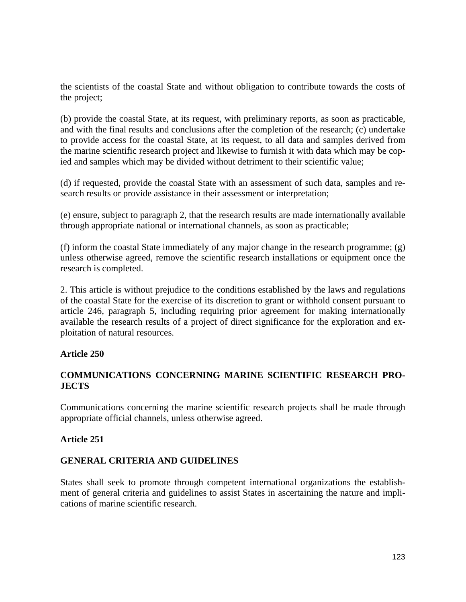the scientists of the coastal State and without obligation to contribute towards the costs of the project;

(b) provide the coastal State, at its request, with preliminary reports, as soon as practicable, and with the final results and conclusions after the completion of the research; (c) undertake to provide access for the coastal State, at its request, to all data and samples derived from the marine scientific research project and likewise to furnish it with data which may be copied and samples which may be divided without detriment to their scientific value;

(d) if requested, provide the coastal State with an assessment of such data, samples and research results or provide assistance in their assessment or interpretation;

(e) ensure, subject to paragraph 2, that the research results are made internationally available through appropriate national or international channels, as soon as practicable;

(f) inform the coastal State immediately of any major change in the research programme; (g) unless otherwise agreed, remove the scientific research installations or equipment once the research is completed.

2. This article is without prejudice to the conditions established by the laws and regulations of the coastal State for the exercise of its discretion to grant or withhold consent pursuant to article 246, paragraph 5, including requiring prior agreement for making internationally available the research results of a project of direct significance for the exploration and exploitation of natural resources.

# **Article 250**

# **COMMUNICATIONS CONCERNING MARINE SCIENTIFIC RESEARCH PRO-JECTS**

Communications concerning the marine scientific research projects shall be made through appropriate official channels, unless otherwise agreed.

## **Article 251**

## **GENERAL CRITERIA AND GUIDELINES**

States shall seek to promote through competent international organizations the establishment of general criteria and guidelines to assist States in ascertaining the nature and implications of marine scientific research.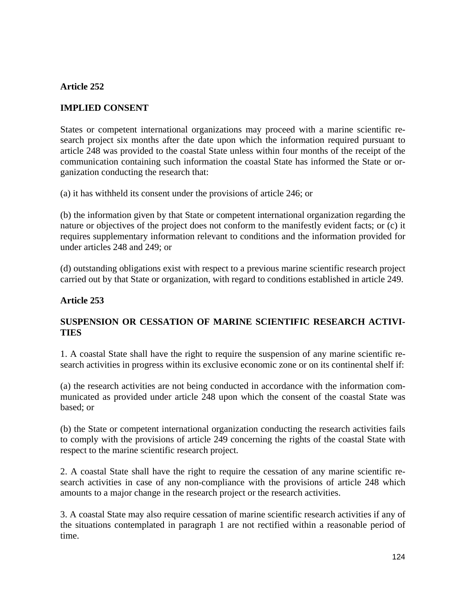# **IMPLIED CONSENT**

States or competent international organizations may proceed with a marine scientific research project six months after the date upon which the information required pursuant to article 248 was provided to the coastal State unless within four months of the receipt of the communication containing such information the coastal State has informed the State or organization conducting the research that:

(a) it has withheld its consent under the provisions of article 246; or

(b) the information given by that State or competent international organization regarding the nature or objectives of the project does not conform to the manifestly evident facts; or (c) it requires supplementary information relevant to conditions and the information provided for under articles 248 and 249; or

(d) outstanding obligations exist with respect to a previous marine scientific research project carried out by that State or organization, with regard to conditions established in article 249.

# **Article 253**

# **SUSPENSION OR CESSATION OF MARINE SCIENTIFIC RESEARCH ACTIVI-TIES**

1. A coastal State shall have the right to require the suspension of any marine scientific research activities in progress within its exclusive economic zone or on its continental shelf if:

(a) the research activities are not being conducted in accordance with the information communicated as provided under article 248 upon which the consent of the coastal State was based; or

(b) the State or competent international organization conducting the research activities fails to comply with the provisions of article 249 concerning the rights of the coastal State with respect to the marine scientific research project.

2. A coastal State shall have the right to require the cessation of any marine scientific research activities in case of any non-compliance with the provisions of article 248 which amounts to a major change in the research project or the research activities.

3. A coastal State may also require cessation of marine scientific research activities if any of the situations contemplated in paragraph 1 are not rectified within a reasonable period of time.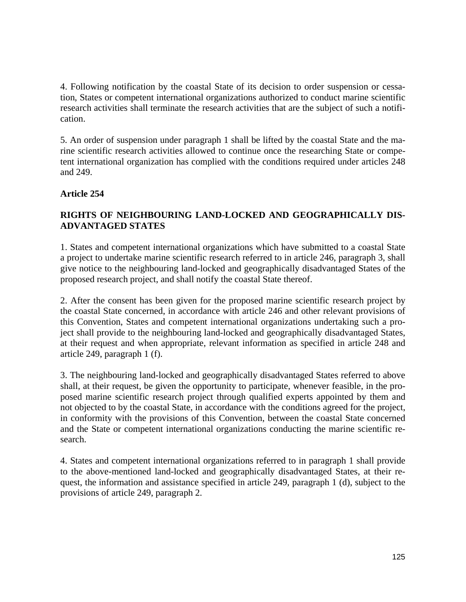4. Following notification by the coastal State of its decision to order suspension or cessation, States or competent international organizations authorized to conduct marine scientific research activities shall terminate the research activities that are the subject of such a notification.

5. An order of suspension under paragraph 1 shall be lifted by the coastal State and the marine scientific research activities allowed to continue once the researching State or competent international organization has complied with the conditions required under articles 248 and 249.

# **Article 254**

# **RIGHTS OF NEIGHBOURING LAND-LOCKED AND GEOGRAPHICALLY DIS-ADVANTAGED STATES**

1. States and competent international organizations which have submitted to a coastal State a project to undertake marine scientific research referred to in article 246, paragraph 3, shall give notice to the neighbouring land-locked and geographically disadvantaged States of the proposed research project, and shall notify the coastal State thereof.

2. After the consent has been given for the proposed marine scientific research project by the coastal State concerned, in accordance with article 246 and other relevant provisions of this Convention, States and competent international organizations undertaking such a project shall provide to the neighbouring land-locked and geographically disadvantaged States, at their request and when appropriate, relevant information as specified in article 248 and article 249, paragraph 1 (f).

3. The neighbouring land-locked and geographically disadvantaged States referred to above shall, at their request, be given the opportunity to participate, whenever feasible, in the proposed marine scientific research project through qualified experts appointed by them and not objected to by the coastal State, in accordance with the conditions agreed for the project, in conformity with the provisions of this Convention, between the coastal State concerned and the State or competent international organizations conducting the marine scientific research.

4. States and competent international organizations referred to in paragraph 1 shall provide to the above-mentioned land-locked and geographically disadvantaged States, at their request, the information and assistance specified in article 249, paragraph 1 (d), subject to the provisions of article 249, paragraph 2.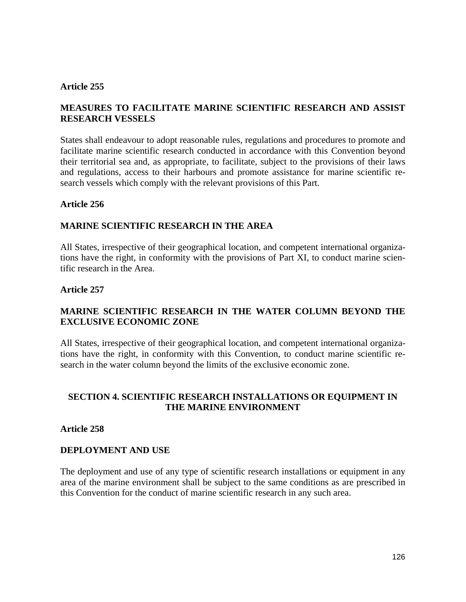# **MEASURES TO FACILITATE MARINE SCIENTIFIC RESEARCH AND ASSIST RESEARCH VESSELS**

States shall endeavour to adopt reasonable rules, regulations and procedures to promote and facilitate marine scientific research conducted in accordance with this Convention beyond their territorial sea and, as appropriate, to facilitate, subject to the provisions of their laws and regulations, access to their harbours and promote assistance for marine scientific research vessels which comply with the relevant provisions of this Part.

#### **Article 256**

## **MARINE SCIENTIFIC RESEARCH IN THE AREA**

All States, irrespective of their geographical location, and competent international organizations have the right, in conformity with the provisions of Part XI, to conduct marine scientific research in the Area.

### **Article 257**

# **MARINE SCIENTIFIC RESEARCH IN THE WATER COLUMN BEYOND THE EXCLUSIVE ECONOMIC ZONE**

All States, irrespective of their geographical location, and competent international organizations have the right, in conformity with this Convention, to conduct marine scientific research in the water column beyond the limits of the exclusive economic zone.

# **SECTION 4. SCIENTIFIC RESEARCH INSTALLATIONS OR EQUIPMENT IN THE MARINE ENVIRONMENT**

#### **Article 258**

## **DEPLOYMENT AND USE**

The deployment and use of any type of scientific research installations or equipment in any area of the marine environment shall be subject to the same conditions as are prescribed in this Convention for the conduct of marine scientific research in any such area.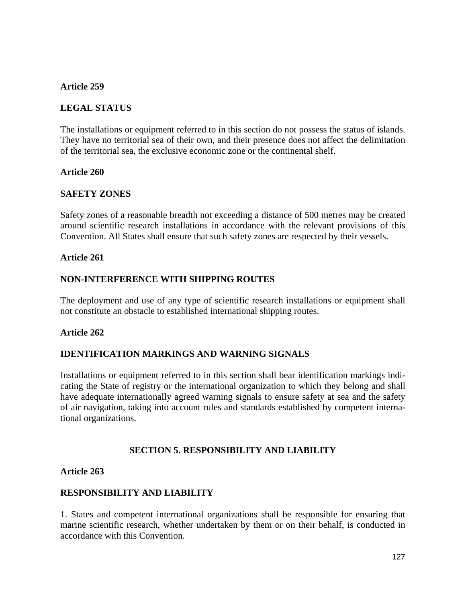## **LEGAL STATUS**

The installations or equipment referred to in this section do not possess the status of islands. They have no territorial sea of their own, and their presence does not affect the delimitation of the territorial sea, the exclusive economic zone or the continental shelf.

## **Article 260**

## **SAFETY ZONES**

Safety zones of a reasonable breadth not exceeding a distance of 500 metres may be created around scientific research installations in accordance with the relevant provisions of this Convention. All States shall ensure that such safety zones are respected by their vessels.

#### **Article 261**

## **NON-INTERFERENCE WITH SHIPPING ROUTES**

The deployment and use of any type of scientific research installations or equipment shall not constitute an obstacle to established international shipping routes.

## **Article 262**

## **IDENTIFICATION MARKINGS AND WARNING SIGNALS**

Installations or equipment referred to in this section shall bear identification markings indicating the State of registry or the international organization to which they belong and shall have adequate internationally agreed warning signals to ensure safety at sea and the safety of air navigation, taking into account rules and standards established by competent international organizations.

## **SECTION 5. RESPONSIBILITY AND LIABILITY**

#### **Article 263**

## **RESPONSIBILITY AND LIABILITY**

1. States and competent international organizations shall be responsible for ensuring that marine scientific research, whether undertaken by them or on their behalf, is conducted in accordance with this Convention.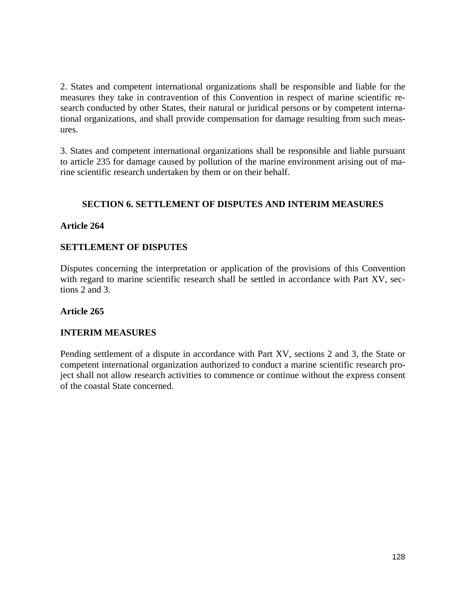2. States and competent international organizations shall be responsible and liable for the measures they take in contravention of this Convention in respect of marine scientific research conducted by other States, their natural or juridical persons or by competent international organizations, and shall provide compensation for damage resulting from such measures.

3. States and competent international organizations shall be responsible and liable pursuant to article 235 for damage caused by pollution of the marine environment arising out of marine scientific research undertaken by them or on their behalf.

# **SECTION 6. SETTLEMENT OF DISPUTES AND INTERIM MEASURES**

# **Article 264**

# **SETTLEMENT OF DISPUTES**

Disputes concerning the interpretation or application of the provisions of this Convention with regard to marine scientific research shall be settled in accordance with Part XV, sections 2 and 3.

# **Article 265**

# **INTERIM MEASURES**

Pending settlement of a dispute in accordance with Part XV, sections 2 and 3, the State or competent international organization authorized to conduct a marine scientific research project shall not allow research activities to commence or continue without the express consent of the coastal State concerned.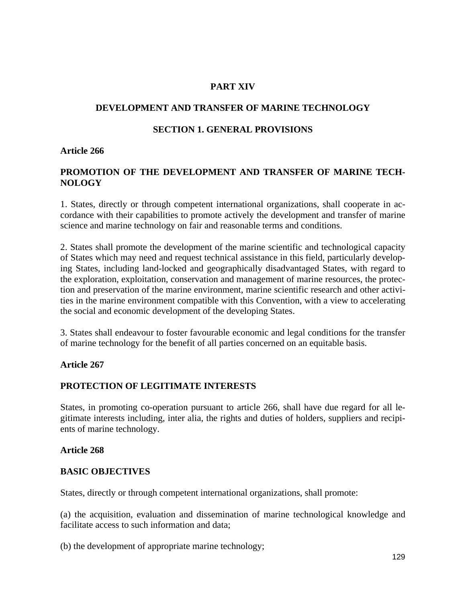# **PART XIV**

# **DEVELOPMENT AND TRANSFER OF MARINE TECHNOLOGY**

# **SECTION 1. GENERAL PROVISIONS**

# **Article 266**

# **PROMOTION OF THE DEVELOPMENT AND TRANSFER OF MARINE TECH-NOLOGY**

1. States, directly or through competent international organizations, shall cooperate in accordance with their capabilities to promote actively the development and transfer of marine science and marine technology on fair and reasonable terms and conditions.

2. States shall promote the development of the marine scientific and technological capacity of States which may need and request technical assistance in this field, particularly developing States, including land-locked and geographically disadvantaged States, with regard to the exploration, exploitation, conservation and management of marine resources, the protection and preservation of the marine environment, marine scientific research and other activities in the marine environment compatible with this Convention, with a view to accelerating the social and economic development of the developing States.

3. States shall endeavour to foster favourable economic and legal conditions for the transfer of marine technology for the benefit of all parties concerned on an equitable basis.

# **Article 267**

# **PROTECTION OF LEGITIMATE INTERESTS**

States, in promoting co-operation pursuant to article 266, shall have due regard for all legitimate interests including, inter alia, the rights and duties of holders, suppliers and recipients of marine technology.

# **Article 268**

# **BASIC OBJECTIVES**

States, directly or through competent international organizations, shall promote:

(a) the acquisition, evaluation and dissemination of marine technological knowledge and facilitate access to such information and data;

(b) the development of appropriate marine technology;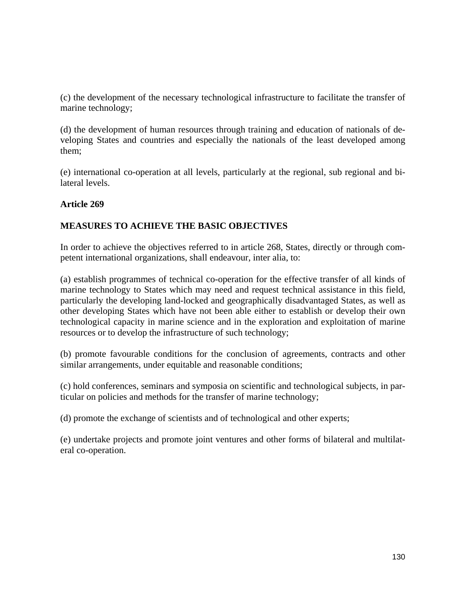(c) the development of the necessary technological infrastructure to facilitate the transfer of marine technology;

(d) the development of human resources through training and education of nationals of developing States and countries and especially the nationals of the least developed among them;

(e) international co-operation at all levels, particularly at the regional, sub regional and bilateral levels.

# **Article 269**

# **MEASURES TO ACHIEVE THE BASIC OBJECTIVES**

In order to achieve the objectives referred to in article 268, States, directly or through competent international organizations, shall endeavour, inter alia, to:

(a) establish programmes of technical co-operation for the effective transfer of all kinds of marine technology to States which may need and request technical assistance in this field, particularly the developing land-locked and geographically disadvantaged States, as well as other developing States which have not been able either to establish or develop their own technological capacity in marine science and in the exploration and exploitation of marine resources or to develop the infrastructure of such technology;

(b) promote favourable conditions for the conclusion of agreements, contracts and other similar arrangements, under equitable and reasonable conditions;

(c) hold conferences, seminars and symposia on scientific and technological subjects, in particular on policies and methods for the transfer of marine technology;

(d) promote the exchange of scientists and of technological and other experts;

(e) undertake projects and promote joint ventures and other forms of bilateral and multilateral co-operation.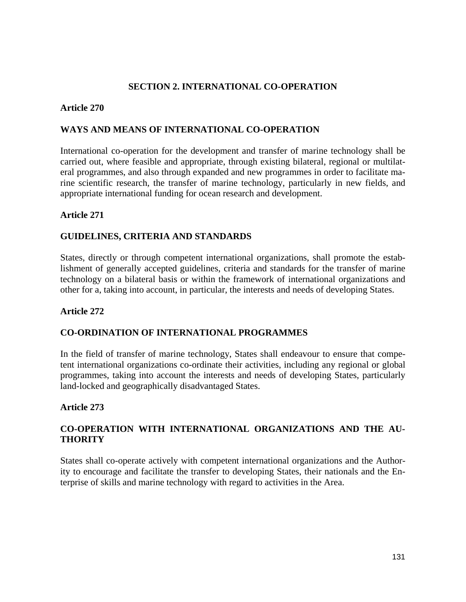## **SECTION 2. INTERNATIONAL CO-OPERATION**

## **Article 270**

## **WAYS AND MEANS OF INTERNATIONAL CO-OPERATION**

International co-operation for the development and transfer of marine technology shall be carried out, where feasible and appropriate, through existing bilateral, regional or multilateral programmes, and also through expanded and new programmes in order to facilitate marine scientific research, the transfer of marine technology, particularly in new fields, and appropriate international funding for ocean research and development.

## **Article 271**

# **GUIDELINES, CRITERIA AND STANDARDS**

States, directly or through competent international organizations, shall promote the establishment of generally accepted guidelines, criteria and standards for the transfer of marine technology on a bilateral basis or within the framework of international organizations and other for a, taking into account, in particular, the interests and needs of developing States.

## **Article 272**

## **CO-ORDINATION OF INTERNATIONAL PROGRAMMES**

In the field of transfer of marine technology, States shall endeavour to ensure that competent international organizations co-ordinate their activities, including any regional or global programmes, taking into account the interests and needs of developing States, particularly land-locked and geographically disadvantaged States.

## **Article 273**

# **CO-OPERATION WITH INTERNATIONAL ORGANIZATIONS AND THE AU-THORITY**

States shall co-operate actively with competent international organizations and the Authority to encourage and facilitate the transfer to developing States, their nationals and the Enterprise of skills and marine technology with regard to activities in the Area.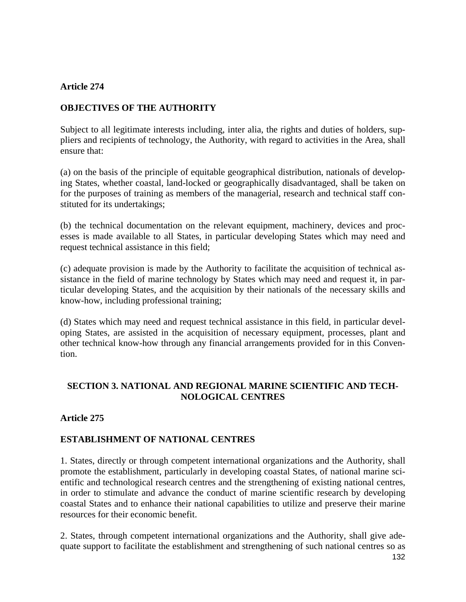# **OBJECTIVES OF THE AUTHORITY**

Subject to all legitimate interests including, inter alia, the rights and duties of holders, suppliers and recipients of technology, the Authority, with regard to activities in the Area, shall ensure that:

(a) on the basis of the principle of equitable geographical distribution, nationals of developing States, whether coastal, land-locked or geographically disadvantaged, shall be taken on for the purposes of training as members of the managerial, research and technical staff constituted for its undertakings;

(b) the technical documentation on the relevant equipment, machinery, devices and processes is made available to all States, in particular developing States which may need and request technical assistance in this field;

(c) adequate provision is made by the Authority to facilitate the acquisition of technical assistance in the field of marine technology by States which may need and request it, in particular developing States, and the acquisition by their nationals of the necessary skills and know-how, including professional training;

(d) States which may need and request technical assistance in this field, in particular developing States, are assisted in the acquisition of necessary equipment, processes, plant and other technical know-how through any financial arrangements provided for in this Convention.

# **SECTION 3. NATIONAL AND REGIONAL MARINE SCIENTIFIC AND TECH-NOLOGICAL CENTRES**

# **Article 275**

# **ESTABLISHMENT OF NATIONAL CENTRES**

1. States, directly or through competent international organizations and the Authority, shall promote the establishment, particularly in developing coastal States, of national marine scientific and technological research centres and the strengthening of existing national centres, in order to stimulate and advance the conduct of marine scientific research by developing coastal States and to enhance their national capabilities to utilize and preserve their marine resources for their economic benefit.

2. States, through competent international organizations and the Authority, shall give adequate support to facilitate the establishment and strengthening of such national centres so as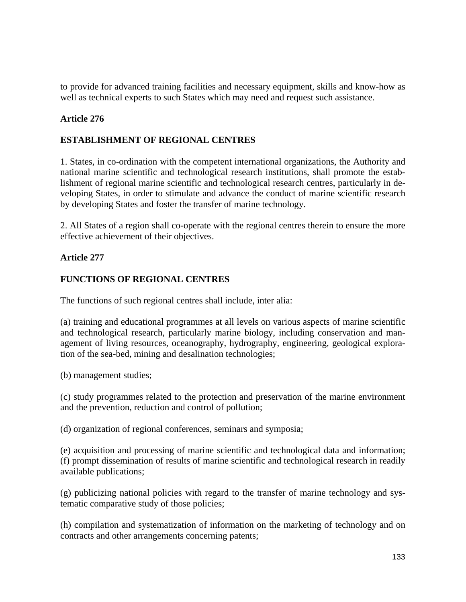to provide for advanced training facilities and necessary equipment, skills and know-how as well as technical experts to such States which may need and request such assistance.

# **Article 276**

# **ESTABLISHMENT OF REGIONAL CENTRES**

1. States, in co-ordination with the competent international organizations, the Authority and national marine scientific and technological research institutions, shall promote the establishment of regional marine scientific and technological research centres, particularly in developing States, in order to stimulate and advance the conduct of marine scientific research by developing States and foster the transfer of marine technology.

2. All States of a region shall co-operate with the regional centres therein to ensure the more effective achievement of their objectives.

## **Article 277**

# **FUNCTIONS OF REGIONAL CENTRES**

The functions of such regional centres shall include, inter alia:

(a) training and educational programmes at all levels on various aspects of marine scientific and technological research, particularly marine biology, including conservation and management of living resources, oceanography, hydrography, engineering, geological exploration of the sea-bed, mining and desalination technologies;

(b) management studies;

(c) study programmes related to the protection and preservation of the marine environment and the prevention, reduction and control of pollution;

(d) organization of regional conferences, seminars and symposia;

(e) acquisition and processing of marine scientific and technological data and information; (f) prompt dissemination of results of marine scientific and technological research in readily available publications;

(g) publicizing national policies with regard to the transfer of marine technology and systematic comparative study of those policies;

(h) compilation and systematization of information on the marketing of technology and on contracts and other arrangements concerning patents;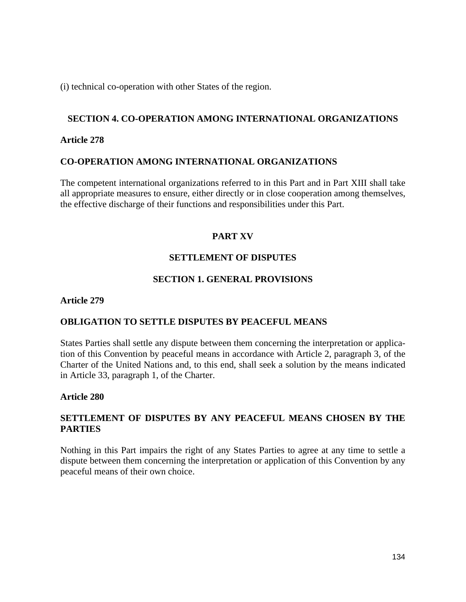(i) technical co-operation with other States of the region.

# **SECTION 4. CO-OPERATION AMONG INTERNATIONAL ORGANIZATIONS**

## **Article 278**

## **CO-OPERATION AMONG INTERNATIONAL ORGANIZATIONS**

The competent international organizations referred to in this Part and in Part XIII shall take all appropriate measures to ensure, either directly or in close cooperation among themselves, the effective discharge of their functions and responsibilities under this Part.

# **PART XV**

# **SETTLEMENT OF DISPUTES**

# **SECTION 1. GENERAL PROVISIONS**

## **Article 279**

# **OBLIGATION TO SETTLE DISPUTES BY PEACEFUL MEANS**

States Parties shall settle any dispute between them concerning the interpretation or application of this Convention by peaceful means in accordance with Article 2, paragraph 3, of the Charter of the United Nations and, to this end, shall seek a solution by the means indicated in Article 33, paragraph 1, of the Charter.

## **Article 280**

# **SETTLEMENT OF DISPUTES BY ANY PEACEFUL MEANS CHOSEN BY THE PARTIES**

Nothing in this Part impairs the right of any States Parties to agree at any time to settle a dispute between them concerning the interpretation or application of this Convention by any peaceful means of their own choice.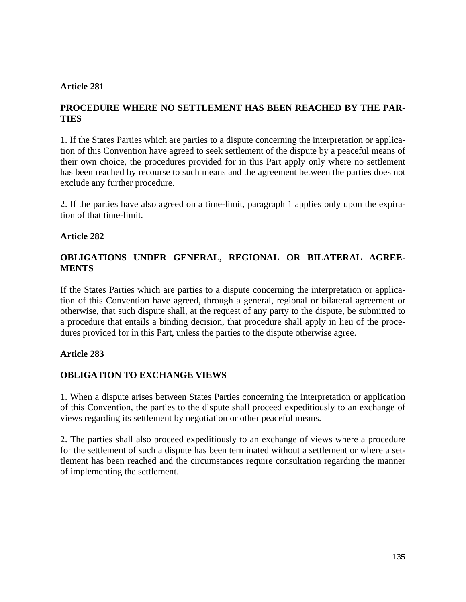# **PROCEDURE WHERE NO SETTLEMENT HAS BEEN REACHED BY THE PAR-TIES**

1. If the States Parties which are parties to a dispute concerning the interpretation or application of this Convention have agreed to seek settlement of the dispute by a peaceful means of their own choice, the procedures provided for in this Part apply only where no settlement has been reached by recourse to such means and the agreement between the parties does not exclude any further procedure.

2. If the parties have also agreed on a time-limit, paragraph 1 applies only upon the expiration of that time-limit.

## **Article 282**

# **OBLIGATIONS UNDER GENERAL, REGIONAL OR BILATERAL AGREE-MENTS**

If the States Parties which are parties to a dispute concerning the interpretation or application of this Convention have agreed, through a general, regional or bilateral agreement or otherwise, that such dispute shall, at the request of any party to the dispute, be submitted to a procedure that entails a binding decision, that procedure shall apply in lieu of the procedures provided for in this Part, unless the parties to the dispute otherwise agree.

## **Article 283**

# **OBLIGATION TO EXCHANGE VIEWS**

1. When a dispute arises between States Parties concerning the interpretation or application of this Convention, the parties to the dispute shall proceed expeditiously to an exchange of views regarding its settlement by negotiation or other peaceful means.

2. The parties shall also proceed expeditiously to an exchange of views where a procedure for the settlement of such a dispute has been terminated without a settlement or where a settlement has been reached and the circumstances require consultation regarding the manner of implementing the settlement.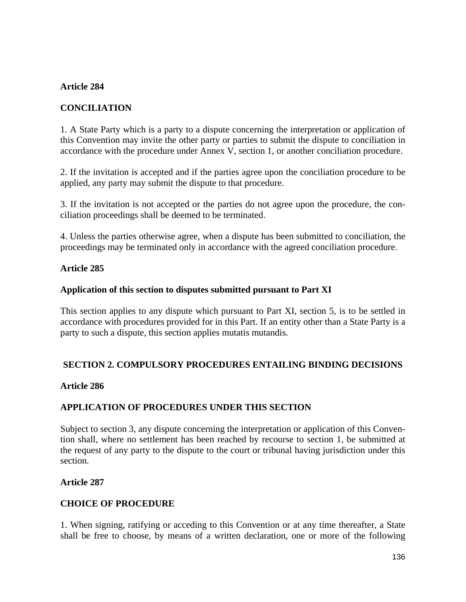# **CONCILIATION**

1. A State Party which is a party to a dispute concerning the interpretation or application of this Convention may invite the other party or parties to submit the dispute to conciliation in accordance with the procedure under Annex V, section 1, or another conciliation procedure.

2. If the invitation is accepted and if the parties agree upon the conciliation procedure to be applied, any party may submit the dispute to that procedure.

3. If the invitation is not accepted or the parties do not agree upon the procedure, the conciliation proceedings shall be deemed to be terminated.

4. Unless the parties otherwise agree, when a dispute has been submitted to conciliation, the proceedings may be terminated only in accordance with the agreed conciliation procedure.

## **Article 285**

## **Application of this section to disputes submitted pursuant to Part XI**

This section applies to any dispute which pursuant to Part XI, section 5, is to be settled in accordance with procedures provided for in this Part. If an entity other than a State Party is a party to such a dispute, this section applies mutatis mutandis.

## **SECTION 2. COMPULSORY PROCEDURES ENTAILING BINDING DECISIONS**

## **Article 286**

# **APPLICATION OF PROCEDURES UNDER THIS SECTION**

Subject to section 3, any dispute concerning the interpretation or application of this Convention shall, where no settlement has been reached by recourse to section 1, be submitted at the request of any party to the dispute to the court or tribunal having jurisdiction under this section.

## **Article 287**

## **CHOICE OF PROCEDURE**

1. When signing, ratifying or acceding to this Convention or at any time thereafter, a State shall be free to choose, by means of a written declaration, one or more of the following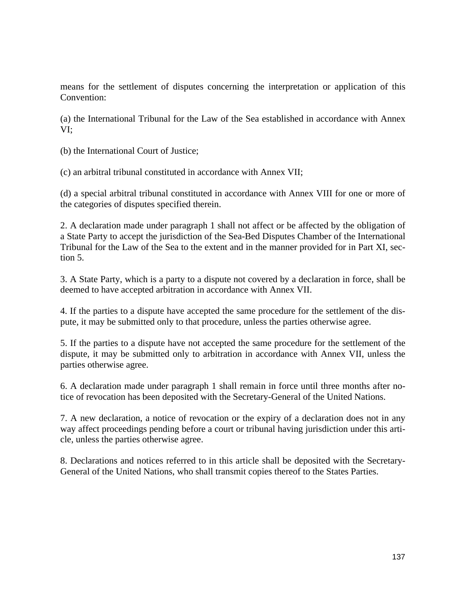means for the settlement of disputes concerning the interpretation or application of this Convention:

(a) the International Tribunal for the Law of the Sea established in accordance with Annex VI;

(b) the International Court of Justice;

(c) an arbitral tribunal constituted in accordance with Annex VII;

(d) a special arbitral tribunal constituted in accordance with Annex VIII for one or more of the categories of disputes specified therein.

2. A declaration made under paragraph 1 shall not affect or be affected by the obligation of a State Party to accept the jurisdiction of the Sea-Bed Disputes Chamber of the International Tribunal for the Law of the Sea to the extent and in the manner provided for in Part XI, section 5.

3. A State Party, which is a party to a dispute not covered by a declaration in force, shall be deemed to have accepted arbitration in accordance with Annex VII.

4. If the parties to a dispute have accepted the same procedure for the settlement of the dispute, it may be submitted only to that procedure, unless the parties otherwise agree.

5. If the parties to a dispute have not accepted the same procedure for the settlement of the dispute, it may be submitted only to arbitration in accordance with Annex VII, unless the parties otherwise agree.

6. A declaration made under paragraph 1 shall remain in force until three months after notice of revocation has been deposited with the Secretary-General of the United Nations.

7. A new declaration, a notice of revocation or the expiry of a declaration does not in any way affect proceedings pending before a court or tribunal having jurisdiction under this article, unless the parties otherwise agree.

8. Declarations and notices referred to in this article shall be deposited with the Secretary-General of the United Nations, who shall transmit copies thereof to the States Parties.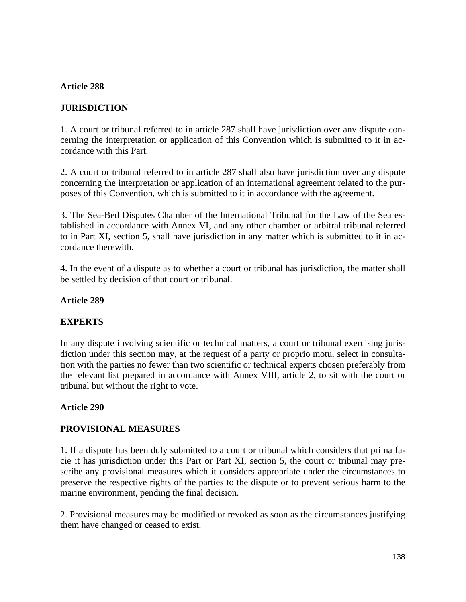## **JURISDICTION**

1. A court or tribunal referred to in article 287 shall have jurisdiction over any dispute concerning the interpretation or application of this Convention which is submitted to it in accordance with this Part.

2. A court or tribunal referred to in article 287 shall also have jurisdiction over any dispute concerning the interpretation or application of an international agreement related to the purposes of this Convention, which is submitted to it in accordance with the agreement.

3. The Sea-Bed Disputes Chamber of the International Tribunal for the Law of the Sea established in accordance with Annex VI, and any other chamber or arbitral tribunal referred to in Part XI, section 5, shall have jurisdiction in any matter which is submitted to it in accordance therewith.

4. In the event of a dispute as to whether a court or tribunal has jurisdiction, the matter shall be settled by decision of that court or tribunal.

## **Article 289**

# **EXPERTS**

In any dispute involving scientific or technical matters, a court or tribunal exercising jurisdiction under this section may, at the request of a party or proprio motu, select in consultation with the parties no fewer than two scientific or technical experts chosen preferably from the relevant list prepared in accordance with Annex VIII, article 2, to sit with the court or tribunal but without the right to vote.

## **Article 290**

# **PROVISIONAL MEASURES**

1. If a dispute has been duly submitted to a court or tribunal which considers that prima facie it has jurisdiction under this Part or Part XI, section 5, the court or tribunal may prescribe any provisional measures which it considers appropriate under the circumstances to preserve the respective rights of the parties to the dispute or to prevent serious harm to the marine environment, pending the final decision.

2. Provisional measures may be modified or revoked as soon as the circumstances justifying them have changed or ceased to exist.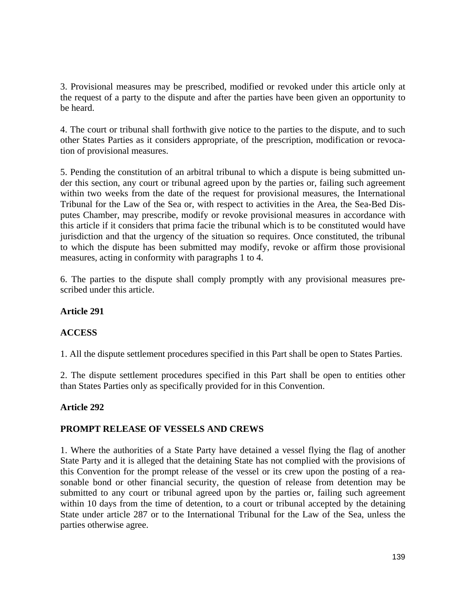3. Provisional measures may be prescribed, modified or revoked under this article only at the request of a party to the dispute and after the parties have been given an opportunity to be heard.

4. The court or tribunal shall forthwith give notice to the parties to the dispute, and to such other States Parties as it considers appropriate, of the prescription, modification or revocation of provisional measures.

5. Pending the constitution of an arbitral tribunal to which a dispute is being submitted under this section, any court or tribunal agreed upon by the parties or, failing such agreement within two weeks from the date of the request for provisional measures, the International Tribunal for the Law of the Sea or, with respect to activities in the Area, the Sea-Bed Disputes Chamber, may prescribe, modify or revoke provisional measures in accordance with this article if it considers that prima facie the tribunal which is to be constituted would have jurisdiction and that the urgency of the situation so requires. Once constituted, the tribunal to which the dispute has been submitted may modify, revoke or affirm those provisional measures, acting in conformity with paragraphs 1 to 4.

6. The parties to the dispute shall comply promptly with any provisional measures prescribed under this article.

# **Article 291**

# **ACCESS**

1. All the dispute settlement procedures specified in this Part shall be open to States Parties.

2. The dispute settlement procedures specified in this Part shall be open to entities other than States Parties only as specifically provided for in this Convention.

# **Article 292**

# **PROMPT RELEASE OF VESSELS AND CREWS**

1. Where the authorities of a State Party have detained a vessel flying the flag of another State Party and it is alleged that the detaining State has not complied with the provisions of this Convention for the prompt release of the vessel or its crew upon the posting of a reasonable bond or other financial security, the question of release from detention may be submitted to any court or tribunal agreed upon by the parties or, failing such agreement within 10 days from the time of detention, to a court or tribunal accepted by the detaining State under article 287 or to the International Tribunal for the Law of the Sea, unless the parties otherwise agree.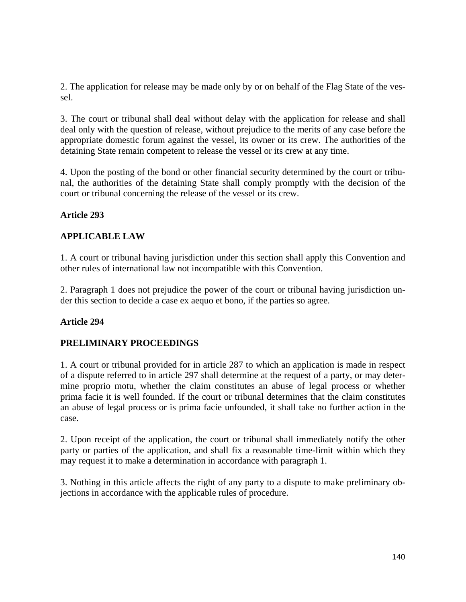2. The application for release may be made only by or on behalf of the Flag State of the vessel.

3. The court or tribunal shall deal without delay with the application for release and shall deal only with the question of release, without prejudice to the merits of any case before the appropriate domestic forum against the vessel, its owner or its crew. The authorities of the detaining State remain competent to release the vessel or its crew at any time.

4. Upon the posting of the bond or other financial security determined by the court or tribunal, the authorities of the detaining State shall comply promptly with the decision of the court or tribunal concerning the release of the vessel or its crew.

# **Article 293**

# **APPLICABLE LAW**

1. A court or tribunal having jurisdiction under this section shall apply this Convention and other rules of international law not incompatible with this Convention.

2. Paragraph 1 does not prejudice the power of the court or tribunal having jurisdiction under this section to decide a case ex aequo et bono, if the parties so agree.

# **Article 294**

# **PRELIMINARY PROCEEDINGS**

1. A court or tribunal provided for in article 287 to which an application is made in respect of a dispute referred to in article 297 shall determine at the request of a party, or may determine proprio motu, whether the claim constitutes an abuse of legal process or whether prima facie it is well founded. If the court or tribunal determines that the claim constitutes an abuse of legal process or is prima facie unfounded, it shall take no further action in the case.

2. Upon receipt of the application, the court or tribunal shall immediately notify the other party or parties of the application, and shall fix a reasonable time-limit within which they may request it to make a determination in accordance with paragraph 1.

3. Nothing in this article affects the right of any party to a dispute to make preliminary objections in accordance with the applicable rules of procedure.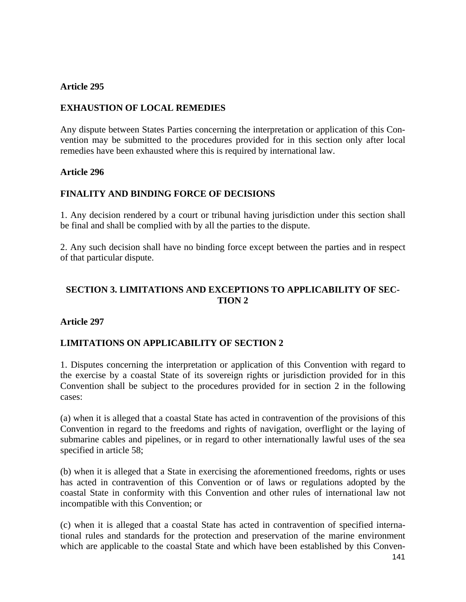# **EXHAUSTION OF LOCAL REMEDIES**

Any dispute between States Parties concerning the interpretation or application of this Convention may be submitted to the procedures provided for in this section only after local remedies have been exhausted where this is required by international law.

## **Article 296**

## **FINALITY AND BINDING FORCE OF DECISIONS**

1. Any decision rendered by a court or tribunal having jurisdiction under this section shall be final and shall be complied with by all the parties to the dispute.

2. Any such decision shall have no binding force except between the parties and in respect of that particular dispute.

# **SECTION 3. LIMITATIONS AND EXCEPTIONS TO APPLICABILITY OF SEC-TION 2**

**Article 297** 

# **LIMITATIONS ON APPLICABILITY OF SECTION 2**

1. Disputes concerning the interpretation or application of this Convention with regard to the exercise by a coastal State of its sovereign rights or jurisdiction provided for in this Convention shall be subject to the procedures provided for in section 2 in the following cases:

(a) when it is alleged that a coastal State has acted in contravention of the provisions of this Convention in regard to the freedoms and rights of navigation, overflight or the laying of submarine cables and pipelines, or in regard to other internationally lawful uses of the sea specified in article 58;

(b) when it is alleged that a State in exercising the aforementioned freedoms, rights or uses has acted in contravention of this Convention or of laws or regulations adopted by the coastal State in conformity with this Convention and other rules of international law not incompatible with this Convention; or

(c) when it is alleged that a coastal State has acted in contravention of specified international rules and standards for the protection and preservation of the marine environment which are applicable to the coastal State and which have been established by this Conven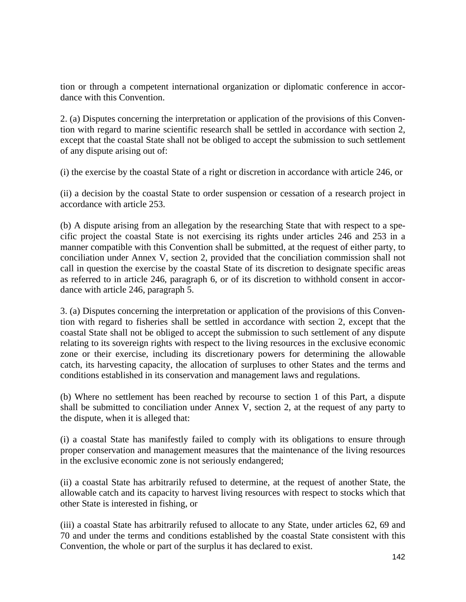tion or through a competent international organization or diplomatic conference in accordance with this Convention.

2. (a) Disputes concerning the interpretation or application of the provisions of this Convention with regard to marine scientific research shall be settled in accordance with section 2, except that the coastal State shall not be obliged to accept the submission to such settlement of any dispute arising out of:

(i) the exercise by the coastal State of a right or discretion in accordance with article 246, or

(ii) a decision by the coastal State to order suspension or cessation of a research project in accordance with article 253.

(b) A dispute arising from an allegation by the researching State that with respect to a specific project the coastal State is not exercising its rights under articles 246 and 253 in a manner compatible with this Convention shall be submitted, at the request of either party, to conciliation under Annex V, section 2, provided that the conciliation commission shall not call in question the exercise by the coastal State of its discretion to designate specific areas as referred to in article 246, paragraph 6, or of its discretion to withhold consent in accordance with article 246, paragraph 5.

3. (a) Disputes concerning the interpretation or application of the provisions of this Convention with regard to fisheries shall be settled in accordance with section 2, except that the coastal State shall not be obliged to accept the submission to such settlement of any dispute relating to its sovereign rights with respect to the living resources in the exclusive economic zone or their exercise, including its discretionary powers for determining the allowable catch, its harvesting capacity, the allocation of surpluses to other States and the terms and conditions established in its conservation and management laws and regulations.

(b) Where no settlement has been reached by recourse to section 1 of this Part, a dispute shall be submitted to conciliation under Annex V, section 2, at the request of any party to the dispute, when it is alleged that:

(i) a coastal State has manifestly failed to comply with its obligations to ensure through proper conservation and management measures that the maintenance of the living resources in the exclusive economic zone is not seriously endangered;

(ii) a coastal State has arbitrarily refused to determine, at the request of another State, the allowable catch and its capacity to harvest living resources with respect to stocks which that other State is interested in fishing, or

(iii) a coastal State has arbitrarily refused to allocate to any State, under articles 62, 69 and 70 and under the terms and conditions established by the coastal State consistent with this Convention, the whole or part of the surplus it has declared to exist.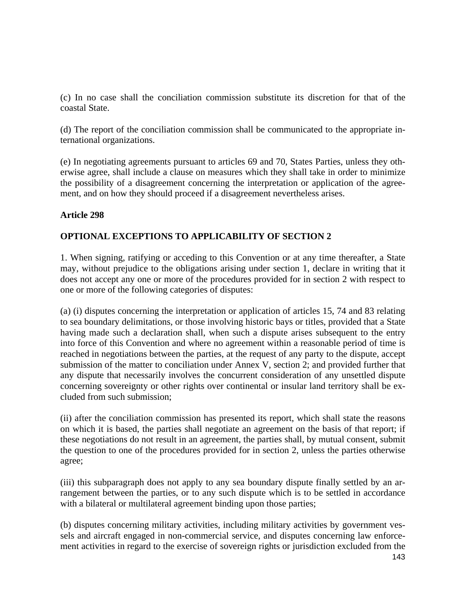(c) In no case shall the conciliation commission substitute its discretion for that of the coastal State.

(d) The report of the conciliation commission shall be communicated to the appropriate international organizations.

(e) In negotiating agreements pursuant to articles 69 and 70, States Parties, unless they otherwise agree, shall include a clause on measures which they shall take in order to minimize the possibility of a disagreement concerning the interpretation or application of the agreement, and on how they should proceed if a disagreement nevertheless arises.

# **Article 298**

# **OPTIONAL EXCEPTIONS TO APPLICABILITY OF SECTION 2**

1. When signing, ratifying or acceding to this Convention or at any time thereafter, a State may, without prejudice to the obligations arising under section 1, declare in writing that it does not accept any one or more of the procedures provided for in section 2 with respect to one or more of the following categories of disputes:

(a) (i) disputes concerning the interpretation or application of articles 15, 74 and 83 relating to sea boundary delimitations, or those involving historic bays or titles, provided that a State having made such a declaration shall, when such a dispute arises subsequent to the entry into force of this Convention and where no agreement within a reasonable period of time is reached in negotiations between the parties, at the request of any party to the dispute, accept submission of the matter to conciliation under Annex V, section 2; and provided further that any dispute that necessarily involves the concurrent consideration of any unsettled dispute concerning sovereignty or other rights over continental or insular land territory shall be excluded from such submission;

(ii) after the conciliation commission has presented its report, which shall state the reasons on which it is based, the parties shall negotiate an agreement on the basis of that report; if these negotiations do not result in an agreement, the parties shall, by mutual consent, submit the question to one of the procedures provided for in section 2, unless the parties otherwise agree;

(iii) this subparagraph does not apply to any sea boundary dispute finally settled by an arrangement between the parties, or to any such dispute which is to be settled in accordance with a bilateral or multilateral agreement binding upon those parties;

(b) disputes concerning military activities, including military activities by government vessels and aircraft engaged in non-commercial service, and disputes concerning law enforcement activities in regard to the exercise of sovereign rights or jurisdiction excluded from the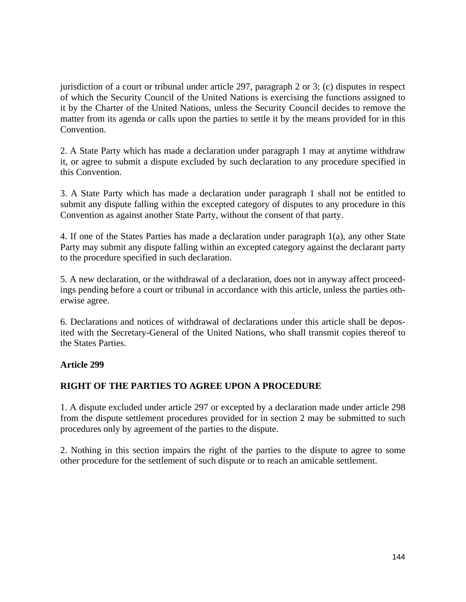jurisdiction of a court or tribunal under article 297, paragraph 2 or 3; (c) disputes in respect of which the Security Council of the United Nations is exercising the functions assigned to it by the Charter of the United Nations, unless the Security Council decides to remove the matter from its agenda or calls upon the parties to settle it by the means provided for in this Convention.

2. A State Party which has made a declaration under paragraph 1 may at anytime withdraw it, or agree to submit a dispute excluded by such declaration to any procedure specified in this Convention.

3. A State Party which has made a declaration under paragraph 1 shall not be entitled to submit any dispute falling within the excepted category of disputes to any procedure in this Convention as against another State Party, without the consent of that party.

4. If one of the States Parties has made a declaration under paragraph 1(a), any other State Party may submit any dispute falling within an excepted category against the declarant party to the procedure specified in such declaration.

5. A new declaration, or the withdrawal of a declaration, does not in anyway affect proceedings pending before a court or tribunal in accordance with this article, unless the parties otherwise agree.

6. Declarations and notices of withdrawal of declarations under this article shall be deposited with the Secretary-General of the United Nations, who shall transmit copies thereof to the States Parties.

# **Article 299**

# **RIGHT OF THE PARTIES TO AGREE UPON A PROCEDURE**

1. A dispute excluded under article 297 or excepted by a declaration made under article 298 from the dispute settlement procedures provided for in section 2 may be submitted to such procedures only by agreement of the parties to the dispute.

2. Nothing in this section impairs the right of the parties to the dispute to agree to some other procedure for the settlement of such dispute or to reach an amicable settlement.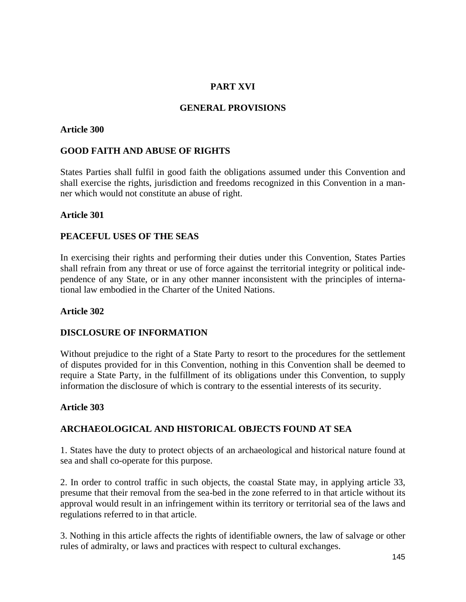### **PART XVI**

## **GENERAL PROVISIONS**

#### **Article 300**

### **GOOD FAITH AND ABUSE OF RIGHTS**

States Parties shall fulfil in good faith the obligations assumed under this Convention and shall exercise the rights, jurisdiction and freedoms recognized in this Convention in a manner which would not constitute an abuse of right.

#### **Article 301**

#### **PEACEFUL USES OF THE SEAS**

In exercising their rights and performing their duties under this Convention, States Parties shall refrain from any threat or use of force against the territorial integrity or political independence of any State, or in any other manner inconsistent with the principles of international law embodied in the Charter of the United Nations.

#### **Article 302**

### **DISCLOSURE OF INFORMATION**

Without prejudice to the right of a State Party to resort to the procedures for the settlement of disputes provided for in this Convention, nothing in this Convention shall be deemed to require a State Party, in the fulfillment of its obligations under this Convention, to supply information the disclosure of which is contrary to the essential interests of its security.

#### **Article 303**

### **ARCHAEOLOGICAL AND HISTORICAL OBJECTS FOUND AT SEA**

1. States have the duty to protect objects of an archaeological and historical nature found at sea and shall co-operate for this purpose.

2. In order to control traffic in such objects, the coastal State may, in applying article 33, presume that their removal from the sea-bed in the zone referred to in that article without its approval would result in an infringement within its territory or territorial sea of the laws and regulations referred to in that article.

3. Nothing in this article affects the rights of identifiable owners, the law of salvage or other rules of admiralty, or laws and practices with respect to cultural exchanges.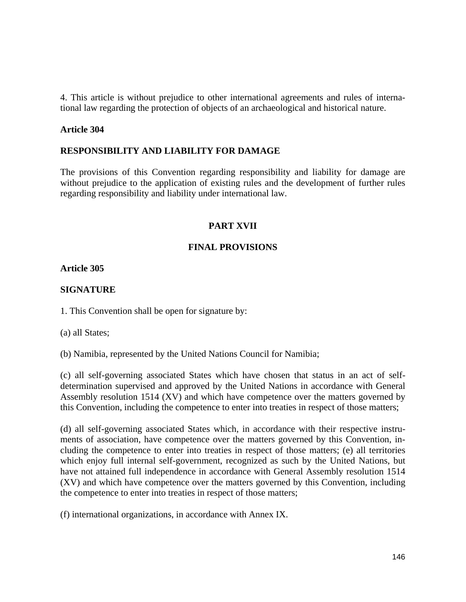4. This article is without prejudice to other international agreements and rules of international law regarding the protection of objects of an archaeological and historical nature.

#### **Article 304**

#### **RESPONSIBILITY AND LIABILITY FOR DAMAGE**

The provisions of this Convention regarding responsibility and liability for damage are without prejudice to the application of existing rules and the development of further rules regarding responsibility and liability under international law.

### **PART XVII**

### **FINAL PROVISIONS**

**Article 305** 

#### **SIGNATURE**

1. This Convention shall be open for signature by:

(a) all States;

(b) Namibia, represented by the United Nations Council for Namibia;

(c) all self-governing associated States which have chosen that status in an act of selfdetermination supervised and approved by the United Nations in accordance with General Assembly resolution 1514 (XV) and which have competence over the matters governed by this Convention, including the competence to enter into treaties in respect of those matters;

(d) all self-governing associated States which, in accordance with their respective instruments of association, have competence over the matters governed by this Convention, including the competence to enter into treaties in respect of those matters; (e) all territories which enjoy full internal self-government, recognized as such by the United Nations, but have not attained full independence in accordance with General Assembly resolution 1514 (XV) and which have competence over the matters governed by this Convention, including the competence to enter into treaties in respect of those matters;

(f) international organizations, in accordance with Annex IX.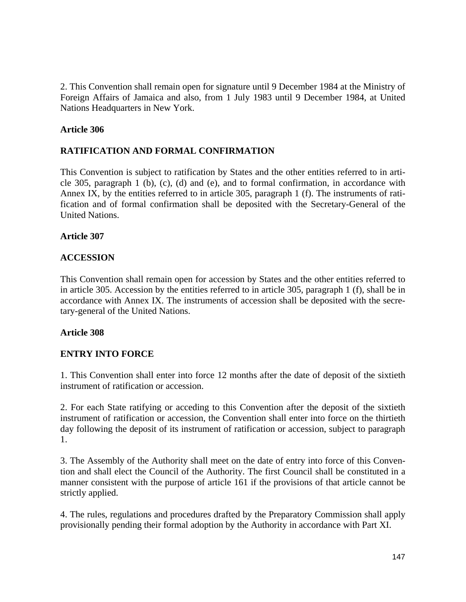2. This Convention shall remain open for signature until 9 December 1984 at the Ministry of Foreign Affairs of Jamaica and also, from 1 July 1983 until 9 December 1984, at United Nations Headquarters in New York.

## **Article 306**

# **RATIFICATION AND FORMAL CONFIRMATION**

This Convention is subject to ratification by States and the other entities referred to in article 305, paragraph 1 (b), (c), (d) and (e), and to formal confirmation, in accordance with Annex IX, by the entities referred to in article 305, paragraph 1 (f). The instruments of ratification and of formal confirmation shall be deposited with the Secretary-General of the United Nations.

#### **Article 307**

### **ACCESSION**

This Convention shall remain open for accession by States and the other entities referred to in article 305. Accession by the entities referred to in article 305, paragraph 1 (f), shall be in accordance with Annex IX. The instruments of accession shall be deposited with the secretary-general of the United Nations.

#### **Article 308**

#### **ENTRY INTO FORCE**

1. This Convention shall enter into force 12 months after the date of deposit of the sixtieth instrument of ratification or accession.

2. For each State ratifying or acceding to this Convention after the deposit of the sixtieth instrument of ratification or accession, the Convention shall enter into force on the thirtieth day following the deposit of its instrument of ratification or accession, subject to paragraph 1.

3. The Assembly of the Authority shall meet on the date of entry into force of this Convention and shall elect the Council of the Authority. The first Council shall be constituted in a manner consistent with the purpose of article 161 if the provisions of that article cannot be strictly applied.

4. The rules, regulations and procedures drafted by the Preparatory Commission shall apply provisionally pending their formal adoption by the Authority in accordance with Part XI.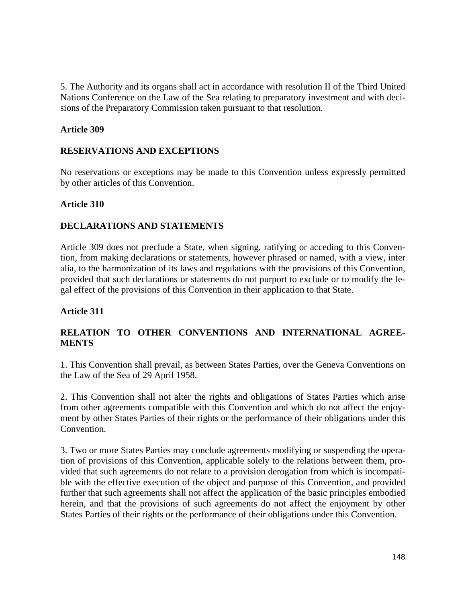5. The Authority and its organs shall act in accordance with resolution II of the Third United Nations Conference on the Law of the Sea relating to preparatory investment and with decisions of the Preparatory Commission taken pursuant to that resolution.

## **Article 309**

# **RESERVATIONS AND EXCEPTIONS**

No reservations or exceptions may be made to this Convention unless expressly permitted by other articles of this Convention.

### **Article 310**

# **DECLARATIONS AND STATEMENTS**

Article 309 does not preclude a State, when signing, ratifying or acceding to this Convention, from making declarations or statements, however phrased or named, with a view, inter alia, to the harmonization of its laws and regulations with the provisions of this Convention, provided that such declarations or statements do not purport to exclude or to modify the legal effect of the provisions of this Convention in their application to that State.

### **Article 311**

# **RELATION TO OTHER CONVENTIONS AND INTERNATIONAL AGREE-MENTS**

1. This Convention shall prevail, as between States Parties, over the Geneva Conventions on the Law of the Sea of 29 April 1958.

2. This Convention shall not alter the rights and obligations of States Parties which arise from other agreements compatible with this Convention and which do not affect the enjoyment by other States Parties of their rights or the performance of their obligations under this Convention.

3. Two or more States Parties may conclude agreements modifying or suspending the operation of provisions of this Convention, applicable solely to the relations between them, provided that such agreements do not relate to a provision derogation from which is incompatible with the effective execution of the object and purpose of this Convention, and provided further that such agreements shall not affect the application of the basic principles embodied herein, and that the provisions of such agreements do not affect the enjoyment by other States Parties of their rights or the performance of their obligations under this Convention.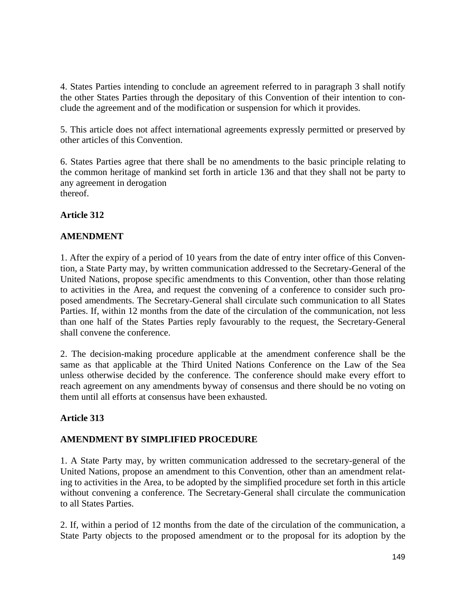4. States Parties intending to conclude an agreement referred to in paragraph 3 shall notify the other States Parties through the depositary of this Convention of their intention to conclude the agreement and of the modification or suspension for which it provides.

5. This article does not affect international agreements expressly permitted or preserved by other articles of this Convention.

6. States Parties agree that there shall be no amendments to the basic principle relating to the common heritage of mankind set forth in article 136 and that they shall not be party to any agreement in derogation thereof.

**Article 312** 

# **AMENDMENT**

1. After the expiry of a period of 10 years from the date of entry inter office of this Convention, a State Party may, by written communication addressed to the Secretary-General of the United Nations, propose specific amendments to this Convention, other than those relating to activities in the Area, and request the convening of a conference to consider such proposed amendments. The Secretary-General shall circulate such communication to all States Parties. If, within 12 months from the date of the circulation of the communication, not less than one half of the States Parties reply favourably to the request, the Secretary-General shall convene the conference.

2. The decision-making procedure applicable at the amendment conference shall be the same as that applicable at the Third United Nations Conference on the Law of the Sea unless otherwise decided by the conference. The conference should make every effort to reach agreement on any amendments byway of consensus and there should be no voting on them until all efforts at consensus have been exhausted.

# **Article 313**

# **AMENDMENT BY SIMPLIFIED PROCEDURE**

1. A State Party may, by written communication addressed to the secretary-general of the United Nations, propose an amendment to this Convention, other than an amendment relating to activities in the Area, to be adopted by the simplified procedure set forth in this article without convening a conference. The Secretary-General shall circulate the communication to all States Parties.

2. If, within a period of 12 months from the date of the circulation of the communication, a State Party objects to the proposed amendment or to the proposal for its adoption by the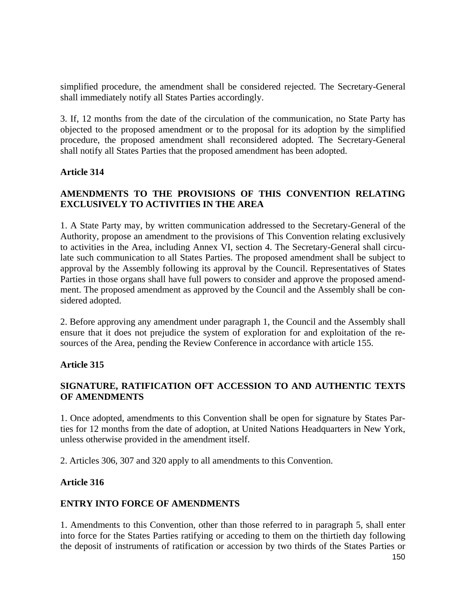simplified procedure, the amendment shall be considered rejected. The Secretary-General shall immediately notify all States Parties accordingly.

3. If, 12 months from the date of the circulation of the communication, no State Party has objected to the proposed amendment or to the proposal for its adoption by the simplified procedure, the proposed amendment shall reconsidered adopted. The Secretary-General shall notify all States Parties that the proposed amendment has been adopted.

#### **Article 314**

# **AMENDMENTS TO THE PROVISIONS OF THIS CONVENTION RELATING EXCLUSIVELY TO ACTIVITIES IN THE AREA**

1. A State Party may, by written communication addressed to the Secretary-General of the Authority, propose an amendment to the provisions of This Convention relating exclusively to activities in the Area, including Annex VI, section 4. The Secretary-General shall circulate such communication to all States Parties. The proposed amendment shall be subject to approval by the Assembly following its approval by the Council. Representatives of States Parties in those organs shall have full powers to consider and approve the proposed amendment. The proposed amendment as approved by the Council and the Assembly shall be considered adopted.

2. Before approving any amendment under paragraph 1, the Council and the Assembly shall ensure that it does not prejudice the system of exploration for and exploitation of the resources of the Area, pending the Review Conference in accordance with article 155.

#### **Article 315**

### **SIGNATURE, RATIFICATION OFT ACCESSION TO AND AUTHENTIC TEXTS OF AMENDMENTS**

1. Once adopted, amendments to this Convention shall be open for signature by States Parties for 12 months from the date of adoption, at United Nations Headquarters in New York, unless otherwise provided in the amendment itself.

2. Articles 306, 307 and 320 apply to all amendments to this Convention.

### **Article 316**

### **ENTRY INTO FORCE OF AMENDMENTS**

1. Amendments to this Convention, other than those referred to in paragraph 5, shall enter into force for the States Parties ratifying or acceding to them on the thirtieth day following the deposit of instruments of ratification or accession by two thirds of the States Parties or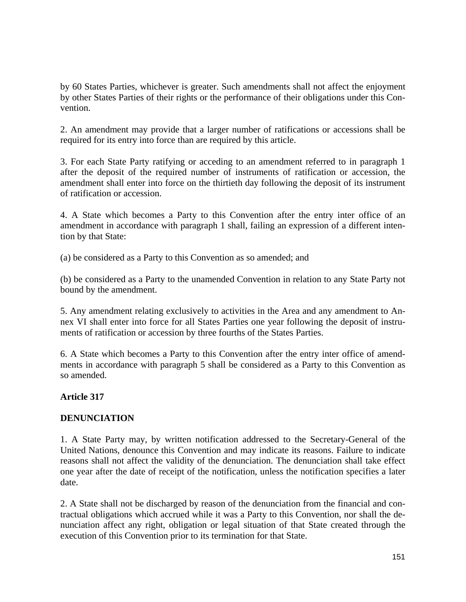by 60 States Parties, whichever is greater. Such amendments shall not affect the enjoyment by other States Parties of their rights or the performance of their obligations under this Convention.

2. An amendment may provide that a larger number of ratifications or accessions shall be required for its entry into force than are required by this article.

3. For each State Party ratifying or acceding to an amendment referred to in paragraph 1 after the deposit of the required number of instruments of ratification or accession, the amendment shall enter into force on the thirtieth day following the deposit of its instrument of ratification or accession.

4. A State which becomes a Party to this Convention after the entry inter office of an amendment in accordance with paragraph 1 shall, failing an expression of a different intention by that State:

(a) be considered as a Party to this Convention as so amended; and

(b) be considered as a Party to the unamended Convention in relation to any State Party not bound by the amendment.

5. Any amendment relating exclusively to activities in the Area and any amendment to Annex VI shall enter into force for all States Parties one year following the deposit of instruments of ratification or accession by three fourths of the States Parties.

6. A State which becomes a Party to this Convention after the entry inter office of amendments in accordance with paragraph 5 shall be considered as a Party to this Convention as so amended.

### **Article 317**

### **DENUNCIATION**

1. A State Party may, by written notification addressed to the Secretary-General of the United Nations, denounce this Convention and may indicate its reasons. Failure to indicate reasons shall not affect the validity of the denunciation. The denunciation shall take effect one year after the date of receipt of the notification, unless the notification specifies a later date.

2. A State shall not be discharged by reason of the denunciation from the financial and contractual obligations which accrued while it was a Party to this Convention, nor shall the denunciation affect any right, obligation or legal situation of that State created through the execution of this Convention prior to its termination for that State.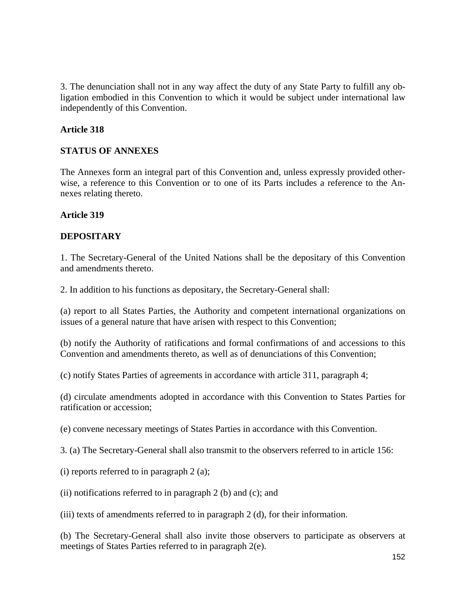3. The denunciation shall not in any way affect the duty of any State Party to fulfill any obligation embodied in this Convention to which it would be subject under international law independently of this Convention.

# **Article 318**

### **STATUS OF ANNEXES**

The Annexes form an integral part of this Convention and, unless expressly provided otherwise, a reference to this Convention or to one of its Parts includes a reference to the Annexes relating thereto.

### **Article 319**

### **DEPOSITARY**

1. The Secretary-General of the United Nations shall be the depositary of this Convention and amendments thereto.

2. In addition to his functions as depositary, the Secretary-General shall:

(a) report to all States Parties, the Authority and competent international organizations on issues of a general nature that have arisen with respect to this Convention;

(b) notify the Authority of ratifications and formal confirmations of and accessions to this Convention and amendments thereto, as well as of denunciations of this Convention;

(c) notify States Parties of agreements in accordance with article 311, paragraph 4;

(d) circulate amendments adopted in accordance with this Convention to States Parties for ratification or accession;

(e) convene necessary meetings of States Parties in accordance with this Convention.

3. (a) The Secretary-General shall also transmit to the observers referred to in article 156:

(i) reports referred to in paragraph 2 (a);

(ii) notifications referred to in paragraph 2 (b) and (c); and

(iii) texts of amendments referred to in paragraph 2 (d), for their information.

(b) The Secretary-General shall also invite those observers to participate as observers at meetings of States Parties referred to in paragraph 2(e).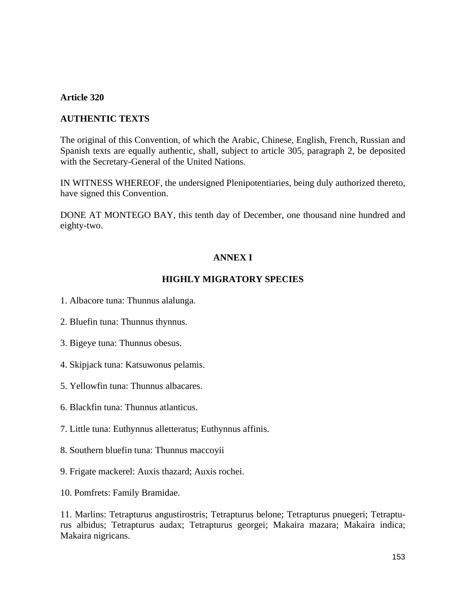### **AUTHENTIC TEXTS**

The original of this Convention, of which the Arabic, Chinese, English, French, Russian and Spanish texts are equally authentic, shall, subject to article 305, paragraph 2, be deposited with the Secretary-General of the United Nations.

IN WITNESS WHEREOF, the undersigned Plenipotentiaries, being duly authorized thereto, have signed this Convention.

DONE AT MONTEGO BAY, this tenth day of December, one thousand nine hundred and eighty-two.

### **ANNEX I**

# **HIGHLY MIGRATORY SPECIES**

- 1. Albacore tuna: Thunnus alalunga.
- 2. Bluefin tuna: Thunnus thynnus.
- 3. Bigeye tuna: Thunnus obesus.
- 4. Skipjack tuna: Katsuwonus pelamis.
- 5. Yellowfin tuna: Thunnus albacares.
- 6. Blackfin tuna: Thunnus atlanticus.
- 7. Little tuna: Euthynnus alletteratus; Euthynnus affinis.
- 8. Southern bluefin tuna: Thunnus maccoyii
- 9. Frigate mackerel: Auxis thazard; Auxis rochei.
- 10. Pomfrets: Family Bramidae.

11. Marlins: Tetrapturus angustirostris; Tetrapturus belone; Tetrapturus pnuegeri; Tetrapturus albidus; Tetrapturus audax; Tetrapturus georgei; Makaira mazara; Makaira indica; Makaira nigricans.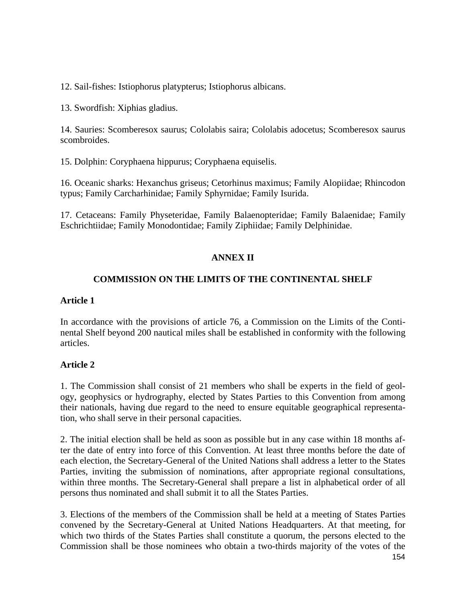12. Sail-fishes: Istiophorus platypterus; Istiophorus albicans.

13. Swordfish: Xiphias gladius.

14. Sauries: Scomberesox saurus; Cololabis saira; Cololabis adocetus; Scomberesox saurus scombroides.

15. Dolphin: Coryphaena hippurus; Coryphaena equiselis.

16. Oceanic sharks: Hexanchus griseus; Cetorhinus maximus; Family Alopiidae; Rhincodon typus; Family Carcharhinidae; Family Sphyrnidae; Family Isurida.

17. Cetaceans: Family Physeteridae, Family Balaenopteridae; Family Balaenidae; Family Eschrichtiidae; Family Monodontidae; Family Ziphiidae; Family Delphinidae.

# **ANNEX II**

# **COMMISSION ON THE LIMITS OF THE CONTINENTAL SHELF**

# **Article 1**

In accordance with the provisions of article 76, a Commission on the Limits of the Continental Shelf beyond 200 nautical miles shall be established in conformity with the following articles.

# **Article 2**

1. The Commission shall consist of 21 members who shall be experts in the field of geology, geophysics or hydrography, elected by States Parties to this Convention from among their nationals, having due regard to the need to ensure equitable geographical representation, who shall serve in their personal capacities.

2. The initial election shall be held as soon as possible but in any case within 18 months after the date of entry into force of this Convention. At least three months before the date of each election, the Secretary-General of the United Nations shall address a letter to the States Parties, inviting the submission of nominations, after appropriate regional consultations, within three months. The Secretary-General shall prepare a list in alphabetical order of all persons thus nominated and shall submit it to all the States Parties.

3. Elections of the members of the Commission shall be held at a meeting of States Parties convened by the Secretary-General at United Nations Headquarters. At that meeting, for which two thirds of the States Parties shall constitute a quorum, the persons elected to the Commission shall be those nominees who obtain a two-thirds majority of the votes of the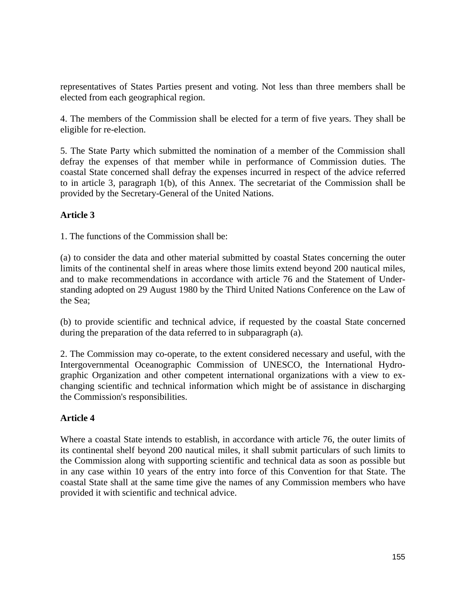representatives of States Parties present and voting. Not less than three members shall be elected from each geographical region.

4. The members of the Commission shall be elected for a term of five years. They shall be eligible for re-election.

5. The State Party which submitted the nomination of a member of the Commission shall defray the expenses of that member while in performance of Commission duties. The coastal State concerned shall defray the expenses incurred in respect of the advice referred to in article 3, paragraph 1(b), of this Annex. The secretariat of the Commission shall be provided by the Secretary-General of the United Nations.

### **Article 3**

1. The functions of the Commission shall be:

(a) to consider the data and other material submitted by coastal States concerning the outer limits of the continental shelf in areas where those limits extend beyond 200 nautical miles, and to make recommendations in accordance with article 76 and the Statement of Understanding adopted on 29 August 1980 by the Third United Nations Conference on the Law of the Sea;

(b) to provide scientific and technical advice, if requested by the coastal State concerned during the preparation of the data referred to in subparagraph (a).

2. The Commission may co-operate, to the extent considered necessary and useful, with the Intergovernmental Oceanographic Commission of UNESCO, the International Hydrographic Organization and other competent international organizations with a view to exchanging scientific and technical information which might be of assistance in discharging the Commission's responsibilities.

### **Article 4**

Where a coastal State intends to establish, in accordance with article 76, the outer limits of its continental shelf beyond 200 nautical miles, it shall submit particulars of such limits to the Commission along with supporting scientific and technical data as soon as possible but in any case within 10 years of the entry into force of this Convention for that State. The coastal State shall at the same time give the names of any Commission members who have provided it with scientific and technical advice.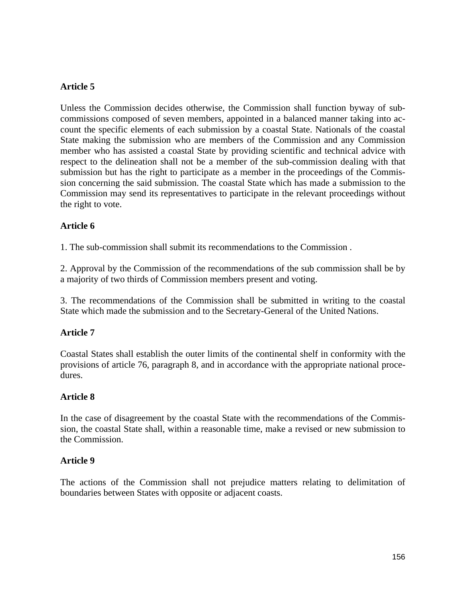Unless the Commission decides otherwise, the Commission shall function byway of subcommissions composed of seven members, appointed in a balanced manner taking into account the specific elements of each submission by a coastal State. Nationals of the coastal State making the submission who are members of the Commission and any Commission member who has assisted a coastal State by providing scientific and technical advice with respect to the delineation shall not be a member of the sub-commission dealing with that submission but has the right to participate as a member in the proceedings of the Commission concerning the said submission. The coastal State which has made a submission to the Commission may send its representatives to participate in the relevant proceedings without the right to vote.

# **Article 6**

1. The sub-commission shall submit its recommendations to the Commission .

2. Approval by the Commission of the recommendations of the sub commission shall be by a majority of two thirds of Commission members present and voting.

3. The recommendations of the Commission shall be submitted in writing to the coastal State which made the submission and to the Secretary-General of the United Nations.

### **Article 7**

Coastal States shall establish the outer limits of the continental shelf in conformity with the provisions of article 76, paragraph 8, and in accordance with the appropriate national procedures.

### **Article 8**

In the case of disagreement by the coastal State with the recommendations of the Commission, the coastal State shall, within a reasonable time, make a revised or new submission to the Commission.

### **Article 9**

The actions of the Commission shall not prejudice matters relating to delimitation of boundaries between States with opposite or adjacent coasts.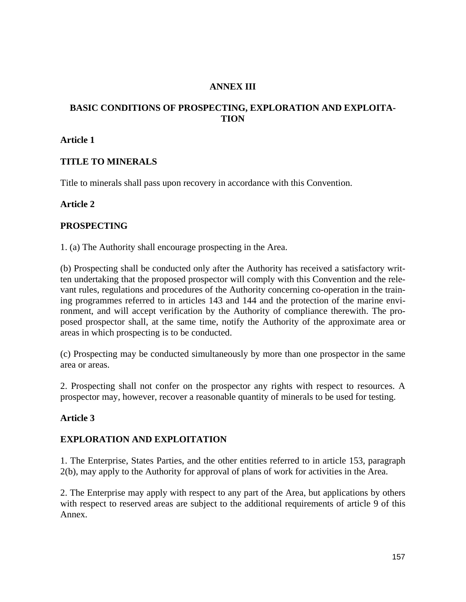## **ANNEX III**

# **BASIC CONDITIONS OF PROSPECTING, EXPLORATION AND EXPLOITA-TION**

**Article 1** 

# **TITLE TO MINERALS**

Title to minerals shall pass upon recovery in accordance with this Convention.

### **Article 2**

# **PROSPECTING**

1. (a) The Authority shall encourage prospecting in the Area.

(b) Prospecting shall be conducted only after the Authority has received a satisfactory written undertaking that the proposed prospector will comply with this Convention and the relevant rules, regulations and procedures of the Authority concerning co-operation in the training programmes referred to in articles 143 and 144 and the protection of the marine environment, and will accept verification by the Authority of compliance therewith. The proposed prospector shall, at the same time, notify the Authority of the approximate area or areas in which prospecting is to be conducted.

(c) Prospecting may be conducted simultaneously by more than one prospector in the same area or areas.

2. Prospecting shall not confer on the prospector any rights with respect to resources. A prospector may, however, recover a reasonable quantity of minerals to be used for testing.

### **Article 3**

# **EXPLORATION AND EXPLOITATION**

1. The Enterprise, States Parties, and the other entities referred to in article 153, paragraph 2(b), may apply to the Authority for approval of plans of work for activities in the Area.

2. The Enterprise may apply with respect to any part of the Area, but applications by others with respect to reserved areas are subject to the additional requirements of article 9 of this Annex.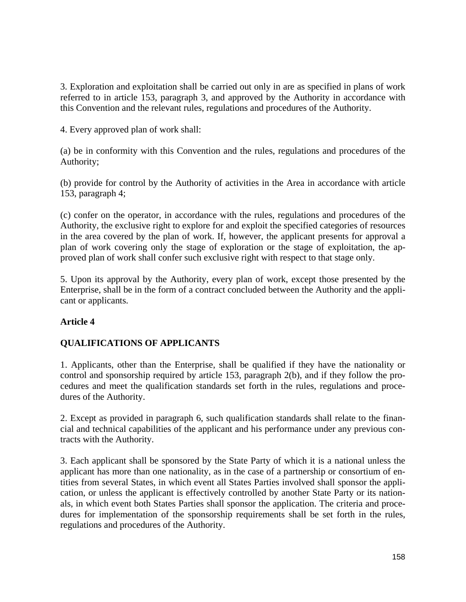3. Exploration and exploitation shall be carried out only in are as specified in plans of work referred to in article 153, paragraph 3, and approved by the Authority in accordance with this Convention and the relevant rules, regulations and procedures of the Authority.

4. Every approved plan of work shall:

(a) be in conformity with this Convention and the rules, regulations and procedures of the Authority;

(b) provide for control by the Authority of activities in the Area in accordance with article 153, paragraph 4;

(c) confer on the operator, in accordance with the rules, regulations and procedures of the Authority, the exclusive right to explore for and exploit the specified categories of resources in the area covered by the plan of work. If, however, the applicant presents for approval a plan of work covering only the stage of exploration or the stage of exploitation, the approved plan of work shall confer such exclusive right with respect to that stage only.

5. Upon its approval by the Authority, every plan of work, except those presented by the Enterprise, shall be in the form of a contract concluded between the Authority and the applicant or applicants.

# **Article 4**

# **QUALIFICATIONS OF APPLICANTS**

1. Applicants, other than the Enterprise, shall be qualified if they have the nationality or control and sponsorship required by article 153, paragraph 2(b), and if they follow the procedures and meet the qualification standards set forth in the rules, regulations and procedures of the Authority.

2. Except as provided in paragraph 6, such qualification standards shall relate to the financial and technical capabilities of the applicant and his performance under any previous contracts with the Authority.

3. Each applicant shall be sponsored by the State Party of which it is a national unless the applicant has more than one nationality, as in the case of a partnership or consortium of entities from several States, in which event all States Parties involved shall sponsor the application, or unless the applicant is effectively controlled by another State Party or its nationals, in which event both States Parties shall sponsor the application. The criteria and procedures for implementation of the sponsorship requirements shall be set forth in the rules, regulations and procedures of the Authority.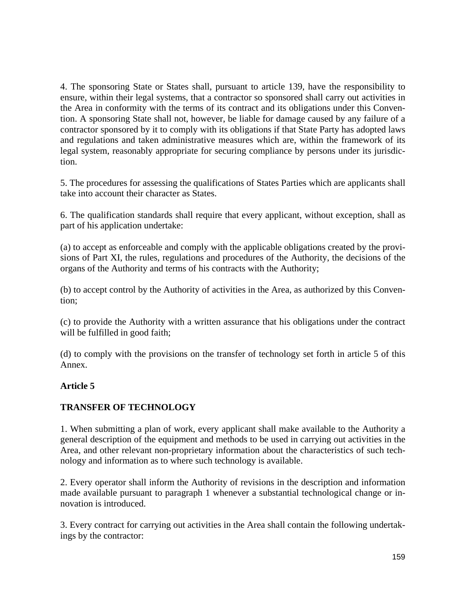4. The sponsoring State or States shall, pursuant to article 139, have the responsibility to ensure, within their legal systems, that a contractor so sponsored shall carry out activities in the Area in conformity with the terms of its contract and its obligations under this Convention. A sponsoring State shall not, however, be liable for damage caused by any failure of a contractor sponsored by it to comply with its obligations if that State Party has adopted laws and regulations and taken administrative measures which are, within the framework of its legal system, reasonably appropriate for securing compliance by persons under its jurisdiction.

5. The procedures for assessing the qualifications of States Parties which are applicants shall take into account their character as States.

6. The qualification standards shall require that every applicant, without exception, shall as part of his application undertake:

(a) to accept as enforceable and comply with the applicable obligations created by the provisions of Part XI, the rules, regulations and procedures of the Authority, the decisions of the organs of the Authority and terms of his contracts with the Authority;

(b) to accept control by the Authority of activities in the Area, as authorized by this Convention;

(c) to provide the Authority with a written assurance that his obligations under the contract will be fulfilled in good faith;

(d) to comply with the provisions on the transfer of technology set forth in article 5 of this Annex.

# **Article 5**

# **TRANSFER OF TECHNOLOGY**

1. When submitting a plan of work, every applicant shall make available to the Authority a general description of the equipment and methods to be used in carrying out activities in the Area, and other relevant non-proprietary information about the characteristics of such technology and information as to where such technology is available.

2. Every operator shall inform the Authority of revisions in the description and information made available pursuant to paragraph 1 whenever a substantial technological change or innovation is introduced.

3. Every contract for carrying out activities in the Area shall contain the following undertakings by the contractor: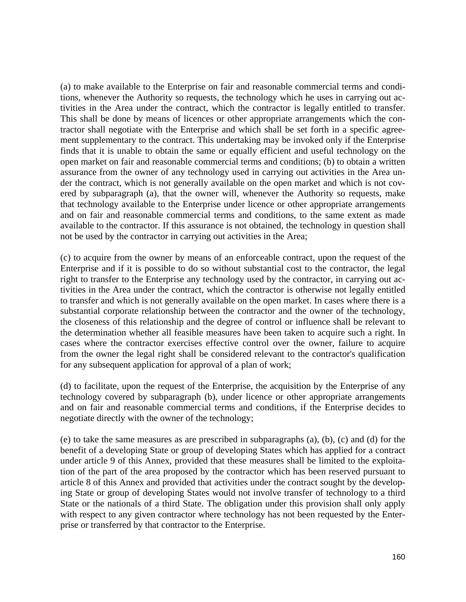(a) to make available to the Enterprise on fair and reasonable commercial terms and conditions, whenever the Authority so requests, the technology which he uses in carrying out activities in the Area under the contract, which the contractor is legally entitled to transfer. This shall be done by means of licences or other appropriate arrangements which the contractor shall negotiate with the Enterprise and which shall be set forth in a specific agreement supplementary to the contract. This undertaking may be invoked only if the Enterprise finds that it is unable to obtain the same or equally efficient and useful technology on the open market on fair and reasonable commercial terms and conditions; (b) to obtain a written assurance from the owner of any technology used in carrying out activities in the Area under the contract, which is not generally available on the open market and which is not covered by subparagraph (a), that the owner will, whenever the Authority so requests, make that technology available to the Enterprise under licence or other appropriate arrangements and on fair and reasonable commercial terms and conditions, to the same extent as made available to the contractor. If this assurance is not obtained, the technology in question shall not be used by the contractor in carrying out activities in the Area;

(c) to acquire from the owner by means of an enforceable contract, upon the request of the Enterprise and if it is possible to do so without substantial cost to the contractor, the legal right to transfer to the Enterprise any technology used by the contractor, in carrying out activities in the Area under the contract, which the contractor is otherwise not legally entitled to transfer and which is not generally available on the open market. In cases where there is a substantial corporate relationship between the contractor and the owner of the technology, the closeness of this relationship and the degree of control or influence shall be relevant to the determination whether all feasible measures have been taken to acquire such a right. In cases where the contractor exercises effective control over the owner, failure to acquire from the owner the legal right shall be considered relevant to the contractor's qualification for any subsequent application for approval of a plan of work;

(d) to facilitate, upon the request of the Enterprise, the acquisition by the Enterprise of any technology covered by subparagraph (b), under licence or other appropriate arrangements and on fair and reasonable commercial terms and conditions, if the Enterprise decides to negotiate directly with the owner of the technology;

(e) to take the same measures as are prescribed in subparagraphs (a), (b), (c) and (d) for the benefit of a developing State or group of developing States which has applied for a contract under article 9 of this Annex, provided that these measures shall be limited to the exploitation of the part of the area proposed by the contractor which has been reserved pursuant to article 8 of this Annex and provided that activities under the contract sought by the developing State or group of developing States would not involve transfer of technology to a third State or the nationals of a third State. The obligation under this provision shall only apply with respect to any given contractor where technology has not been requested by the Enterprise or transferred by that contractor to the Enterprise.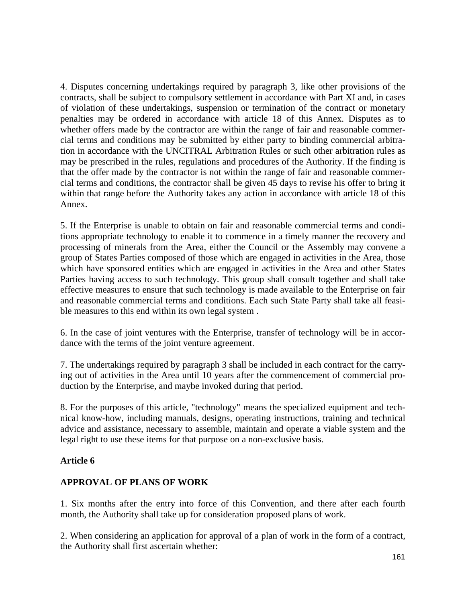4. Disputes concerning undertakings required by paragraph 3, like other provisions of the contracts, shall be subject to compulsory settlement in accordance with Part XI and, in cases of violation of these undertakings, suspension or termination of the contract or monetary penalties may be ordered in accordance with article 18 of this Annex. Disputes as to whether offers made by the contractor are within the range of fair and reasonable commercial terms and conditions may be submitted by either party to binding commercial arbitration in accordance with the UNCITRAL Arbitration Rules or such other arbitration rules as may be prescribed in the rules, regulations and procedures of the Authority. If the finding is that the offer made by the contractor is not within the range of fair and reasonable commercial terms and conditions, the contractor shall be given 45 days to revise his offer to bring it within that range before the Authority takes any action in accordance with article 18 of this Annex.

5. If the Enterprise is unable to obtain on fair and reasonable commercial terms and conditions appropriate technology to enable it to commence in a timely manner the recovery and processing of minerals from the Area, either the Council or the Assembly may convene a group of States Parties composed of those which are engaged in activities in the Area, those which have sponsored entities which are engaged in activities in the Area and other States Parties having access to such technology. This group shall consult together and shall take effective measures to ensure that such technology is made available to the Enterprise on fair and reasonable commercial terms and conditions. Each such State Party shall take all feasible measures to this end within its own legal system .

6. In the case of joint ventures with the Enterprise, transfer of technology will be in accordance with the terms of the joint venture agreement.

7. The undertakings required by paragraph 3 shall be included in each contract for the carrying out of activities in the Area until 10 years after the commencement of commercial production by the Enterprise, and maybe invoked during that period.

8. For the purposes of this article, "technology" means the specialized equipment and technical know-how, including manuals, designs, operating instructions, training and technical advice and assistance, necessary to assemble, maintain and operate a viable system and the legal right to use these items for that purpose on a non-exclusive basis.

### **Article 6**

### **APPROVAL OF PLANS OF WORK**

1. Six months after the entry into force of this Convention, and there after each fourth month, the Authority shall take up for consideration proposed plans of work.

2. When considering an application for approval of a plan of work in the form of a contract, the Authority shall first ascertain whether: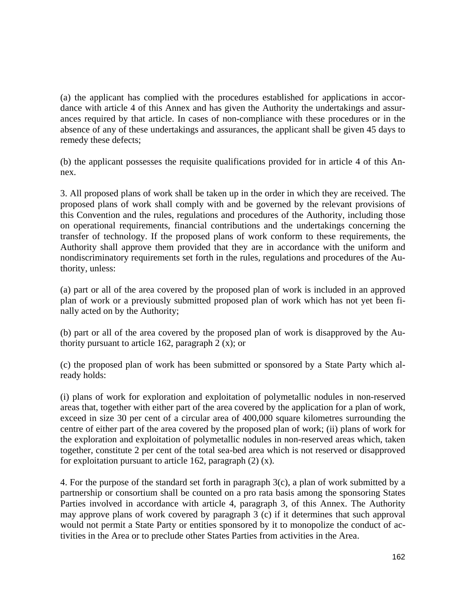(a) the applicant has complied with the procedures established for applications in accordance with article 4 of this Annex and has given the Authority the undertakings and assurances required by that article. In cases of non-compliance with these procedures or in the absence of any of these undertakings and assurances, the applicant shall be given 45 days to remedy these defects;

(b) the applicant possesses the requisite qualifications provided for in article 4 of this Annex.

3. All proposed plans of work shall be taken up in the order in which they are received. The proposed plans of work shall comply with and be governed by the relevant provisions of this Convention and the rules, regulations and procedures of the Authority, including those on operational requirements, financial contributions and the undertakings concerning the transfer of technology. If the proposed plans of work conform to these requirements, the Authority shall approve them provided that they are in accordance with the uniform and nondiscriminatory requirements set forth in the rules, regulations and procedures of the Authority, unless:

(a) part or all of the area covered by the proposed plan of work is included in an approved plan of work or a previously submitted proposed plan of work which has not yet been finally acted on by the Authority;

(b) part or all of the area covered by the proposed plan of work is disapproved by the Authority pursuant to article 162, paragraph  $2(x)$ ; or

(c) the proposed plan of work has been submitted or sponsored by a State Party which already holds:

(i) plans of work for exploration and exploitation of polymetallic nodules in non-reserved areas that, together with either part of the area covered by the application for a plan of work, exceed in size 30 per cent of a circular area of 400,000 square kilometres surrounding the centre of either part of the area covered by the proposed plan of work; (ii) plans of work for the exploration and exploitation of polymetallic nodules in non-reserved areas which, taken together, constitute 2 per cent of the total sea-bed area which is not reserved or disapproved for exploitation pursuant to article 162, paragraph  $(2)$   $(x)$ .

4. For the purpose of the standard set forth in paragraph 3(c), a plan of work submitted by a partnership or consortium shall be counted on a pro rata basis among the sponsoring States Parties involved in accordance with article 4, paragraph 3, of this Annex. The Authority may approve plans of work covered by paragraph 3 (c) if it determines that such approval would not permit a State Party or entities sponsored by it to monopolize the conduct of activities in the Area or to preclude other States Parties from activities in the Area.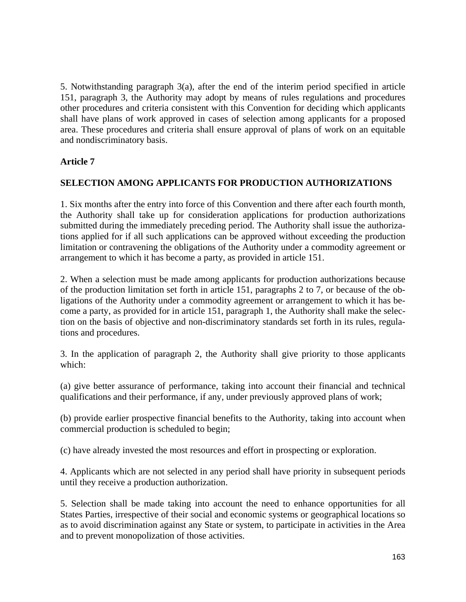5. Notwithstanding paragraph 3(a), after the end of the interim period specified in article 151, paragraph 3, the Authority may adopt by means of rules regulations and procedures other procedures and criteria consistent with this Convention for deciding which applicants shall have plans of work approved in cases of selection among applicants for a proposed area. These procedures and criteria shall ensure approval of plans of work on an equitable and nondiscriminatory basis.

# **Article 7**

# **SELECTION AMONG APPLICANTS FOR PRODUCTION AUTHORIZATIONS**

1. Six months after the entry into force of this Convention and there after each fourth month, the Authority shall take up for consideration applications for production authorizations submitted during the immediately preceding period. The Authority shall issue the authorizations applied for if all such applications can be approved without exceeding the production limitation or contravening the obligations of the Authority under a commodity agreement or arrangement to which it has become a party, as provided in article 151.

2. When a selection must be made among applicants for production authorizations because of the production limitation set forth in article 151, paragraphs 2 to 7, or because of the obligations of the Authority under a commodity agreement or arrangement to which it has become a party, as provided for in article 151, paragraph 1, the Authority shall make the selection on the basis of objective and non-discriminatory standards set forth in its rules, regulations and procedures.

3. In the application of paragraph 2, the Authority shall give priority to those applicants which:

(a) give better assurance of performance, taking into account their financial and technical qualifications and their performance, if any, under previously approved plans of work;

(b) provide earlier prospective financial benefits to the Authority, taking into account when commercial production is scheduled to begin;

(c) have already invested the most resources and effort in prospecting or exploration.

4. Applicants which are not selected in any period shall have priority in subsequent periods until they receive a production authorization.

5. Selection shall be made taking into account the need to enhance opportunities for all States Parties, irrespective of their social and economic systems or geographical locations so as to avoid discrimination against any State or system, to participate in activities in the Area and to prevent monopolization of those activities.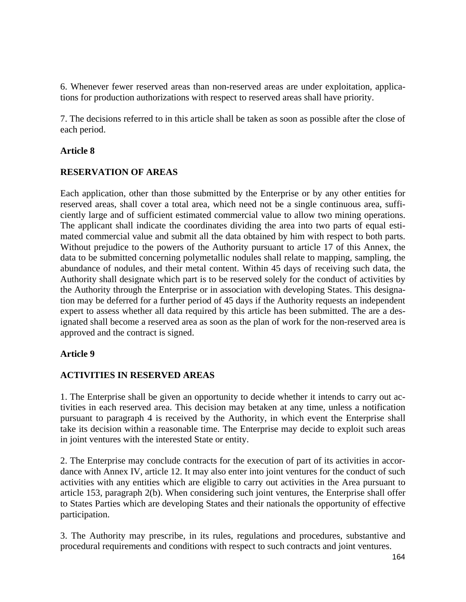6. Whenever fewer reserved areas than non-reserved areas are under exploitation, applications for production authorizations with respect to reserved areas shall have priority.

7. The decisions referred to in this article shall be taken as soon as possible after the close of each period.

#### **Article 8**

#### **RESERVATION OF AREAS**

Each application, other than those submitted by the Enterprise or by any other entities for reserved areas, shall cover a total area, which need not be a single continuous area, sufficiently large and of sufficient estimated commercial value to allow two mining operations. The applicant shall indicate the coordinates dividing the area into two parts of equal estimated commercial value and submit all the data obtained by him with respect to both parts. Without prejudice to the powers of the Authority pursuant to article 17 of this Annex, the data to be submitted concerning polymetallic nodules shall relate to mapping, sampling, the abundance of nodules, and their metal content. Within 45 days of receiving such data, the Authority shall designate which part is to be reserved solely for the conduct of activities by the Authority through the Enterprise or in association with developing States. This designation may be deferred for a further period of 45 days if the Authority requests an independent expert to assess whether all data required by this article has been submitted. The are a designated shall become a reserved area as soon as the plan of work for the non-reserved area is approved and the contract is signed.

#### **Article 9**

### **ACTIVITIES IN RESERVED AREAS**

1. The Enterprise shall be given an opportunity to decide whether it intends to carry out activities in each reserved area. This decision may betaken at any time, unless a notification pursuant to paragraph 4 is received by the Authority, in which event the Enterprise shall take its decision within a reasonable time. The Enterprise may decide to exploit such areas in joint ventures with the interested State or entity.

2. The Enterprise may conclude contracts for the execution of part of its activities in accordance with Annex IV, article 12. It may also enter into joint ventures for the conduct of such activities with any entities which are eligible to carry out activities in the Area pursuant to article 153, paragraph 2(b). When considering such joint ventures, the Enterprise shall offer to States Parties which are developing States and their nationals the opportunity of effective participation.

3. The Authority may prescribe, in its rules, regulations and procedures, substantive and procedural requirements and conditions with respect to such contracts and joint ventures.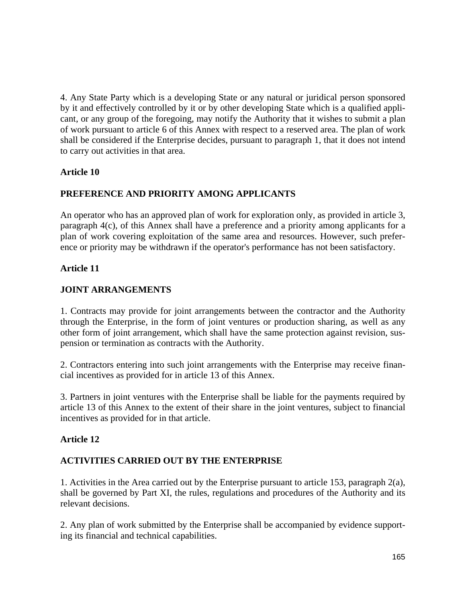4. Any State Party which is a developing State or any natural or juridical person sponsored by it and effectively controlled by it or by other developing State which is a qualified applicant, or any group of the foregoing, may notify the Authority that it wishes to submit a plan of work pursuant to article 6 of this Annex with respect to a reserved area. The plan of work shall be considered if the Enterprise decides, pursuant to paragraph 1, that it does not intend to carry out activities in that area.

# **Article 10**

# **PREFERENCE AND PRIORITY AMONG APPLICANTS**

An operator who has an approved plan of work for exploration only, as provided in article 3, paragraph 4(c), of this Annex shall have a preference and a priority among applicants for a plan of work covering exploitation of the same area and resources. However, such preference or priority may be withdrawn if the operator's performance has not been satisfactory.

### **Article 11**

# **JOINT ARRANGEMENTS**

1. Contracts may provide for joint arrangements between the contractor and the Authority through the Enterprise, in the form of joint ventures or production sharing, as well as any other form of joint arrangement, which shall have the same protection against revision, suspension or termination as contracts with the Authority.

2. Contractors entering into such joint arrangements with the Enterprise may receive financial incentives as provided for in article 13 of this Annex.

3. Partners in joint ventures with the Enterprise shall be liable for the payments required by article 13 of this Annex to the extent of their share in the joint ventures, subject to financial incentives as provided for in that article.

### **Article 12**

### **ACTIVITIES CARRIED OUT BY THE ENTERPRISE**

1. Activities in the Area carried out by the Enterprise pursuant to article 153, paragraph 2(a), shall be governed by Part XI, the rules, regulations and procedures of the Authority and its relevant decisions.

2. Any plan of work submitted by the Enterprise shall be accompanied by evidence supporting its financial and technical capabilities.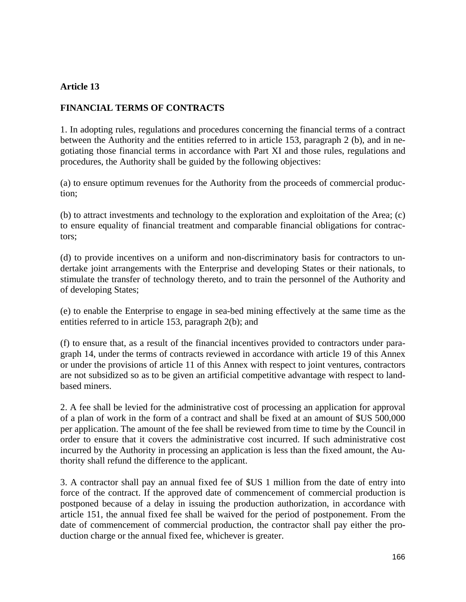## **FINANCIAL TERMS OF CONTRACTS**

1. In adopting rules, regulations and procedures concerning the financial terms of a contract between the Authority and the entities referred to in article 153, paragraph 2 (b), and in negotiating those financial terms in accordance with Part XI and those rules, regulations and procedures, the Authority shall be guided by the following objectives:

(a) to ensure optimum revenues for the Authority from the proceeds of commercial production;

(b) to attract investments and technology to the exploration and exploitation of the Area; (c) to ensure equality of financial treatment and comparable financial obligations for contractors;

(d) to provide incentives on a uniform and non-discriminatory basis for contractors to undertake joint arrangements with the Enterprise and developing States or their nationals, to stimulate the transfer of technology thereto, and to train the personnel of the Authority and of developing States;

(e) to enable the Enterprise to engage in sea-bed mining effectively at the same time as the entities referred to in article 153, paragraph 2(b); and

(f) to ensure that, as a result of the financial incentives provided to contractors under paragraph 14, under the terms of contracts reviewed in accordance with article 19 of this Annex or under the provisions of article 11 of this Annex with respect to joint ventures, contractors are not subsidized so as to be given an artificial competitive advantage with respect to landbased miners.

2. A fee shall be levied for the administrative cost of processing an application for approval of a plan of work in the form of a contract and shall be fixed at an amount of \$US 500,000 per application. The amount of the fee shall be reviewed from time to time by the Council in order to ensure that it covers the administrative cost incurred. If such administrative cost incurred by the Authority in processing an application is less than the fixed amount, the Authority shall refund the difference to the applicant.

3. A contractor shall pay an annual fixed fee of \$US 1 million from the date of entry into force of the contract. If the approved date of commencement of commercial production is postponed because of a delay in issuing the production authorization, in accordance with article 151, the annual fixed fee shall be waived for the period of postponement. From the date of commencement of commercial production, the contractor shall pay either the production charge or the annual fixed fee, whichever is greater.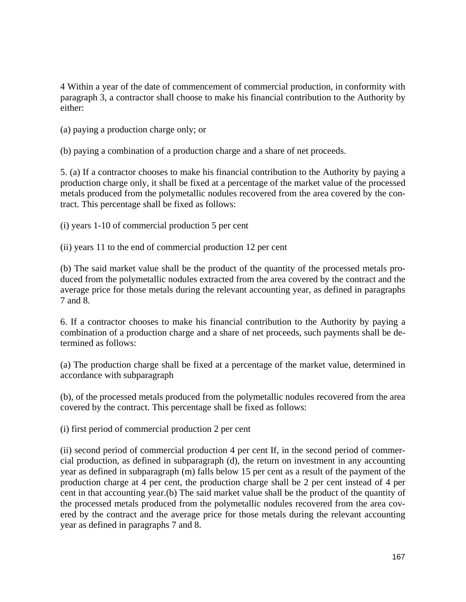4 Within a year of the date of commencement of commercial production, in conformity with paragraph 3, a contractor shall choose to make his financial contribution to the Authority by either:

(a) paying a production charge only; or

(b) paying a combination of a production charge and a share of net proceeds.

5. (a) If a contractor chooses to make his financial contribution to the Authority by paying a production charge only, it shall be fixed at a percentage of the market value of the processed metals produced from the polymetallic nodules recovered from the area covered by the contract. This percentage shall be fixed as follows:

(i) years 1-10 of commercial production 5 per cent

(ii) years 11 to the end of commercial production 12 per cent

(b) The said market value shall be the product of the quantity of the processed metals produced from the polymetallic nodules extracted from the area covered by the contract and the average price for those metals during the relevant accounting year, as defined in paragraphs 7 and 8.

6. If a contractor chooses to make his financial contribution to the Authority by paying a combination of a production charge and a share of net proceeds, such payments shall be determined as follows:

(a) The production charge shall be fixed at a percentage of the market value, determined in accordance with subparagraph

(b), of the processed metals produced from the polymetallic nodules recovered from the area covered by the contract. This percentage shall be fixed as follows:

(i) first period of commercial production 2 per cent

(ii) second period of commercial production 4 per cent If, in the second period of commercial production, as defined in subparagraph (d), the return on investment in any accounting year as defined in subparagraph (m) falls below 15 per cent as a result of the payment of the production charge at 4 per cent, the production charge shall be 2 per cent instead of 4 per cent in that accounting year.(b) The said market value shall be the product of the quantity of the processed metals produced from the polymetallic nodules recovered from the area covered by the contract and the average price for those metals during the relevant accounting year as defined in paragraphs 7 and 8.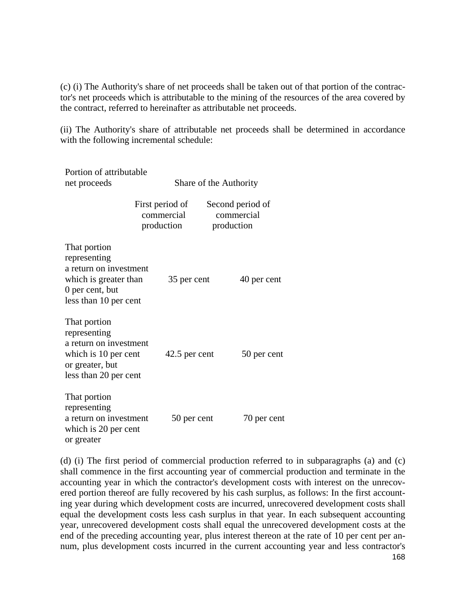(c) (i) The Authority's share of net proceeds shall be taken out of that portion of the contractor's net proceeds which is attributable to the mining of the resources of the area covered by the contract, referred to hereinafter as attributable net proceeds.

(ii) The Authority's share of attributable net proceeds shall be determined in accordance with the following incremental schedule:

| Portion of attributable<br>net proceeds                                                                                     | Share of the Authority                      |                                              |
|-----------------------------------------------------------------------------------------------------------------------------|---------------------------------------------|----------------------------------------------|
|                                                                                                                             | First period of<br>commercial<br>production | Second period of<br>commercial<br>production |
| That portion<br>representing<br>a return on investment<br>which is greater than<br>0 per cent, but<br>less than 10 per cent | 35 per cent                                 | 40 per cent                                  |
| That portion<br>representing<br>a return on investment<br>which is 10 per cent<br>or greater, but<br>less than 20 per cent  | 42.5 per cent                               | 50 per cent                                  |
| That portion<br>representing<br>a return on investment<br>which is 20 per cent<br>or greater                                | 50 per cent                                 | 70 per cent                                  |

(d) (i) The first period of commercial production referred to in subparagraphs (a) and (c) shall commence in the first accounting year of commercial production and terminate in the accounting year in which the contractor's development costs with interest on the unrecovered portion thereof are fully recovered by his cash surplus, as follows: In the first accounting year during which development costs are incurred, unrecovered development costs shall equal the development costs less cash surplus in that year. In each subsequent accounting year, unrecovered development costs shall equal the unrecovered development costs at the end of the preceding accounting year, plus interest thereon at the rate of 10 per cent per annum, plus development costs incurred in the current accounting year and less contractor's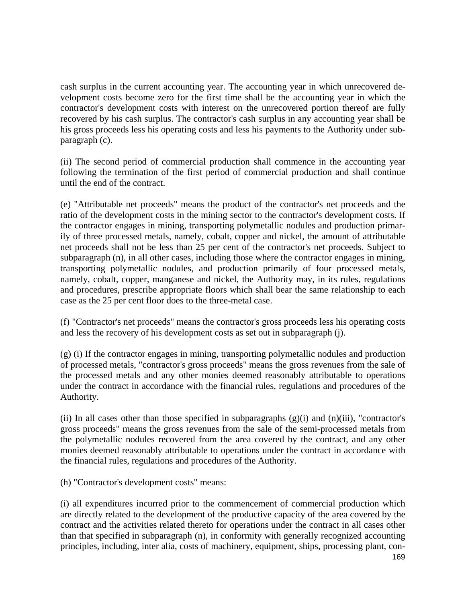cash surplus in the current accounting year. The accounting year in which unrecovered development costs become zero for the first time shall be the accounting year in which the contractor's development costs with interest on the unrecovered portion thereof are fully recovered by his cash surplus. The contractor's cash surplus in any accounting year shall be his gross proceeds less his operating costs and less his payments to the Authority under subparagraph (c).

(ii) The second period of commercial production shall commence in the accounting year following the termination of the first period of commercial production and shall continue until the end of the contract.

(e) "Attributable net proceeds" means the product of the contractor's net proceeds and the ratio of the development costs in the mining sector to the contractor's development costs. If the contractor engages in mining, transporting polymetallic nodules and production primarily of three processed metals, namely, cobalt, copper and nickel, the amount of attributable net proceeds shall not be less than 25 per cent of the contractor's net proceeds. Subject to subparagraph (n), in all other cases, including those where the contractor engages in mining, transporting polymetallic nodules, and production primarily of four processed metals, namely, cobalt, copper, manganese and nickel, the Authority may, in its rules, regulations and procedures, prescribe appropriate floors which shall bear the same relationship to each case as the 25 per cent floor does to the three-metal case.

(f) "Contractor's net proceeds" means the contractor's gross proceeds less his operating costs and less the recovery of his development costs as set out in subparagraph (j).

(g) (i) If the contractor engages in mining, transporting polymetallic nodules and production of processed metals, "contractor's gross proceeds" means the gross revenues from the sale of the processed metals and any other monies deemed reasonably attributable to operations under the contract in accordance with the financial rules, regulations and procedures of the Authority.

(ii) In all cases other than those specified in subparagraphs  $(g)(i)$  and  $(n)(iii)$ , "contractor's gross proceeds" means the gross revenues from the sale of the semi-processed metals from the polymetallic nodules recovered from the area covered by the contract, and any other monies deemed reasonably attributable to operations under the contract in accordance with the financial rules, regulations and procedures of the Authority.

(h) "Contractor's development costs" means:

(i) all expenditures incurred prior to the commencement of commercial production which are directly related to the development of the productive capacity of the area covered by the contract and the activities related thereto for operations under the contract in all cases other than that specified in subparagraph (n), in conformity with generally recognized accounting principles, including, inter alia, costs of machinery, equipment, ships, processing plant, con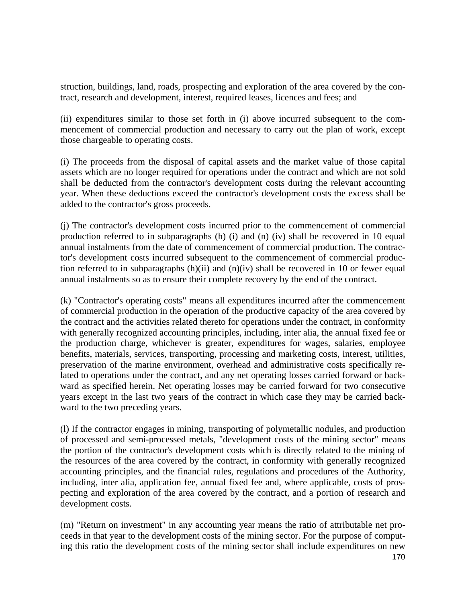struction, buildings, land, roads, prospecting and exploration of the area covered by the contract, research and development, interest, required leases, licences and fees; and

(ii) expenditures similar to those set forth in (i) above incurred subsequent to the commencement of commercial production and necessary to carry out the plan of work, except those chargeable to operating costs.

(i) The proceeds from the disposal of capital assets and the market value of those capital assets which are no longer required for operations under the contract and which are not sold shall be deducted from the contractor's development costs during the relevant accounting year. When these deductions exceed the contractor's development costs the excess shall be added to the contractor's gross proceeds.

(j) The contractor's development costs incurred prior to the commencement of commercial production referred to in subparagraphs (h) (i) and (n) (iv) shall be recovered in 10 equal annual instalments from the date of commencement of commercial production. The contractor's development costs incurred subsequent to the commencement of commercial production referred to in subparagraphs (h)(ii) and (n)(iv) shall be recovered in 10 or fewer equal annual instalments so as to ensure their complete recovery by the end of the contract.

(k) "Contractor's operating costs" means all expenditures incurred after the commencement of commercial production in the operation of the productive capacity of the area covered by the contract and the activities related thereto for operations under the contract, in conformity with generally recognized accounting principles, including, inter alia, the annual fixed fee or the production charge, whichever is greater, expenditures for wages, salaries, employee benefits, materials, services, transporting, processing and marketing costs, interest, utilities, preservation of the marine environment, overhead and administrative costs specifically related to operations under the contract, and any net operating losses carried forward or backward as specified herein. Net operating losses may be carried forward for two consecutive years except in the last two years of the contract in which case they may be carried backward to the two preceding years.

(l) If the contractor engages in mining, transporting of polymetallic nodules, and production of processed and semi-processed metals, "development costs of the mining sector" means the portion of the contractor's development costs which is directly related to the mining of the resources of the area covered by the contract, in conformity with generally recognized accounting principles, and the financial rules, regulations and procedures of the Authority, including, inter alia, application fee, annual fixed fee and, where applicable, costs of prospecting and exploration of the area covered by the contract, and a portion of research and development costs.

(m) "Return on investment" in any accounting year means the ratio of attributable net proceeds in that year to the development costs of the mining sector. For the purpose of computing this ratio the development costs of the mining sector shall include expenditures on new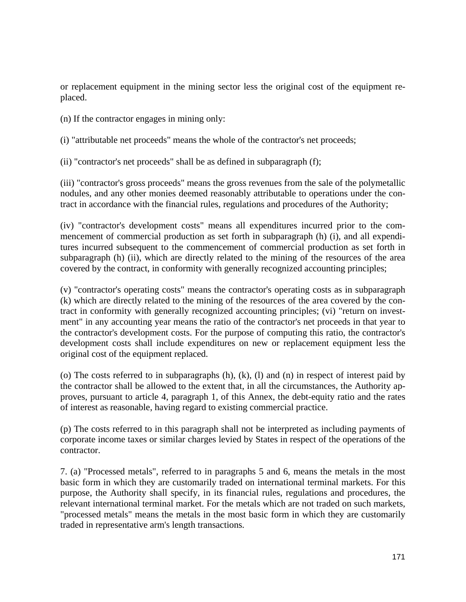or replacement equipment in the mining sector less the original cost of the equipment replaced.

(n) If the contractor engages in mining only:

(i) "attributable net proceeds" means the whole of the contractor's net proceeds;

(ii) "contractor's net proceeds" shall be as defined in subparagraph (f);

(iii) "contractor's gross proceeds" means the gross revenues from the sale of the polymetallic nodules, and any other monies deemed reasonably attributable to operations under the contract in accordance with the financial rules, regulations and procedures of the Authority;

(iv) "contractor's development costs" means all expenditures incurred prior to the commencement of commercial production as set forth in subparagraph (h) (i), and all expenditures incurred subsequent to the commencement of commercial production as set forth in subparagraph (h) (ii), which are directly related to the mining of the resources of the area covered by the contract, in conformity with generally recognized accounting principles;

(v) "contractor's operating costs" means the contractor's operating costs as in subparagraph (k) which are directly related to the mining of the resources of the area covered by the contract in conformity with generally recognized accounting principles; (vi) "return on investment" in any accounting year means the ratio of the contractor's net proceeds in that year to the contractor's development costs. For the purpose of computing this ratio, the contractor's development costs shall include expenditures on new or replacement equipment less the original cost of the equipment replaced.

(o) The costs referred to in subparagraphs (h), (k), (l) and (n) in respect of interest paid by the contractor shall be allowed to the extent that, in all the circumstances, the Authority approves, pursuant to article 4, paragraph 1, of this Annex, the debt-equity ratio and the rates of interest as reasonable, having regard to existing commercial practice.

(p) The costs referred to in this paragraph shall not be interpreted as including payments of corporate income taxes or similar charges levied by States in respect of the operations of the contractor.

7. (a) "Processed metals", referred to in paragraphs 5 and 6, means the metals in the most basic form in which they are customarily traded on international terminal markets. For this purpose, the Authority shall specify, in its financial rules, regulations and procedures, the relevant international terminal market. For the metals which are not traded on such markets, "processed metals" means the metals in the most basic form in which they are customarily traded in representative arm's length transactions.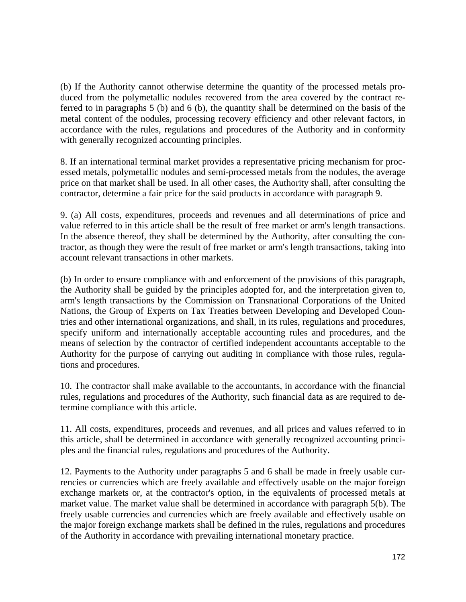(b) If the Authority cannot otherwise determine the quantity of the processed metals produced from the polymetallic nodules recovered from the area covered by the contract referred to in paragraphs 5 (b) and 6 (b), the quantity shall be determined on the basis of the metal content of the nodules, processing recovery efficiency and other relevant factors, in accordance with the rules, regulations and procedures of the Authority and in conformity with generally recognized accounting principles.

8. If an international terminal market provides a representative pricing mechanism for processed metals, polymetallic nodules and semi-processed metals from the nodules, the average price on that market shall be used. In all other cases, the Authority shall, after consulting the contractor, determine a fair price for the said products in accordance with paragraph 9.

9. (a) All costs, expenditures, proceeds and revenues and all determinations of price and value referred to in this article shall be the result of free market or arm's length transactions. In the absence thereof, they shall be determined by the Authority, after consulting the contractor, as though they were the result of free market or arm's length transactions, taking into account relevant transactions in other markets.

(b) In order to ensure compliance with and enforcement of the provisions of this paragraph, the Authority shall be guided by the principles adopted for, and the interpretation given to, arm's length transactions by the Commission on Transnational Corporations of the United Nations, the Group of Experts on Tax Treaties between Developing and Developed Countries and other international organizations, and shall, in its rules, regulations and procedures, specify uniform and internationally acceptable accounting rules and procedures, and the means of selection by the contractor of certified independent accountants acceptable to the Authority for the purpose of carrying out auditing in compliance with those rules, regulations and procedures.

10. The contractor shall make available to the accountants, in accordance with the financial rules, regulations and procedures of the Authority, such financial data as are required to determine compliance with this article.

11. All costs, expenditures, proceeds and revenues, and all prices and values referred to in this article, shall be determined in accordance with generally recognized accounting principles and the financial rules, regulations and procedures of the Authority.

12. Payments to the Authority under paragraphs 5 and 6 shall be made in freely usable currencies or currencies which are freely available and effectively usable on the major foreign exchange markets or, at the contractor's option, in the equivalents of processed metals at market value. The market value shall be determined in accordance with paragraph 5(b). The freely usable currencies and currencies which are freely available and effectively usable on the major foreign exchange markets shall be defined in the rules, regulations and procedures of the Authority in accordance with prevailing international monetary practice.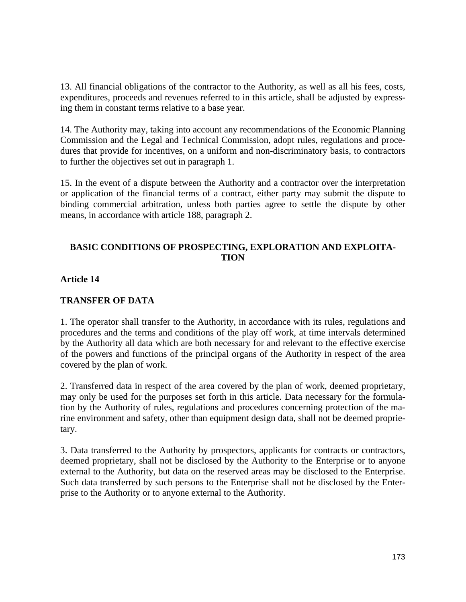13. All financial obligations of the contractor to the Authority, as well as all his fees, costs, expenditures, proceeds and revenues referred to in this article, shall be adjusted by expressing them in constant terms relative to a base year.

14. The Authority may, taking into account any recommendations of the Economic Planning Commission and the Legal and Technical Commission, adopt rules, regulations and procedures that provide for incentives, on a uniform and non-discriminatory basis, to contractors to further the objectives set out in paragraph 1.

15. In the event of a dispute between the Authority and a contractor over the interpretation or application of the financial terms of a contract, either party may submit the dispute to binding commercial arbitration, unless both parties agree to settle the dispute by other means, in accordance with article 188, paragraph 2.

# **BASIC CONDITIONS OF PROSPECTING, EXPLORATION AND EXPLOITA-TION**

**Article 14** 

#### **TRANSFER OF DATA**

1. The operator shall transfer to the Authority, in accordance with its rules, regulations and procedures and the terms and conditions of the play off work, at time intervals determined by the Authority all data which are both necessary for and relevant to the effective exercise of the powers and functions of the principal organs of the Authority in respect of the area covered by the plan of work.

2. Transferred data in respect of the area covered by the plan of work, deemed proprietary, may only be used for the purposes set forth in this article. Data necessary for the formulation by the Authority of rules, regulations and procedures concerning protection of the marine environment and safety, other than equipment design data, shall not be deemed proprietary.

3. Data transferred to the Authority by prospectors, applicants for contracts or contractors, deemed proprietary, shall not be disclosed by the Authority to the Enterprise or to anyone external to the Authority, but data on the reserved areas may be disclosed to the Enterprise. Such data transferred by such persons to the Enterprise shall not be disclosed by the Enterprise to the Authority or to anyone external to the Authority.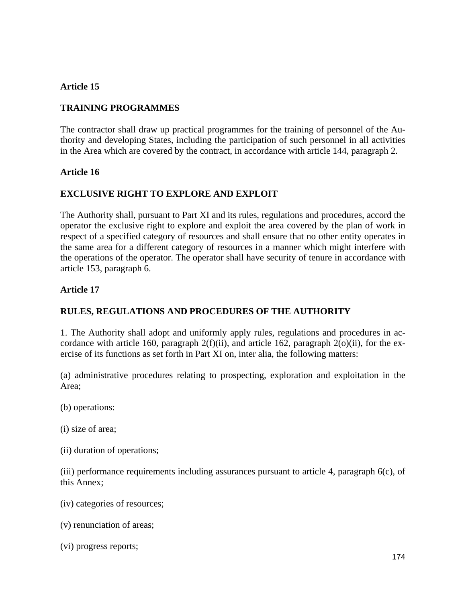# **TRAINING PROGRAMMES**

The contractor shall draw up practical programmes for the training of personnel of the Authority and developing States, including the participation of such personnel in all activities in the Area which are covered by the contract, in accordance with article 144, paragraph 2.

#### **Article 16**

#### **EXCLUSIVE RIGHT TO EXPLORE AND EXPLOIT**

The Authority shall, pursuant to Part XI and its rules, regulations and procedures, accord the operator the exclusive right to explore and exploit the area covered by the plan of work in respect of a specified category of resources and shall ensure that no other entity operates in the same area for a different category of resources in a manner which might interfere with the operations of the operator. The operator shall have security of tenure in accordance with article 153, paragraph 6.

#### **Article 17**

### **RULES, REGULATIONS AND PROCEDURES OF THE AUTHORITY**

1. The Authority shall adopt and uniformly apply rules, regulations and procedures in accordance with article 160, paragraph  $2(f)(ii)$ , and article 162, paragraph  $2(o)(ii)$ , for the exercise of its functions as set forth in Part XI on, inter alia, the following matters:

(a) administrative procedures relating to prospecting, exploration and exploitation in the Area;

- (b) operations:
- (i) size of area;
- (ii) duration of operations;

(iii) performance requirements including assurances pursuant to article 4, paragraph 6(c), of this Annex;

- (iv) categories of resources;
- (v) renunciation of areas;
- (vi) progress reports;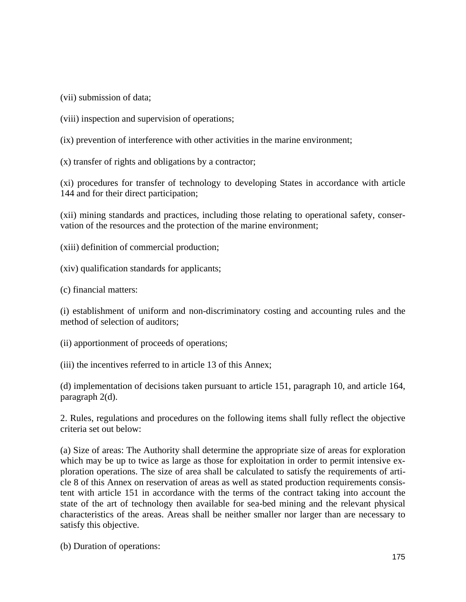(vii) submission of data;

(viii) inspection and supervision of operations;

(ix) prevention of interference with other activities in the marine environment;

(x) transfer of rights and obligations by a contractor;

(xi) procedures for transfer of technology to developing States in accordance with article 144 and for their direct participation;

(xii) mining standards and practices, including those relating to operational safety, conservation of the resources and the protection of the marine environment;

(xiii) definition of commercial production;

(xiv) qualification standards for applicants;

(c) financial matters:

(i) establishment of uniform and non-discriminatory costing and accounting rules and the method of selection of auditors;

(ii) apportionment of proceeds of operations;

(iii) the incentives referred to in article 13 of this Annex;

(d) implementation of decisions taken pursuant to article 151, paragraph 10, and article 164, paragraph 2(d).

2. Rules, regulations and procedures on the following items shall fully reflect the objective criteria set out below:

(a) Size of areas: The Authority shall determine the appropriate size of areas for exploration which may be up to twice as large as those for exploitation in order to permit intensive exploration operations. The size of area shall be calculated to satisfy the requirements of article 8 of this Annex on reservation of areas as well as stated production requirements consistent with article 151 in accordance with the terms of the contract taking into account the state of the art of technology then available for sea-bed mining and the relevant physical characteristics of the areas. Areas shall be neither smaller nor larger than are necessary to satisfy this objective.

(b) Duration of operations: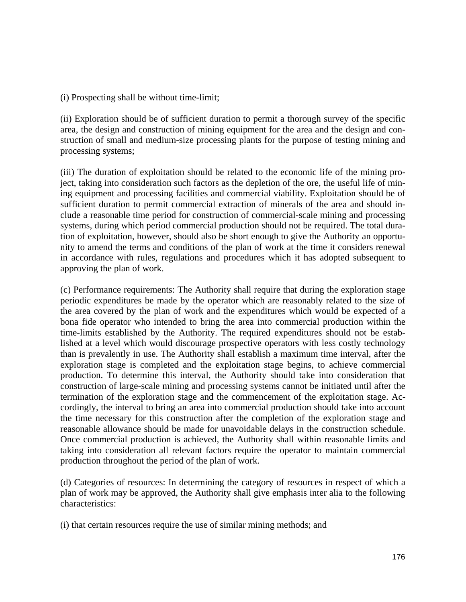(i) Prospecting shall be without time-limit;

(ii) Exploration should be of sufficient duration to permit a thorough survey of the specific area, the design and construction of mining equipment for the area and the design and construction of small and medium-size processing plants for the purpose of testing mining and processing systems;

(iii) The duration of exploitation should be related to the economic life of the mining project, taking into consideration such factors as the depletion of the ore, the useful life of mining equipment and processing facilities and commercial viability. Exploitation should be of sufficient duration to permit commercial extraction of minerals of the area and should include a reasonable time period for construction of commercial-scale mining and processing systems, during which period commercial production should not be required. The total duration of exploitation, however, should also be short enough to give the Authority an opportunity to amend the terms and conditions of the plan of work at the time it considers renewal in accordance with rules, regulations and procedures which it has adopted subsequent to approving the plan of work.

(c) Performance requirements: The Authority shall require that during the exploration stage periodic expenditures be made by the operator which are reasonably related to the size of the area covered by the plan of work and the expenditures which would be expected of a bona fide operator who intended to bring the area into commercial production within the time-limits established by the Authority. The required expenditures should not be established at a level which would discourage prospective operators with less costly technology than is prevalently in use. The Authority shall establish a maximum time interval, after the exploration stage is completed and the exploitation stage begins, to achieve commercial production. To determine this interval, the Authority should take into consideration that construction of large-scale mining and processing systems cannot be initiated until after the termination of the exploration stage and the commencement of the exploitation stage. Accordingly, the interval to bring an area into commercial production should take into account the time necessary for this construction after the completion of the exploration stage and reasonable allowance should be made for unavoidable delays in the construction schedule. Once commercial production is achieved, the Authority shall within reasonable limits and taking into consideration all relevant factors require the operator to maintain commercial production throughout the period of the plan of work.

(d) Categories of resources: In determining the category of resources in respect of which a plan of work may be approved, the Authority shall give emphasis inter alia to the following characteristics:

(i) that certain resources require the use of similar mining methods; and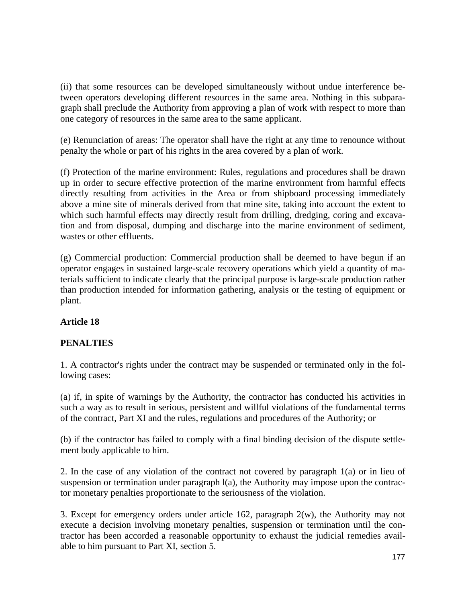(ii) that some resources can be developed simultaneously without undue interference between operators developing different resources in the same area. Nothing in this subparagraph shall preclude the Authority from approving a plan of work with respect to more than one category of resources in the same area to the same applicant.

(e) Renunciation of areas: The operator shall have the right at any time to renounce without penalty the whole or part of his rights in the area covered by a plan of work.

(f) Protection of the marine environment: Rules, regulations and procedures shall be drawn up in order to secure effective protection of the marine environment from harmful effects directly resulting from activities in the Area or from shipboard processing immediately above a mine site of minerals derived from that mine site, taking into account the extent to which such harmful effects may directly result from drilling, dredging, coring and excavation and from disposal, dumping and discharge into the marine environment of sediment, wastes or other effluents.

(g) Commercial production: Commercial production shall be deemed to have begun if an operator engages in sustained large-scale recovery operations which yield a quantity of materials sufficient to indicate clearly that the principal purpose is large-scale production rather than production intended for information gathering, analysis or the testing of equipment or plant.

# **Article 18**

# **PENALTIES**

1. A contractor's rights under the contract may be suspended or terminated only in the following cases:

(a) if, in spite of warnings by the Authority, the contractor has conducted his activities in such a way as to result in serious, persistent and willful violations of the fundamental terms of the contract, Part XI and the rules, regulations and procedures of the Authority; or

(b) if the contractor has failed to comply with a final binding decision of the dispute settlement body applicable to him.

2. In the case of any violation of the contract not covered by paragraph 1(a) or in lieu of suspension or termination under paragraph l(a), the Authority may impose upon the contractor monetary penalties proportionate to the seriousness of the violation.

3. Except for emergency orders under article 162, paragraph 2(w), the Authority may not execute a decision involving monetary penalties, suspension or termination until the contractor has been accorded a reasonable opportunity to exhaust the judicial remedies available to him pursuant to Part XI, section 5.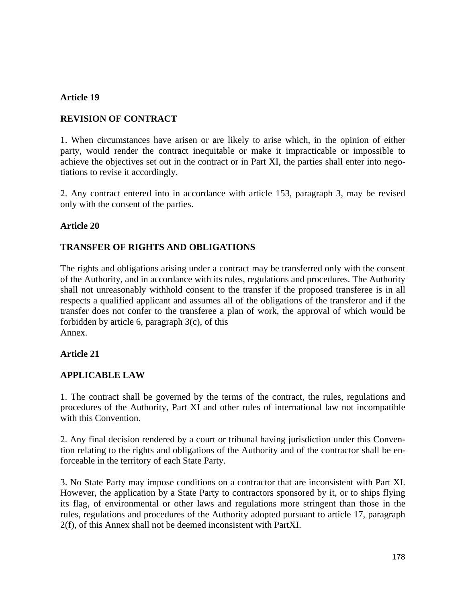# **REVISION OF CONTRACT**

1. When circumstances have arisen or are likely to arise which, in the opinion of either party, would render the contract inequitable or make it impracticable or impossible to achieve the objectives set out in the contract or in Part XI, the parties shall enter into negotiations to revise it accordingly.

2. Any contract entered into in accordance with article 153, paragraph 3, may be revised only with the consent of the parties.

### **Article 20**

### **TRANSFER OF RIGHTS AND OBLIGATIONS**

The rights and obligations arising under a contract may be transferred only with the consent of the Authority, and in accordance with its rules, regulations and procedures. The Authority shall not unreasonably withhold consent to the transfer if the proposed transferee is in all respects a qualified applicant and assumes all of the obligations of the transferor and if the transfer does not confer to the transferee a plan of work, the approval of which would be forbidden by article 6, paragraph 3(c), of this Annex.

#### **Article 21**

### **APPLICABLE LAW**

1. The contract shall be governed by the terms of the contract, the rules, regulations and procedures of the Authority, Part XI and other rules of international law not incompatible with this Convention.

2. Any final decision rendered by a court or tribunal having jurisdiction under this Convention relating to the rights and obligations of the Authority and of the contractor shall be enforceable in the territory of each State Party.

3. No State Party may impose conditions on a contractor that are inconsistent with Part XI. However, the application by a State Party to contractors sponsored by it, or to ships flying its flag, of environmental or other laws and regulations more stringent than those in the rules, regulations and procedures of the Authority adopted pursuant to article 17, paragraph 2(f), of this Annex shall not be deemed inconsistent with PartXI.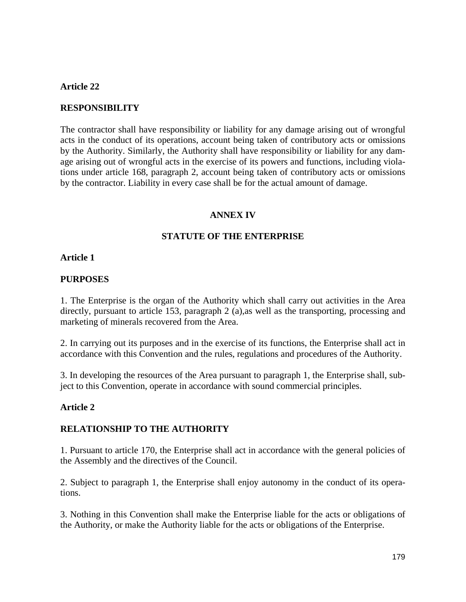### **RESPONSIBILITY**

The contractor shall have responsibility or liability for any damage arising out of wrongful acts in the conduct of its operations, account being taken of contributory acts or omissions by the Authority. Similarly, the Authority shall have responsibility or liability for any damage arising out of wrongful acts in the exercise of its powers and functions, including violations under article 168, paragraph 2, account being taken of contributory acts or omissions by the contractor. Liability in every case shall be for the actual amount of damage.

### **ANNEX IV**

# **STATUTE OF THE ENTERPRISE**

#### **Article 1**

### **PURPOSES**

1. The Enterprise is the organ of the Authority which shall carry out activities in the Area directly, pursuant to article 153, paragraph 2 (a),as well as the transporting, processing and marketing of minerals recovered from the Area.

2. In carrying out its purposes and in the exercise of its functions, the Enterprise shall act in accordance with this Convention and the rules, regulations and procedures of the Authority.

3. In developing the resources of the Area pursuant to paragraph 1, the Enterprise shall, subject to this Convention, operate in accordance with sound commercial principles.

### **Article 2**

### **RELATIONSHIP TO THE AUTHORITY**

1. Pursuant to article 170, the Enterprise shall act in accordance with the general policies of the Assembly and the directives of the Council.

2. Subject to paragraph 1, the Enterprise shall enjoy autonomy in the conduct of its operations.

3. Nothing in this Convention shall make the Enterprise liable for the acts or obligations of the Authority, or make the Authority liable for the acts or obligations of the Enterprise.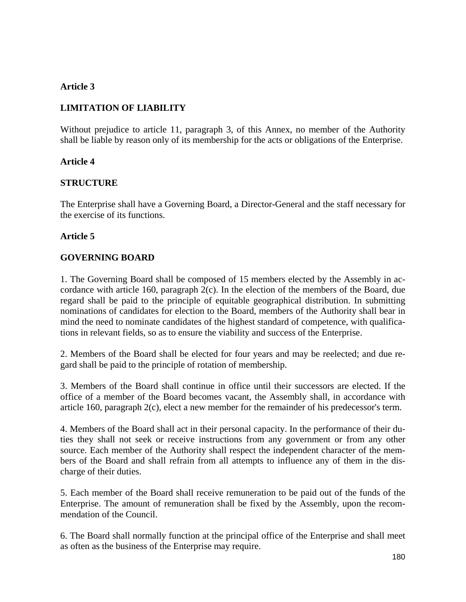# **LIMITATION OF LIABILITY**

Without prejudice to article 11, paragraph 3, of this Annex, no member of the Authority shall be liable by reason only of its membership for the acts or obligations of the Enterprise.

#### **Article 4**

#### **STRUCTURE**

The Enterprise shall have a Governing Board, a Director-General and the staff necessary for the exercise of its functions.

#### **Article 5**

### **GOVERNING BOARD**

1. The Governing Board shall be composed of 15 members elected by the Assembly in accordance with article 160, paragraph 2(c). In the election of the members of the Board, due regard shall be paid to the principle of equitable geographical distribution. In submitting nominations of candidates for election to the Board, members of the Authority shall bear in mind the need to nominate candidates of the highest standard of competence, with qualifications in relevant fields, so as to ensure the viability and success of the Enterprise.

2. Members of the Board shall be elected for four years and may be reelected; and due regard shall be paid to the principle of rotation of membership.

3. Members of the Board shall continue in office until their successors are elected. If the office of a member of the Board becomes vacant, the Assembly shall, in accordance with article 160, paragraph 2(c), elect a new member for the remainder of his predecessor's term.

4. Members of the Board shall act in their personal capacity. In the performance of their duties they shall not seek or receive instructions from any government or from any other source. Each member of the Authority shall respect the independent character of the members of the Board and shall refrain from all attempts to influence any of them in the discharge of their duties.

5. Each member of the Board shall receive remuneration to be paid out of the funds of the Enterprise. The amount of remuneration shall be fixed by the Assembly, upon the recommendation of the Council.

6. The Board shall normally function at the principal office of the Enterprise and shall meet as often as the business of the Enterprise may require.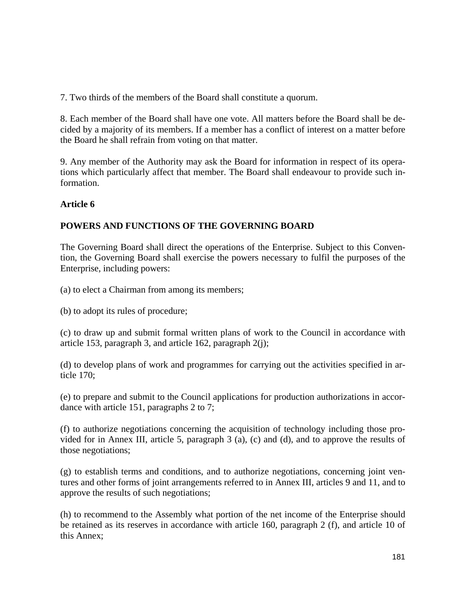7. Two thirds of the members of the Board shall constitute a quorum.

8. Each member of the Board shall have one vote. All matters before the Board shall be decided by a majority of its members. If a member has a conflict of interest on a matter before the Board he shall refrain from voting on that matter.

9. Any member of the Authority may ask the Board for information in respect of its operations which particularly affect that member. The Board shall endeavour to provide such information.

## **Article 6**

# **POWERS AND FUNCTIONS OF THE GOVERNING BOARD**

The Governing Board shall direct the operations of the Enterprise. Subject to this Convention, the Governing Board shall exercise the powers necessary to fulfil the purposes of the Enterprise, including powers:

(a) to elect a Chairman from among its members;

(b) to adopt its rules of procedure;

(c) to draw up and submit formal written plans of work to the Council in accordance with article 153, paragraph 3, and article 162, paragraph  $2(i)$ ;

(d) to develop plans of work and programmes for carrying out the activities specified in article 170;

(e) to prepare and submit to the Council applications for production authorizations in accordance with article 151, paragraphs 2 to 7;

(f) to authorize negotiations concerning the acquisition of technology including those provided for in Annex III, article 5, paragraph 3 (a), (c) and (d), and to approve the results of those negotiations;

(g) to establish terms and conditions, and to authorize negotiations, concerning joint ventures and other forms of joint arrangements referred to in Annex III, articles 9 and 11, and to approve the results of such negotiations;

(h) to recommend to the Assembly what portion of the net income of the Enterprise should be retained as its reserves in accordance with article 160, paragraph 2 (f), and article 10 of this Annex;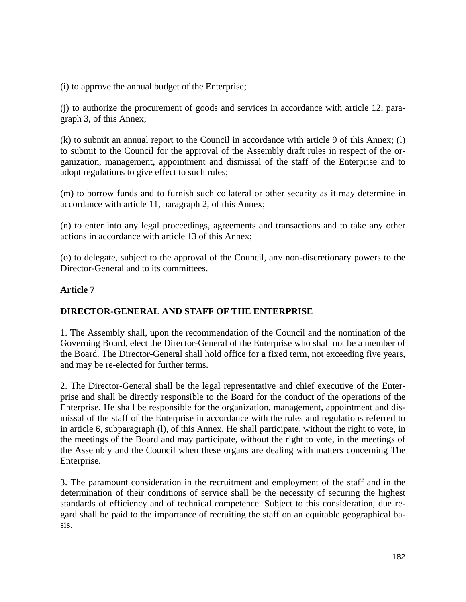(i) to approve the annual budget of the Enterprise;

(j) to authorize the procurement of goods and services in accordance with article 12, paragraph 3, of this Annex;

(k) to submit an annual report to the Council in accordance with article 9 of this Annex; (l) to submit to the Council for the approval of the Assembly draft rules in respect of the organization, management, appointment and dismissal of the staff of the Enterprise and to adopt regulations to give effect to such rules;

(m) to borrow funds and to furnish such collateral or other security as it may determine in accordance with article 11, paragraph 2, of this Annex;

(n) to enter into any legal proceedings, agreements and transactions and to take any other actions in accordance with article 13 of this Annex;

(o) to delegate, subject to the approval of the Council, any non-discretionary powers to the Director-General and to its committees.

# **Article 7**

# **DIRECTOR-GENERAL AND STAFF OF THE ENTERPRISE**

1. The Assembly shall, upon the recommendation of the Council and the nomination of the Governing Board, elect the Director-General of the Enterprise who shall not be a member of the Board. The Director-General shall hold office for a fixed term, not exceeding five years, and may be re-elected for further terms.

2. The Director-General shall be the legal representative and chief executive of the Enterprise and shall be directly responsible to the Board for the conduct of the operations of the Enterprise. He shall be responsible for the organization, management, appointment and dismissal of the staff of the Enterprise in accordance with the rules and regulations referred to in article 6, subparagraph (l), of this Annex. He shall participate, without the right to vote, in the meetings of the Board and may participate, without the right to vote, in the meetings of the Assembly and the Council when these organs are dealing with matters concerning The Enterprise.

3. The paramount consideration in the recruitment and employment of the staff and in the determination of their conditions of service shall be the necessity of securing the highest standards of efficiency and of technical competence. Subject to this consideration, due regard shall be paid to the importance of recruiting the staff on an equitable geographical basis.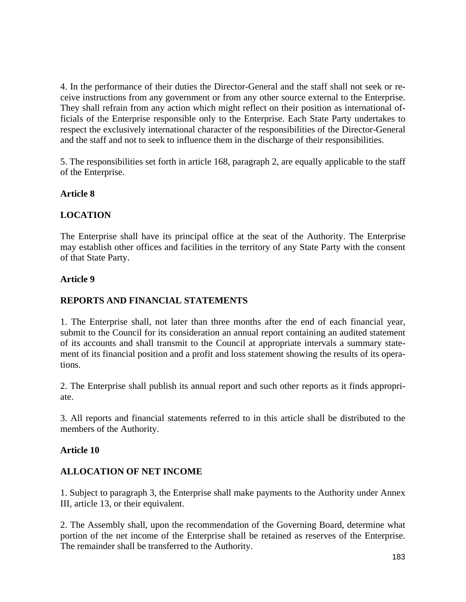4. In the performance of their duties the Director-General and the staff shall not seek or receive instructions from any government or from any other source external to the Enterprise. They shall refrain from any action which might reflect on their position as international officials of the Enterprise responsible only to the Enterprise. Each State Party undertakes to respect the exclusively international character of the responsibilities of the Director-General and the staff and not to seek to influence them in the discharge of their responsibilities.

5. The responsibilities set forth in article 168, paragraph 2, are equally applicable to the staff of the Enterprise.

## **Article 8**

# **LOCATION**

The Enterprise shall have its principal office at the seat of the Authority. The Enterprise may establish other offices and facilities in the territory of any State Party with the consent of that State Party.

## **Article 9**

## **REPORTS AND FINANCIAL STATEMENTS**

1. The Enterprise shall, not later than three months after the end of each financial year, submit to the Council for its consideration an annual report containing an audited statement of its accounts and shall transmit to the Council at appropriate intervals a summary statement of its financial position and a profit and loss statement showing the results of its operations.

2. The Enterprise shall publish its annual report and such other reports as it finds appropriate.

3. All reports and financial statements referred to in this article shall be distributed to the members of the Authority.

## **Article 10**

## **ALLOCATION OF NET INCOME**

1. Subject to paragraph 3, the Enterprise shall make payments to the Authority under Annex III, article 13, or their equivalent.

2. The Assembly shall, upon the recommendation of the Governing Board, determine what portion of the net income of the Enterprise shall be retained as reserves of the Enterprise. The remainder shall be transferred to the Authority.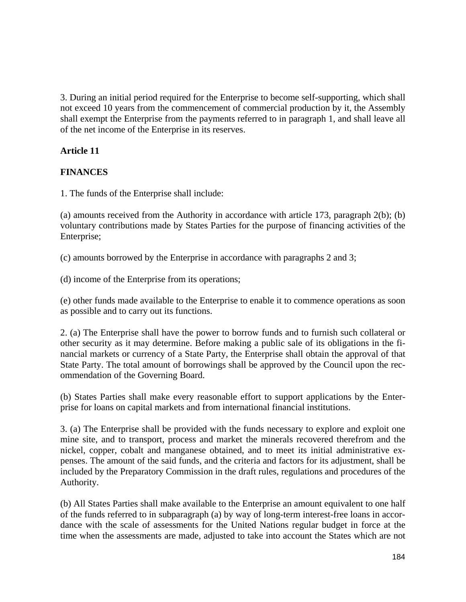3. During an initial period required for the Enterprise to become self-supporting, which shall not exceed 10 years from the commencement of commercial production by it, the Assembly shall exempt the Enterprise from the payments referred to in paragraph 1, and shall leave all of the net income of the Enterprise in its reserves.

# **Article 11**

# **FINANCES**

1. The funds of the Enterprise shall include:

(a) amounts received from the Authority in accordance with article 173, paragraph 2(b); (b) voluntary contributions made by States Parties for the purpose of financing activities of the Enterprise;

(c) amounts borrowed by the Enterprise in accordance with paragraphs 2 and 3;

(d) income of the Enterprise from its operations;

(e) other funds made available to the Enterprise to enable it to commence operations as soon as possible and to carry out its functions.

2. (a) The Enterprise shall have the power to borrow funds and to furnish such collateral or other security as it may determine. Before making a public sale of its obligations in the financial markets or currency of a State Party, the Enterprise shall obtain the approval of that State Party. The total amount of borrowings shall be approved by the Council upon the recommendation of the Governing Board.

(b) States Parties shall make every reasonable effort to support applications by the Enterprise for loans on capital markets and from international financial institutions.

3. (a) The Enterprise shall be provided with the funds necessary to explore and exploit one mine site, and to transport, process and market the minerals recovered therefrom and the nickel, copper, cobalt and manganese obtained, and to meet its initial administrative expenses. The amount of the said funds, and the criteria and factors for its adjustment, shall be included by the Preparatory Commission in the draft rules, regulations and procedures of the Authority.

(b) All States Parties shall make available to the Enterprise an amount equivalent to one half of the funds referred to in subparagraph (a) by way of long-term interest-free loans in accordance with the scale of assessments for the United Nations regular budget in force at the time when the assessments are made, adjusted to take into account the States which are not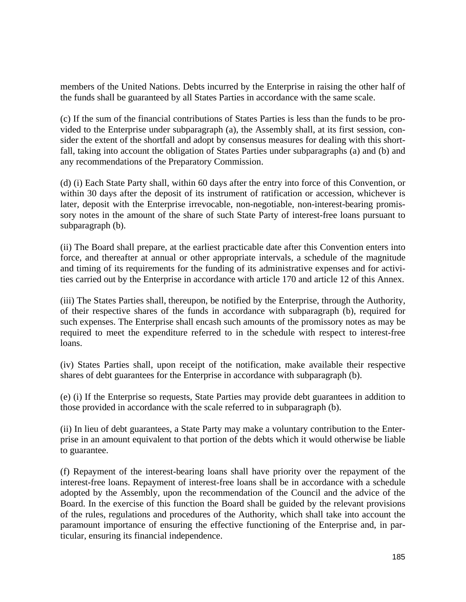members of the United Nations. Debts incurred by the Enterprise in raising the other half of the funds shall be guaranteed by all States Parties in accordance with the same scale.

(c) If the sum of the financial contributions of States Parties is less than the funds to be provided to the Enterprise under subparagraph (a), the Assembly shall, at its first session, consider the extent of the shortfall and adopt by consensus measures for dealing with this shortfall, taking into account the obligation of States Parties under subparagraphs (a) and (b) and any recommendations of the Preparatory Commission.

(d) (i) Each State Party shall, within 60 days after the entry into force of this Convention, or within 30 days after the deposit of its instrument of ratification or accession, whichever is later, deposit with the Enterprise irrevocable, non-negotiable, non-interest-bearing promissory notes in the amount of the share of such State Party of interest-free loans pursuant to subparagraph (b).

(ii) The Board shall prepare, at the earliest practicable date after this Convention enters into force, and thereafter at annual or other appropriate intervals, a schedule of the magnitude and timing of its requirements for the funding of its administrative expenses and for activities carried out by the Enterprise in accordance with article 170 and article 12 of this Annex.

(iii) The States Parties shall, thereupon, be notified by the Enterprise, through the Authority, of their respective shares of the funds in accordance with subparagraph (b), required for such expenses. The Enterprise shall encash such amounts of the promissory notes as may be required to meet the expenditure referred to in the schedule with respect to interest-free loans.

(iv) States Parties shall, upon receipt of the notification, make available their respective shares of debt guarantees for the Enterprise in accordance with subparagraph (b).

(e) (i) If the Enterprise so requests, State Parties may provide debt guarantees in addition to those provided in accordance with the scale referred to in subparagraph (b).

(ii) In lieu of debt guarantees, a State Party may make a voluntary contribution to the Enterprise in an amount equivalent to that portion of the debts which it would otherwise be liable to guarantee.

(f) Repayment of the interest-bearing loans shall have priority over the repayment of the interest-free loans. Repayment of interest-free loans shall be in accordance with a schedule adopted by the Assembly, upon the recommendation of the Council and the advice of the Board. In the exercise of this function the Board shall be guided by the relevant provisions of the rules, regulations and procedures of the Authority, which shall take into account the paramount importance of ensuring the effective functioning of the Enterprise and, in particular, ensuring its financial independence.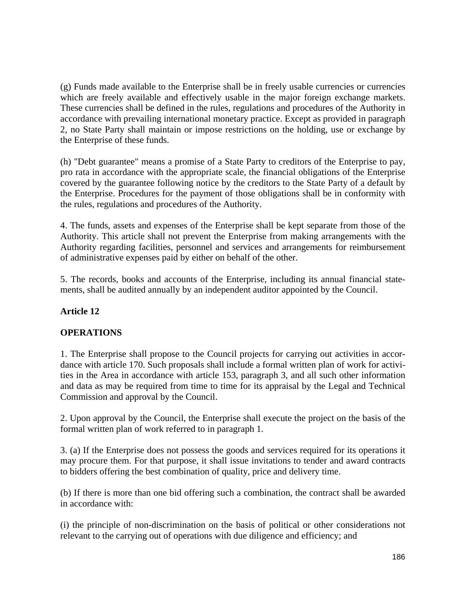(g) Funds made available to the Enterprise shall be in freely usable currencies or currencies which are freely available and effectively usable in the major foreign exchange markets. These currencies shall be defined in the rules, regulations and procedures of the Authority in accordance with prevailing international monetary practice. Except as provided in paragraph 2, no State Party shall maintain or impose restrictions on the holding, use or exchange by the Enterprise of these funds.

(h) "Debt guarantee" means a promise of a State Party to creditors of the Enterprise to pay, pro rata in accordance with the appropriate scale, the financial obligations of the Enterprise covered by the guarantee following notice by the creditors to the State Party of a default by the Enterprise. Procedures for the payment of those obligations shall be in conformity with the rules, regulations and procedures of the Authority.

4. The funds, assets and expenses of the Enterprise shall be kept separate from those of the Authority. This article shall not prevent the Enterprise from making arrangements with the Authority regarding facilities, personnel and services and arrangements for reimbursement of administrative expenses paid by either on behalf of the other.

5. The records, books and accounts of the Enterprise, including its annual financial statements, shall be audited annually by an independent auditor appointed by the Council.

# **Article 12**

## **OPERATIONS**

1. The Enterprise shall propose to the Council projects for carrying out activities in accordance with article 170. Such proposals shall include a formal written plan of work for activities in the Area in accordance with article 153, paragraph 3, and all such other information and data as may be required from time to time for its appraisal by the Legal and Technical Commission and approval by the Council.

2. Upon approval by the Council, the Enterprise shall execute the project on the basis of the formal written plan of work referred to in paragraph 1.

3. (a) If the Enterprise does not possess the goods and services required for its operations it may procure them. For that purpose, it shall issue invitations to tender and award contracts to bidders offering the best combination of quality, price and delivery time.

(b) If there is more than one bid offering such a combination, the contract shall be awarded in accordance with:

(i) the principle of non-discrimination on the basis of political or other considerations not relevant to the carrying out of operations with due diligence and efficiency; and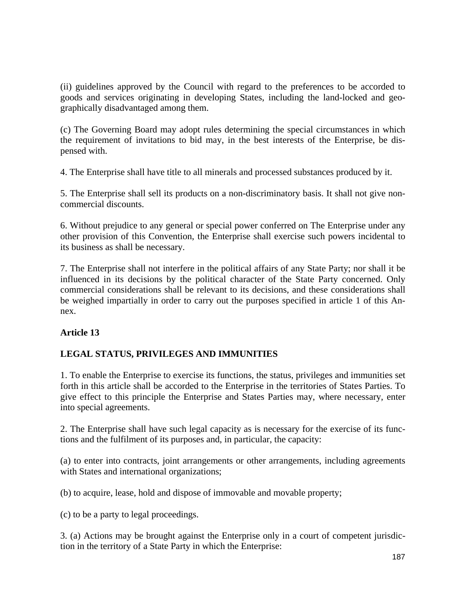(ii) guidelines approved by the Council with regard to the preferences to be accorded to goods and services originating in developing States, including the land-locked and geographically disadvantaged among them.

(c) The Governing Board may adopt rules determining the special circumstances in which the requirement of invitations to bid may, in the best interests of the Enterprise, be dispensed with.

4. The Enterprise shall have title to all minerals and processed substances produced by it.

5. The Enterprise shall sell its products on a non-discriminatory basis. It shall not give noncommercial discounts.

6. Without prejudice to any general or special power conferred on The Enterprise under any other provision of this Convention, the Enterprise shall exercise such powers incidental to its business as shall be necessary.

7. The Enterprise shall not interfere in the political affairs of any State Party; nor shall it be influenced in its decisions by the political character of the State Party concerned. Only commercial considerations shall be relevant to its decisions, and these considerations shall be weighed impartially in order to carry out the purposes specified in article 1 of this Annex.

# **Article 13**

# **LEGAL STATUS, PRIVILEGES AND IMMUNITIES**

1. To enable the Enterprise to exercise its functions, the status, privileges and immunities set forth in this article shall be accorded to the Enterprise in the territories of States Parties. To give effect to this principle the Enterprise and States Parties may, where necessary, enter into special agreements.

2. The Enterprise shall have such legal capacity as is necessary for the exercise of its functions and the fulfilment of its purposes and, in particular, the capacity:

(a) to enter into contracts, joint arrangements or other arrangements, including agreements with States and international organizations;

(b) to acquire, lease, hold and dispose of immovable and movable property;

(c) to be a party to legal proceedings.

3. (a) Actions may be brought against the Enterprise only in a court of competent jurisdiction in the territory of a State Party in which the Enterprise: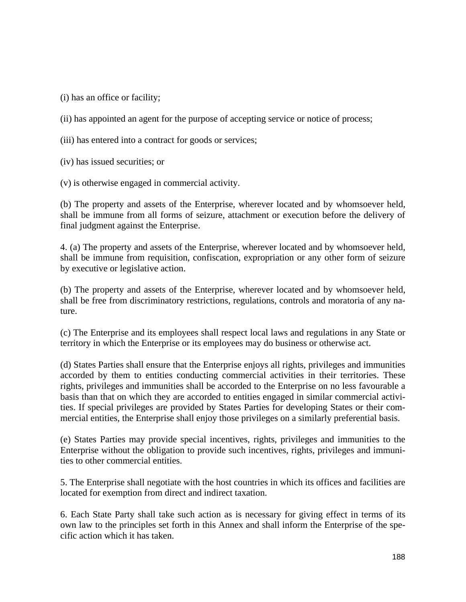(i) has an office or facility;

(ii) has appointed an agent for the purpose of accepting service or notice of process;

(iii) has entered into a contract for goods or services;

(iv) has issued securities; or

(v) is otherwise engaged in commercial activity.

(b) The property and assets of the Enterprise, wherever located and by whomsoever held, shall be immune from all forms of seizure, attachment or execution before the delivery of final judgment against the Enterprise.

4. (a) The property and assets of the Enterprise, wherever located and by whomsoever held, shall be immune from requisition, confiscation, expropriation or any other form of seizure by executive or legislative action.

(b) The property and assets of the Enterprise, wherever located and by whomsoever held, shall be free from discriminatory restrictions, regulations, controls and moratoria of any nature.

(c) The Enterprise and its employees shall respect local laws and regulations in any State or territory in which the Enterprise or its employees may do business or otherwise act.

(d) States Parties shall ensure that the Enterprise enjoys all rights, privileges and immunities accorded by them to entities conducting commercial activities in their territories. These rights, privileges and immunities shall be accorded to the Enterprise on no less favourable a basis than that on which they are accorded to entities engaged in similar commercial activities. If special privileges are provided by States Parties for developing States or their commercial entities, the Enterprise shall enjoy those privileges on a similarly preferential basis.

(e) States Parties may provide special incentives, rights, privileges and immunities to the Enterprise without the obligation to provide such incentives, rights, privileges and immunities to other commercial entities.

5. The Enterprise shall negotiate with the host countries in which its offices and facilities are located for exemption from direct and indirect taxation.

6. Each State Party shall take such action as is necessary for giving effect in terms of its own law to the principles set forth in this Annex and shall inform the Enterprise of the specific action which it has taken.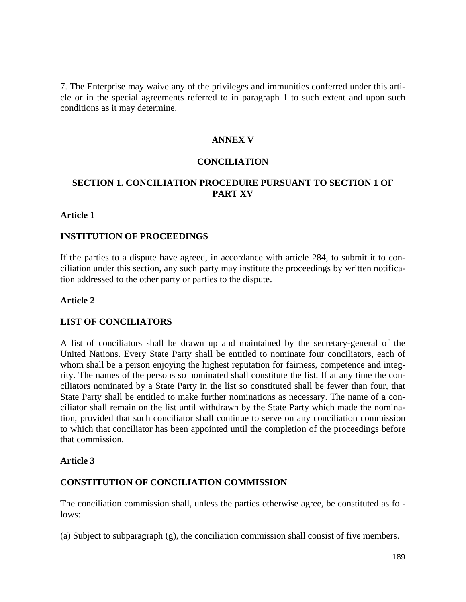7. The Enterprise may waive any of the privileges and immunities conferred under this article or in the special agreements referred to in paragraph 1 to such extent and upon such conditions as it may determine.

#### **ANNEX V**

#### **CONCILIATION**

## **SECTION 1. CONCILIATION PROCEDURE PURSUANT TO SECTION 1 OF PART XV**

#### **Article 1**

#### **INSTITUTION OF PROCEEDINGS**

If the parties to a dispute have agreed, in accordance with article 284, to submit it to conciliation under this section, any such party may institute the proceedings by written notification addressed to the other party or parties to the dispute.

#### **Article 2**

#### **LIST OF CONCILIATORS**

A list of conciliators shall be drawn up and maintained by the secretary-general of the United Nations. Every State Party shall be entitled to nominate four conciliators, each of whom shall be a person enjoying the highest reputation for fairness, competence and integrity. The names of the persons so nominated shall constitute the list. If at any time the conciliators nominated by a State Party in the list so constituted shall be fewer than four, that State Party shall be entitled to make further nominations as necessary. The name of a conciliator shall remain on the list until withdrawn by the State Party which made the nomination, provided that such conciliator shall continue to serve on any conciliation commission to which that conciliator has been appointed until the completion of the proceedings before that commission.

#### **Article 3**

#### **CONSTITUTION OF CONCILIATION COMMISSION**

The conciliation commission shall, unless the parties otherwise agree, be constituted as follows:

(a) Subject to subparagraph (g), the conciliation commission shall consist of five members.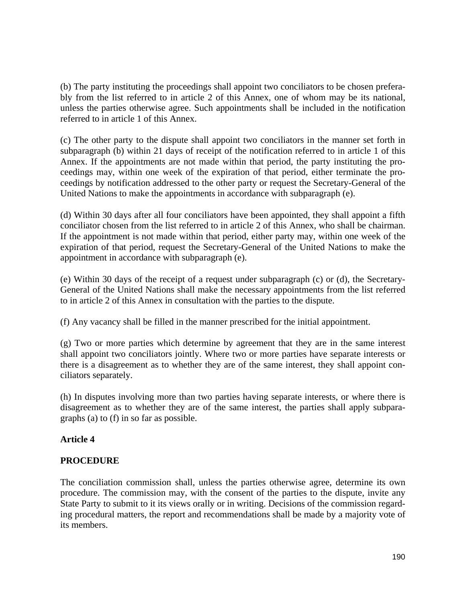(b) The party instituting the proceedings shall appoint two conciliators to be chosen preferably from the list referred to in article 2 of this Annex, one of whom may be its national, unless the parties otherwise agree. Such appointments shall be included in the notification referred to in article 1 of this Annex.

(c) The other party to the dispute shall appoint two conciliators in the manner set forth in subparagraph (b) within 21 days of receipt of the notification referred to in article 1 of this Annex. If the appointments are not made within that period, the party instituting the proceedings may, within one week of the expiration of that period, either terminate the proceedings by notification addressed to the other party or request the Secretary-General of the United Nations to make the appointments in accordance with subparagraph (e).

(d) Within 30 days after all four conciliators have been appointed, they shall appoint a fifth conciliator chosen from the list referred to in article 2 of this Annex, who shall be chairman. If the appointment is not made within that period, either party may, within one week of the expiration of that period, request the Secretary-General of the United Nations to make the appointment in accordance with subparagraph (e).

(e) Within 30 days of the receipt of a request under subparagraph (c) or (d), the Secretary-General of the United Nations shall make the necessary appointments from the list referred to in article 2 of this Annex in consultation with the parties to the dispute.

(f) Any vacancy shall be filled in the manner prescribed for the initial appointment.

(g) Two or more parties which determine by agreement that they are in the same interest shall appoint two conciliators jointly. Where two or more parties have separate interests or there is a disagreement as to whether they are of the same interest, they shall appoint conciliators separately.

(h) In disputes involving more than two parties having separate interests, or where there is disagreement as to whether they are of the same interest, the parties shall apply subparagraphs (a) to (f) in so far as possible.

## **Article 4**

## **PROCEDURE**

The conciliation commission shall, unless the parties otherwise agree, determine its own procedure. The commission may, with the consent of the parties to the dispute, invite any State Party to submit to it its views orally or in writing. Decisions of the commission regarding procedural matters, the report and recommendations shall be made by a majority vote of its members.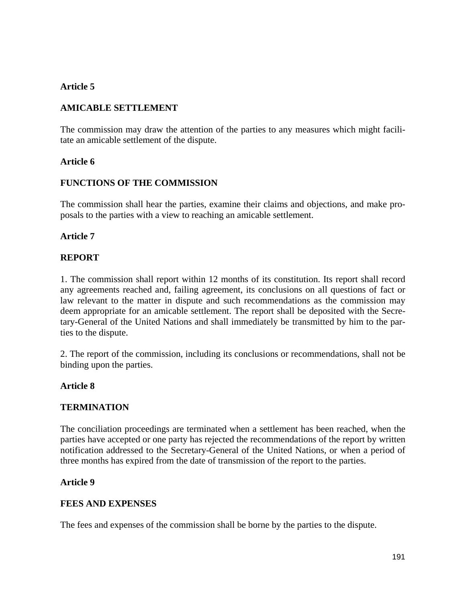## **AMICABLE SETTLEMENT**

The commission may draw the attention of the parties to any measures which might facilitate an amicable settlement of the dispute.

#### **Article 6**

## **FUNCTIONS OF THE COMMISSION**

The commission shall hear the parties, examine their claims and objections, and make proposals to the parties with a view to reaching an amicable settlement.

## **Article 7**

## **REPORT**

1. The commission shall report within 12 months of its constitution. Its report shall record any agreements reached and, failing agreement, its conclusions on all questions of fact or law relevant to the matter in dispute and such recommendations as the commission may deem appropriate for an amicable settlement. The report shall be deposited with the Secretary-General of the United Nations and shall immediately be transmitted by him to the parties to the dispute.

2. The report of the commission, including its conclusions or recommendations, shall not be binding upon the parties.

## **Article 8**

## **TERMINATION**

The conciliation proceedings are terminated when a settlement has been reached, when the parties have accepted or one party has rejected the recommendations of the report by written notification addressed to the Secretary-General of the United Nations, or when a period of three months has expired from the date of transmission of the report to the parties.

#### **Article 9**

## **FEES AND EXPENSES**

The fees and expenses of the commission shall be borne by the parties to the dispute.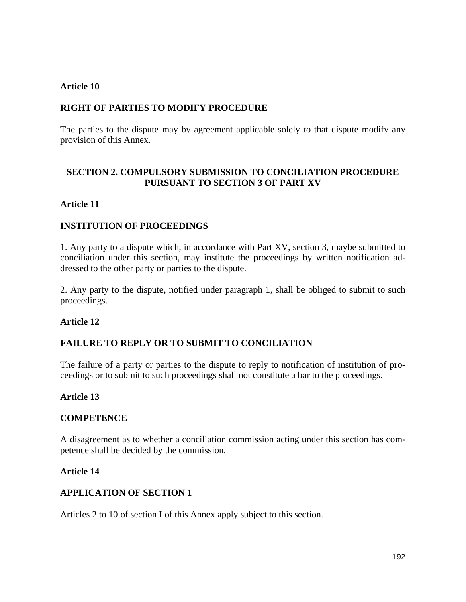#### **RIGHT OF PARTIES TO MODIFY PROCEDURE**

The parties to the dispute may by agreement applicable solely to that dispute modify any provision of this Annex.

# **SECTION 2. COMPULSORY SUBMISSION TO CONCILIATION PROCEDURE PURSUANT TO SECTION 3 OF PART XV**

#### **Article 11**

#### **INSTITUTION OF PROCEEDINGS**

1. Any party to a dispute which, in accordance with Part XV, section 3, maybe submitted to conciliation under this section, may institute the proceedings by written notification addressed to the other party or parties to the dispute.

2. Any party to the dispute, notified under paragraph 1, shall be obliged to submit to such proceedings.

#### **Article 12**

## **FAILURE TO REPLY OR TO SUBMIT TO CONCILIATION**

The failure of a party or parties to the dispute to reply to notification of institution of proceedings or to submit to such proceedings shall not constitute a bar to the proceedings.

#### **Article 13**

#### **COMPETENCE**

A disagreement as to whether a conciliation commission acting under this section has competence shall be decided by the commission.

#### **Article 14**

#### **APPLICATION OF SECTION 1**

Articles 2 to 10 of section I of this Annex apply subject to this section.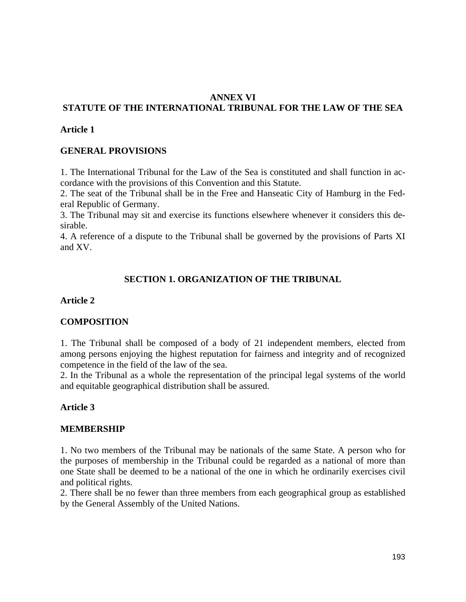#### **ANNEX VI STATUTE OF THE INTERNATIONAL TRIBUNAL FOR THE LAW OF THE SEA**

## **Article 1**

## **GENERAL PROVISIONS**

1. The International Tribunal for the Law of the Sea is constituted and shall function in accordance with the provisions of this Convention and this Statute.

2. The seat of the Tribunal shall be in the Free and Hanseatic City of Hamburg in the Federal Republic of Germany.

3. The Tribunal may sit and exercise its functions elsewhere whenever it considers this desirable.

4. A reference of a dispute to the Tribunal shall be governed by the provisions of Parts XI and XV.

# **SECTION 1. ORGANIZATION OF THE TRIBUNAL**

#### **Article 2**

## **COMPOSITION**

1. The Tribunal shall be composed of a body of 21 independent members, elected from among persons enjoying the highest reputation for fairness and integrity and of recognized competence in the field of the law of the sea.

2. In the Tribunal as a whole the representation of the principal legal systems of the world and equitable geographical distribution shall be assured.

## **Article 3**

## **MEMBERSHIP**

1. No two members of the Tribunal may be nationals of the same State. A person who for the purposes of membership in the Tribunal could be regarded as a national of more than one State shall be deemed to be a national of the one in which he ordinarily exercises civil and political rights.

2. There shall be no fewer than three members from each geographical group as established by the General Assembly of the United Nations.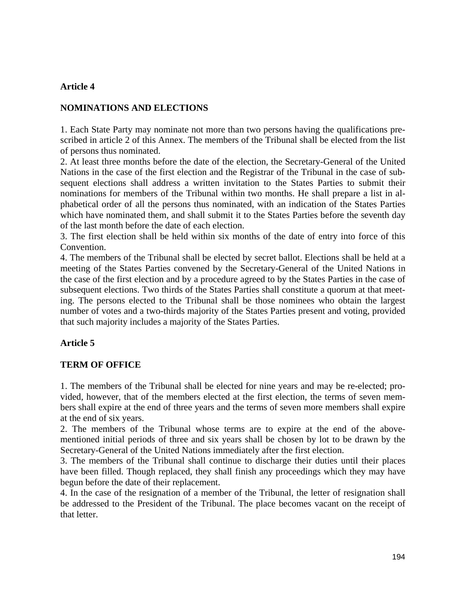## **NOMINATIONS AND ELECTIONS**

1. Each State Party may nominate not more than two persons having the qualifications prescribed in article 2 of this Annex. The members of the Tribunal shall be elected from the list of persons thus nominated.

2. At least three months before the date of the election, the Secretary-General of the United Nations in the case of the first election and the Registrar of the Tribunal in the case of subsequent elections shall address a written invitation to the States Parties to submit their nominations for members of the Tribunal within two months. He shall prepare a list in alphabetical order of all the persons thus nominated, with an indication of the States Parties which have nominated them, and shall submit it to the States Parties before the seventh day of the last month before the date of each election.

3. The first election shall be held within six months of the date of entry into force of this Convention.

4. The members of the Tribunal shall be elected by secret ballot. Elections shall be held at a meeting of the States Parties convened by the Secretary-General of the United Nations in the case of the first election and by a procedure agreed to by the States Parties in the case of subsequent elections. Two thirds of the States Parties shall constitute a quorum at that meeting. The persons elected to the Tribunal shall be those nominees who obtain the largest number of votes and a two-thirds majority of the States Parties present and voting, provided that such majority includes a majority of the States Parties.

## **Article 5**

## **TERM OF OFFICE**

1. The members of the Tribunal shall be elected for nine years and may be re-elected; provided, however, that of the members elected at the first election, the terms of seven members shall expire at the end of three years and the terms of seven more members shall expire at the end of six years.

2. The members of the Tribunal whose terms are to expire at the end of the abovementioned initial periods of three and six years shall be chosen by lot to be drawn by the Secretary-General of the United Nations immediately after the first election.

3. The members of the Tribunal shall continue to discharge their duties until their places have been filled. Though replaced, they shall finish any proceedings which they may have begun before the date of their replacement.

4. In the case of the resignation of a member of the Tribunal, the letter of resignation shall be addressed to the President of the Tribunal. The place becomes vacant on the receipt of that letter.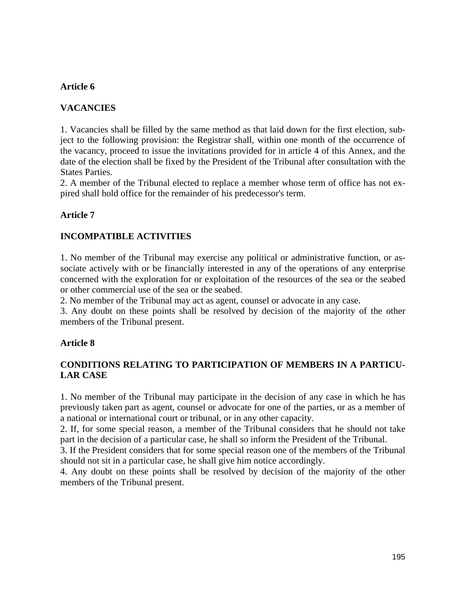## **VACANCIES**

1. Vacancies shall be filled by the same method as that laid down for the first election, subject to the following provision: the Registrar shall, within one month of the occurrence of the vacancy, proceed to issue the invitations provided for in article 4 of this Annex, and the date of the election shall be fixed by the President of the Tribunal after consultation with the States Parties.

2. A member of the Tribunal elected to replace a member whose term of office has not expired shall hold office for the remainder of his predecessor's term.

#### **Article 7**

# **INCOMPATIBLE ACTIVITIES**

1. No member of the Tribunal may exercise any political or administrative function, or associate actively with or be financially interested in any of the operations of any enterprise concerned with the exploration for or exploitation of the resources of the sea or the seabed or other commercial use of the sea or the seabed.

2. No member of the Tribunal may act as agent, counsel or advocate in any case.

3. Any doubt on these points shall be resolved by decision of the majority of the other members of the Tribunal present.

## **Article 8**

# **CONDITIONS RELATING TO PARTICIPATION OF MEMBERS IN A PARTICU-LAR CASE**

1. No member of the Tribunal may participate in the decision of any case in which he has previously taken part as agent, counsel or advocate for one of the parties, or as a member of a national or international court or tribunal, or in any other capacity.

2. If, for some special reason, a member of the Tribunal considers that he should not take part in the decision of a particular case, he shall so inform the President of the Tribunal.

3. If the President considers that for some special reason one of the members of the Tribunal should not sit in a particular case, he shall give him notice accordingly.

4. Any doubt on these points shall be resolved by decision of the majority of the other members of the Tribunal present.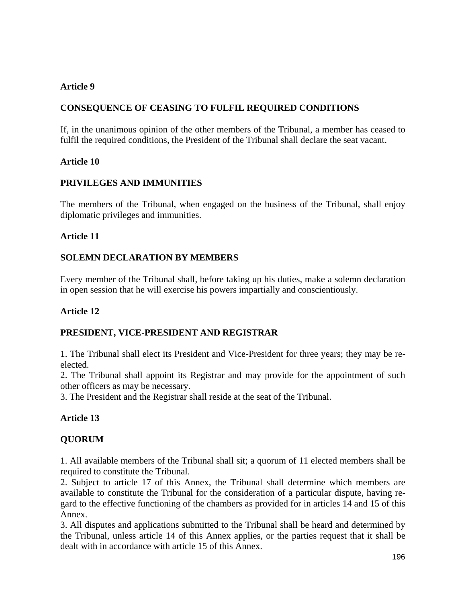# **CONSEQUENCE OF CEASING TO FULFIL REQUIRED CONDITIONS**

If, in the unanimous opinion of the other members of the Tribunal, a member has ceased to fulfil the required conditions, the President of the Tribunal shall declare the seat vacant.

#### **Article 10**

## **PRIVILEGES AND IMMUNITIES**

The members of the Tribunal, when engaged on the business of the Tribunal, shall enjoy diplomatic privileges and immunities.

#### **Article 11**

## **SOLEMN DECLARATION BY MEMBERS**

Every member of the Tribunal shall, before taking up his duties, make a solemn declaration in open session that he will exercise his powers impartially and conscientiously.

## **Article 12**

## **PRESIDENT, VICE-PRESIDENT AND REGISTRAR**

1. The Tribunal shall elect its President and Vice-President for three years; they may be reelected.

2. The Tribunal shall appoint its Registrar and may provide for the appointment of such other officers as may be necessary.

3. The President and the Registrar shall reside at the seat of the Tribunal.

## **Article 13**

## **QUORUM**

1. All available members of the Tribunal shall sit; a quorum of 11 elected members shall be required to constitute the Tribunal.

2. Subject to article 17 of this Annex, the Tribunal shall determine which members are available to constitute the Tribunal for the consideration of a particular dispute, having regard to the effective functioning of the chambers as provided for in articles 14 and 15 of this Annex.

3. All disputes and applications submitted to the Tribunal shall be heard and determined by the Tribunal, unless article 14 of this Annex applies, or the parties request that it shall be dealt with in accordance with article 15 of this Annex.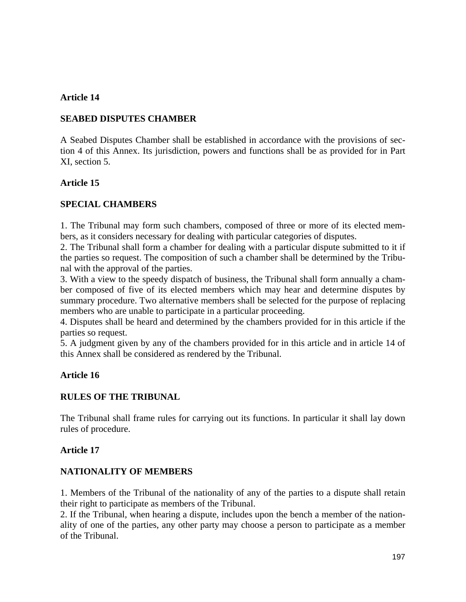# **SEABED DISPUTES CHAMBER**

A Seabed Disputes Chamber shall be established in accordance with the provisions of section 4 of this Annex. Its jurisdiction, powers and functions shall be as provided for in Part XI, section 5.

## **Article 15**

## **SPECIAL CHAMBERS**

1. The Tribunal may form such chambers, composed of three or more of its elected members, as it considers necessary for dealing with particular categories of disputes.

2. The Tribunal shall form a chamber for dealing with a particular dispute submitted to it if the parties so request. The composition of such a chamber shall be determined by the Tribunal with the approval of the parties.

3. With a view to the speedy dispatch of business, the Tribunal shall form annually a chamber composed of five of its elected members which may hear and determine disputes by summary procedure. Two alternative members shall be selected for the purpose of replacing members who are unable to participate in a particular proceeding.

4. Disputes shall be heard and determined by the chambers provided for in this article if the parties so request.

5. A judgment given by any of the chambers provided for in this article and in article 14 of this Annex shall be considered as rendered by the Tribunal.

## **Article 16**

## **RULES OF THE TRIBUNAL**

The Tribunal shall frame rules for carrying out its functions. In particular it shall lay down rules of procedure.

#### **Article 17**

## **NATIONALITY OF MEMBERS**

1. Members of the Tribunal of the nationality of any of the parties to a dispute shall retain their right to participate as members of the Tribunal.

2. If the Tribunal, when hearing a dispute, includes upon the bench a member of the nationality of one of the parties, any other party may choose a person to participate as a member of the Tribunal.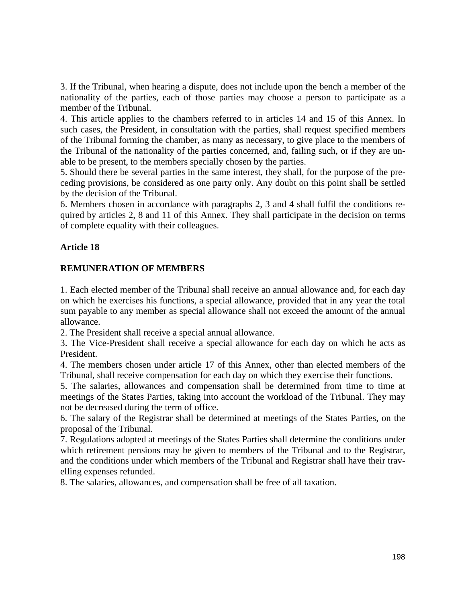3. If the Tribunal, when hearing a dispute, does not include upon the bench a member of the nationality of the parties, each of those parties may choose a person to participate as a member of the Tribunal.

4. This article applies to the chambers referred to in articles 14 and 15 of this Annex. In such cases, the President, in consultation with the parties, shall request specified members of the Tribunal forming the chamber, as many as necessary, to give place to the members of the Tribunal of the nationality of the parties concerned, and, failing such, or if they are unable to be present, to the members specially chosen by the parties.

5. Should there be several parties in the same interest, they shall, for the purpose of the preceding provisions, be considered as one party only. Any doubt on this point shall be settled by the decision of the Tribunal.

6. Members chosen in accordance with paragraphs 2, 3 and 4 shall fulfil the conditions required by articles 2, 8 and 11 of this Annex. They shall participate in the decision on terms of complete equality with their colleagues.

#### **Article 18**

#### **REMUNERATION OF MEMBERS**

1. Each elected member of the Tribunal shall receive an annual allowance and, for each day on which he exercises his functions, a special allowance, provided that in any year the total sum payable to any member as special allowance shall not exceed the amount of the annual allowance.

2. The President shall receive a special annual allowance.

3. The Vice-President shall receive a special allowance for each day on which he acts as President.

4. The members chosen under article 17 of this Annex, other than elected members of the Tribunal, shall receive compensation for each day on which they exercise their functions.

5. The salaries, allowances and compensation shall be determined from time to time at meetings of the States Parties, taking into account the workload of the Tribunal. They may not be decreased during the term of office.

6. The salary of the Registrar shall be determined at meetings of the States Parties, on the proposal of the Tribunal.

7. Regulations adopted at meetings of the States Parties shall determine the conditions under which retirement pensions may be given to members of the Tribunal and to the Registrar, and the conditions under which members of the Tribunal and Registrar shall have their travelling expenses refunded.

8. The salaries, allowances, and compensation shall be free of all taxation.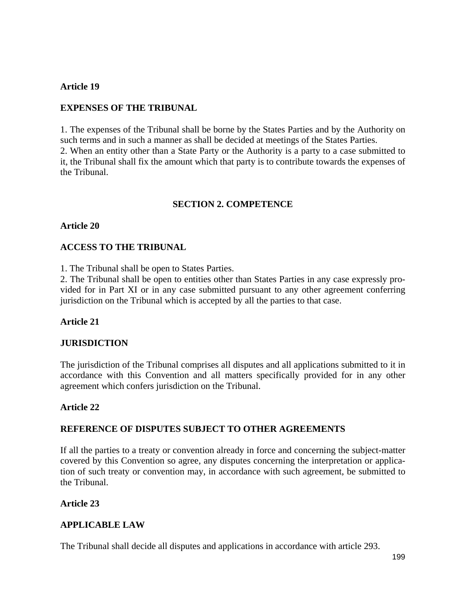## **EXPENSES OF THE TRIBUNAL**

1. The expenses of the Tribunal shall be borne by the States Parties and by the Authority on such terms and in such a manner as shall be decided at meetings of the States Parties. 2. When an entity other than a State Party or the Authority is a party to a case submitted to it, the Tribunal shall fix the amount which that party is to contribute towards the expenses of the Tribunal.

## **SECTION 2. COMPETENCE**

#### **Article 20**

#### **ACCESS TO THE TRIBUNAL**

1. The Tribunal shall be open to States Parties.

2. The Tribunal shall be open to entities other than States Parties in any case expressly provided for in Part XI or in any case submitted pursuant to any other agreement conferring jurisdiction on the Tribunal which is accepted by all the parties to that case.

#### **Article 21**

#### **JURISDICTION**

The jurisdiction of the Tribunal comprises all disputes and all applications submitted to it in accordance with this Convention and all matters specifically provided for in any other agreement which confers jurisdiction on the Tribunal.

#### **Article 22**

#### **REFERENCE OF DISPUTES SUBJECT TO OTHER AGREEMENTS**

If all the parties to a treaty or convention already in force and concerning the subject-matter covered by this Convention so agree, any disputes concerning the interpretation or application of such treaty or convention may, in accordance with such agreement, be submitted to the Tribunal.

#### **Article 23**

#### **APPLICABLE LAW**

The Tribunal shall decide all disputes and applications in accordance with article 293.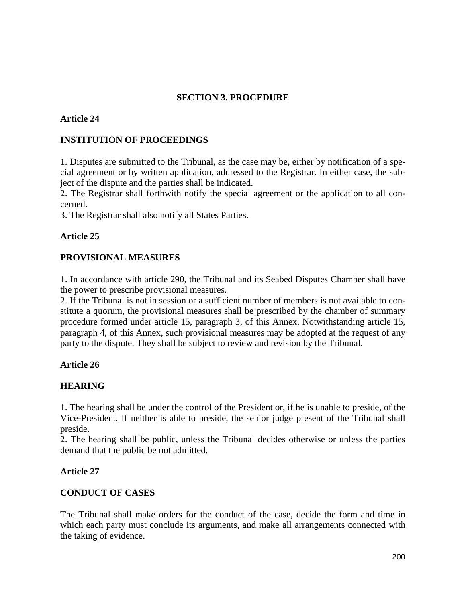# **SECTION 3. PROCEDURE**

# **Article 24**

## **INSTITUTION OF PROCEEDINGS**

1. Disputes are submitted to the Tribunal, as the case may be, either by notification of a special agreement or by written application, addressed to the Registrar. In either case, the subject of the dispute and the parties shall be indicated.

2. The Registrar shall forthwith notify the special agreement or the application to all concerned.

3. The Registrar shall also notify all States Parties.

## **Article 25**

## **PROVISIONAL MEASURES**

1. In accordance with article 290, the Tribunal and its Seabed Disputes Chamber shall have the power to prescribe provisional measures.

2. If the Tribunal is not in session or a sufficient number of members is not available to constitute a quorum, the provisional measures shall be prescribed by the chamber of summary procedure formed under article 15, paragraph 3, of this Annex. Notwithstanding article 15, paragraph 4, of this Annex, such provisional measures may be adopted at the request of any party to the dispute. They shall be subject to review and revision by the Tribunal.

#### **Article 26**

#### **HEARING**

1. The hearing shall be under the control of the President or, if he is unable to preside, of the Vice-President. If neither is able to preside, the senior judge present of the Tribunal shall preside.

2. The hearing shall be public, unless the Tribunal decides otherwise or unless the parties demand that the public be not admitted.

## **Article 27**

## **CONDUCT OF CASES**

The Tribunal shall make orders for the conduct of the case, decide the form and time in which each party must conclude its arguments, and make all arrangements connected with the taking of evidence.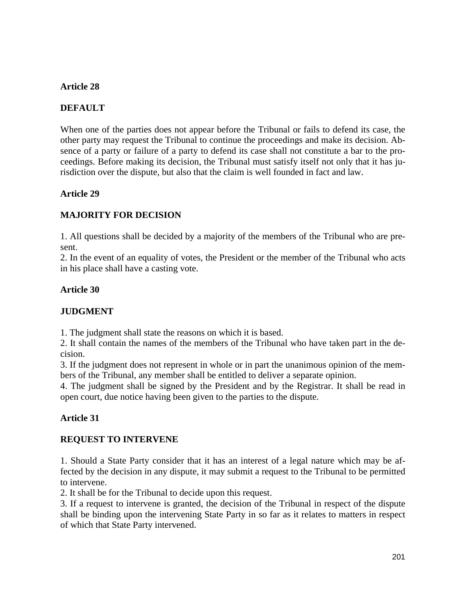## **DEFAULT**

When one of the parties does not appear before the Tribunal or fails to defend its case, the other party may request the Tribunal to continue the proceedings and make its decision. Absence of a party or failure of a party to defend its case shall not constitute a bar to the proceedings. Before making its decision, the Tribunal must satisfy itself not only that it has jurisdiction over the dispute, but also that the claim is well founded in fact and law.

#### **Article 29**

# **MAJORITY FOR DECISION**

1. All questions shall be decided by a majority of the members of the Tribunal who are present.

2. In the event of an equality of votes, the President or the member of the Tribunal who acts in his place shall have a casting vote.

#### **Article 30**

## **JUDGMENT**

1. The judgment shall state the reasons on which it is based.

2. It shall contain the names of the members of the Tribunal who have taken part in the decision.

3. If the judgment does not represent in whole or in part the unanimous opinion of the members of the Tribunal, any member shall be entitled to deliver a separate opinion.

4. The judgment shall be signed by the President and by the Registrar. It shall be read in open court, due notice having been given to the parties to the dispute.

## **Article 31**

## **REQUEST TO INTERVENE**

1. Should a State Party consider that it has an interest of a legal nature which may be affected by the decision in any dispute, it may submit a request to the Tribunal to be permitted to intervene.

2. It shall be for the Tribunal to decide upon this request.

3. If a request to intervene is granted, the decision of the Tribunal in respect of the dispute shall be binding upon the intervening State Party in so far as it relates to matters in respect of which that State Party intervened.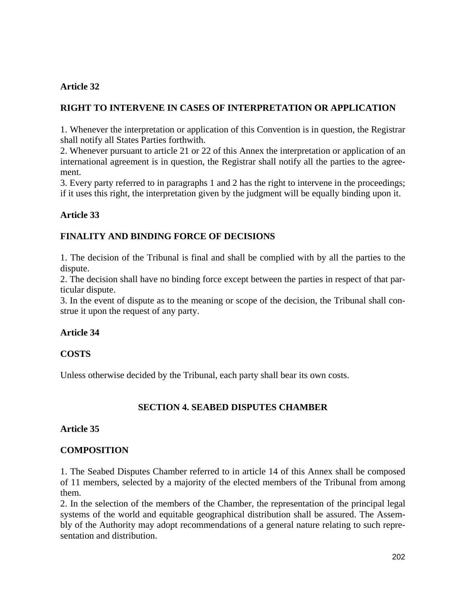# **RIGHT TO INTERVENE IN CASES OF INTERPRETATION OR APPLICATION**

1. Whenever the interpretation or application of this Convention is in question, the Registrar shall notify all States Parties forthwith.

2. Whenever pursuant to article 21 or 22 of this Annex the interpretation or application of an international agreement is in question, the Registrar shall notify all the parties to the agreement.

3. Every party referred to in paragraphs 1 and 2 has the right to intervene in the proceedings; if it uses this right, the interpretation given by the judgment will be equally binding upon it.

# **Article 33**

# **FINALITY AND BINDING FORCE OF DECISIONS**

1. The decision of the Tribunal is final and shall be complied with by all the parties to the dispute.

2. The decision shall have no binding force except between the parties in respect of that particular dispute.

3. In the event of dispute as to the meaning or scope of the decision, the Tribunal shall construe it upon the request of any party.

## **Article 34**

## **COSTS**

Unless otherwise decided by the Tribunal, each party shall bear its own costs.

# **SECTION 4. SEABED DISPUTES CHAMBER**

## **Article 35**

## **COMPOSITION**

1. The Seabed Disputes Chamber referred to in article 14 of this Annex shall be composed of 11 members, selected by a majority of the elected members of the Tribunal from among them.

2. In the selection of the members of the Chamber, the representation of the principal legal systems of the world and equitable geographical distribution shall be assured. The Assembly of the Authority may adopt recommendations of a general nature relating to such representation and distribution.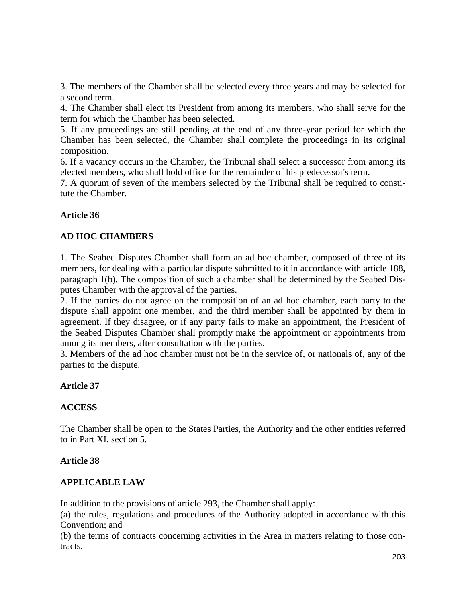3. The members of the Chamber shall be selected every three years and may be selected for a second term.

4. The Chamber shall elect its President from among its members, who shall serve for the term for which the Chamber has been selected.

5. If any proceedings are still pending at the end of any three-year period for which the Chamber has been selected, the Chamber shall complete the proceedings in its original composition.

6. If a vacancy occurs in the Chamber, the Tribunal shall select a successor from among its elected members, who shall hold office for the remainder of his predecessor's term.

7. A quorum of seven of the members selected by the Tribunal shall be required to constitute the Chamber.

## **Article 36**

# **AD HOC CHAMBERS**

1. The Seabed Disputes Chamber shall form an ad hoc chamber, composed of three of its members, for dealing with a particular dispute submitted to it in accordance with article 188, paragraph 1(b). The composition of such a chamber shall be determined by the Seabed Disputes Chamber with the approval of the parties.

2. If the parties do not agree on the composition of an ad hoc chamber, each party to the dispute shall appoint one member, and the third member shall be appointed by them in agreement. If they disagree, or if any party fails to make an appointment, the President of the Seabed Disputes Chamber shall promptly make the appointment or appointments from among its members, after consultation with the parties.

3. Members of the ad hoc chamber must not be in the service of, or nationals of, any of the parties to the dispute.

## **Article 37**

## **ACCESS**

The Chamber shall be open to the States Parties, the Authority and the other entities referred to in Part XI, section 5.

## **Article 38**

## **APPLICABLE LAW**

In addition to the provisions of article 293, the Chamber shall apply:

(a) the rules, regulations and procedures of the Authority adopted in accordance with this Convention; and

(b) the terms of contracts concerning activities in the Area in matters relating to those contracts.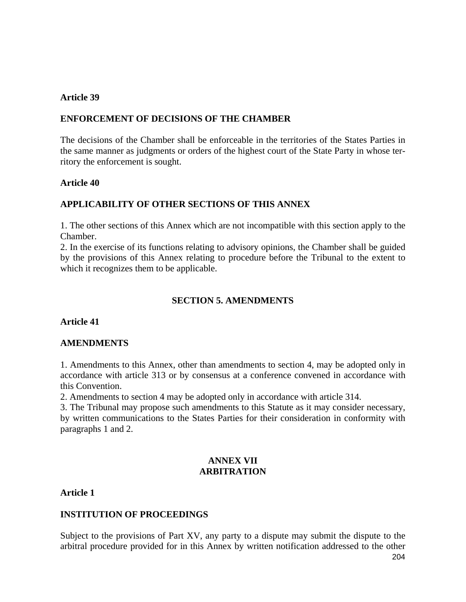## **ENFORCEMENT OF DECISIONS OF THE CHAMBER**

The decisions of the Chamber shall be enforceable in the territories of the States Parties in the same manner as judgments or orders of the highest court of the State Party in whose territory the enforcement is sought.

#### **Article 40**

#### **APPLICABILITY OF OTHER SECTIONS OF THIS ANNEX**

1. The other sections of this Annex which are not incompatible with this section apply to the Chamber.

2. In the exercise of its functions relating to advisory opinions, the Chamber shall be guided by the provisions of this Annex relating to procedure before the Tribunal to the extent to which it recognizes them to be applicable.

## **SECTION 5. AMENDMENTS**

#### **Article 41**

#### **AMENDMENTS**

1. Amendments to this Annex, other than amendments to section 4, may be adopted only in accordance with article 313 or by consensus at a conference convened in accordance with this Convention.

2. Amendments to section 4 may be adopted only in accordance with article 314.

3. The Tribunal may propose such amendments to this Statute as it may consider necessary, by written communications to the States Parties for their consideration in conformity with paragraphs 1 and 2.

#### **ANNEX VII ARBITRATION**

#### **Article 1**

#### **INSTITUTION OF PROCEEDINGS**

Subject to the provisions of Part XV, any party to a dispute may submit the dispute to the arbitral procedure provided for in this Annex by written notification addressed to the other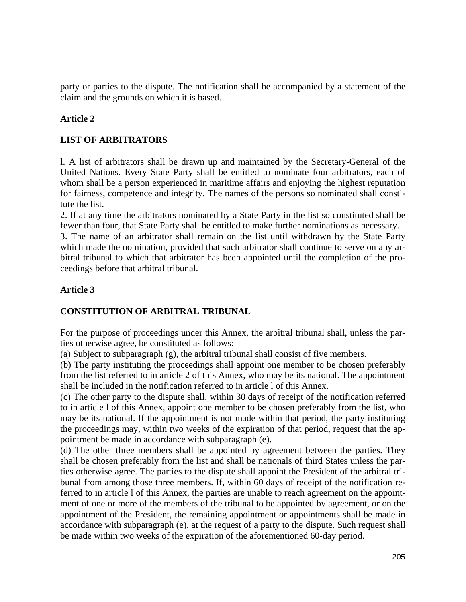party or parties to the dispute. The notification shall be accompanied by a statement of the claim and the grounds on which it is based.

## **Article 2**

## **LIST OF ARBITRATORS**

l. A list of arbitrators shall be drawn up and maintained by the Secretary-General of the United Nations. Every State Party shall be entitled to nominate four arbitrators, each of whom shall be a person experienced in maritime affairs and enjoying the highest reputation for fairness, competence and integrity. The names of the persons so nominated shall constitute the list.

2. If at any time the arbitrators nominated by a State Party in the list so constituted shall be fewer than four, that State Party shall be entitled to make further nominations as necessary.

3. The name of an arbitrator shall remain on the list until withdrawn by the State Party which made the nomination, provided that such arbitrator shall continue to serve on any arbitral tribunal to which that arbitrator has been appointed until the completion of the proceedings before that arbitral tribunal.

## **Article 3**

## **CONSTITUTION OF ARBITRAL TRIBUNAL**

For the purpose of proceedings under this Annex, the arbitral tribunal shall, unless the parties otherwise agree, be constituted as follows:

(a) Subject to subparagraph (g), the arbitral tribunal shall consist of five members.

(b) The party instituting the proceedings shall appoint one member to be chosen preferably from the list referred to in article 2 of this Annex, who may be its national. The appointment shall be included in the notification referred to in article l of this Annex.

(c) The other party to the dispute shall, within 30 days of receipt of the notification referred to in article l of this Annex, appoint one member to be chosen preferably from the list, who may be its national. If the appointment is not made within that period, the party instituting the proceedings may, within two weeks of the expiration of that period, request that the appointment be made in accordance with subparagraph (e).

(d) The other three members shall be appointed by agreement between the parties. They shall be chosen preferably from the list and shall be nationals of third States unless the parties otherwise agree. The parties to the dispute shall appoint the President of the arbitral tribunal from among those three members. If, within 60 days of receipt of the notification referred to in article l of this Annex, the parties are unable to reach agreement on the appointment of one or more of the members of the tribunal to be appointed by agreement, or on the appointment of the President, the remaining appointment or appointments shall be made in accordance with subparagraph (e), at the request of a party to the dispute. Such request shall be made within two weeks of the expiration of the aforementioned 60-day period.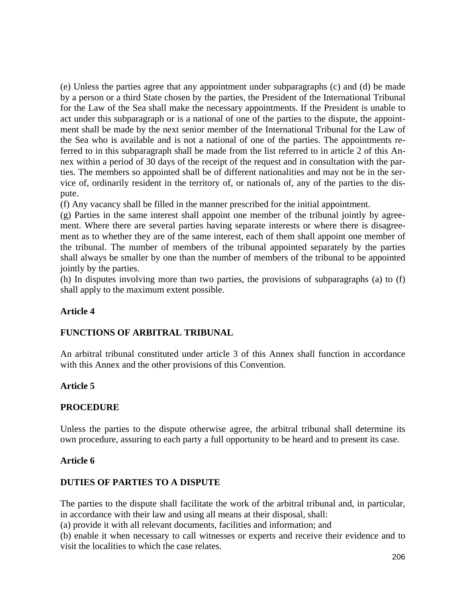(e) Unless the parties agree that any appointment under subparagraphs (c) and (d) be made by a person or a third State chosen by the parties, the President of the International Tribunal for the Law of the Sea shall make the necessary appointments. If the President is unable to act under this subparagraph or is a national of one of the parties to the dispute, the appointment shall be made by the next senior member of the International Tribunal for the Law of the Sea who is available and is not a national of one of the parties. The appointments referred to in this subparagraph shall be made from the list referred to in article 2 of this Annex within a period of 30 days of the receipt of the request and in consultation with the parties. The members so appointed shall be of different nationalities and may not be in the service of, ordinarily resident in the territory of, or nationals of, any of the parties to the dispute.

(f) Any vacancy shall be filled in the manner prescribed for the initial appointment.

(g) Parties in the same interest shall appoint one member of the tribunal jointly by agreement. Where there are several parties having separate interests or where there is disagreement as to whether they are of the same interest, each of them shall appoint one member of the tribunal. The number of members of the tribunal appointed separately by the parties shall always be smaller by one than the number of members of the tribunal to be appointed jointly by the parties.

(h) In disputes involving more than two parties, the provisions of subparagraphs (a) to (f) shall apply to the maximum extent possible.

## **Article 4**

## **FUNCTIONS OF ARBITRAL TRIBUNAL**

An arbitral tribunal constituted under article 3 of this Annex shall function in accordance with this Annex and the other provisions of this Convention.

#### **Article 5**

#### **PROCEDURE**

Unless the parties to the dispute otherwise agree, the arbitral tribunal shall determine its own procedure, assuring to each party a full opportunity to be heard and to present its case.

#### **Article 6**

#### **DUTIES OF PARTIES TO A DISPUTE**

The parties to the dispute shall facilitate the work of the arbitral tribunal and, in particular, in accordance with their law and using all means at their disposal, shall:

(a) provide it with all relevant documents, facilities and information; and

(b) enable it when necessary to call witnesses or experts and receive their evidence and to visit the localities to which the case relates.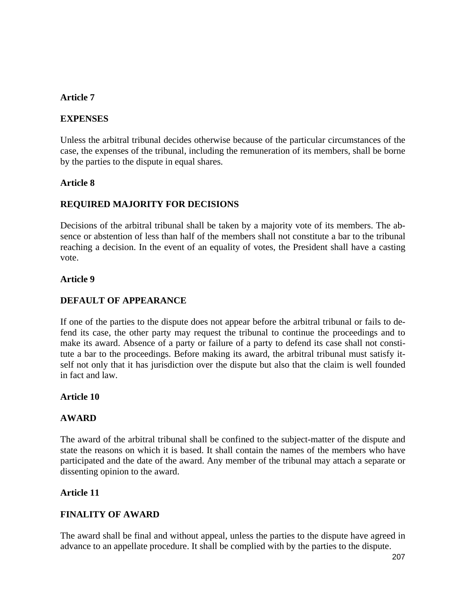#### **EXPENSES**

Unless the arbitral tribunal decides otherwise because of the particular circumstances of the case, the expenses of the tribunal, including the remuneration of its members, shall be borne by the parties to the dispute in equal shares.

#### **Article 8**

# **REQUIRED MAJORITY FOR DECISIONS**

Decisions of the arbitral tribunal shall be taken by a majority vote of its members. The absence or abstention of less than half of the members shall not constitute a bar to the tribunal reaching a decision. In the event of an equality of votes, the President shall have a casting vote.

#### **Article 9**

## **DEFAULT OF APPEARANCE**

If one of the parties to the dispute does not appear before the arbitral tribunal or fails to defend its case, the other party may request the tribunal to continue the proceedings and to make its award. Absence of a party or failure of a party to defend its case shall not constitute a bar to the proceedings. Before making its award, the arbitral tribunal must satisfy itself not only that it has jurisdiction over the dispute but also that the claim is well founded in fact and law.

## **Article 10**

## **AWARD**

The award of the arbitral tribunal shall be confined to the subject-matter of the dispute and state the reasons on which it is based. It shall contain the names of the members who have participated and the date of the award. Any member of the tribunal may attach a separate or dissenting opinion to the award.

## **Article 11**

## **FINALITY OF AWARD**

The award shall be final and without appeal, unless the parties to the dispute have agreed in advance to an appellate procedure. It shall be complied with by the parties to the dispute.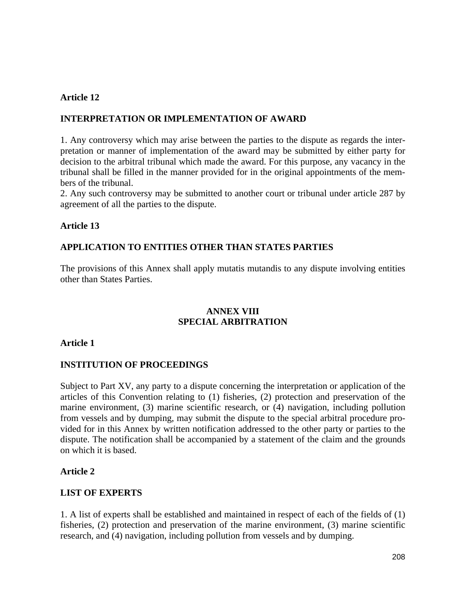## **INTERPRETATION OR IMPLEMENTATION OF AWARD**

1. Any controversy which may arise between the parties to the dispute as regards the interpretation or manner of implementation of the award may be submitted by either party for decision to the arbitral tribunal which made the award. For this purpose, any vacancy in the tribunal shall be filled in the manner provided for in the original appointments of the members of the tribunal.

2. Any such controversy may be submitted to another court or tribunal under article 287 by agreement of all the parties to the dispute.

## **Article 13**

# **APPLICATION TO ENTITIES OTHER THAN STATES PARTIES**

The provisions of this Annex shall apply mutatis mutandis to any dispute involving entities other than States Parties.

#### **ANNEX VIII SPECIAL ARBITRATION**

#### **Article 1**

## **INSTITUTION OF PROCEEDINGS**

Subject to Part XV, any party to a dispute concerning the interpretation or application of the articles of this Convention relating to (1) fisheries, (2) protection and preservation of the marine environment, (3) marine scientific research, or (4) navigation, including pollution from vessels and by dumping, may submit the dispute to the special arbitral procedure provided for in this Annex by written notification addressed to the other party or parties to the dispute. The notification shall be accompanied by a statement of the claim and the grounds on which it is based.

#### **Article 2**

## **LIST OF EXPERTS**

1. A list of experts shall be established and maintained in respect of each of the fields of (1) fisheries, (2) protection and preservation of the marine environment, (3) marine scientific research, and (4) navigation, including pollution from vessels and by dumping.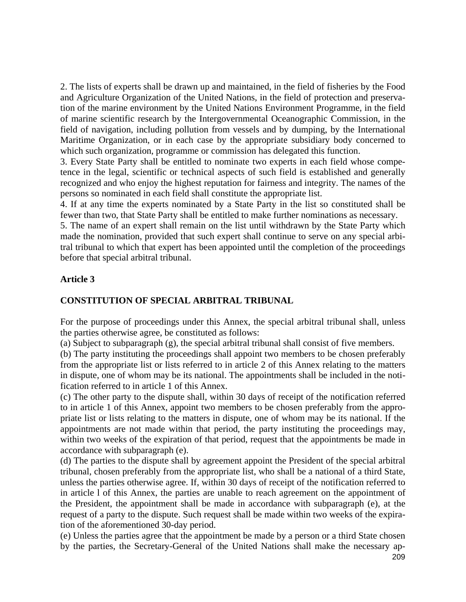2. The lists of experts shall be drawn up and maintained, in the field of fisheries by the Food and Agriculture Organization of the United Nations, in the field of protection and preservation of the marine environment by the United Nations Environment Programme, in the field of marine scientific research by the Intergovernmental Oceanographic Commission, in the field of navigation, including pollution from vessels and by dumping, by the International Maritime Organization, or in each case by the appropriate subsidiary body concerned to which such organization, programme or commission has delegated this function.

3. Every State Party shall be entitled to nominate two experts in each field whose competence in the legal, scientific or technical aspects of such field is established and generally recognized and who enjoy the highest reputation for fairness and integrity. The names of the persons so nominated in each field shall constitute the appropriate list.

4. If at any time the experts nominated by a State Party in the list so constituted shall be fewer than two, that State Party shall be entitled to make further nominations as necessary.

5. The name of an expert shall remain on the list until withdrawn by the State Party which made the nomination, provided that such expert shall continue to serve on any special arbitral tribunal to which that expert has been appointed until the completion of the proceedings before that special arbitral tribunal.

#### **Article 3**

#### **CONSTITUTION OF SPECIAL ARBITRAL TRIBUNAL**

For the purpose of proceedings under this Annex, the special arbitral tribunal shall, unless the parties otherwise agree, be constituted as follows:

(a) Subject to subparagraph (g), the special arbitral tribunal shall consist of five members.

(b) The party instituting the proceedings shall appoint two members to be chosen preferably from the appropriate list or lists referred to in article 2 of this Annex relating to the matters in dispute, one of whom may be its national. The appointments shall be included in the notification referred to in article 1 of this Annex.

(c) The other party to the dispute shall, within 30 days of receipt of the notification referred to in article 1 of this Annex, appoint two members to be chosen preferably from the appropriate list or lists relating to the matters in dispute, one of whom may be its national. If the appointments are not made within that period, the party instituting the proceedings may, within two weeks of the expiration of that period, request that the appointments be made in accordance with subparagraph (e).

(d) The parties to the dispute shall by agreement appoint the President of the special arbitral tribunal, chosen preferably from the appropriate list, who shall be a national of a third State, unless the parties otherwise agree. If, within 30 days of receipt of the notification referred to in article l of this Annex, the parties are unable to reach agreement on the appointment of the President, the appointment shall be made in accordance with subparagraph (e), at the request of a party to the dispute. Such request shall be made within two weeks of the expiration of the aforementioned 30-day period.

(e) Unless the parties agree that the appointment be made by a person or a third State chosen by the parties, the Secretary-General of the United Nations shall make the necessary ap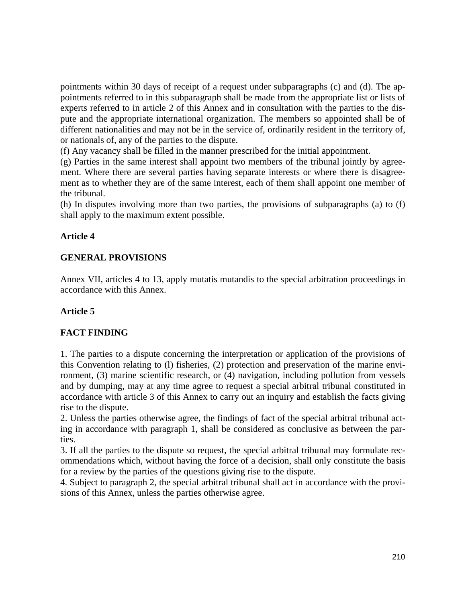pointments within 30 days of receipt of a request under subparagraphs (c) and (d). The appointments referred to in this subparagraph shall be made from the appropriate list or lists of experts referred to in article 2 of this Annex and in consultation with the parties to the dispute and the appropriate international organization. The members so appointed shall be of different nationalities and may not be in the service of, ordinarily resident in the territory of, or nationals of, any of the parties to the dispute.

(f) Any vacancy shall be filled in the manner prescribed for the initial appointment.

(g) Parties in the same interest shall appoint two members of the tribunal jointly by agreement. Where there are several parties having separate interests or where there is disagreement as to whether they are of the same interest, each of them shall appoint one member of the tribunal.

(h) In disputes involving more than two parties, the provisions of subparagraphs (a) to (f) shall apply to the maximum extent possible.

# **Article 4**

# **GENERAL PROVISIONS**

Annex VII, articles 4 to 13, apply mutatis mutandis to the special arbitration proceedings in accordance with this Annex.

# **Article 5**

# **FACT FINDING**

1. The parties to a dispute concerning the interpretation or application of the provisions of this Convention relating to (l) fisheries, (2) protection and preservation of the marine environment, (3) marine scientific research, or (4) navigation, including pollution from vessels and by dumping, may at any time agree to request a special arbitral tribunal constituted in accordance with article 3 of this Annex to carry out an inquiry and establish the facts giving rise to the dispute.

2. Unless the parties otherwise agree, the findings of fact of the special arbitral tribunal acting in accordance with paragraph 1, shall be considered as conclusive as between the parties.

3. If all the parties to the dispute so request, the special arbitral tribunal may formulate recommendations which, without having the force of a decision, shall only constitute the basis for a review by the parties of the questions giving rise to the dispute.

4. Subject to paragraph 2, the special arbitral tribunal shall act in accordance with the provisions of this Annex, unless the parties otherwise agree.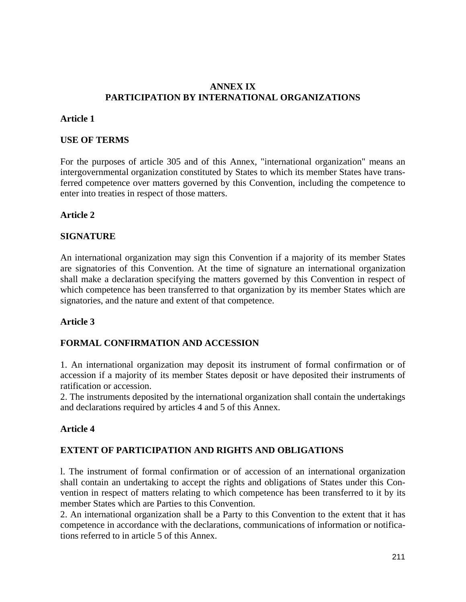#### **ANNEX IX PARTICIPATION BY INTERNATIONAL ORGANIZATIONS**

## **Article 1**

## **USE OF TERMS**

For the purposes of article 305 and of this Annex, "international organization" means an intergovernmental organization constituted by States to which its member States have transferred competence over matters governed by this Convention, including the competence to enter into treaties in respect of those matters.

## **Article 2**

# **SIGNATURE**

An international organization may sign this Convention if a majority of its member States are signatories of this Convention. At the time of signature an international organization shall make a declaration specifying the matters governed by this Convention in respect of which competence has been transferred to that organization by its member States which are signatories, and the nature and extent of that competence.

## **Article 3**

# **FORMAL CONFIRMATION AND ACCESSION**

1. An international organization may deposit its instrument of formal confirmation or of accession if a majority of its member States deposit or have deposited their instruments of ratification or accession.

2. The instruments deposited by the international organization shall contain the undertakings and declarations required by articles 4 and 5 of this Annex.

## **Article 4**

## **EXTENT OF PARTICIPATION AND RIGHTS AND OBLIGATIONS**

l. The instrument of formal confirmation or of accession of an international organization shall contain an undertaking to accept the rights and obligations of States under this Convention in respect of matters relating to which competence has been transferred to it by its member States which are Parties to this Convention.

2. An international organization shall be a Party to this Convention to the extent that it has competence in accordance with the declarations, communications of information or notifications referred to in article 5 of this Annex.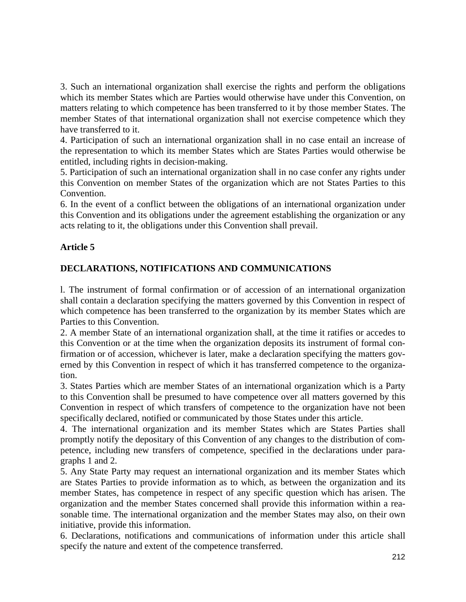3. Such an international organization shall exercise the rights and perform the obligations which its member States which are Parties would otherwise have under this Convention, on matters relating to which competence has been transferred to it by those member States. The member States of that international organization shall not exercise competence which they have transferred to it.

4. Participation of such an international organization shall in no case entail an increase of the representation to which its member States which are States Parties would otherwise be entitled, including rights in decision-making.

5. Participation of such an international organization shall in no case confer any rights under this Convention on member States of the organization which are not States Parties to this Convention.

6. In the event of a conflict between the obligations of an international organization under this Convention and its obligations under the agreement establishing the organization or any acts relating to it, the obligations under this Convention shall prevail.

# **Article 5**

# **DECLARATIONS, NOTIFICATIONS AND COMMUNICATIONS**

l. The instrument of formal confirmation or of accession of an international organization shall contain a declaration specifying the matters governed by this Convention in respect of which competence has been transferred to the organization by its member States which are Parties to this Convention.

2. A member State of an international organization shall, at the time it ratifies or accedes to this Convention or at the time when the organization deposits its instrument of formal confirmation or of accession, whichever is later, make a declaration specifying the matters governed by this Convention in respect of which it has transferred competence to the organization.

3. States Parties which are member States of an international organization which is a Party to this Convention shall be presumed to have competence over all matters governed by this Convention in respect of which transfers of competence to the organization have not been specifically declared, notified or communicated by those States under this article.

4. The international organization and its member States which are States Parties shall promptly notify the depositary of this Convention of any changes to the distribution of competence, including new transfers of competence, specified in the declarations under paragraphs 1 and 2.

5. Any State Party may request an international organization and its member States which are States Parties to provide information as to which, as between the organization and its member States, has competence in respect of any specific question which has arisen. The organization and the member States concerned shall provide this information within a reasonable time. The international organization and the member States may also, on their own initiative, provide this information.

6. Declarations, notifications and communications of information under this article shall specify the nature and extent of the competence transferred.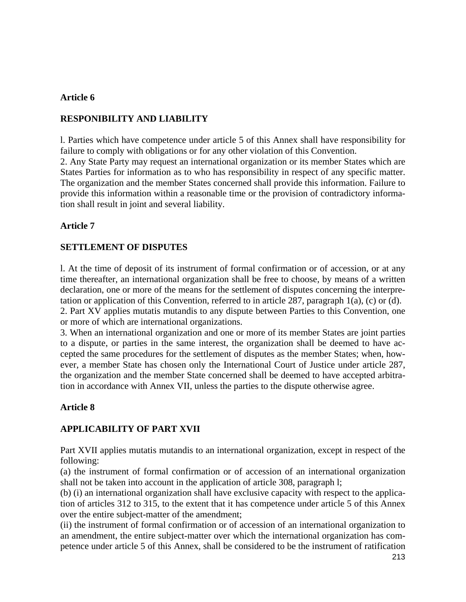# **RESPONIBILITY AND LIABILITY**

l. Parties which have competence under article 5 of this Annex shall have responsibility for failure to comply with obligations or for any other violation of this Convention. 2. Any State Party may request an international organization or its member States which are States Parties for information as to who has responsibility in respect of any specific matter. The organization and the member States concerned shall provide this information. Failure to provide this information within a reasonable time or the provision of contradictory information shall result in joint and several liability.

# **Article 7**

# **SETTLEMENT OF DISPUTES**

l. At the time of deposit of its instrument of formal confirmation or of accession, or at any time thereafter, an international organization shall be free to choose, by means of a written declaration, one or more of the means for the settlement of disputes concerning the interpretation or application of this Convention, referred to in article 287, paragraph 1(a), (c) or (d). 2. Part XV applies mutatis mutandis to any dispute between Parties to this Convention, one or more of which are international organizations.

3. When an international organization and one or more of its member States are joint parties to a dispute, or parties in the same interest, the organization shall be deemed to have accepted the same procedures for the settlement of disputes as the member States; when, however, a member State has chosen only the International Court of Justice under article 287, the organization and the member State concerned shall be deemed to have accepted arbitration in accordance with Annex VII, unless the parties to the dispute otherwise agree.

## **Article 8**

# **APPLICABILITY OF PART XVII**

Part XVII applies mutatis mutandis to an international organization, except in respect of the following:

(a) the instrument of formal confirmation or of accession of an international organization shall not be taken into account in the application of article 308, paragraph l;

(b) (i) an international organization shall have exclusive capacity with respect to the application of articles 312 to 315, to the extent that it has competence under article 5 of this Annex over the entire subject-matter of the amendment;

(ii) the instrument of formal confirmation or of accession of an international organization to an amendment, the entire subject-matter over which the international organization has competence under article 5 of this Annex, shall be considered to be the instrument of ratification